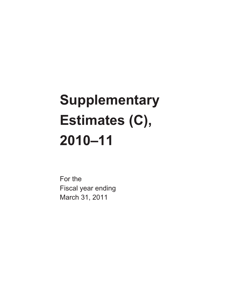# **Supplementary Estimates (C), 2010–11**

For the Fiscal year ending March 31, 2011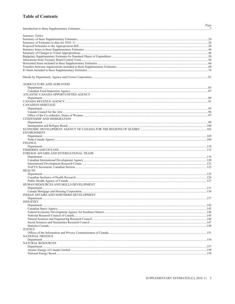### **Table of Contents**

|                                         | Page |
|-----------------------------------------|------|
|                                         |      |
| Summary Tables                          |      |
|                                         |      |
|                                         |      |
|                                         |      |
|                                         |      |
|                                         |      |
|                                         |      |
|                                         |      |
|                                         |      |
|                                         |      |
|                                         |      |
| AGRICULTURE AND AGRI-FOOD               |      |
|                                         |      |
|                                         |      |
| ATLANTIC CANADA OPPORTUNITIES AGENCY    |      |
|                                         |      |
| CANADIAN HERITAGE                       |      |
|                                         |      |
|                                         |      |
|                                         |      |
| CITIZENSHIP AND IMMIGRATION             |      |
|                                         |      |
|                                         |      |
| <b>ENVIRONMENT</b>                      |      |
|                                         |      |
|                                         |      |
| <b>FINANCE</b>                          |      |
|                                         |      |
|                                         |      |
| FOREIGN AFFAIRS AND INTERNATIONAL TRADE |      |
|                                         |      |
|                                         |      |
|                                         |      |
| <b>HEALTH</b>                           |      |
|                                         |      |
|                                         |      |
|                                         |      |
| HUMAN RESOURCES AND SKILLS DEVELOPMENT  |      |
|                                         |      |
| INDIAN AFFAIRS AND NORTHERN DEVELOPMENT |      |
|                                         |      |
| <b>INDUSTRY</b>                         |      |
|                                         |      |
|                                         |      |
|                                         |      |
|                                         |      |
|                                         |      |
|                                         |      |
| <b>JUSTICE</b>                          |      |
|                                         |      |
| NATIONAL DEFENCE                        |      |
|                                         |      |
| NATURAL RESOURCES                       |      |
|                                         |      |
|                                         |      |
|                                         |      |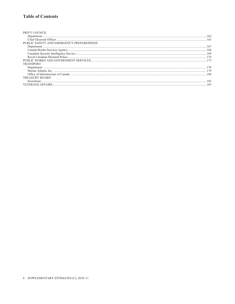### <span id="page-3-0"></span>**Table of Contents**

| PRIVY COUNCIL                            |  |
|------------------------------------------|--|
|                                          |  |
|                                          |  |
| PUBLIC SAFETY AND EMERGENCY PREPAREDNESS |  |
|                                          |  |
|                                          |  |
|                                          |  |
|                                          |  |
|                                          |  |
| <b>TRANSPORT</b>                         |  |
|                                          |  |
|                                          |  |
|                                          |  |
| TREASURY BOARD                           |  |
|                                          |  |
|                                          |  |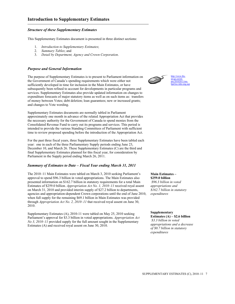#### *Structure of these Supplementary Estimates*

This Supplementary Estimates document is presented in three distinct sections:

- 1. *Introduction to Supplementary Estimates*;
- 2. *Summary Tables*; and
- 3. *Detail by Department, Agency and Crown Corporation*.

#### *Purpose and General Information*

The purpose of Supplementary Estimates is to present to Parliament information on the Government of Canada's spending requirements which were either not sufficiently developed in time for inclusion in the Main Estimates, or have subsequently been refined to account for developments in particular programs and services. Supplementary Estimates also provide updated information on changes to expenditure forecasts of major statutory items as well as on such items as: transfers of money between Votes; debt deletion; loan guarantees; new or increased grants; and changes to Vote wording.

Supplementary Estimates documents are normally tabled in Parliament approximately one month in advance of the related Appropriation Act that provides the necessary authority for the Government of Canada to spend monies from the Consolidated Revenue Fund to carry out its programs and services. This period is intended to provide the various Standing Committees of Parliament with sufficient time to review proposed spending before the introduction of the Appropriation Act.

For the past three fiscal years, three Supplementary Estimates have been tabled each year: one in each of the three Parliamentary Supply periods ending June 23, December 10, and March 26. These Supplementary Estimates (C) are the third and final Supplementary Estimates planned for this fiscal year, for consideration by Parliament in the Supply period ending March 26, 2011.

#### *Summary of Estimates to Date – Fiscal Year ending March 31, 2011*

The 2010–11 Main Estimates were tabled on March 3, 2010 seeking Parliament's approval to spend \$96.3 billion in voted appropriations. The Main Estimates also presented information on \$162.7 billion in statutory requirements for a total Main Estimates of \$259.0 billion. *Appropriation Act No. 1, 2010*–*11* received royal assent on March 31, 2010 and provided interim supply of \$27.2 billion to departments, agencies and appropriation-dependent Crown corporations until the end of June 2010, when full supply for the remaining \$69.1 billion in Main Estimates was provided through *Appropriation Act No. 2, 2010–11* that received royal assent on June 30, 2010.

Supplementary Estimates (A), 2010-11 were tabled on May 25, 2010 seeking Parliament's approval for \$3.3 billion in voted appropriations. *Appropriation Act No 3, 2010–11* provided supply for the full amount sought in the Supplementary Estimates (A) and received royal assent on June 30, 2010.



http://www.tbssct.gc.ca/estpre/20102011/mebpd/toc-tdm-eng.asp

#### **Main Estimates – \$259.0 billion**   *\$96.3 billion in voted appropriations and \$162.7 billion in statutory*

#### **Supplementary**

*expenditures* 

**Estimates (A) – \$2.6 billion**   *\$3.3 billion in voted appropriations and a decrease of \$0.7 billion in statutory expenditures*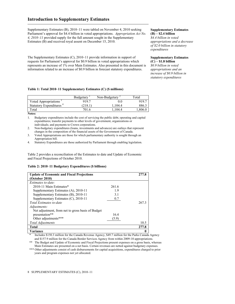Supplementary Estimates (B), 2010–11 were tabled on November 4, 2010 seeking Parliament's approval for \$4.4 billion in voted appropriations. *Appropriation Act No. 4, 2010–11* provided supply for the full amount sought in the Supplementary Estimates (B) and received royal assent on December 15, 2010.

The Supplementary Estimates (C), 2010–11 provide information in support of requests for Parliament's approval for \$0.9 billion in voted appropriations which represents an increase of 1% over Main Estimates. Also presented in this document is information related to an increase of \$0.9 billion in forecast statutory expenditures.

#### **Supplementary Estimates (B) – \$2.4 billion**

*\$4.4 billion in voted appropriations and a decrease of \$2.0 billion in statutory expenditures* 

**Supplementary Estimates (C) – \$1.8 billion**

*\$0.9 billion in voted appropriations and an increase of \$0.9 billion in statutory expenditures*

#### **Table 1: Total 2010**–**11 Supplementary Estimates (C) (\$ millions)**

|                                     | Budgetary | Non-Budgetary | Total  |
|-------------------------------------|-----------|---------------|--------|
| Voted Appropriations <sup>3</sup>   | 9197      |               | 919.7  |
| Statutory Expenditures <sup>4</sup> | 218.1     | .104.4        | 886.3  |
| Total                               | 701.6     | 104.4         | .806.0 |

**Notes:** 

1. Budgetary expenditures include the cost of servicing the public debt; operating and capital expenditures; transfer payments to other levels of government, organizations or individuals; and payments to Crown corporations.

2. Non-budgetary expenditures (loans, investments and advances) are outlays that represent changes in the composition of the financial assets of the Government of Canada.

3. Voted Appropriations are those for which parliamentary authority is sought through an Appropriation bill.

4. Statutory Expenditures are those authorized by Parliament through enabling legislation.

Table 2 provides a reconciliation of the Estimates to date and Update of Economic and Fiscal Projections of October 2010.

#### **Table 2: 2010**–**11 Budgetary Expenditures (\$ billions)**

| <b>Update of Economic and Fiscal Projections</b>  |       | 277.8 |
|---------------------------------------------------|-------|-------|
| (October 2010)                                    |       |       |
| Estimates to-date:                                |       |       |
| 2010-11 Main Estimates*                           | 261.6 |       |
| Supplementary Estimates (A), 2010-11              | 1.9   |       |
| Supplementary Estimates (B), 2010-11              | 31    |       |
| Supplementary Estimates (C), 2010-11              | 0.7   |       |
| Total Estimates to-date                           |       | 267.3 |
| Adjustments:                                      |       |       |
| Net adjustment, from net to gross basis of Budget |       |       |
| presentation**                                    | 16.4  |       |
| Other adjustments***                              | (5.9) |       |
| Total Adjustments                                 |       | 10.5  |
| <b>Total</b>                                      |       | 277.8 |
| Variance                                          |       |       |

\* Includes \$150.3 million for the Canada Revenue Agency, \$49.7 million for the Parks Canada Agency and \$157.9 million for the Canada Border Services Agency from within 2009-10 appropriations.

\*\* The Budget and Update of Economic and Fiscal Projections present expenses on a gross basis, whereas Main Estimates are presented on a net basis. Certain revenues are netted against budgetary expenses.

\*\*\* Other adjustments consist of cash disbursements for capital acquisitions, expenditures charged to prior years and program expenses not yet allocated.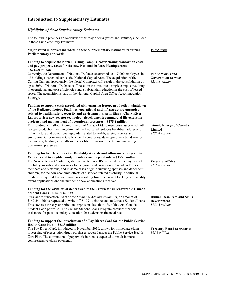#### *Highlights of these Supplementary Estimates*

The following provides an overview of the major items (voted and statutory) included in these Supplementary Estimates.

#### **Major voted initiatives included in these Supplementary Estimates requiring Parliamentary approval:**

#### **Funding to acquire the Nortel Carling Campus, cover closing transaction costs and pay property taxes for the new National Defence Headquarters – \$216.8 million**

Currently, the Department of National Defence accommodates 17,000 employees in 48 buildings dispersed across the National Capital Area. The acquisition of the Carling Campus (previously, the Nortel Complex) will result in the consolidation of up to 50% of National Defence staff based in the area into a single campus, resulting in operational and cost efficiencies and a substantial reduction in the cost of leased space. The acquisition is part of the National Capital Area Office Accommodation Strategy.

**Funding to support costs associated with ensuring isotope production; shutdown of the Dedicated Isotope Facilities; operational and infrastructure upgrades related to health, safety, security and environmental priorities at Chalk River Laboratories; new reactor technology development; commercial life extension projects; and management of operational pressures – \$175.4 million** This funding will allow Atomic Energy of Canada Ltd. to meet costs associated with isotope production; winding down of the Dedicated Isotopes Facilities; addressing infrastructure and operational upgrades related to health, safety, security and environmental priorities at Chalk River Laboratories; developing new build reactor technology; funding shortfalls in reactor life extension projects; and managing operational pressures.

#### **Funding for benefits under the Disability Awards and Allowances Program to Veterans and to eligible family members and dependants – \$155.6 million**

The New Veterans Charter legislation enacted in 2006 provided for the payment of disability awards and allowances to recognize and compensate Canadian Forces members and Veterans, and in some cases eligible surviving spouses and dependent children, for the non-economic effects of a service-related disability. Additional funding is required to cover payments resulting from the current backlog of disability award applications and the number of new applications received.

#### **Funding for the write-off of debts owed to the Crown for unrecoverable Canada Student Loans – \$149.5 million**

Pursuant to subsection 25(2) of the *Financial Administration Act*, an amount of \$149,541,766 is requested to write-off 61,791 debts related to Canada Student Loans. This covers a three-year period and represents less than 1% of the total Canada Student Loan portfolio. The Canada Student Loans Program provides financial assistance for post-secondary education for students in financial need.

#### **Funding to support the introduction of a Pay Direct Card for the Public Service Health Care Plan – \$63.3 million**

The Pay Direct Card, introduced in November 2010, allows for immediate claim processing of prescription drugs purchases covered under the Public Service Health Care Plan. The elimination of paperwork burden is expected to result in more comprehensive claim payments.

*Voted items*

**Public Works and Government Services**  *\$216.8 million* 

**Atomic Energy of Canada Limited**  *\$175.4 million* 

**Veterans Affairs** *\$155.6 million* 

**Human Resources and Skills Development**  *\$149.5 million* 

**Treasury Board Secretariat**  *\$63.3 million* 

SUPPLEMENTARY ESTIMATES (C), 2010–11 9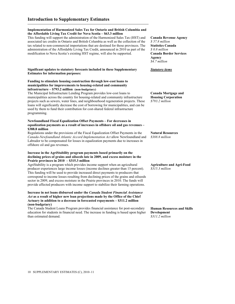### **Implementation of Harmonized Sales Tax for Ontario and British Columbia and the Affordable Living Tax Credit for Nova Scotia – \$63.3 million** This funding will support the administration of the Harmonized Sales Tax (HST) and associated tax credits in Ontario and British Columbia as well as the collection of the tax related to non-commercial importations that are destined for those provinces. The administration of the Affordable Living Tax Credit, announced in 2010 as part of the modification to Nova Scotia's existing HST regime, will also be supported. **Significant updates to statutory forecasts included in these Supplementary Estimates for information purposes:**

#### **Funding to stimulate housing construction through low-cost loans to municipalities for improvements to housing-related and community infrastructure – \$793.2 million (non-budgetary)**

The Municipal Infrastructure Lending Program provides low-cost loans to municipalities across the country for housing-related and community infrastructure projects such as sewers, water lines, and neighbourhood regeneration projects. These loans will significantly decrease the cost of borrowing for municipalities, and can be used by them to fund their contribution for cost-shared federal infrastructure programming.

#### **Newfoundland Fiscal Equalization Offset Payments – For decreases in equalization payments as a result of increases in offshore oil and gas revenues – \$388.8 million**

Regulations under the provisions of the Fiscal Equalization Offset Payments in the *Canada-Newfoundland Atlantic Accord Implementation Act* allow Newfoundland and Labrador to be compensated for losses in equalization payments due to increases in offshore oil and gas revenues.

#### **Increase in the AgriStability program payments based primarily on the declining prices of grains and oilseeds late in 2009, and excess moisture in the Prairie provinces in 2010 – \$315.3 million**

AgriStability is a program which provides income support when an agricultural producer experiences large income losses (income declines greater than 15 percent). This funding will be used to provide increased direct payments to producers that correspond to income losses resulting from declining prices of the grains and oilseeds sector in 2009, and excess moisture in the Prairie provinces in 2010. The funds will provide affected producers with income support to stabilize their farming operations.

#### **Increase in net loans disbursed under the** *Canada Student Financial Assistance Act* **as a result of higher new loan projections made by the Office of the Chief Actuary in addition to a decrease in forecasted repayments – \$311.2 million (non-budgetary)**

The Canada Student Loans Program provides financial assistance for post-secondary education for students in financial need. The increase in funding is based upon higher than estimated demand.

**Canada Revenue Agency**  *\$ 57.8 million* **Statistics Canada**  *\$ 0.8 million* **Canada Border Services Agency**  *\$4.7 million*

*Statutory items*

**Canada Mortgage and Housing Corporation**  *\$793.2 million*

**Natural Resources** *\$388.8 million* 

**Agriculture and Agri-Food**  *\$315.3 million*

**Human Resources and Skills Development**  *\$311.2 million*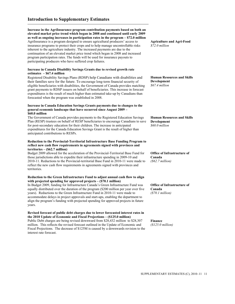**Increase in the AgriInsurance program contribution payments based on both an elevated market price trend which began in 2008 and continued until early 2009 as well as ongoing increases in participation rates in the program – \$72.0 million**  AgriInsurance is a program designed to ensure agricultural producers' access to insurance programs to protect their crops and to help manage uncontrollable risks inherent to the agriculture industry. The increased payments are due to the continuation of an elevated market price trend which began in 2008 and increased program participation rates. The funds will be used for insurance payouts to participating producers who have suffered crop failures.

#### **Increase in Canada Disability Savings Grants due to revised growth rate estimates – \$67.4 million**

Registered Disability Savings Plans (RDSP) help Canadians with disabilities and their families save for the future. To encourage long-term financial security of eligible beneficiaries with disabilities, the Government of Canada provides matching grant payments to RDSP issuers on behalf of beneficiaries. This increase in forecast expenditures is the result of much higher than estimated take-up by Canadians than forecasted when the program was established in 2008.

#### **Increase in Canada Education Savings Grants payments due to changes to the general economic landscape that have occurred since August 2009 – \$60.0 million**

The Government of Canada provides payments to the Registered Education Savings Plan (RESP) trustees on behalf of RESP beneficiaries to encourage Canadians to save for post-secondary education for their children. The increase in anticipated expenditures for the Canada Education Savings Grant is the result of higher than anticipated contributions to RESPs.

#### **Reduction to the Provincial-Territorial Infrastructure Base Funding Program to reflect new cash flow requirements in agreements signed with provinces and territories – (\$62.7 million)**

Budget 2009 allowed for the acceleration of the Provincial-Territorial Base Fund for those jurisdictions able to expedite their infrastructure spending in 2009-10 and 2010-11. Reductions to the Provincial-territorial Base Fund in 2010-11 were made to reflect the new cash flow requirements in agreements signed with provinces and territories.

#### **Reduction to the Green Infrastructure Fund to adjust annual cash flow to align with projected spending for approved projects – (\$70.1 million)**

In Budget 2009, funding for Infrastructure Canada's Green Infrastructure Fund was equally distributed over the duration of the program (\$200 million per year over five years). Reductions to the Green Infrastructure Fund in 2010-11 were made to accommodate delays in project approvals and start-ups, enabling the department to align the program's funding with projected spending for approved projects in future years.

#### **Revised forecast of public debt charges due to lower forecasted interest rates in the 2010 Update of Economic and Fiscal Projections – (\$125.0 million)**

Public Debt charges are being revised downward from \$28,432 million to \$28,307 million. This reflects the revised forecast outlined in the Update of Economic and Fiscal Projections. The decrease of \$125M is caused by a downwards revision to the interest rate forecast.

**Agriculture and Agri-Food**  *\$72.0 million*

**Human Resources and Skills Development**  *\$67.4 million*

**Human Resources and Skills Development**  *\$60.0 million*

**Office of Infrastructure of Canada** *(\$62.7 million)*

**Office of Infrastructure of Canada** *(\$70.1 million)*

**Finance**  *(\$125.0 million)*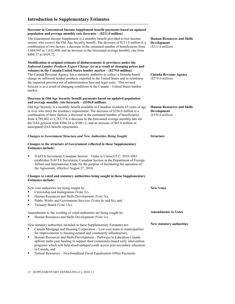#### **Decrease in Guaranteed Income Supplement benefit payments based on updated population and average monthly rate forecasts – (\$211.0 million)**

The Guaranteed Income Supplement is a monthly benefit provided to low-income seniors who receive the Old Age Security benefit. The decrease of \$211.0 million is a combination of two factors: a decrease in the estimated number of beneficiaries from 1,684,943 to 1,632,480; and an increase in the forecasted average monthly rate from \$408.37 to \$410.72.

#### **Modification to original estimate of disbursements to provinces under the**  *Softwood Lumber Products Export Charge Act* **as a result of changing prices and volumes in the Canada/United States lumber market – (\$279.0 million)**

The Canada Revenue Agency has a statutory authority to collect a formula-based charge on softwood lumber products exported to the United States and to reimburse the impacted province net of administration fees and legal costs. This revised forecast is as a result of changing conditions in the Canada – United States lumber market.

#### **Decrease in Old Age Security benefit payments based on updated population and average monthly rate forecasts – (\$356.0 million)**

Old Age Security is a monthly benefit available to Canadian residents 65 years of age or over who meet the residency requirement. The decrease of \$356.0 million is a combination of three factors: a decrease in the estimated number of beneficiaries from 4,789,402 to 4,783,374; a decrease in the forecasted average monthly rate for the OAS pension from \$504.24 to \$500.12; and an increase of \$85.0 million in anticipated OAS benefit repayments.

#### *Changes to Government Structure and New Authorities Being Sought*

#### **Changes to the structure of Government reflected in these Supplementary Estimates include:**

 NAFTA Secretariat, Canadian Section – Order in Council P.C. 2010-1083 establishes NAFTA Secretariat, Canadian Section in the Department of Foreign Affairs and International Trade for the purpose of facilitating the operation of the Agreement, effective August 27, 2010.

#### **Changes to voted and statutory authorities being sought in these Supplementary Estimates include:**

| New vote authorities are being sought by:                                  | <b>New Votes</b>           |
|----------------------------------------------------------------------------|----------------------------|
| Citizenship and Immigration (Vote 7c),                                     |                            |
| Human Resources and Skills Development (Vote 7c),<br>٠                     |                            |
| Public Works and Government Services (Votes 8c and 9c), and<br>٠           |                            |
| Treasury Board (Vote 15c).                                                 |                            |
| Amendments to the wording of voted authorities are being sought by:        | <b>Amendments to Votes</b> |
| Human Resources and Skills Development (Vote 1c).                          |                            |
| New statutory authorities included in these Supplementary Estimates are:   | New statutory authorities  |
| Canada Mortgage and Housing Corporation – Low-cost loans to municipalities |                            |
| for improvements to housing-related and community infrastructure,          |                            |
| ٠<br>Human Resources and Skills Development – Pathways to Education Canada |                            |

- upfront multi-year funding to support their community-based early intervention programs which will help disadvantaged youth access post-secondary education in Canada, and
- Natural Resources Newfoundland Fiscal Equalization Offset Payments.

**Human Resources and Skills Development**  *(\$211.0 million)*

**Canada Revenue Agency**  *(\$279.0 million)*

**Human Resources and Skills Development**  *(\$356.0 million)*

**Structure**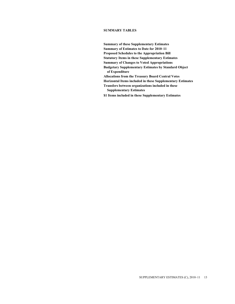#### **SUMMARY TABLES**

**Summary of these Supplementary Estimates Summary of Estimates to Date for 2010–11 Proposed Schedules to the Appropriation Bill Statutory Items in these Supplementary Estimates Summary of Changes to Voted Appropriations Budgetary Supplementary Estimates by Standard Object of Expenditure Allocations from the Treasury Board Central Votes Horizontal Items included in these Supplementary Estimates Transfers between organizations included in these Supplementary Estimates \$1 Items included in these Supplementary Estimates** 

SUPPLEMENTARY ESTIMATES (C), 2010–11 13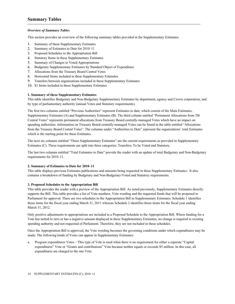#### *Overview of Summary Tables*

This section provides an overview of the following summary tables provided in the Supplementary Estimates.

- 1. Summary of these Supplementary Estimates
- 2. Summary of Estimates to Date for 2010–11
- 3. Proposed Schedules to the Appropriation Bill
- 4. Statutory Items in these Supplementary Estimates
- 5. Summary of Changes to Voted Appropriations
- 6. Budgetary Supplementary Estimates by Standard Object of Expenditure
- 7. Allocations from the Treasury Board Central Votes
- 8. Horizontal Items included in these Supplementary Estimates
- 9. Transfers between organizations included in these Supplementary Estimates
- 10. \$1 Items included in these Supplementary Estimates

#### **1. Summary of these Supplementary Estimates**

This table identifies Budgetary and Non-Budgetary Supplementary Estimates by department, agency and Crown corporation; and by type of parliamentary authority (annual Votes and Statutory requirements).

The first two columns entitled "Previous Authorities" represent Estimates to date, which consist of the Main Estimates, Supplementary Estimates (A) and Supplementary Estimates (B). The third column entitled "Permanent Allocations from TB Central Votes" represents permanent allocations from Treasury Board centrally-managed Votes which have an impact on spending authorities. Information on Treasury Board centrally-managed Votes can be found in the table entitled "Allocations from the Treasury Board Central Votes". The columns under "Authorities to Date" represent the organizations' total Estimates which is the starting point for these Estimates.

The next six columns entitled "These Supplementary Estimates" are the current requirements as provided in Supplementary Estimates (C). These requirements are split into three categories: Transfers; To be Voted and Statutory.

The last two columns entitled "Total Estimates to Date" provide the reader with an update of total Budgetary and Non-Budgetary requirements for 2010–11.

#### **2. Summary of Estimates to Date for 2010–11**

This table displays previous Estimates publications and amounts being requested in these Supplementary Estimates. It also contains a breakdown of funding by Budgetary and Non-Budgetary/Voted and Statutory requirements.

#### **3. Proposed Schedules to the Appropriation Bill**

This table provides the reader with a preview of the Appropriation Bill. As noted previously, Supplementary Estimates directly supports the Bill. This table provides a list of Vote numbers, Vote wording and the requested funds that will be proposed to Parliament for approval. There are two schedules to the Appropriation Bill in Supplementary Estimates: Schedule 1 identifies those items for the fiscal year ending March 31, 2011 whereas Schedule 2 identifies those items for the fiscal year ending March 31, 2012.

Only positive adjustments to appropriations are included in a Proposed Schedule to the Appropriation Bill. Where funding for a Vote has netted to zero or has a negative amount displayed in these Supplementary Estimates, no change is required to existing spending authority and not requested of Parliament. Therefore, they are not included in these schedules.

Once the Appropriation Bill is approved, the Vote wording becomes the governing conditions under which expenditures may be made. The following kinds of Votes can appear in Supplementary Estimates:

a. Program expenditures Votes – This type of Vote is used when there is no requirement for either a separate "Capital expenditures" Vote or "Grants and contributions" Vote because neither equals or exceeds \$5 million. In this case, all expenditures are charged to the one Vote.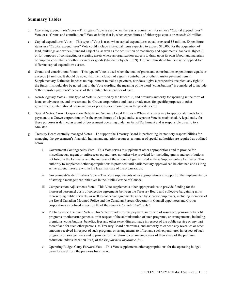### **Summary Tables**

- b. Operating expenditures Votes This type of Vote is used when there is a requirement for either a "Capital expenditures" Vote or a "Grants and contributions" Vote or both; that is, when expenditures of either type equals or exceeds \$5 million.
- c. Capital expenditures Votes This type of Vote is used when capital expenditures equal or exceed \$5 million. Expenditure items in a "Capital expenditures" Vote could include individual items expected to exceed \$10,000 for the acquisition of land, buildings and works (Standard Object 8), as well as the acquisition of machinery and equipment (Standard Object 9), or for purposes of constructing or creating assets where an organization expects to draw upon its own labour and materials or employs consultants or other services or goods (Standard objects 1 to 9). Different threshold limits may be applied for different capital expenditure classes.
- d. Grants and contributions Votes This type of Vote is used when the total of grants and contributions expenditures equals or exceeds \$5 million. It should be noted that the inclusion of a grant, contribution or other transfer payment item in Supplementary Estimates imposes no requirement to make a payment, nor does it give a prospective recipient any right to the funds. It should also be noted that in the Vote wording, the meaning of the word "contributions" is considered to include "other transfer payments" because of the similar characteristics of each.
- e. Non-budgetary Votes This type of Vote is identified by the letter "L", and provides authority for spending in the form of loans or advances to, and investments in, Crown corporations and loans or advances for specific purposes to other governments, international organizations or persons or corporations in the private sector.
- f. Special Votes: Crown Corporation Deficits and Separate Legal Entities Where it is necessary to appropriate funds for a payment to a Crown corporation or for the expenditures of a legal entity, a separate Vote is established. A legal entity for these purposes is defined as a unit of government operating under an Act of Parliament and is responsible directly to a Minister.
- g. Treasury Board centrally-managed Votes To support the Treasury Board in performing its statutory responsibilities for managing the government's financial, human and materiel resources, a number of special authorities are required as outlined below.
	- i. Government Contingencies Vote This Vote serves to supplement other appropriations and to provide for miscellaneous, urgent or unforeseen expenditures not otherwise provided for, including grants and contributions not listed in the Estimates and the increase of the amount of grants listed in these Supplementary Estimates. This authority to supplement other appropriations is provided until parliamentary approval can be obtained and as long as the expenditures are within the legal mandate of the organization.
	- ii. Government-Wide Initiatives Vote This Vote supplements other appropriations in support of the implementation of strategic management initiatives in the Public Service of Canada.
	- iii. Compensation Adjustments Vote This Vote supplements other appropriations to provide funding for the increased personnel costs of collective agreements between the Treasury Board and collective bargaining units representing public servants, as well as collective agreements signed by separate employers, including members of the Royal Canadian Mounted Police and the Canadian Forces, Governor in Council appointees and Crown corporations as defined in section 83 of the *Financial Administration Act*.
	- iv. Public Service Insurance Vote This Vote provides for the payment, in respect of insurance, pension or benefit programs or other arrangements, or in respect of the administration of such programs, or arrangements, including premiums, contributions, benefits, fees and other expenditures, made in respect of the public service or any part thereof and for such other persons, as Treasury Board determines, and authority to expend any revenues or other amounts received in respect of such programs or arrangements to offset any such expenditures in respect of such programs or arrangements and to provide for the return to certain employees of their share of the premium reduction under subsection 96(3) of the *Employment Insurance Act* .
	- v. Operating Budget Carry Forward Vote This Vote supplements other appropriations for the operating budget carry forward from the previous fiscal year.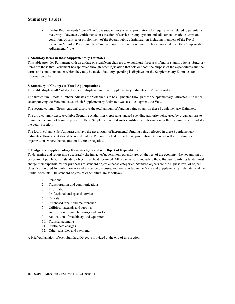### **Summary Tables**

vi. Paylist Requirements Vote – This Vote supplements other appropriations for requirements related to parental and maternity allowances, entitlements on cessation of service or employment and adjustments made to terms and conditions of service or employment of the federal public administration including members of the Royal Canadian Mounted Police and the Canadian Forces, where these have not been provided from the Compensation Adjustments Vote.

#### **4. Statutory Items in these Supplementary Estimates**

This table provides Parliament with an update on significant changes to expenditure forecasts of major statutory items. Statutory items are those that Parliament has approved through other legislation that sets out both the purpose of the expenditures and the terms and conditions under which they may be made. Statutory spending is displayed in the Supplementary Estimates for information only.

#### **5. Summary of Changes to Voted Appropriations**

This table displays all Voted information displayed in these Supplementary Estimates in Ministry order.

The first column (Vote Number) indicates the Vote that is to be augmented through these Supplementary Estimates. The letter accompanying the Vote indicates which Supplementary Estimates was used to augment the Vote.

The second column (Gross Amount) displays the total amount of funding being sought in these Supplementary Estimates.

The third column (Less: Available Spending Authorities) represents unused spending authority being used by organizations to minimize the amount being requested in these Supplementary Estimates. Additional information on these amounts is provided in the details section.

The fourth column (Net Amount) displays the net amount of incremental funding being reflected in these Supplementary Estimates. However, it should be noted that the Proposed Schedules to the Appropriation Bill do not reflect funding for organizations where the net amount is zero or negative.

#### **6. Budgetary Supplementary Estimates by Standard Object of Expenditure**

To determine and report more accurately the impact of government expenditures on the rest of the economy, the net amount of government purchases by standard object must be determined. All organizations, including those that use revolving funds, must charge their expenditures for purchases to standard object expense categories. Standard objects are the highest level of object classification used for parliamentary and executive purposes, and are reported in the Main and Supplementary Estimates and the Public Accounts. The standard objects of expenditure are as follows:

#### 1. Personnel

- 2. Transportation and communications
- 3. Information
- 4. Professional and special services
- 5. Rentals
- 6. Purchased repair and maintenance
- 7. Utilities, materials and supplies
- 8. Acquisition of land, buildings and works
- 9. Acquisition of machinery and equipment
- 10. Transfer payments
- 11. Public debt charges
- 12. Other subsidies and payments

A brief explanation of each Standard Object is provided at the end of this section.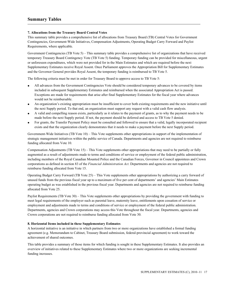#### **7. Allocations from the Treasury Board Central Votes**

This summary table provides a comprehensive list of allocations from Treasury Board (TB) Central Votes for Government Contingencies, Government-Wide Initiatives, Compensation Adjustments, Operating Budget Carry Forward and Paylist Requirements, where applicable.

Government Contingencies (TB Vote 5) – This summary table provides a comprehensive list of organizations that have received temporary Treasury Board Contingency Vote (TB Vote 5) funding. Temporary funding can be provided for miscellaneous, urgent or unforeseen expenditures, which were not provided for in the Main Estimates and which are required before the next Supplementary Estimates receive Royal Assent. Once Parliament approves the Appropriation Bill for Supplementary Estimates and the Governor General provides Royal Assent, the temporary funding is reimbursed to TB Vote 5.

The following criteria must be met in order for Treasury Board to approve access to TB Vote 5:

- All advances from the Government Contingencies Vote should be considered temporary advances to be covered by items included in subsequent Supplementary Estimates and reimbursed when the associated Appropriation Act is passed. Exceptions are made for requirements that arise after final Supplementary Estimates for the fiscal year where advances would not be reimbursable.
- An organization's existing appropriation must be insufficient to cover both existing requirements and the new initiative until the next Supply period. To that end, an organization must support any request with a valid cash flow analysis.
- A valid and compelling reason exists, particularly as it relates to the payment of grants, as to why the payment needs to be made before the next Supply period. If not, the payment should be deferred and access to TB Vote 5 denied.
- For grants, the Transfer Payment Policy must be consulted and followed to ensure that a valid, legally incorporated recipient exists and that the organization clearly demonstrates that it needs to make a payment before the next Supply period.

Government-Wide Initiatives (TB Vote 10) – This Vote supplements other appropriations in support of the implementation of strategic management initiatives within the public service of Canada. Departments and agencies are not required to reimburse funding allocated from Vote 10.

Compensation Adjustments (TB Vote 15) – This Vote supplements other appropriations that may need to be partially or fully augmented as a result of adjustments made to terms and conditions of service or employment of the federal public administration, including members of the Royal Canadian Mounted Police and the Canadian Forces, Governor in Council appointees and Crown corporations as defined in section 83 of the *Financial Administration Act*. Departments and agencies are not required to reimburse funding allocated from Vote 15.

Operating Budget Carry Forward (TB Vote 25) – This Vote supplements other appropriations by authorizing a carry forward of unused funds from the previous fiscal year up to a maximum of five per cent of departments' and agencies' Main Estimates operating budget as was established in the previous fiscal year. Departments and agencies are not required to reimburse funding allocated from Vote 25.

Paylist Requirements (TB Vote 30) – This Vote supplements other appropriations by providing the government with funding to meet legal requirements of the employer such as parental leave, maternity leave, entitlements upon cessation of service or employment and adjustments made to terms and conditions of service or employment of the federal public administration. Departments, agencies and Crown corporations may access this Vote throughout the fiscal year. Departments, agencies and Crown corporations are not required to reimburse funding allocated from Vote 30.

#### **8. Horizontal Items included in these Supplementary Estimates**

A horizontal initiative is an initiative in which partners from two or more organizations have established a formal funding agreement (e.g. Memorandum to Cabinet, Treasury Board submission, federal-provincial agreement) to work toward the achievement of shared outcomes.

This table provides a summary of those items for which funding is sought in these Supplementary Estimates. It also provides an overview of initiatives related to these Supplementary Estimates where two or more organizations are seeking incremental funding increases.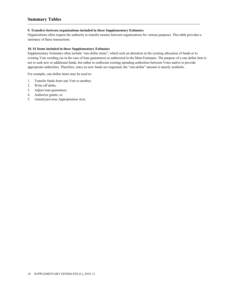### **Summary Tables**

#### **9. Transfers between organizations included in these Supplementary Estimates**

Organizations often request the authority to transfer monies between organizations for various purposes. This table provides a summary of these transactions.

#### **10. \$1 Items included in these Supplementary Estimates**

Supplementary Estimates often include "one dollar items", which seek an alteration in the existing allocation of funds or to existing Vote wording (as in the case of loan guarantees) as authorized in the Main Estimates. The purpose of a one dollar item is not to seek new or additional funds, but rather to reallocate existing spending authorities between Votes and/or to provide appropriate authorities. Therefore, since no new funds are requested, the "one-dollar" amount is merely symbolic.

For example, one-dollar items may be used to:

- 1. Transfer funds from one Vote to another;
- 2. Write off debts;
- 3. Adjust loan guarantees;
- 4. Authorize grants; or
- 5. Amend previous Appropriation Acts.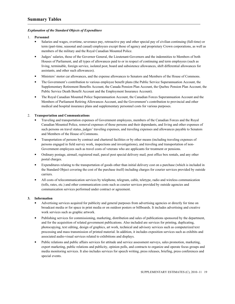#### *Explanation of the Standard Objects of Expenditure*

#### 1. **Personnel**

- Salaries and wages, overtime, severance pay, retroactive pay and other special pay of civilian continuing (full-time) or term (part-time, seasonal and casual) employees except those of agency and proprietary Crown corporations, as well as members of the military and the Royal Canadian Mounted Police.
- Judges' salaries, those of the Governor General, the Lieutenant-Governors and the indemnities to Members of both Houses of Parliament, and all types of allowances paid to or in respect of continuing and term employees (such as living, terminable, foreign service, isolated post, board and subsistence allowances, shift differential allowances for assistants, and other such allowances).
- Ministers' motor car allowances, and the expense allowances to Senators and Members of the House of Commons.
- The Government's contribution to various employee benefit plans (the Public Service Superannuation Account, the Supplementary Retirement Benefits Account, the Canada Pension Plan Account, the Quebec Pension Plan Account, the Public Service Death Benefit Account and the Employment Insurance Account).
- The Royal Canadian Mounted Police Superannuation Account, the Canadian Forces Superannuation Account and the Members of Parliament Retiring Allowances Account, and the Government's contribution to provincial and other medical and hospital insurance plans and supplementary personnel costs for various purposes.

#### 2. **Transportation and Communications**

- Traveling and transportation expenses of Government employees, members of the Canadian Forces and the Royal Canadian Mounted Police, removal expenses of those persons and their dependants, and living and other expenses of such persons on travel status, judges' traveling expenses, and traveling expenses and allowances payable to Senators and Members of the House of Commons.
- Transportation of persons by contract and chartered facilities or by other means (including traveling expenses of persons engaged in field survey work, inspections and investigations), and traveling and transportation of non-Government employees such as travel costs of veterans who are applicants for treatment or pensions.
- Ordinary postage, airmail, registered mail, parcel post special delivery mail, post office box rentals, and any other postal charges.
- Expenditures relating to the transportation of goods other than initial delivery cost on a purchase (which is included in the Standard Object covering the cost of the purchase itself) including charges for courier services provided by outside carriers.
- All costs of telecommunication services by telephone, telegram, cable, teletype, radio and wireless communication (tolls, rates, etc.) and other communication costs such as courier services provided by outside agencies and communication services performed under contract or agreement.

#### **3. Information**

- Advertising services acquired for publicity and general purposes from advertising agencies or directly for time on broadcast media or for space in print media or on outdoor posters or billboards. It includes advertising and creative work services such as graphic artwork.
- Publishing services for commissioning, marketing, distribution and sales of publications sponsored by the department, and for the acquisition of related government publications. Also included are services for printing, duplicating, photocopying, text editing, design of graphics, art work, technical and advisory services such as computerized text processing and mass transmission of printed material. In addition, it includes exposition services such as exhibits and associated audio-visual services related to exhibitions and displays.
- Public relations and public affairs services for attitude and service assessment surveys, sales promotion, marketing, export marketing, public relations and publicity, opinion polls, and contracts to organize and operate focus groups and media monitoring services. It also includes services for speech writing, press releases, briefing, press conferences and special events.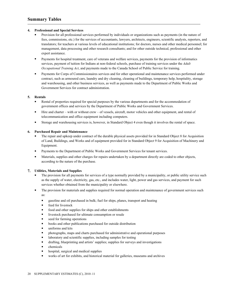#### **4. Professional and Special Services**

- Provision for all professional services performed by individuals or organizations such as payments (in the nature of fees, commissions, etc.) for the services of accountants, lawyers, architects, engineers, scientific analysts, reporters, and translators; for teachers at various levels of educational institutions; for doctors, nurses and other medical personnel; for management, data processing and other research consultants; and for other outside technical, professional and other expert assistance.
- Payments for hospital treatment, care of veterans and welfare services, payments for the provision of informatics services, payment of tuition for Indians at non-federal schools, purchase of training services under the *Adult Occupational Training Act*, and payments made to the Canada School of Public Service for training.
- Payments for Corps of Commissionaires services and for other operational and maintenance services performed under contract, such as armoured cars, laundry and dry cleaning, cleaning of buildings, temporary help, hospitality, storage and warehousing, and other business services, as well as payments made to the Department of Public Works and Government Services for contract administration.

#### **5. Rentals**

- **Rental of properties required for special purposes by the various departments and for the accommodation of** government offices and services by the Department of Public Works and Government Services.
- Hire and charter with or without crew of vessels, aircraft, motor vehicles and other equipment, and rental of telecommunication and office equipment including computers.
- Storage and warehousing services is, however, in Standard Object 4 even though it involves the rental of space.

#### **6. Purchased Repair and Maintenance**

- The repair and upkeep under contract of the durable physical assets provided for in Standard Object 8 for Acquisition of Land, Buildings, and Works and of equipment provided for in Standard Object 9 for Acquisition of Machinery and Equipment.
- Payments to the Department of Public Works and Government Services for tenant services.
- Materials, supplies and other charges for repairs undertaken by a department directly are coded to other objects, according to the nature of the purchase.

#### **7. Utilities, Materials and Supplies**

- The provision for all payments for services of a type normally provided by a municipality, or public utility service such as the supply of water, electricity, gas, etc., and includes water, light, power and gas services, and payment for such services whether obtained from the municipality or elsewhere.
- The provision for materials and supplies required for normal operation and maintenance of government services such as:
	- **Exercise 2** gasoline and oil purchased in bulk; fuel for ships, planes, transport and heating
	- **feed for livestock**
	- food and other supplies for ships and other establishments
	- **I** livestock purchased for ultimate consumption or resale
	- seed for farming operations
	- **books and other publications purchased for outside distribution**
	- **uniforms and kits**
	- photographs, maps and charts purchased for administrative and operational purposes
	- laboratory and scientific supplies, including samples for testing
	- drafting, blueprinting and artists' supplies; supplies for surveys and investigations
	- **n** chemicals
	- hospital, surgical and medical supplies
	- works of art for exhibits, and historical material for galleries, museums and archives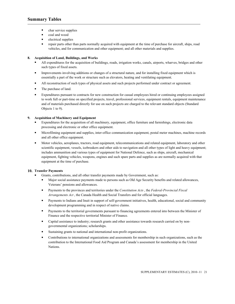- **n** char service supplies
- coal and wood
- $\blacksquare$  electrical supplies
- repair parts other than parts normally acquired with equipment at the time of purchase for aircraft, ships, road vehicles, and for communication and other equipment; and all other materials and supplies.

#### **8. Acquisition of Land, Buildings, and Works**

- All expenditures for the acquisition of buildings, roads, irrigation works, canals, airports, wharves, bridges and other such types of fixed assets.
- **IMPROVERGENT:** Improvements involving additions or changes of a structural nature, and for installing fixed equipment which is essentially a part of the work or structure such as elevators, heating and ventilating equipment.
- If All reconstruction of such types of physical assets and such projects performed under contract or agreement.
- The purchase of land.
- Expenditures pursuant to contracts for new construction for casual employees hired or continuing employees assigned to work full or part-time on specified projects, travel, professional services, equipment rentals, equipment maintenance and of materials purchased directly for use on such projects are charged to the relevant standard objects (Standard Objects 1 to 9).

#### **9. Acquisition of Machinery and Equipment**

- Expenditures for the acquisition of all machinery, equipment, office furniture and furnishings, electronic data processing and electronic or other office equipment.
- Microfilming equipment and supplies, inter-office communication equipment, postal meter machines, machine records and all other office equipment.
- Motor vehicles, aeroplanes, tractors, road equipment, telecommunications and related equipment, laboratory and other scientific equipment, vessels, icebreakers and other aids to navigation and all other types of light and heavy equipment; includes ammunition and various types of equipment for National Defence, such as ships, aircraft, mechanical equipment, fighting vehicles, weapons, engines and such spare parts and supplies as are normally acquired with that equipment at the time of purchase.

#### **10. Transfer Payments**

- Grants, contributions, and all other transfer payments made by Government, such as:
	- Major social assistance payments made to persons such as Old Age Security benefits and related allowances, Veterans' pensions and allowances.
	- Payments to the provinces and territories under the *Constitution Acts* , the *Federal-Provincial Fiscal Arrangements Act* , the Canada Health and Social Transfers and for official languages.
	- Payments to Indians and Inuit in support of self-government initiatives, health, educational, social and community development programming and in respect of native claims.
	- Payments to the territorial governments pursuant to financing agreements entered into between the Minister of Finance and the respective territorial Minister of Finance.
	- Capital assistance to industry; research grants and other assistance towards research carried on by nongovernmental organizations; scholarships.
	- Sustaining grants to national and international non-profit organizations.
	- Contributions to international organizations and assessments for membership in such organizations, such as the contribution to the International Food Aid Program and Canada's assessment for membership in the United Nations.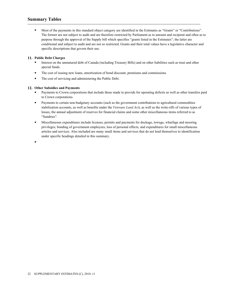### **Summary Tables**

Most of the payments in this standard object category are identified in the Estimates as "Grants" or "Contributions". The former are not subject to audit and are therefore restricted by Parliament as to amount and recipient and often as to purpose through the approval of the Supply bill which specifies "grants listed in the Estimates"; the latter are conditional and subject to audit and are not so restricted. Grants and their total values have a legislative character and specific descriptions that govern their use.

#### **11. Public Debt Charges**

.

- Interest on the unmatured debt of Canada (including Treasury Bills) and on other liabilities such as trust and other special funds.
- The cost of issuing new loans, amortization of bond discount, premiums and commissions.
- The cost of servicing and administering the Public Debt.

#### **12. Other Subsidies and Payments**

- Payments to Crown corporations that include those made to provide for operating deficits as well as other transfers paid to Crown corporations.
- Payments to certain non-budgetary accounts (such as the government contributions to agricultural commodities stabilization accounts, as well as benefits under the *Veterans Land Act*), as well as the write-offs of various types of losses, the annual adjustment of reserves for financial claims and some other miscellaneous items referred to as "Sundries".
- Miscellaneous expenditures include licenses, permits and payments for dockage, towage, wharfage and mooring privileges; bonding of government employees, loss of personal effects, and expenditures for small miscellaneous articles and services. Also included are many small items and services that do not lend themselves to identification under specific headings detailed in this summary.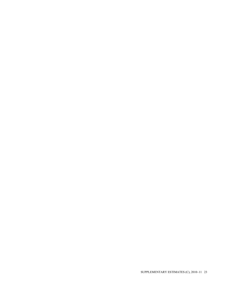SUPPLEMENTARY ESTIMATES (C), 2010–11 23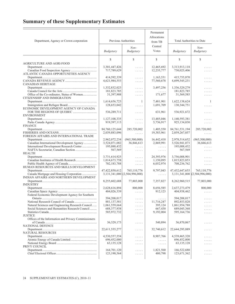# <span id="page-21-0"></span>**Summary of these Supplementary Estimates**

| Department, Agency or Crown corporation                                    |                   | Previous Authorities                       | Permanent<br>Allocations<br>from TB        | Total Authorities to Date |                                        |
|----------------------------------------------------------------------------|-------------------|--------------------------------------------|--------------------------------------------|---------------------------|----------------------------------------|
|                                                                            | Budgetary         | $Non-$<br>Budgetary                        | Central<br>Votes                           | Budgetary                 | $Non-$<br>Budgetary                    |
|                                                                            | S                 | $\mathbb{S}$                               | \$                                         | \$                        | \$                                     |
| AGRICULTURE AND AGRI-FOOD                                                  |                   |                                            |                                            |                           |                                        |
|                                                                            | 3,301,447,426     | .                                          | 12,465,692                                 | 3,313,913,118             | .                                      |
|                                                                            | 717,789,629       | .                                          | 12,235,777                                 | 730,025,406               | $\sim$ $\sim$ $\sim$ $\sim$            |
| ATLANTIC CANADA OPPORTUNITIES AGENCY                                       |                   |                                            |                                            |                           |                                        |
|                                                                            | 414,592,339       | .                                          | 1,163,531                                  | 415,755,870               | .                                      |
|                                                                            | 4,621,984,553     | .                                          | 77,560,678                                 | 4,699,545,231             | .                                      |
| <b>CANADIAN HERITAGE</b>                                                   |                   |                                            |                                            |                           |                                        |
|                                                                            | 1,332,832,023     | $\cdots$                                   | 3,497,256                                  | 1,336,329,279             | .                                      |
|                                                                            | 181,823,785       | $\cdots$                                   | $\mathbb{Z}^2$ . The set of $\mathbb{Z}^2$ | 181,823,785               | .                                      |
| Office of the Co-ordinator, Status of Women<br>CITIZENSHIP AND IMMIGRATION | 31,397,908        | $\ldots$                                   | 171,677                                    | 31,569,585                | .                                      |
|                                                                            | 1,614,656,723     | $\mathbf{1}$                               | 7,481,901                                  | 1,622,138,624             | $\mathbf{1}$                           |
|                                                                            | 128,653,042       |                                            | 1,691,709                                  | 130, 344, 751             |                                        |
| ECONOMIC DEVELOPMENT AGENCY OF CANADA                                      |                   | .                                          |                                            |                           | .                                      |
|                                                                            | 536,289,711       | .                                          | 631,961                                    | 536,921,672               | .                                      |
| <b>ENVIRONMENT</b>                                                         |                   |                                            |                                            |                           |                                        |
|                                                                            | 1,127,108,335     | $\cdots$                                   | 13,485,046                                 | 1,140,593,381             |                                        |
|                                                                            | 919,397,113       | .                                          | 5,736,917                                  | 925,134,030               | .                                      |
| <b>FINANCE</b>                                                             |                   |                                            |                                            |                           |                                        |
|                                                                            | 84,760,125,644    | 285,720,002                                | 1,405,550                                  | 84, 761, 531, 194         | 285,720,002                            |
|                                                                            | 2,039,883,096     | $\mathbb{Z}^2$ . The set of $\mathbb{Z}^2$ | 19,383,961                                 | 2,059,267,057             | .                                      |
| FOREIGN AFFAIRS AND INTERNATIONAL TRADE                                    |                   |                                            |                                            |                           |                                        |
|                                                                            | 2,962,072,234     | (965, 500, 000)                            | 16,442,418                                 | 2,978,514,652             | (965,500,000)                          |
| Canadian International Development Agency                                  | 3,524,071,082     | 36,846,613                                 | 2,869,991                                  | 3,526,941,073             | 36,846,613                             |
| International Development Research Centre                                  | 195,088,432       | $\cdots$                                   | $\ldots$                                   | 195,088,432               | .                                      |
|                                                                            | 567,569           | $\ldots$                                   | $\alpha$ is a second .                     | 567,569                   | $\mathbb{R}^n$ . In the $\mathbb{R}^n$ |
| <b>HEALTH</b>                                                              |                   |                                            |                                            |                           |                                        |
|                                                                            | 3,731,614,925     | .                                          | 24,393,976                                 | 3,756,008,901             | .                                      |
|                                                                            | 1,014,673,758     | .                                          | 1,150,095                                  | 1,015,823,853             | .                                      |
| HUMAN RESOURCES AND SKILLS DEVELOPMENT                                     | 702,183,788       | .                                          | 6,052,974                                  | 708,236,762               | $\mathbb{R}^n$ . In the $\mathbb{R}^n$ |
|                                                                            | 47, 422, 850, 612 | 765,110,776                                | 9,797,043                                  | 47, 432, 647, 655         | 765,110,776                            |
| Canada Mortgage and Housing Corporation                                    |                   | 3, 131, 341, 000 (2, 504, 996, 000)        | $\ldots$                                   |                           | 3, 131, 341, 000 (2, 504, 996, 000)    |
| INDIAN AFFAIRS AND NORTHERN DEVELOPMENT                                    |                   |                                            |                                            |                           |                                        |
|                                                                            | 8,255,602,688     | 77,803,000                                 | 7,357,827                                  | 8,262,960,515             | 77,803,000                             |
| <b>INDUSTRY</b>                                                            |                   |                                            |                                            |                           |                                        |
|                                                                            | 2,628,616,894     | 800,000                                    | 8,656,585                                  | 2,637,273,479             | 800,000                                |
|                                                                            | 404,026,339       | $\ldots$                                   | 912,123                                    | 404,938,462               | .                                      |
| Federal Economic Development Agency for Southern                           |                   |                                            |                                            |                           |                                        |
|                                                                            | 594,208,017       | .                                          | $\ldots$                                   | 594,208,017               | .                                      |
|                                                                            | 881,137,581       | .                                          | 11,716,247                                 | 892,853,828               | .                                      |
| Natural Sciences and Engineering Research Council                          | 1,061,559,664     | .                                          | 395,124                                    | 1,061,954,788             | $\alpha$ , $\alpha$ , $\alpha$         |
| Social Sciences and Humanities Research Council                            | 688, 377, 938     | .                                          | 667,430                                    | 689,045,368               | $\mathbb{R}^n$ . In the $\mathbb{R}^n$ |
|                                                                            | 585,972,732       | .                                          | 9,192,004                                  | 595,164,736               | $\cdots$                               |
| <b>JUSTICE</b><br>Offices of the Information and Privacy Commissioners     |                   |                                            |                                            |                           |                                        |
|                                                                            |                   |                                            | 540,894                                    |                           |                                        |
| <b>NATIONAL DEFENCE</b>                                                    | 36, 329, 173      | .                                          |                                            | 36,870,067                | .                                      |
|                                                                            | 22,611,555,277    |                                            | 32,740,612                                 | 22,644,295,889            |                                        |
| NATURAL RESOURCES                                                          |                   | $\cdots\cdots\cdots$                       |                                            |                           | $\cdots$                               |
|                                                                            | 4,530,557,554     | .                                          | 8,907,766                                  | 4,539,465,320             |                                        |
|                                                                            | 696,452,000       | .                                          | $\ldots$                                   | 696,452,000               |                                        |
|                                                                            | 63, 135, 128      | .                                          | $\ldots$                                   | 63, 135, 128              | $\ldots$ .                             |
| PRIVY COUNCIL                                                              |                   |                                            |                                            |                           |                                        |
|                                                                            | 164,701,120       | .                                          | 1,821,560                                  | 166,522,680               | .                                      |
|                                                                            | 123,190,564       | $\ldots$                                   | 480,798                                    | 123,671,362               | $\sim$ $\sim$ $\sim$ $\sim$            |
|                                                                            |                   |                                            |                                            |                           |                                        |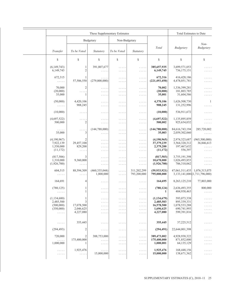| These Supplementary Estimates                                    |                                                         |                                                            |                                                                            |                                                           |                                                                    | Total Estimates to Date                                                   |                                                  |
|------------------------------------------------------------------|---------------------------------------------------------|------------------------------------------------------------|----------------------------------------------------------------------------|-----------------------------------------------------------|--------------------------------------------------------------------|---------------------------------------------------------------------------|--------------------------------------------------|
|                                                                  |                                                         | Budgetary                                                  | Non-Budgetary                                                              |                                                           |                                                                    |                                                                           | Non-                                             |
| Transfer                                                         | To be Voted                                             | Statutory                                                  | To be Voted                                                                | Statutory                                                 | Total                                                              | Budgetary                                                                 | Budgetary                                        |
| \$                                                               | \$                                                      | \$                                                         | \$                                                                         | \$                                                        | \$                                                                 | \$                                                                        | \$                                               |
| (6, 149, 743)<br>6,149,743                                       | 1<br>2                                                  | 391,807,677<br>.                                           | $\mathbb{Z}^2$ . $\mathbb{Z}^2$ , $\mathbb{Z}^2$<br>.                      | $\ldots$<br>.                                             | 385, 657, 935<br>6,149,745                                         | 3,699,571,053<br>736,175,151                                              | .<br>.                                           |
| 672,315<br>$\alpha$ is a set                                     | 1<br>57,506,550                                         | (279,000,000)                                              | .<br>.                                                                     | $\ldots$<br>$\ldots$                                      | 672,316<br>(221, 493, 450)                                         | 416, 428, 186<br>4,478,051,781                                            | .<br>.                                           |
| 70,000<br>(20,000)<br>35,000                                     | 2<br>$\ldots$<br>1                                      | $\ldots$<br>$\alpha$ , $\alpha$ , $\alpha$ , $\alpha$<br>. | $\alpha$ is a second .<br>$\alpha$ is a second .<br>$\alpha$ is a second . | $\ldots$<br>$\ldots$<br>.                                 | 70,002<br>(20,000)<br>35,001                                       | 1,336,399,281<br>181,803,785<br>31,604,586                                | .<br>.<br>.                                      |
| (50,000)<br>$\alpha$ is a set                                    | 4,420,106<br>908,245                                    | .<br>$\cdots$                                              | $\mathbb{R}^n \times \mathbb{R}^n \times \mathbb{R}^n$<br>$\ldots$         | $\ldots$<br>$\ldots$                                      | 4,370,106<br>908,245                                               | 1,626,508,730<br>131,252,996                                              | $\mathbf{1}$<br>.                                |
| (10,000)                                                         | $\cdots$                                                | $\cdots\cdots\cdots$                                       | $\ldots$                                                                   | .                                                         | (10,000)                                                           | 536,911,672                                                               | .                                                |
| (4,697,522)<br>500,000                                           | $\cdots$<br>2                                           | .<br>.                                                     | .<br>.                                                                     | .<br>.                                                    | (4,697,522)<br>500,002                                             | 1,135,895,859<br>925,634,032                                              | .<br>.                                           |
| .<br>35,000                                                      | $\ldots$ .<br>3                                         | (144, 788, 000)<br>$\ldots$ .                              | $\ldots$<br>$\ldots$                                                       | $\ldots$<br>$\ldots$                                      | (144, 788, 000)<br>35,003                                          | 84,616,743,194<br>2,059,302,060                                           | 285,720,002<br>.                                 |
| (4,190,967)<br>7,922,139<br>1,550,000<br>(11, 172)               | 29,457,100<br>829,200<br>$\alpha$ , $\alpha$ , $\alpha$ | $\ldots$<br>$\ldots$<br>$\ldots$<br>.                      | $\ldots$<br>$\mathbb{R}^n$ . In the $\mathbb{R}^n$<br>$\ldots$<br>.        | $\alpha$ is a set<br>$\ldots$<br>$\ldots$<br>.            | (4,190,965)<br>37,379,239<br>2,379,200<br>(11, 172)                | 2,974,323,687<br>3,564,320,312<br>197,467,632<br>556,397                  | (965, 500, 000)<br>36,846,613<br>.<br>.          |
| (817,506)<br>1,310,000<br>(1,926,700)                            | 3<br>9,360,000<br>$\ldots$                              | $\cdots$<br>$\ldots$<br>$\ldots$                           | $\ldots$<br>$\ldots$<br>$\ldots$                                           | $\ldots$<br>$\ldots$<br>$\alpha$ is a second              | (817,503)<br>10,670,000<br>(1,926,700)                             | 3,755,191,398<br>1,026,493,853<br>706,310,062                             | .<br>.<br>.                                      |
| 604,515<br>$\alpha$ , $\alpha$ , $\alpha$                        | 88,594,309<br>$\ldots$ .                                | (460, 335, 044)<br>1,800,000                               | $\ldots$<br>$\ldots$ .                                                     | 311,202,299<br>793,200,000                                | (59, 933, 921)<br>795,000,000                                      | 47,061,511,435                                                            | 1,076,313,075<br>$3,133,141,000$ (1,711,796,000) |
| 164,691                                                          | 4                                                       | .                                                          | $\epsilon$ , $\epsilon$ , $\epsilon$ , $\epsilon$                          | $\cdots$                                                  | 164,695                                                            | 8,263,125,210                                                             | 77,803,000                                       |
| (780, 125)<br>$\alpha$ is a set                                  | 1<br>1                                                  | .<br>.                                                     | .<br>$\ldots$                                                              | .<br>$\ldots$                                             | (780, 124)<br>1                                                    | 2,636,493,355<br>404,938,463                                              | 800,000<br>.                                     |
| (1, 134, 680)<br>2,485,500<br>(500,000)<br>(350,000)<br>$\ldots$ | 1<br>3<br>17,078,500<br>2,046,625<br>4,227,080          | .<br>.<br>$\cdots$<br>.                                    | $\dots$<br>$\ldots$<br>.<br>.<br>.                                         | $\alpha$ , $\alpha$ , $\alpha$<br>$\ldots$<br>.<br>.<br>. | (1, 134, 679)<br>2,485,503<br>16,578,500<br>1,696,625<br>4,227,080 | 593,073,338<br>895,339,331<br>1,078,533,288<br>690,741,993<br>599,391,816 | .<br>.<br>.<br>.<br>.                            |
| $\epsilon$ is a set of                                           | 355,445                                                 | $\cdots$                                                   | $\cdots$                                                                   | $\cdots$                                                  | 355,445                                                            | 37,225,512                                                                | .                                                |
| (294, 493)                                                       | 2                                                       | $\cdots$                                                   | $\cdots$                                                                   | $\cdots\cdots$                                            | (294, 491)                                                         | 22,644,001,398                                                            | .                                                |
| 720,000<br>$\ldots$<br>1,000,000                                 | 2<br>175,400,000<br>1                                   | 388,753,000<br>$\ldots$<br>1.1.1.1                         | .<br>.<br>$\ldots$                                                         | .<br>.<br>$\ldots$                                        | 389,473,002<br>175,400,000<br>1,000,001                            | 4,928,938,322<br>871,852,000<br>64,135,129                                | .<br>.<br>.                                      |
| $\ldots$<br>$\ldots$                                             | 1,925,476<br>.                                          | .<br>15,000,000                                            | .<br>.                                                                     | .<br>.                                                    | 1,925,476<br>15,000,000                                            | 168,448,156<br>138,671,362                                                | .<br>.                                           |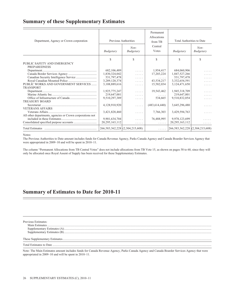### <span id="page-23-0"></span>**Summary of these Supplementary Estimates**

| Department, Agency or Crown corporation                   | Previous Authorities            |                                        | Permanent<br>Allocations<br>from TB    | <b>Total Authorities to Date</b> |                     |
|-----------------------------------------------------------|---------------------------------|----------------------------------------|----------------------------------------|----------------------------------|---------------------|
|                                                           | Budgetary                       | $Non-$<br>Budgetary                    | Central<br>Votes                       | Budgetary                        | $Non-$<br>Budgetary |
|                                                           | S                               | \$                                     | <sup>\$</sup>                          | S                                | \$                  |
| PUBLIC SAFETY AND EMERGENCY<br><b>PREPAREDNESS</b>        |                                 |                                        |                                        |                                  |                     |
|                                                           | 682,106,489                     | 1.1.1.1                                | 1,954,417                              | 684,060,906                      |                     |
|                                                           | 1,830,324,042                   | .                                      | 17,203,224                             | 1,847,527,266                    | .                   |
|                                                           | 531,797,478                     | .                                      | .                                      | 531,797,478                      |                     |
|                                                           | 3,289,120,374                   | .                                      | 43,534,217                             | 3,332,654,591                    | .                   |
| PUBLIC WORKS AND GOVERNMENT SERVICES                      | 3,108,889,616                   | .                                      | 15,582,034                             | 3,124,471,650                    | .                   |
| <b>TRANSPORT</b>                                          |                                 |                                        |                                        |                                  |                     |
|                                                           | 1,925,775,247                   | .                                      | 19,543,462                             | 1,945,318,709                    |                     |
|                                                           | 219,647,001                     | .                                      | $\mathbb{R}^n$ . In the $\mathbb{R}^n$ | 219,647,001                      | .                   |
|                                                           | 9,510,297,389                   | .                                      | 534,665                                | 9,510,832,054                    |                     |
| <b>TREASURY BOARD</b>                                     |                                 |                                        |                                        |                                  |                     |
|                                                           | 4,128,910,920                   | $\mathbb{R}^n$ . In the $\mathbb{R}^n$ | (483, 614, 440)                        | 3,645,296,480                    |                     |
| <b>VETERANS AFFAIRS</b>                                   |                                 |                                        |                                        |                                  |                     |
|                                                           | 3,421,828,460                   | .                                      | 7,766,303                              | 3,429,594,763                    |                     |
| All other departments, agencies or Crown corporations not |                                 |                                        |                                        |                                  |                     |
|                                                           | 9,901,634,704                   | .                                      | 76,488,995                             | 9,978,123,699                    |                     |
|                                                           | 20, 295, 163, 112               | .                                      | 1.1.1.1                                | 20, 295, 163, 112                | .                   |
| <b>Total Estimates</b>                                    | 266,583,362,228 (2,304,215,608) |                                        | $\cdots$                               | 266,583,362,228 (2,304,215,608)  |                     |

Notes:

The Previous Authorities to Date amount includes funds for Canada Revenue Agency, Parks Canada Agency and Canada Boarder Services Agency that were appropriated in 2009–10 and will be spent in 2010–11.

The column "Permanent Allocations from TB Central Votes" does not include allocations from TB Vote 15, as shown on pages 58 to 60, since they will only be allocated once Royal Assent of Supply has been received for these Supplementary Estimates.

### **Summary of Estimates to Date for 2010-11**

| Previous Estimates: |
|---------------------|
|                     |

Total Estimates to Date ...............................................................................................................................................................................................................

Note: The Main Estimates amount includes funds for Canada Revenue Agency, Parks Canada Agency and Canada Boarder Services Agency that were appropriated in 2009–10 and will be spent in 2010–11.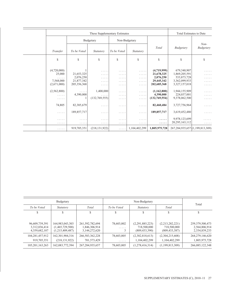| These Supplementary Estimates                                                                  |                                                                                                                                             |                                                                      |                                           |                                                                                            |                                                                                                                                                 | Total Estimates to Date                                                                                                                                            |                                                       |
|------------------------------------------------------------------------------------------------|---------------------------------------------------------------------------------------------------------------------------------------------|----------------------------------------------------------------------|-------------------------------------------|--------------------------------------------------------------------------------------------|-------------------------------------------------------------------------------------------------------------------------------------------------|--------------------------------------------------------------------------------------------------------------------------------------------------------------------|-------------------------------------------------------|
|                                                                                                |                                                                                                                                             | Budgetary                                                            |                                           | Non-Budgetary                                                                              |                                                                                                                                                 |                                                                                                                                                                    |                                                       |
| Transfer                                                                                       | To be Voted                                                                                                                                 | Statutory                                                            | To be Voted                               | Statutory                                                                                  | Total                                                                                                                                           | Budgetary                                                                                                                                                          | $Non-$<br>Budgetary                                   |
| S                                                                                              | \$                                                                                                                                          | \$                                                                   | \$                                        | \$                                                                                         | S                                                                                                                                               | \$                                                                                                                                                                 | S                                                     |
| (4,720,000)<br>25,000<br>.<br>7,568,000<br>(2,671,000)<br>(2,562,800)<br>.<br>.<br>74,805<br>. | 21,653,325<br>2,076,250<br>21,877,342<br>205,356,368<br>$\alpha$ , $\alpha$ , $\alpha$ , $\alpha$<br>4,390,000<br>82,385,679<br>189,857,717 | .<br>.<br>.<br>.<br>.<br>1,400,000<br>.<br>(132, 769, 555)<br>.<br>. | .<br>.<br>.<br>.<br>.<br>.<br>.<br>.<br>. | .<br>$\mathbb{R}^n$ . In the $\mathbb{R}^n$<br>.<br>.<br>.<br>.<br>$\cdots$<br>.<br>.<br>. | (4,719,999)<br>21,678,325<br>2,076,250<br>29,445,342<br>202,685,368<br>(1,162,800)<br>4,390,000<br>(132,769,554)<br>82,460,484<br>189, 857, 717 | 679,340,907<br>1,869,205,591<br>533, 873, 728<br>3,362,099,933<br>3,327,157,018<br>1,944,155,909<br>224,037,001<br>9,378,062,500<br>3,727,756,964<br>3,619,452,480 | .<br>.<br>.<br>.<br>.<br>.<br>.<br>.<br>$\cdots$<br>. |
| .<br>.                                                                                         | .<br>.                                                                                                                                      | .<br>$\sim$ $\sim$ $\sim$ $\sim$ $\sim$                              | .<br>$\cdots\cdots\cdots$                 | .<br>.                                                                                     | .<br>.                                                                                                                                          | 9,978,123,699<br>20,295,163,112                                                                                                                                    | .<br>.                                                |
| .                                                                                              | 919,705,351                                                                                                                                 | (218, 131, 922)                                                      | $\cdots$                                  | 1,104,402,299                                                                              | 1,805,975,728                                                                                                                                   | 267, 284, 935, 657 (1, 199, 813, 309)                                                                                                                              |                                                       |

|                    | Budgetary          |                    |               | Non-Budgetary   |                    |                    |  |
|--------------------|--------------------|--------------------|---------------|-----------------|--------------------|--------------------|--|
| To be Voted        | Statutory          | Total              | To be Voted   | Statutory       | Total              | Total              |  |
|                    | S                  | S                  | <sup>\$</sup> |                 |                    |                    |  |
|                    |                    |                    |               |                 |                    |                    |  |
| 96,609,739,391     | 164,983,043,303    | 261, 592, 782, 694 | 78,603,002    | (2,291,885,223) | (2,213,282,221)    | 259,379,500,473    |  |
| 3,312,036,414      | (1,465,729,500)    | 1,846,306,914      | .             | 718,500,000     | 718,500,000        | 2,564,806,914      |  |
| 4,359,682,107      | (1,215,409,487)    | 3,144,272,620      |               | (809, 433, 390) | (809, 433, 387)    | 2,334,839,233      |  |
| 104,281,457,912    | 162, 301, 904, 316 | 266,583,362,228    | 78,603,005    | (2,382,818,613) | (2,304,215,608)    | 264, 279, 146, 620 |  |
| 919,705,351        | (218, 131, 922)    | 701,573,429        | .             | 1,104,402,299   | 1,104,402,299      | 1,805,975,728      |  |
| 105, 201, 163, 263 | 162,083,772,394    | 267, 284, 935, 657 | 78,603,005    | (1,278,416,314) | (1, 199, 813, 309) | 266,085,122,348    |  |

 $\equiv$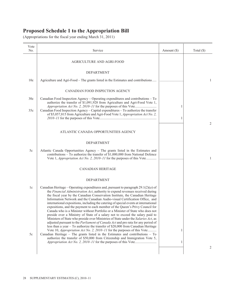<span id="page-25-0"></span>

| Vote<br>No. | Service                                                                                                                                                                                                                                                                                                                                                                                                                                                                                                                                                                                                                                                                                                                                                                                                                                                             | Amount $(\$)$ | Total $(\$)$ |
|-------------|---------------------------------------------------------------------------------------------------------------------------------------------------------------------------------------------------------------------------------------------------------------------------------------------------------------------------------------------------------------------------------------------------------------------------------------------------------------------------------------------------------------------------------------------------------------------------------------------------------------------------------------------------------------------------------------------------------------------------------------------------------------------------------------------------------------------------------------------------------------------|---------------|--------------|
|             | AGRICULTURE AND AGRI-FOOD                                                                                                                                                                                                                                                                                                                                                                                                                                                                                                                                                                                                                                                                                                                                                                                                                                           |               |              |
|             | <b>DEPARTMENT</b>                                                                                                                                                                                                                                                                                                                                                                                                                                                                                                                                                                                                                                                                                                                                                                                                                                                   |               |              |
| 10c         | Agriculture and Agri-Food – The grants listed in the Estimates and contributions                                                                                                                                                                                                                                                                                                                                                                                                                                                                                                                                                                                                                                                                                                                                                                                    |               | $\mathbf{1}$ |
|             | CANADIAN FOOD INSPECTION AGENCY                                                                                                                                                                                                                                                                                                                                                                                                                                                                                                                                                                                                                                                                                                                                                                                                                                     |               |              |
| 30c         | Canadian Food Inspection Agency - Operating expenditures and contributions - To<br>authorize the transfer of \$1,091,928 from Agriculture and Agri-Food Vote 1,                                                                                                                                                                                                                                                                                                                                                                                                                                                                                                                                                                                                                                                                                                     | 1             |              |
| 35c         | Canadian Food Inspection Agency - Capital expenditures - To authorize the transfer<br>of \$5,057,815 from Agriculture and Agri-Food Vote 1, Appropriation Act No. 2,                                                                                                                                                                                                                                                                                                                                                                                                                                                                                                                                                                                                                                                                                                | 1             |              |
|             |                                                                                                                                                                                                                                                                                                                                                                                                                                                                                                                                                                                                                                                                                                                                                                                                                                                                     |               | 2            |
|             | ATLANTIC CANADA OPPORTUNITIES AGENCY                                                                                                                                                                                                                                                                                                                                                                                                                                                                                                                                                                                                                                                                                                                                                                                                                                |               |              |
|             | <b>DEPARTMENT</b>                                                                                                                                                                                                                                                                                                                                                                                                                                                                                                                                                                                                                                                                                                                                                                                                                                                   |               |              |
| 5c          | Atlantic Canada Opportunities Agency – The grants listed in the Estimates and<br>contributions - To authorize the transfer of \$1,000,000 from National Defence<br>Vote 1, <i>Appropriation Act No. 2, 2010–11</i> for the purposes of this Vote                                                                                                                                                                                                                                                                                                                                                                                                                                                                                                                                                                                                                    |               | 1            |
|             | <b>CANADIAN HERITAGE</b>                                                                                                                                                                                                                                                                                                                                                                                                                                                                                                                                                                                                                                                                                                                                                                                                                                            |               |              |
|             | DEPARTMENT                                                                                                                                                                                                                                                                                                                                                                                                                                                                                                                                                                                                                                                                                                                                                                                                                                                          |               |              |
| 1c          | Canadian Heritage – Operating expenditures and, pursuant to paragraph $29.1(2)(a)$ of<br>the Financial Administration Act, authority to expend revenues received during<br>the fiscal year by the Canadian Conservation Institute, the Canadian Heritage<br>Information Network and the Canadian Audio-visual Certification Office, and<br>international expositions, including the catering of special events at international<br>expositions, and the payment to each member of the Queen's Privy Council for<br>Canada who is a Minister without Portfolio or a Minister of State who does not<br>preside over a Ministry of State of a salary not to exceed the salary paid to<br>Ministers of State who preside over Ministries of State under the Salaries Act, as<br>adjusted pursuant to the <i>Parliament of Canada Act</i> and pro rata for any period of |               |              |
| 5c          | less than a year - To authorize the transfer of \$20,000 from Canadian Heritage<br>Vote 10, <i>Appropriation Act No. 2, 2010–11</i> for the purposes of this Vote<br>Canadian Heritage – The grants listed in the Estimates and contributions – To<br>authorize the transfer of \$50,000 from Citizenship and Immigration Vote 5,                                                                                                                                                                                                                                                                                                                                                                                                                                                                                                                                   | 1             |              |
|             |                                                                                                                                                                                                                                                                                                                                                                                                                                                                                                                                                                                                                                                                                                                                                                                                                                                                     | 1             | 2            |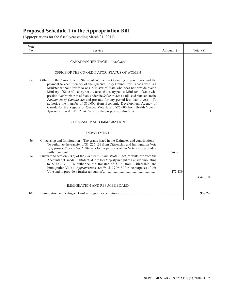| Vote<br>No. | Service                                                                                                                                                                                                                                                                                                                                                                                                                                                                                                                                                                                                                                                                 | Amount (\$) | Total $(\$)$ |
|-------------|-------------------------------------------------------------------------------------------------------------------------------------------------------------------------------------------------------------------------------------------------------------------------------------------------------------------------------------------------------------------------------------------------------------------------------------------------------------------------------------------------------------------------------------------------------------------------------------------------------------------------------------------------------------------------|-------------|--------------|
|             | CANADIAN HERITAGE - Concluded                                                                                                                                                                                                                                                                                                                                                                                                                                                                                                                                                                                                                                           |             |              |
|             | OFFICE OF THE CO-ORDINATOR, STATUS OF WOMEN                                                                                                                                                                                                                                                                                                                                                                                                                                                                                                                                                                                                                             |             |              |
| 95c         | Office of the Co-ordinator, Status of Women - Operating expenditures and the<br>payment to each member of the Queen's Privy Council for Canada who is a<br>Minister without Portfolio or a Minister of State who does not preside over a<br>Ministry of State of a salary not to exceed the salary paid to Ministers of State who<br>preside over Ministries of State under the Salaries Act, as adjusted pursuant to the<br><i>Parliament of Canada Act</i> and pro rata for any period less than a year $-$ To<br>authorize the transfer of \$10,000 from Economic Development Agency of<br>Canada for the Regions of Quebec Vote 1, and \$25,000 from Health Vote 1, |             | $\mathbf{1}$ |
|             | CITIZENSHIP AND IMMIGRATION                                                                                                                                                                                                                                                                                                                                                                                                                                                                                                                                                                                                                                             |             |              |
|             | <b>DEPARTMENT</b>                                                                                                                                                                                                                                                                                                                                                                                                                                                                                                                                                                                                                                                       |             |              |
| 5c          | Citizenship and Immigration - The grants listed in the Estimates and contributions -<br>To authorize the transfer of \$1, 256,133 from Citizenship and Immigration Vote<br>1, Appropriation Act No. 2, 2010–11 for the purposes of this Vote and to provide a                                                                                                                                                                                                                                                                                                                                                                                                           | 3,947,617   |              |
| 7c          | Pursuant to section 25(2) of the Financial Administration Act, to write-off from the<br>Accounts of Canada 1,908 debts due to Her Majesty in right of Canada amounting<br>to $$472,703$ - To authorize the transfer of \$214 from Citizenship and<br>Immigration Vote 1, Appropriation Act No. 2, 2010-11 for the purposes of this                                                                                                                                                                                                                                                                                                                                      |             |              |
|             |                                                                                                                                                                                                                                                                                                                                                                                                                                                                                                                                                                                                                                                                         | 472,489     | 4,420,106    |
|             | <b>IMMIGRATION AND REFUGEE BOARD</b>                                                                                                                                                                                                                                                                                                                                                                                                                                                                                                                                                                                                                                    |             |              |
| 10c         |                                                                                                                                                                                                                                                                                                                                                                                                                                                                                                                                                                                                                                                                         |             | 908,245      |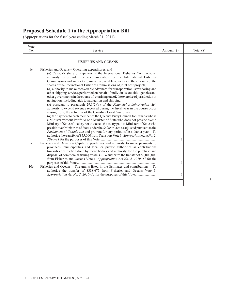| Vote<br>No.           | Service                                                                                                                                                                                                                                                                                                                                                                                                                                                                                                                                                                                                                                                                                                                                                                                                                                                                                                                                                                                                                                                                                                                                                                                                                                                                                                                                                                                                                                                                      | Amount $(\$)$ | Total $(\$)$ |
|-----------------------|------------------------------------------------------------------------------------------------------------------------------------------------------------------------------------------------------------------------------------------------------------------------------------------------------------------------------------------------------------------------------------------------------------------------------------------------------------------------------------------------------------------------------------------------------------------------------------------------------------------------------------------------------------------------------------------------------------------------------------------------------------------------------------------------------------------------------------------------------------------------------------------------------------------------------------------------------------------------------------------------------------------------------------------------------------------------------------------------------------------------------------------------------------------------------------------------------------------------------------------------------------------------------------------------------------------------------------------------------------------------------------------------------------------------------------------------------------------------------|---------------|--------------|
|                       | <b>FISHERIES AND OCEANS</b>                                                                                                                                                                                                                                                                                                                                                                                                                                                                                                                                                                                                                                                                                                                                                                                                                                                                                                                                                                                                                                                                                                                                                                                                                                                                                                                                                                                                                                                  |               |              |
| 1c                    | Fisheries and Oceans – Operating expenditures, and<br>(a) Canada's share of expenses of the International Fisheries Commissions,<br>authority to provide free accommodation for the International Fisheries<br>Commissions and authority to make recoverable advances in the amounts of the<br>shares of the International Fisheries Commissions of joint cost projects;<br>(b) authority to make recoverable advances for transportation, stevedoring and<br>other shipping services performed on behalf of individuals, outside agencies and<br>other governments in the course of, or arising out of, the exercise of jurisdiction in<br>navigation, including aids to navigation and shipping;<br>(c) pursuant to paragraph $29.1(2)(a)$ of the <i>Financial Administration Act</i> ,<br>authority to expend revenue received during the fiscal year in the course of, or<br>arising from, the activities of the Canadian Coast Guard; and<br>$(d)$ the payment to each member of the Queen's Privy Council for Canada who is<br>a Minister without Portfolio or a Minister of State who does not preside over a<br>Ministry of State of a salary not to exceed the salary paid to Ministers of State who<br>preside over Ministries of State under the Salaries Act, as adjusted pursuant to the<br>Parliament of Canada Act and pro rata for any period of less than a year - To<br>authorize the transfer of \$55,000 from Transport Vote 1, Appropriation Act No. 2, |               |              |
| 5c<br>10 <sub>c</sub> | Fisheries and Oceans – Capital expenditures and authority to make payments to<br>provinces, municipalities and local or private authorities as contributions<br>towards construction done by those bodies and authority for the purchase and<br>disposal of commercial fishing vessels - To authorize the transfer of \$3,000,000<br>from Fisheries and Oceans Vote 1, Appropriation Act No. 2, 2010-11 for the<br>Fisheries and Oceans – The grants listed in the Estimates and contributions – To                                                                                                                                                                                                                                                                                                                                                                                                                                                                                                                                                                                                                                                                                                                                                                                                                                                                                                                                                                          |               |              |
|                       | authorize the transfer of \$388,675 from Fisheries and Oceans Vote 1,                                                                                                                                                                                                                                                                                                                                                                                                                                                                                                                                                                                                                                                                                                                                                                                                                                                                                                                                                                                                                                                                                                                                                                                                                                                                                                                                                                                                        |               | 3            |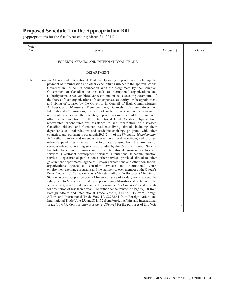| Vote<br>No. | Service                                                                                                                                                                                                                                                                                                                                                                                                                                                                                                                                                                                                                                                                                                                                                                                                                                                                                                                                                                                                                                                                                                                                                                                                                                                                                                                                                                                                                                                                                                                                                                                                                                                                                                                                                                                                                                                                                                                                                                                                                                                                                                                                                                                                                                                                                                                                                                                                                                                                                                                                                                                                                                                                                                                                                        | Amount $(\$)$ | Total $(\$)$ |
|-------------|----------------------------------------------------------------------------------------------------------------------------------------------------------------------------------------------------------------------------------------------------------------------------------------------------------------------------------------------------------------------------------------------------------------------------------------------------------------------------------------------------------------------------------------------------------------------------------------------------------------------------------------------------------------------------------------------------------------------------------------------------------------------------------------------------------------------------------------------------------------------------------------------------------------------------------------------------------------------------------------------------------------------------------------------------------------------------------------------------------------------------------------------------------------------------------------------------------------------------------------------------------------------------------------------------------------------------------------------------------------------------------------------------------------------------------------------------------------------------------------------------------------------------------------------------------------------------------------------------------------------------------------------------------------------------------------------------------------------------------------------------------------------------------------------------------------------------------------------------------------------------------------------------------------------------------------------------------------------------------------------------------------------------------------------------------------------------------------------------------------------------------------------------------------------------------------------------------------------------------------------------------------------------------------------------------------------------------------------------------------------------------------------------------------------------------------------------------------------------------------------------------------------------------------------------------------------------------------------------------------------------------------------------------------------------------------------------------------------------------------------------------------|---------------|--------------|
|             | FOREIGN AFFAIRS AND INTERNATIONAL TRADE                                                                                                                                                                                                                                                                                                                                                                                                                                                                                                                                                                                                                                                                                                                                                                                                                                                                                                                                                                                                                                                                                                                                                                                                                                                                                                                                                                                                                                                                                                                                                                                                                                                                                                                                                                                                                                                                                                                                                                                                                                                                                                                                                                                                                                                                                                                                                                                                                                                                                                                                                                                                                                                                                                                        |               |              |
|             | <b>DEPARTMENT</b>                                                                                                                                                                                                                                                                                                                                                                                                                                                                                                                                                                                                                                                                                                                                                                                                                                                                                                                                                                                                                                                                                                                                                                                                                                                                                                                                                                                                                                                                                                                                                                                                                                                                                                                                                                                                                                                                                                                                                                                                                                                                                                                                                                                                                                                                                                                                                                                                                                                                                                                                                                                                                                                                                                                                              |               |              |
| 1c          | Foreign Affairs and International Trade – Operating expenditures, including the<br>payment of remuneration and other expenditures subject to the approval of the<br>Governor in Council in connection with the assignment by the Canadian<br>Government of Canadians to the staffs of international organizations and<br>authority to make recoverable advances in amounts not exceeding the amounts of<br>the shares of such organizations of such expenses; authority for the appointment<br>and fixing of salaries by the Governor in Council of High Commissioners,<br>Ambassadors, Ministers Plenipotentiary, Consuls, Representatives on<br>International Commissions, the staff of such officials and other persons to<br>represent Canada in another country; expenditures in respect of the provision of<br>office accommodation for the International Civil Aviation Organization;<br>recoverable expenditures for assistance to and repatriation of distressed<br>Canadian citizens and Canadian residents living abroad, including their<br>dependants; cultural relations and academic exchange programs with other<br>countries; and, pursuant to paragraph $29.1(2)(a)$ of the Financial Administration<br>Act, authority to expend revenues received in a fiscal year from, and to offset<br>related expenditures incurred in the fiscal year arising from the provision of<br>services related to: training services provided by the Canadian Foreign Service<br>Institute; trade fairs, missions and other international business development<br>services; investment development services; international telecommunication<br>services; departmental publications; other services provided abroad to other<br>government departments, agencies, Crown corporations and other non-federal<br>organizations; specialized consular services; and international youth<br>employment exchange programs and the payment to each member of the Queen's<br>Privy Council for Canada who is a Minister without Portfolio or a Minister of<br>State who does not preside over a Ministry of State of a salary not to exceed the<br>salary paid to Ministers of State who preside over Ministries of State under the<br><i>Salaries Act</i> , as adjusted pursuant to the <i>Parliament of Canada Act</i> and pro rata<br>for any period of less than a year $-$ To authorize the transfer of \$9,435,000 from<br>Foreign Affairs and International Trade Vote 5, \$14,884,915 from Foreign<br>Affairs and International Trade Vote 10, \$277,861 from Foreign Affairs and<br>International Trade Vote 25, and \$11,172 from Foreign Affairs and International<br>Trade Vote 45, <i>Appropriation Act No. 2, 2010–11</i> for the purposes of this Vote |               |              |
|             |                                                                                                                                                                                                                                                                                                                                                                                                                                                                                                                                                                                                                                                                                                                                                                                                                                                                                                                                                                                                                                                                                                                                                                                                                                                                                                                                                                                                                                                                                                                                                                                                                                                                                                                                                                                                                                                                                                                                                                                                                                                                                                                                                                                                                                                                                                                                                                                                                                                                                                                                                                                                                                                                                                                                                                |               |              |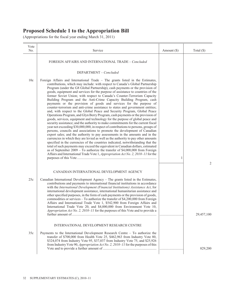| Vote<br>No. | Service                                                                                                                                                                                                                                                                                                                                                                                                                                                                                                                                                                                                                                                                                                                                                                                                                                                                                                                                                                                                                                                                                                                                                                                                                                                                                                                                                                                                                                                                                                                                                                                                                                                            | Amount $(\$)$ | Total (\$) |
|-------------|--------------------------------------------------------------------------------------------------------------------------------------------------------------------------------------------------------------------------------------------------------------------------------------------------------------------------------------------------------------------------------------------------------------------------------------------------------------------------------------------------------------------------------------------------------------------------------------------------------------------------------------------------------------------------------------------------------------------------------------------------------------------------------------------------------------------------------------------------------------------------------------------------------------------------------------------------------------------------------------------------------------------------------------------------------------------------------------------------------------------------------------------------------------------------------------------------------------------------------------------------------------------------------------------------------------------------------------------------------------------------------------------------------------------------------------------------------------------------------------------------------------------------------------------------------------------------------------------------------------------------------------------------------------------|---------------|------------|
|             | FOREIGN AFFAIRS AND INTERNATIONAL TRADE - Concluded                                                                                                                                                                                                                                                                                                                                                                                                                                                                                                                                                                                                                                                                                                                                                                                                                                                                                                                                                                                                                                                                                                                                                                                                                                                                                                                                                                                                                                                                                                                                                                                                                |               |            |
|             | DEPARTMENT - Concluded                                                                                                                                                                                                                                                                                                                                                                                                                                                                                                                                                                                                                                                                                                                                                                                                                                                                                                                                                                                                                                                                                                                                                                                                                                                                                                                                                                                                                                                                                                                                                                                                                                             |               |            |
| 10c         | Foreign Affairs and International Trade - The grants listed in the Estimates,<br>contributions, which may include: with respect to Canada's Global Partnership<br>Program (under the G8 Global Partnership), cash payments or the provision of<br>goods, equipment and services for the purpose of assistance to countries of the<br>former Soviet Union; with respect to Canada's Counter-Terrorism Capacity<br>Building Program and the Anti-Crime Capacity Building Program, cash<br>payments or the provision of goods and services for the purpose of<br>counter-terrorism and anti-crime assistance to states and government entities;<br>and, with respect to the Global Peace and Security Program, Global Peace<br>Operations Program, and Glyn Berry Program, cash payments or the provision of<br>goods, services, equipment and technology for the purpose of global peace and<br>security assistance; and the authority to make commitments for the current fiscal<br>year not exceeding \$30,000,000, in respect of contributions to persons, groups of<br>persons, councils and associations to promote the development of Canadian<br>export sales; and the authority to pay assessments in the amounts and in the<br>currencies in which they are levied as well as the authority to pay other amounts<br>specified in the currencies of the countries indicated, notwithstanding that the<br>total of such payments may exceed the equivalent in Canadian dollars, estimated<br>as of September 2009 - To authorize the transfer of \$4,000,000 from Foreign<br>Affairs and International Trade Vote 1, Appropriation Act No. 2, 2010-11 for the | 1             |            |
|             |                                                                                                                                                                                                                                                                                                                                                                                                                                                                                                                                                                                                                                                                                                                                                                                                                                                                                                                                                                                                                                                                                                                                                                                                                                                                                                                                                                                                                                                                                                                                                                                                                                                                    |               | 2          |
| 25c         | CANADIAN INTERNATIONAL DEVELOPMENT AGENCY<br>Canadian International Development Agency - The grants listed in the Estimates,<br>contributions and payments to international financial institutions in accordance<br>with the International Development (Financial Institutions) Assistance Act, for<br>international development assistance, international humanitarian assistance and<br>other specified purposes, in the form of cash payments or the provision of goods,<br>commodities or services $-$ To authorize the transfer of \$4,200,000 from Foreign<br>Affairs and International Trade Vote 1, \$542,900 from Foreign Affairs and<br>International Trade Vote 20, and \$4,000,000 from Environment Vote 10,<br>Appropriation Act No. 2, 2010-11 for the purposes of this Vote and to provide a                                                                                                                                                                                                                                                                                                                                                                                                                                                                                                                                                                                                                                                                                                                                                                                                                                                        |               | 29,457,100 |
|             | INTERNATIONAL DEVELOPMENT RESEARCH CENTRE                                                                                                                                                                                                                                                                                                                                                                                                                                                                                                                                                                                                                                                                                                                                                                                                                                                                                                                                                                                                                                                                                                                                                                                                                                                                                                                                                                                                                                                                                                                                                                                                                          |               |            |
| 35c         | Payments to the International Development Research Centre - To authorize the<br>transfer of \$700,000 from Health Vote 25, \$462,963 from Industry Vote 80,<br>\$324,074 from Industry Vote 95, \$37,037 from Industry Vote 75, and \$25,926<br>from Industry Vote 90, <i>Appropriation Act No. 2, 2010–11</i> for the purposes of this                                                                                                                                                                                                                                                                                                                                                                                                                                                                                                                                                                                                                                                                                                                                                                                                                                                                                                                                                                                                                                                                                                                                                                                                                                                                                                                            |               |            |
|             |                                                                                                                                                                                                                                                                                                                                                                                                                                                                                                                                                                                                                                                                                                                                                                                                                                                                                                                                                                                                                                                                                                                                                                                                                                                                                                                                                                                                                                                                                                                                                                                                                                                                    |               | 829,200    |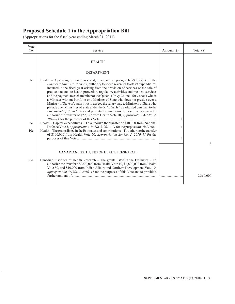| Vote<br>No. | Service                                                                                                                                                                                                                                                                                                                                                                                                                                                                                                                                                                                                                                                                                                                                                                                                                                                                | Amount $(\$)$ | Total $(\$)$ |
|-------------|------------------------------------------------------------------------------------------------------------------------------------------------------------------------------------------------------------------------------------------------------------------------------------------------------------------------------------------------------------------------------------------------------------------------------------------------------------------------------------------------------------------------------------------------------------------------------------------------------------------------------------------------------------------------------------------------------------------------------------------------------------------------------------------------------------------------------------------------------------------------|---------------|--------------|
|             |                                                                                                                                                                                                                                                                                                                                                                                                                                                                                                                                                                                                                                                                                                                                                                                                                                                                        |               |              |
|             | <b>HEALTH</b>                                                                                                                                                                                                                                                                                                                                                                                                                                                                                                                                                                                                                                                                                                                                                                                                                                                          |               |              |
|             | <b>DEPARTMENT</b>                                                                                                                                                                                                                                                                                                                                                                                                                                                                                                                                                                                                                                                                                                                                                                                                                                                      |               |              |
| 1c          | Health – Operating expenditures and, pursuant to paragraph $29.1(2)(a)$ of the<br>Financial Administration Act, authority to spend revenues to offset expenditures<br>incurred in the fiscal year arising from the provision of services or the sale of<br>products related to health protection, regulatory activities and medical services<br>and the payment to each member of the Queen's Privy Council for Canada who is<br>a Minister without Portfolio or a Minister of State who does not preside over a<br>Ministry of State of a salary not to exceed the salary paid to Ministers of State who<br>preside over Ministries of State under the Salaries Act, as adjusted pursuant to the<br>Parliament of Canada Act and pro rata for any period of less than a year - To<br>authorize the transfer of \$22,357 from Health Vote 10, Appropriation Act No. 2, |               |              |
| 5c          | Health - Capital expenditures - To authorize the transfer of \$40,000 from National<br>Defence Vote 5, <i>Appropriation Act No. 2, 2010–11</i> for the purposes of this Vote                                                                                                                                                                                                                                                                                                                                                                                                                                                                                                                                                                                                                                                                                           |               |              |
| 10c         | Health – The grants listed in the Estimates and contributions – To authorize the transfer<br>of \$100,000 from Health Vote 50, Appropriation Act No. 2, 2010-11 for the                                                                                                                                                                                                                                                                                                                                                                                                                                                                                                                                                                                                                                                                                                |               |              |
|             |                                                                                                                                                                                                                                                                                                                                                                                                                                                                                                                                                                                                                                                                                                                                                                                                                                                                        |               |              |
|             |                                                                                                                                                                                                                                                                                                                                                                                                                                                                                                                                                                                                                                                                                                                                                                                                                                                                        |               | 3            |
|             | CANADIAN INSTITUTES OF HEALTH RESEARCH                                                                                                                                                                                                                                                                                                                                                                                                                                                                                                                                                                                                                                                                                                                                                                                                                                 |               |              |
| 25c         | Canadian Institutes of Health Research $-$ The grants listed in the Estimates $-$ To<br>authorize the transfer of \$200,000 from Health Vote 10, \$1,800,000 from Health<br>Vote 50, and \$10,000 from Indian Affairs and Northern Development Vote 10,<br>Appropriation Act No. 2, 2010–11 for the purposes of this Vote and to provide a                                                                                                                                                                                                                                                                                                                                                                                                                                                                                                                             |               | 9,360,000    |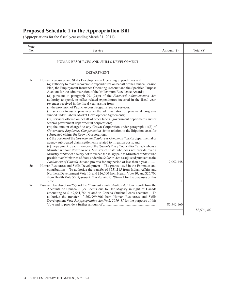| Vote<br>No. | Service                                                                                                                                                                                                                                                                                                                                                                                                                                                                                                                                                                                                                                                                                                                                                                                                                                                                                                                                                                                                                                                                                                                                                                                                                                                                                                                                                                                                                                                                                                                                                                                                              | Amount $(\$)$   | Total $(\$)$ |
|-------------|----------------------------------------------------------------------------------------------------------------------------------------------------------------------------------------------------------------------------------------------------------------------------------------------------------------------------------------------------------------------------------------------------------------------------------------------------------------------------------------------------------------------------------------------------------------------------------------------------------------------------------------------------------------------------------------------------------------------------------------------------------------------------------------------------------------------------------------------------------------------------------------------------------------------------------------------------------------------------------------------------------------------------------------------------------------------------------------------------------------------------------------------------------------------------------------------------------------------------------------------------------------------------------------------------------------------------------------------------------------------------------------------------------------------------------------------------------------------------------------------------------------------------------------------------------------------------------------------------------------------|-----------------|--------------|
|             | HUMAN RESOURCES AND SKILLS DEVELOPMENT                                                                                                                                                                                                                                                                                                                                                                                                                                                                                                                                                                                                                                                                                                                                                                                                                                                                                                                                                                                                                                                                                                                                                                                                                                                                                                                                                                                                                                                                                                                                                                               |                 |              |
|             | <b>DEPARTMENT</b>                                                                                                                                                                                                                                                                                                                                                                                                                                                                                                                                                                                                                                                                                                                                                                                                                                                                                                                                                                                                                                                                                                                                                                                                                                                                                                                                                                                                                                                                                                                                                                                                    |                 |              |
| 1c          | Human Resources and Skills Development – Operating expenditures and<br>$(a)$ authority to make recoverable expenditures on behalf of the Canada Pension<br>Plan, the Employment Insurance Operating Account and the Specified Purpose<br>Account for the administration of the Millennium Excellence Awards;<br>(b) pursuant to paragraph $29.1(2)(a)$ of the <i>Financial Administration Act</i> ,<br>authority to spend, to offset related expenditures incurred in the fiscal year,<br>revenues received in the fiscal year arising from:<br>(i) the provision of Public Access Programs Sector services;<br>(ii) services to assist provinces in the administration of provincial programs<br>funded under Labour Market Development Agreements;<br>(iii) services offered on behalf of other federal government departments and/or<br>federal government departmental corporations;<br>(iv) the amount charged to any Crown Corporation under paragraph $14(b)$ of<br>Government Employees Compensation Act in relation to the litigation costs for<br>subrogated claims for Crown Corporations;<br>(v) the portion of the Government Employees Compensation Act departmental or<br>agency subrogated claim settlements related to litigation costs; and<br>$(c)$ the payment to each member of the Queen's Privy Council for Canada who is a<br>Minister without Portfolio or a Minister of State who does not preside over a<br>Ministry of State of a salary not to exceed the salary paid to Ministers of State who<br>preside over Ministries of State under the Salaries Act, as adjusted pursuant to the |                 |              |
| 5c          | Parliament of Canada Act and pro rata for any period of less than a year<br>Human Resources and Skills Development – The grants listed in the Estimates and<br>contributions - To authorize the transfer of \$551,115 from Indian Affairs and<br>Northern Development Vote 10, and \$26,700 from Health Vote 10, and \$26,700<br>from Health Vote 50, <i>Appropriation Act No. 2, 2010–11</i> for the purposes of this                                                                                                                                                                                                                                                                                                                                                                                                                                                                                                                                                                                                                                                                                                                                                                                                                                                                                                                                                                                                                                                                                                                                                                                               | 2,052,148       |              |
| 7c          | Pursuant to subsection 25(2) of the <i>Financial Administration Act</i> , to write-off from the<br>Accounts of Canada 61,791 debts due to Her Majesty in right of Canada<br>amounting to \$149,541,766 related to Canada Student Loans accounts - To<br>authorize the transfer of \$62,999,606 from Human Resources and Skills<br>Development Vote 5, Appropriation Act No.2, 2010-11 for the purposes of this                                                                                                                                                                                                                                                                                                                                                                                                                                                                                                                                                                                                                                                                                                                                                                                                                                                                                                                                                                                                                                                                                                                                                                                                       | 1<br>86,542,160 |              |
|             |                                                                                                                                                                                                                                                                                                                                                                                                                                                                                                                                                                                                                                                                                                                                                                                                                                                                                                                                                                                                                                                                                                                                                                                                                                                                                                                                                                                                                                                                                                                                                                                                                      |                 | 88,594,309   |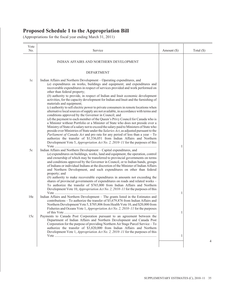| Vote<br>No.     | Service                                                                                                                                                                                                                                                                                                                                                                                                                                                                                                                                                                                                                                                                                                                                                                                                                                                                                                                                                                                                                                                                                                                                                                                                                                                                                                                        | Amount $(\$)$ | Total $(\$)$ |
|-----------------|--------------------------------------------------------------------------------------------------------------------------------------------------------------------------------------------------------------------------------------------------------------------------------------------------------------------------------------------------------------------------------------------------------------------------------------------------------------------------------------------------------------------------------------------------------------------------------------------------------------------------------------------------------------------------------------------------------------------------------------------------------------------------------------------------------------------------------------------------------------------------------------------------------------------------------------------------------------------------------------------------------------------------------------------------------------------------------------------------------------------------------------------------------------------------------------------------------------------------------------------------------------------------------------------------------------------------------|---------------|--------------|
|                 | INDIAN AFFAIRS AND NORTHERN DEVELOPMENT                                                                                                                                                                                                                                                                                                                                                                                                                                                                                                                                                                                                                                                                                                                                                                                                                                                                                                                                                                                                                                                                                                                                                                                                                                                                                        |               |              |
|                 | <b>DEPARTMENT</b>                                                                                                                                                                                                                                                                                                                                                                                                                                                                                                                                                                                                                                                                                                                                                                                                                                                                                                                                                                                                                                                                                                                                                                                                                                                                                                              |               |              |
| 1c              | Indian Affairs and Northern Development – Operating expenditures, and<br>(a) expenditures on works, buildings and equipment; and expenditures and<br>recoverable expenditures in respect of services provided and work performed on<br>other than federal property;<br>(b) authority to provide, in respect of Indian and Inuit economic development<br>activities, for the capacity development for Indian and Inuit and the furnishing of<br>materials and equipment;<br>$(c)$ authority to sell electric power to private consumers in remote locations when<br>alternative local sources of supply are not available, in accordance with terms and<br>conditions approved by the Governor in Council; and<br>(d) the payment to each member of the Queen's Privy Council for Canada who is<br>a Minister without Portfolio or a Minister of State who does not preside over a<br>Ministry of State of a salary not to exceed the salary paid to Ministers of State who<br>preside over Ministries of State under the Salaries Act, as adjusted pursuant to the<br><i>Parliament of Canada Act</i> and pro rata for any period of less than a year $-$ To<br>authorize the transfer of \$1,536,051 from Indian Affairs and Northern<br>Development Vote 5, <i>Appropriation Act No. 2, 2010–11</i> for the purposes of this | 1             |              |
| 5c              | Indian Affairs and Northern Development – Capital expenditures, and<br>$(a)$ expenditures on buildings, works, land and equipment, the operation, control<br>and ownership of which may be transferred to provincial governments on terms<br>and conditions approved by the Governor in Council, or to Indian bands, groups<br>of Indians or individual Indians at the discretion of the Minister of Indian Affairs<br>and Northern Development, and such expenditures on other than federal<br>property; and<br>(b) authority to make recoverable expenditures in amounts not exceeding the<br>shares of provincial governments of expenditures on roads and related works -<br>To authorize the transfer of \$765,000 from Indian Affairs and Northern<br>Development Vote 10, <i>Appropriation Act No. 2, 2010–11</i> for the purposes of this                                                                                                                                                                                                                                                                                                                                                                                                                                                                              | 1             |              |
| 10 <sub>c</sub> | Indian Affairs and Northern Development - The grants listed in the Estimates and<br>contributions - To authorize the transfer of \$5,679,876 from Indian Affairs and<br>Northern Development Vote 5, \$705,806 from Health Vote 10, and \$20,000 from<br>Fisheries and Oceans Vote 1, Appropriation Act No. 2, 2010–11 for the purposes                                                                                                                                                                                                                                                                                                                                                                                                                                                                                                                                                                                                                                                                                                                                                                                                                                                                                                                                                                                        |               |              |
| 15c             | Payments to Canada Post Corporation pursuant to an agreement between the<br>Department of Indian Affairs and Northern Development and Canada Post<br>Corporation for the purpose of providing Northern Air Stage Parcel Service - To<br>authorize the transfer of \$3,820,000 from Indian Affairs and Northern<br>Development Vote 1, <i>Appropriation Act No. 2, 2010–11</i> for the purposes of this                                                                                                                                                                                                                                                                                                                                                                                                                                                                                                                                                                                                                                                                                                                                                                                                                                                                                                                         | 1<br>1        |              |
|                 |                                                                                                                                                                                                                                                                                                                                                                                                                                                                                                                                                                                                                                                                                                                                                                                                                                                                                                                                                                                                                                                                                                                                                                                                                                                                                                                                |               |              |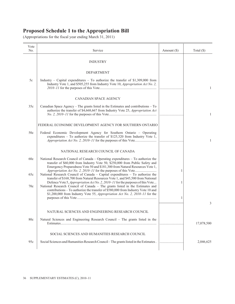| Vote |                                                                                                                                                                                                                                                                                                                                          |             |              |
|------|------------------------------------------------------------------------------------------------------------------------------------------------------------------------------------------------------------------------------------------------------------------------------------------------------------------------------------------|-------------|--------------|
| No.  | Service                                                                                                                                                                                                                                                                                                                                  | Amount (\$) | Total $(\$)$ |
|      | <b>INDUSTRY</b>                                                                                                                                                                                                                                                                                                                          |             |              |
|      | DEPARTMENT                                                                                                                                                                                                                                                                                                                               |             |              |
| 5c   | Industry – Capital expenditures – To authorize the transfer of $$1,309,000$ from<br>Industry Vote 1, and \$505,255 from Industry Vote 10, Appropriation Act No. 2,                                                                                                                                                                       |             | 1            |
|      | CANADIAN SPACE AGENCY                                                                                                                                                                                                                                                                                                                    |             |              |
| 35c  | Canadian Space Agency – The grants listed in the Estimates and contributions – To<br>authorize the transfer of \$4,668,667 from Industry Vote 25, Appropriation Act                                                                                                                                                                      |             | $\mathbf{1}$ |
|      | FEDERAL ECONOMIC DEVELOPMENT AGENCY FOR SOUTHERN ONTARIO                                                                                                                                                                                                                                                                                 |             |              |
| 50c  | Federal Economic Development Agency for Southern Ontario - Operating<br>expenditures – To authorize the transfer of $$125,320$ from Industry Vote 1,                                                                                                                                                                                     |             | $\mathbf{1}$ |
|      | NATIONAL RESEARCH COUNCIL OF CANADA                                                                                                                                                                                                                                                                                                      |             |              |
| 60c  | National Research Council of Canada - Operating expenditures - To authorize the<br>transfer of \$60,000 from Industry Vote 50, \$250,000 from Public Safety and<br>Emergency Preparedness Vote 50 and \$181,300 from Natural Resources Vote 1,                                                                                           | 1           |              |
| 65c  | National Research Council of Canada - Capital expenditures - To authorize the<br>transfer of \$168,700 from Natural Resources Vote 1, and \$45,500 from National                                                                                                                                                                         |             |              |
| 70c  | Defence Vote 5, <i>Appropriation Act No. 2, 2010–11</i> for the purposes of this Vote<br>National Research Council of Canada - The grants listed in the Estimates and<br>contributions - To authorize the transfer of \$580,000 from Industry Vote 10 and<br>\$1,200,000 from Industry Vote 55, Appropriation Act No. 2, 2010-11 for the | 1           |              |
|      |                                                                                                                                                                                                                                                                                                                                          | 1           | 3            |
|      | NATURAL SCIENCES AND ENGINEERING RESEARCH COUNCIL                                                                                                                                                                                                                                                                                        |             |              |
| 80c  | Natural Sciences and Engineering Research Council – The grants listed in the                                                                                                                                                                                                                                                             |             | 17,078,500   |
|      | SOCIAL SCIENCES AND HUMANITIES RESEARCH COUNCIL                                                                                                                                                                                                                                                                                          |             |              |
| 95c  | Social Sciences and Humanities Research Council - The grants listed in the Estimates .                                                                                                                                                                                                                                                   |             | 2,046,625    |
|      |                                                                                                                                                                                                                                                                                                                                          |             |              |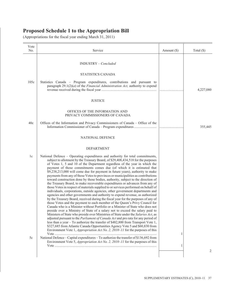| Vote<br>No. | Service                                                                                                                                                                                                                                                                                                                                                                                                                                                                                                                                                                                                                                                                                                                                                                                                                                                                                                                                                                                                                                                                                                                                                                                                                                                                                                                                                                                                                                                                                                                                                                                                                                                                                                 | Amount $(\$)$ | Total $(\$)$ |
|-------------|---------------------------------------------------------------------------------------------------------------------------------------------------------------------------------------------------------------------------------------------------------------------------------------------------------------------------------------------------------------------------------------------------------------------------------------------------------------------------------------------------------------------------------------------------------------------------------------------------------------------------------------------------------------------------------------------------------------------------------------------------------------------------------------------------------------------------------------------------------------------------------------------------------------------------------------------------------------------------------------------------------------------------------------------------------------------------------------------------------------------------------------------------------------------------------------------------------------------------------------------------------------------------------------------------------------------------------------------------------------------------------------------------------------------------------------------------------------------------------------------------------------------------------------------------------------------------------------------------------------------------------------------------------------------------------------------------------|---------------|--------------|
|             | INDUSTRY – Concluded                                                                                                                                                                                                                                                                                                                                                                                                                                                                                                                                                                                                                                                                                                                                                                                                                                                                                                                                                                                                                                                                                                                                                                                                                                                                                                                                                                                                                                                                                                                                                                                                                                                                                    |               |              |
|             | STATISTICS CANADA                                                                                                                                                                                                                                                                                                                                                                                                                                                                                                                                                                                                                                                                                                                                                                                                                                                                                                                                                                                                                                                                                                                                                                                                                                                                                                                                                                                                                                                                                                                                                                                                                                                                                       |               |              |
| 105c        | Statistics Canada - Program expenditures, contributions and pursuant to<br>paragraph $29.1(2)(a)$ of the <i>Financial Administration Act</i> , authority to expend                                                                                                                                                                                                                                                                                                                                                                                                                                                                                                                                                                                                                                                                                                                                                                                                                                                                                                                                                                                                                                                                                                                                                                                                                                                                                                                                                                                                                                                                                                                                      |               | 4,227,080    |
|             | <b>JUSTICE</b>                                                                                                                                                                                                                                                                                                                                                                                                                                                                                                                                                                                                                                                                                                                                                                                                                                                                                                                                                                                                                                                                                                                                                                                                                                                                                                                                                                                                                                                                                                                                                                                                                                                                                          |               |              |
|             | OFFICES OF THE INFORMATION AND<br>PRIVACY COMMISSIONERS OF CANADA                                                                                                                                                                                                                                                                                                                                                                                                                                                                                                                                                                                                                                                                                                                                                                                                                                                                                                                                                                                                                                                                                                                                                                                                                                                                                                                                                                                                                                                                                                                                                                                                                                       |               |              |
| 40c         | Offices of the Information and Privacy Commissioners of Canada – Office of the                                                                                                                                                                                                                                                                                                                                                                                                                                                                                                                                                                                                                                                                                                                                                                                                                                                                                                                                                                                                                                                                                                                                                                                                                                                                                                                                                                                                                                                                                                                                                                                                                          |               | 355,445      |
|             | NATIONAL DEFENCE                                                                                                                                                                                                                                                                                                                                                                                                                                                                                                                                                                                                                                                                                                                                                                                                                                                                                                                                                                                                                                                                                                                                                                                                                                                                                                                                                                                                                                                                                                                                                                                                                                                                                        |               |              |
|             | <b>DEPARTMENT</b>                                                                                                                                                                                                                                                                                                                                                                                                                                                                                                                                                                                                                                                                                                                                                                                                                                                                                                                                                                                                                                                                                                                                                                                                                                                                                                                                                                                                                                                                                                                                                                                                                                                                                       |               |              |
| 1c          | National Defence – Operating expenditures and authority for total commitments,<br>subject to allotment by the Treasury Board, of \$29,408,434,518 for the purposes<br>of Votes 1, 5 and 10 of the Department regardless of the year in which the<br>payment of those commitments comes due (of which it is estimated that<br>\$9,238,213,000 will come due for payment in future years), authority to make<br>payments from any of those Votes to provinces or municipalities as contributions<br>toward construction done by those bodies, authority, subject to the direction of<br>the Treasury Board, to make recoverable expenditures or advances from any of<br>those Votes in respect of materials supplied to or services performed on behalf of<br>individuals, corporations, outside agencies, other government departments and<br>agencies and other governments and authority to expend revenue, as authorized<br>by the Treasury Board, received during the fiscal year for the purposes of any of<br>those Votes and the payment to each member of the Queen's Privy Council for<br>Canada who is a Minister without Portfolio or a Minister of State who does not<br>preside over a Ministry of State of a salary not to exceed the salary paid to<br>Ministers of State who preside over Ministries of State under the Salaries Act, as<br>adjusted pursuant to the Parliament of Canada Act and pro rata for any period of<br>less than a year - To authorize the transfer of \$482,800 from Transport Vote 1,<br>\$327,685 from Atlantic Canada Opportunities Agency Vote 5 and \$60,830 from<br>Environment Vote 1, <i>Appropriation Act No. 2, 2010–11</i> for the purposes of this |               |              |
| 5c          | National Defence - Capital expenditures - To authorize the transfer of \$136,692 from<br>Environment Vote 5, <i>Appropriation Act No. 2, 2010–11</i> for the purposes of this                                                                                                                                                                                                                                                                                                                                                                                                                                                                                                                                                                                                                                                                                                                                                                                                                                                                                                                                                                                                                                                                                                                                                                                                                                                                                                                                                                                                                                                                                                                           |               |              |
|             |                                                                                                                                                                                                                                                                                                                                                                                                                                                                                                                                                                                                                                                                                                                                                                                                                                                                                                                                                                                                                                                                                                                                                                                                                                                                                                                                                                                                                                                                                                                                                                                                                                                                                                         | 1             | 2            |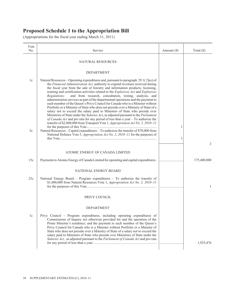| Vote<br>No. | Service                                                                                                                                                                                                                                                                                                                                                                                                                                                                                                                                                                                                                                                                                                                                                                                                                                                                                                                                                                                                                                      | Amount (\$) | Total $(\$)$ |
|-------------|----------------------------------------------------------------------------------------------------------------------------------------------------------------------------------------------------------------------------------------------------------------------------------------------------------------------------------------------------------------------------------------------------------------------------------------------------------------------------------------------------------------------------------------------------------------------------------------------------------------------------------------------------------------------------------------------------------------------------------------------------------------------------------------------------------------------------------------------------------------------------------------------------------------------------------------------------------------------------------------------------------------------------------------------|-------------|--------------|
|             | NATURAL RESOURCES                                                                                                                                                                                                                                                                                                                                                                                                                                                                                                                                                                                                                                                                                                                                                                                                                                                                                                                                                                                                                            |             |              |
|             | <b>DEPARTMENT</b>                                                                                                                                                                                                                                                                                                                                                                                                                                                                                                                                                                                                                                                                                                                                                                                                                                                                                                                                                                                                                            |             |              |
| 1c          | Natural Resources – Operating expenditures and, pursuant to paragraph 29.1(2)( <i>a</i> ) of<br>the Financial Administration Act, authority to expend revenues received during<br>the fiscal year from the sale of forestry and information products; licensing,<br>training and certification activities related to the Explosives Act and Explosives<br>and from research, consultation, testing, analysis, and<br>Regulations;<br>administration services as part of the departmental operations and the payment to<br>each member of the Queen's Privy Council for Canada who is a Minister without<br>Portfolio or a Minister of State who does not preside over a Ministry of State of a<br>salary not to exceed the salary paid to Ministers of State who preside over<br>Ministries of State under the Salaries Act, as adjusted pursuant to the Parliament<br>of Canada Act and pro rata for any period of less than a year $-$ To authorize the<br>transfer of \$2,000,000 from Transport Vote 1, Appropriation Act No. 2, 2010-11 |             |              |
| 5c          | Natural Resources - Capital expenditures - To authorize the transfer of \$70,000 from<br>National Defence Vote 5, <i>Appropriation Act No. 2, 2010–11</i> for the purposes of                                                                                                                                                                                                                                                                                                                                                                                                                                                                                                                                                                                                                                                                                                                                                                                                                                                                | 1<br>1      | 2            |
|             | ATOMIC ENERGY OF CANADA LIMITED                                                                                                                                                                                                                                                                                                                                                                                                                                                                                                                                                                                                                                                                                                                                                                                                                                                                                                                                                                                                              |             |              |
| 15c         | Payments to Atomic Energy of Canada Limited for operating and capital expenditures.                                                                                                                                                                                                                                                                                                                                                                                                                                                                                                                                                                                                                                                                                                                                                                                                                                                                                                                                                          |             | 175,400,000  |
|             | NATIONAL ENERGY BOARD                                                                                                                                                                                                                                                                                                                                                                                                                                                                                                                                                                                                                                                                                                                                                                                                                                                                                                                                                                                                                        |             |              |
| 25c         | National Energy Board – Program expenditures – To authorize the transfer of<br>\$1,000,000 from Natural Resources Vote 1, Appropriation Act No. 2, 2010-11                                                                                                                                                                                                                                                                                                                                                                                                                                                                                                                                                                                                                                                                                                                                                                                                                                                                                   | .           | 1            |
|             | PRIVY COUNCIL                                                                                                                                                                                                                                                                                                                                                                                                                                                                                                                                                                                                                                                                                                                                                                                                                                                                                                                                                                                                                                |             |              |
|             | <b>DEPARTMENT</b>                                                                                                                                                                                                                                                                                                                                                                                                                                                                                                                                                                                                                                                                                                                                                                                                                                                                                                                                                                                                                            |             |              |
| 1c          | Privy Council - Program expenditures, including operating expenditures of<br>Commissions of Inquiry not otherwise provided for and the operation of the<br>Prime Minister's residence; and the payment to each member of the Queen's<br>Privy Council for Canada who is a Minister without Portfolio or a Minister of<br>State who does not preside over a Ministry of State of a salary not to exceed the<br>salary paid to Ministers of State who preside over Ministries of State under the<br>Salaries Act, as adjusted pursuant to the Parliament of Canada Act and pro rata                                                                                                                                                                                                                                                                                                                                                                                                                                                            |             | 1,925,476    |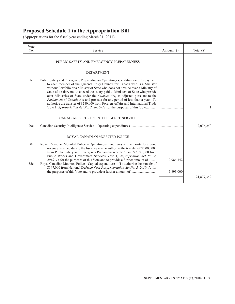| Vote<br>No. | Service                                                                                                                                                                                                                                                                                                                                                                                                                                                                                                                                                                                                                                                                     | Amount (\$) | Total $(\$)$ |
|-------------|-----------------------------------------------------------------------------------------------------------------------------------------------------------------------------------------------------------------------------------------------------------------------------------------------------------------------------------------------------------------------------------------------------------------------------------------------------------------------------------------------------------------------------------------------------------------------------------------------------------------------------------------------------------------------------|-------------|--------------|
|             | PUBLIC SAFETY AND EMERGENCY PREPAREDNESS                                                                                                                                                                                                                                                                                                                                                                                                                                                                                                                                                                                                                                    |             |              |
|             | <b>DEPARTMENT</b>                                                                                                                                                                                                                                                                                                                                                                                                                                                                                                                                                                                                                                                           |             |              |
| 1c          | Public Safety and Emergency Preparedness – Operating expenditures and the payment<br>to each member of the Queen's Privy Council for Canada who is a Minister<br>without Portfolio or a Minister of State who does not preside over a Ministry of<br>State of a salary not to exceed the salary paid to Ministers of State who preside<br>over Ministries of State under the Salaries Act, as adjusted pursuant to the<br>Parliament of Canada Act and pro rata for any period of less than a year- To<br>authorize the transfer of \$280,000 from Foreign Affairs and International Trade<br>Vote 1, <i>Appropriation Act No. 2, 2010–11</i> for the purposes of this Vote |             | $\mathbf{1}$ |
|             | CANADIAN SECURITY INTELLIGENCE SERVICE                                                                                                                                                                                                                                                                                                                                                                                                                                                                                                                                                                                                                                      |             |              |
| 20c         |                                                                                                                                                                                                                                                                                                                                                                                                                                                                                                                                                                                                                                                                             |             | 2,076,250    |
|             | ROYAL CANADIAN MOUNTED POLICE                                                                                                                                                                                                                                                                                                                                                                                                                                                                                                                                                                                                                                               |             |              |
| 50c         | Royal Canadian Mounted Police – Operating expenditures and authority to expend<br>revenue received during the fiscal year - To authorize the transfer of \$5,000,000<br>from Public Safety and Emergency Preparedness Vote 5, and \$2,671,000 from<br>Public Works and Government Services Vote 1, Appropriation Act No. 2,                                                                                                                                                                                                                                                                                                                                                 |             |              |
| 55c         | 2010–11 for the purposes of this Vote and to provide a further amount of<br>Royal Canadian Mounted Police - Capital expenditures - To authorize the transfer of                                                                                                                                                                                                                                                                                                                                                                                                                                                                                                             | 19,984,342  |              |
|             | \$147,000 from National Defence Vote 5, Appropriation Act No. 2, 2010-11 for                                                                                                                                                                                                                                                                                                                                                                                                                                                                                                                                                                                                | 1,893,000   |              |
|             |                                                                                                                                                                                                                                                                                                                                                                                                                                                                                                                                                                                                                                                                             |             | 21,877,342   |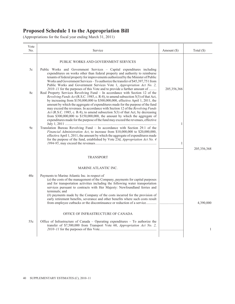| Vote<br>No.                | Service                                                                                                                                                                                                                                                                                                                                                                                                                                                                                                                                                                                                                                                                                                                                                                                                                                                                                                                                                                                                                                                                                                                                                                                                                                                                                                                                                                                                                                                                                                                                     | Amount $(\$)$      | Total $(\$)$  |
|----------------------------|---------------------------------------------------------------------------------------------------------------------------------------------------------------------------------------------------------------------------------------------------------------------------------------------------------------------------------------------------------------------------------------------------------------------------------------------------------------------------------------------------------------------------------------------------------------------------------------------------------------------------------------------------------------------------------------------------------------------------------------------------------------------------------------------------------------------------------------------------------------------------------------------------------------------------------------------------------------------------------------------------------------------------------------------------------------------------------------------------------------------------------------------------------------------------------------------------------------------------------------------------------------------------------------------------------------------------------------------------------------------------------------------------------------------------------------------------------------------------------------------------------------------------------------------|--------------------|---------------|
| 5c<br>8c<br>9 <sub>c</sub> | PUBLIC WORKS AND GOVERNMENT SERVICES<br>Public Works and Government Services - Capital expenditures including<br>expenditures on works other than federal property and authority to reimburse<br>tenants of federal property for improvements authorized by the Minister of Public<br>Works and Government Services - To authorize the transfer of \$45,397,751 from<br>Public Works and Government Services Vote 1, Appropriation Act No. 2,<br>2010–11 for the purposes of this Vote and to provide a further amount of<br>Real Property Services Revolving Fund - In accordance with Section 12 of the<br>Revolving Funds Act (R.S.C. 1985, c. R-8), to amend subsection 5(3) of that Act,<br>by increasing from \$150,000,000 to \$300,000,000, effective April 1, 2011, the<br>amount by which the aggregate of expenditures made for the purpose of the fund<br>may exceed the revenues. In accordance with Section 12 of the Revolving Funds<br>Act (R.S.C. 1985, c. R-8), to amend subsection 5(3) of that Act, by decreasing<br>from $$300,000,000$ to $$150,000,000$ , the amount by which the aggregate of<br>expenditures made for the purpose of the fund may exceed the revenues, effective<br>Translation Bureau Revolving Fund - In accordance with Section 29.1 of the<br>Financial Administration Act, to increase from \$10,000,000 to \$20,000,000,<br>effective April 1, 2011, the amount by which the aggregate of expenditures made<br>for the purpose of the fund, established by Vote 23d, Appropriation Act No. 4 | 205, 356, 366<br>1 |               |
|                            |                                                                                                                                                                                                                                                                                                                                                                                                                                                                                                                                                                                                                                                                                                                                                                                                                                                                                                                                                                                                                                                                                                                                                                                                                                                                                                                                                                                                                                                                                                                                             | 1                  | 205, 356, 368 |
|                            | <b>TRANSPORT</b><br>MARINE ATLANTIC INC.                                                                                                                                                                                                                                                                                                                                                                                                                                                                                                                                                                                                                                                                                                                                                                                                                                                                                                                                                                                                                                                                                                                                                                                                                                                                                                                                                                                                                                                                                                    |                    |               |
| 40c                        | Payments to Marine Atlantic Inc. in respect of<br>$(a)$ the costs of the management of the Company, payments for capital purposes<br>and for transportation activities including the following water transportation<br>services pursuant to contracts with Her Majesty: Newfoundland ferries and<br>terminals; and<br>$(b)$ payments made by the Company of the costs incurred for the provision of<br>early retirement benefits, severance and other benefits where such costs result<br>from employee cutbacks or the discontinuance or reduction of a service                                                                                                                                                                                                                                                                                                                                                                                                                                                                                                                                                                                                                                                                                                                                                                                                                                                                                                                                                                            |                    | 4,390,000     |
|                            | OFFICE OF INFRASTRUCTURE OF CANADA                                                                                                                                                                                                                                                                                                                                                                                                                                                                                                                                                                                                                                                                                                                                                                                                                                                                                                                                                                                                                                                                                                                                                                                                                                                                                                                                                                                                                                                                                                          |                    |               |
| 55c                        | Office of Infrastructure of Canada – Operating expenditures – To authorize the<br>transfer of \$7,500,000 from Transport Vote 60, Appropriation Act No. 2,                                                                                                                                                                                                                                                                                                                                                                                                                                                                                                                                                                                                                                                                                                                                                                                                                                                                                                                                                                                                                                                                                                                                                                                                                                                                                                                                                                                  |                    | $\mathbf{1}$  |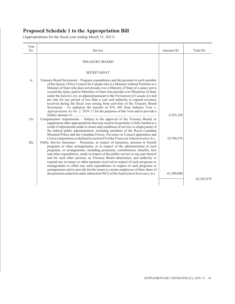| Vote<br>No. | Service                                                                                                                                                                                                                                                                                                                                                                                                                                                                                                                                                                                                                                                                                                                                                                                                                                          | Amount $(\$)$            | Total $(\$)$ |
|-------------|--------------------------------------------------------------------------------------------------------------------------------------------------------------------------------------------------------------------------------------------------------------------------------------------------------------------------------------------------------------------------------------------------------------------------------------------------------------------------------------------------------------------------------------------------------------------------------------------------------------------------------------------------------------------------------------------------------------------------------------------------------------------------------------------------------------------------------------------------|--------------------------|--------------|
|             | <b>TREASURY BOARD</b>                                                                                                                                                                                                                                                                                                                                                                                                                                                                                                                                                                                                                                                                                                                                                                                                                            |                          |              |
|             | <b>SECRETARIAT</b>                                                                                                                                                                                                                                                                                                                                                                                                                                                                                                                                                                                                                                                                                                                                                                                                                               |                          |              |
| 1c          | Treasury Board Secretariat – Program expenditures and the payment to each member<br>of the Queen's Privy Council for Canada who is a Minister without Portfolio or a<br>Minister of State who does not preside over a Ministry of State of a salary not to<br>exceed the salary paid to Ministers of State who preside over Ministries of State<br>under the Salaries Act, as adjusted pursuant to the Parliament of Canada Act and<br>pro rata for any period of less than a year and authority to expend revenues<br>received during the fiscal year arising from activities of the Treasury Board<br>Secretariat - To authorize the transfer of \$74, 805 from Industry Vote 1,<br>Appropriation Act No. 2, 2010-11 for the purposes of this Vote and to provide a                                                                            | 8,295,109                |              |
| 15c         | Compensation Adjustments - Subject to the approval of the Treasury Board, to<br>supplement other appropriations that may need to be partially or fully funded as a<br>result of adjustments made to terms and conditions of service or employment of<br>the federal public administration, including members of the Royal Canadian<br>Mounted Police and the Canadian Forces, Governor in Council appointees and                                                                                                                                                                                                                                                                                                                                                                                                                                 |                          |              |
| 20c         | Crown corporations as defined in section 83 of the Financial Administration Act<br>Public Service Insurance – Payments, in respect of insurance, pension or benefit<br>programs or other arrangements, or in respect of the administration of such<br>programs, or arrangements, including premiums, contributions, benefits, fees<br>and other expenditures, made in respect of the public service or any part thereof<br>and for such other persons, as Treasury Board determines, and authority to<br>expend any revenues or other amounts received in respect of such programs or<br>arrangements to offset any such expenditures in respect of such programs or<br>arrangements and to provide for the return to certain employees of their share of<br>the premium reduction under subsection 96(3) of the <i>Employment Insurance Act</i> | 10,790,570<br>63,300,000 |              |
|             |                                                                                                                                                                                                                                                                                                                                                                                                                                                                                                                                                                                                                                                                                                                                                                                                                                                  |                          | 82,385,679   |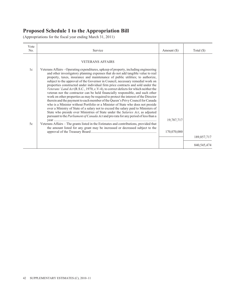| Vote<br>No. | Service                                                                                                                                                                                                                                                                                                                                                                                                                                                                                                                                                                                                                                                                                                                                                                                                                                                                                                                                                                                                                                                                                                                                  | Amount $(\$)$ | Total $(\$)$  |
|-------------|------------------------------------------------------------------------------------------------------------------------------------------------------------------------------------------------------------------------------------------------------------------------------------------------------------------------------------------------------------------------------------------------------------------------------------------------------------------------------------------------------------------------------------------------------------------------------------------------------------------------------------------------------------------------------------------------------------------------------------------------------------------------------------------------------------------------------------------------------------------------------------------------------------------------------------------------------------------------------------------------------------------------------------------------------------------------------------------------------------------------------------------|---------------|---------------|
|             | <b>VETERANS AFFAIRS</b>                                                                                                                                                                                                                                                                                                                                                                                                                                                                                                                                                                                                                                                                                                                                                                                                                                                                                                                                                                                                                                                                                                                  |               |               |
| 1c          | Veterans Affairs – Operating expenditures, upkeep of property, including engineering<br>and other investigatory planning expenses that do not add tangible value to real<br>property, taxes, insurance and maintenance of public utilities; to authorize,<br>subject to the approval of the Governor in Council, necessary remedial work on<br>properties constructed under individual firm price contracts and sold under the<br>Veterans' Land Act (R.S.C., 1970, c.V-4), to correct defects for which neither the<br>veteran nor the contractor can be held financially responsible, and such other<br>work on other properties as may be required to protect the interest of the Director<br>therein and the payment to each member of the Queen's Privy Council for Canada<br>who is a Minister without Portfolio or a Minister of State who does not preside<br>over a Ministry of State of a salary not to exceed the salary paid to Ministers of<br>State who preside over Ministries of State under the Salaries Act, as adjusted<br>pursuant to the <i>Parliament of Canada Act</i> and pro rata for any period of less than a |               |               |
| 5c          | Veterans Affairs - The grants listed in the Estimates and contributions, provided that<br>the amount listed for any grant may be increased or decreased subject to the                                                                                                                                                                                                                                                                                                                                                                                                                                                                                                                                                                                                                                                                                                                                                                                                                                                                                                                                                                   | 19,787,717    |               |
|             |                                                                                                                                                                                                                                                                                                                                                                                                                                                                                                                                                                                                                                                                                                                                                                                                                                                                                                                                                                                                                                                                                                                                          | 170,070,000   |               |
|             |                                                                                                                                                                                                                                                                                                                                                                                                                                                                                                                                                                                                                                                                                                                                                                                                                                                                                                                                                                                                                                                                                                                                          |               | 189,857,717   |
|             |                                                                                                                                                                                                                                                                                                                                                                                                                                                                                                                                                                                                                                                                                                                                                                                                                                                                                                                                                                                                                                                                                                                                          |               | 840, 545, 474 |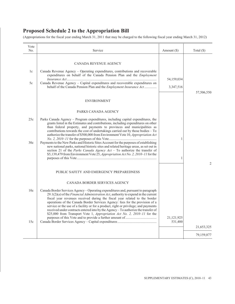(Appropriations for the fiscal year ending March 31, 2011 that may be charged to the following fiscal year ending March 31, 2012)

| Vote<br>No. | Service                                                                                                                                                                                                                                                                                                                                                                                                                                                                                                                                                                                                                                                                                                                                                                                       | Amount $(\$)$           | Total (\$)               |
|-------------|-----------------------------------------------------------------------------------------------------------------------------------------------------------------------------------------------------------------------------------------------------------------------------------------------------------------------------------------------------------------------------------------------------------------------------------------------------------------------------------------------------------------------------------------------------------------------------------------------------------------------------------------------------------------------------------------------------------------------------------------------------------------------------------------------|-------------------------|--------------------------|
| 1c<br>5c    | CANADA REVENUE AGENCY<br>Canada Revenue Agency – Operating expenditures, contributions and recoverable<br>expenditures on behalf of the Canada Pension Plan and the Employment<br>Canada Revenue Agency - Capital expenditures and recoverable expenditures on<br>behalf of the Canada Pension Plan and the <i>Employment Insurance Act</i><br><b>ENVIRONMENT</b>                                                                                                                                                                                                                                                                                                                                                                                                                             | 54,159,034<br>3,347,516 | 57,506,550               |
| 25c<br>30c  | PARKS CANADA AGENCY<br>Parks Canada Agency – Program expenditures, including capital expenditures, the<br>grants listed in the Estimates and contributions, including expenditures on other<br>than federal property, and payments to provinces and municipalities as<br>contributions towards the cost of undertakings carried out by those bodies - To<br>authorize the transfer of \$500,000 from Environment Vote 10, Appropriation Act<br>Payments to the New Parks and Historic Sites Account for the purposes of establishing<br>new national parks, national historic sites and related heritage areas, as set out in<br>section 21 of the Parks Canada Agency $Act$ – To authorize the transfer of<br>\$5,139,479 from Environment Vote 25, Appropriation Act No. 2, 2010-11 for the | 1<br>$\mathbf{1}$       | 2                        |
| 10c<br>15c  | PUBLIC SAFETY AND EMERGENCY PREPAREDNESS<br>CANADA BORDER SERVICES AGENCY<br>Canada Border Services Agency – Operating expenditures and, pursuant to paragraph<br>$29.1(2)(a)$ of the <i>Financial Administration Act</i> , authority to expend in the current<br>fiscal year revenues received during the fiscal year related to the border<br>operations of the Canada Border Services Agency: fees for the provision of a<br>service or the use of a facility or for a product, right or privilege; and payments<br>received under contracts entered into by the Agency - To authorize the transfer of<br>\$25,000 from Transport Vote 1, Appropriation Act No. 2, 2010-11 for the                                                                                                         | 21,121,925<br>531,400   | 21,653,325<br>79,159,877 |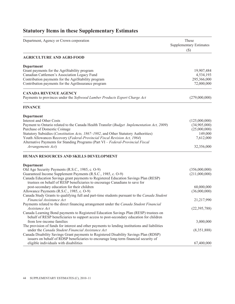# **Statutory Items in these Supplementary Estimates**

| Department, Agency or Crown corporation                                                                                                   | These<br><b>Supplementary Estimates</b><br>$(\$\)$ |
|-------------------------------------------------------------------------------------------------------------------------------------------|----------------------------------------------------|
| <b>AGRICULTURE AND AGRI-FOOD</b>                                                                                                          |                                                    |
| <b>Department</b>                                                                                                                         |                                                    |
| Grant payments for the AgriStability program                                                                                              | 19,907,484                                         |
| Canadian Cattlemen's Association Legacy Fund                                                                                              | 4,534,193                                          |
| Contribution payments for the AgriStability program<br>Contribution payments for the AgriInsurance program                                | 295,366,000<br>72,000,000                          |
| <b>CANADA REVENUE AGENCY</b>                                                                                                              |                                                    |
| Payments to provinces under the Softwood Lumber Products Export Charge Act                                                                | (279,000,000)                                      |
| <b>FINANCE</b>                                                                                                                            |                                                    |
| <b>Department</b>                                                                                                                         |                                                    |
| Interest and Other Costs                                                                                                                  | (125,000,000)                                      |
| Payment to Ontario related to the Canada Health Transfer (Budget Implementation Act, 2009)                                                | (34,905,000)                                       |
| Purchase of Domestic Coinage<br>Statutory Subsidies (Constitution Acts, 1867-1982, and Other Statutory Authorities)                       | (25,000,000)<br>149,000                            |
| Youth Allowances Recovery (Federal-Provincial Fiscal Revision Act, 1964)                                                                  | 7,612,000                                          |
| Alternative Payments for Standing Programs (Part VI - Federal-Provincial Fiscal                                                           |                                                    |
| Arrangements Act)                                                                                                                         | 32,356,000                                         |
| HUMAN RESOURCES AND SKILLS DEVELOPMENT                                                                                                    |                                                    |
| <b>Department</b>                                                                                                                         |                                                    |
| Old Age Security Payments (R.S.C., 1985, c. O-9)                                                                                          | (356,000,000)                                      |
| Guaranteed Income Supplement Payments (R.S.C., 1985, c. O-9)                                                                              | (211,000,000)                                      |
| Canada Education Savings grant payments to Registered Education Savings Plan (RESP)                                                       |                                                    |
| trustees on behalf of RESP beneficiaries to encourage Canadians to save for                                                               |                                                    |
| post-secondary education for their children                                                                                               | 60,000,000                                         |
| Allowance Payments (R.S.C., 1985, c. O-9)<br>Canada Study Grants to qualifying full and part-time students pursuant to the Canada Student | (36,000,000)                                       |
| Financial Assistance Act                                                                                                                  | 21,217,990                                         |
| Payments related to the direct financing arrangement under the Canada Student Financial                                                   |                                                    |
| Assistance Act                                                                                                                            | (22, 395, 788)                                     |
| Canada Learning Bond payments to Registered Education Savings Plan (RESP) trustees on                                                     |                                                    |
| behalf of RESP beneficiaries to support access to post-secondary education for children                                                   |                                                    |
| from low-income families                                                                                                                  | 3,000,000                                          |
| The provision of funds for interest and other payments to lending institutions and liabilities                                            |                                                    |
| under the Canada Student Financial Assistance Act                                                                                         | (8,351,888)                                        |
| Canada Disability Savings Grant payments to Registered Disability Savings Plan (RDSP)                                                     |                                                    |
| issuers on behalf of RDSP beneficiaries to encourage long-term financial security of                                                      |                                                    |
| eligible individuals with disabilities                                                                                                    | 67,400,000                                         |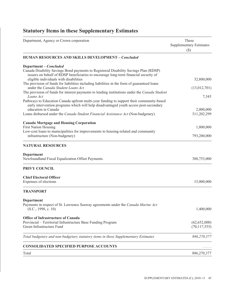# **Statutory Items in these Supplementary Estimates**

| Department, Agency or Crown corporation                                                                                                                                                                                                                                                                                                                                                                                                                                                                                                                                                                                                                                                                                                                                                               | These<br><b>Supplementary Estimates</b><br>$(\$\)$              |
|-------------------------------------------------------------------------------------------------------------------------------------------------------------------------------------------------------------------------------------------------------------------------------------------------------------------------------------------------------------------------------------------------------------------------------------------------------------------------------------------------------------------------------------------------------------------------------------------------------------------------------------------------------------------------------------------------------------------------------------------------------------------------------------------------------|-----------------------------------------------------------------|
| <b>HUMAN RESOURCES AND SKILLS DEVELOPMENT - Concluded</b>                                                                                                                                                                                                                                                                                                                                                                                                                                                                                                                                                                                                                                                                                                                                             |                                                                 |
| Department - Concluded<br>Canada Disability Savings Bond payments to Registered Disability Savings Plan (RDSP)<br>issuers on behalf of RDSP beneficiaries to encourage long-term financial security of<br>eligible individuals with disabilities<br>The provision of funds for liabilities including liabilities in the form of guaranteed loans<br>under the Canada Student Loans Act<br>The provision of funds for interest payments to lending institutions under the Canada Student<br>Loans Act<br>Pathways to Education Canada upfront multi-year funding to support their community-based<br>early intervention programs which will help disadvantaged youth access post-secondary<br>education in Canada<br>Loans disbursed under the Canada Student Financial Assistance Act (Non-budgetary) | 32,800,000<br>(13,012,701)<br>7,343<br>2,000,000<br>311,202,299 |
| <b>Canada Mortgage and Housing Corporation</b><br><b>First Nation Housing</b><br>Low-cost loans to municipalities for improvements to housing-related and community<br>infrastructure (Non-budgetary)                                                                                                                                                                                                                                                                                                                                                                                                                                                                                                                                                                                                 | 1,800,000<br>793,200,000                                        |
| <b>NATURAL RESOURCES</b><br>Department<br>Newfoundland Fiscal Equalization Offset Payments                                                                                                                                                                                                                                                                                                                                                                                                                                                                                                                                                                                                                                                                                                            | 388,753,000                                                     |
| PRIVY COUNCIL                                                                                                                                                                                                                                                                                                                                                                                                                                                                                                                                                                                                                                                                                                                                                                                         |                                                                 |
| <b>Chief Electoral Officer</b><br>Expenses of elections                                                                                                                                                                                                                                                                                                                                                                                                                                                                                                                                                                                                                                                                                                                                               | 15,000,000                                                      |
| <b>TRANSPORT</b>                                                                                                                                                                                                                                                                                                                                                                                                                                                                                                                                                                                                                                                                                                                                                                                      |                                                                 |
| <b>Department</b><br>Payments in respect of St. Lawrence Seaway agreements under the Canada Marine Act<br>(S.C., 1998, c. 10)                                                                                                                                                                                                                                                                                                                                                                                                                                                                                                                                                                                                                                                                         | 1,400,000                                                       |
| Office of Infrastructure of Canada<br>Provincial - Territorial Infrastructure Base Funding Program<br>Green Infrastructure Fund                                                                                                                                                                                                                                                                                                                                                                                                                                                                                                                                                                                                                                                                       | (62, 652, 000)<br>(70, 117, 555)                                |
| Total budgetary and non-budgetary statutory items in these Supplementary Estimates                                                                                                                                                                                                                                                                                                                                                                                                                                                                                                                                                                                                                                                                                                                    | 886,270,377                                                     |
| <b>CONSOLIDATED SPECIFIED PURPOSE ACCOUNTS</b>                                                                                                                                                                                                                                                                                                                                                                                                                                                                                                                                                                                                                                                                                                                                                        |                                                                 |
| Total                                                                                                                                                                                                                                                                                                                                                                                                                                                                                                                                                                                                                                                                                                                                                                                                 | 886,270,377                                                     |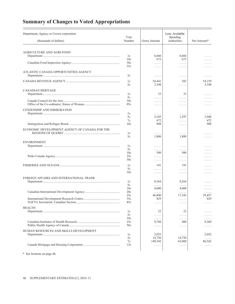## **Summary of Changes to Voted Appropriations**

| Department, Agency or Crown corporation       | Vote       |                                            | Less: Available<br>Spending               |                      |
|-----------------------------------------------|------------|--------------------------------------------|-------------------------------------------|----------------------|
| (thousands of dollars)                        | Number     | Gross Amount                               | Authorities                               | Net Amount*          |
| AGRICULTURE AND AGRI-FOOD                     |            |                                            |                                           |                      |
|                                               | 1c         | 6,666                                      | 6,666                                     | .                    |
|                                               | 10c        | 673                                        | 673                                       | .                    |
|                                               | 30c        | .                                          | .                                         | .                    |
|                                               | 35c        | .                                          | .                                         | .                    |
| ATLANTIC CANADA OPPORTUNITIES AGENCY          |            |                                            |                                           |                      |
|                                               | 5c         |                                            |                                           |                      |
|                                               |            | $\ldots$                                   | 1.1.1.1                                   | .                    |
|                                               | 1c         | 54,441                                     | 282                                       | 54.159               |
|                                               | 5c         | 3,348                                      | .                                         | 3,348                |
| <b>CANADIAN HERITAGE</b>                      |            |                                            |                                           |                      |
|                                               | 1c         | 33                                         | 33                                        | .                    |
|                                               | 5c         | $\mathbb{Z}^2$ . The set of $\mathbb{Z}^2$ | $\mathbb{Z}^n$ . In the $\mathbb{Z}^n$    | .                    |
|                                               | 10c        | .                                          | 1.1.1.1                                   | .                    |
|                                               | 95c        | $\cdots$                                   | .                                         | .                    |
|                                               |            |                                            |                                           |                      |
| CITIZENSHIP AND IMMIGRATION                   | 1c         |                                            |                                           |                      |
|                                               | 5c         | .<br>5,245                                 | $\cdots$<br>1,297                         | .<br>3,948           |
|                                               | 7c         | 472                                        | .                                         | 472                  |
|                                               | 10c        | 908                                        | $\ldots$                                  | 908                  |
|                                               |            |                                            |                                           |                      |
| ECONOMIC DEVELOPMENT AGENCY OF CANADA FOR THE |            |                                            |                                           |                      |
|                                               | 1c         | .                                          | .                                         | .                    |
|                                               | 5c         | 1,800                                      | 1,800                                     | .                    |
| <b>ENVIRONMENT</b>                            |            |                                            |                                           |                      |
|                                               | 1c         | $\mathbb{Z}^2$ . The set of $\mathbb{Z}^2$ | $\dots$                                   | .                    |
|                                               | 5c         | .                                          | .                                         | .                    |
|                                               | 10c        | 500                                        | 500                                       | .                    |
|                                               | 25c        | $\mathbb{Z}^2$ . The set of $\mathbb{Z}^2$ | $\alpha$ , $\alpha$ , $\alpha$ , $\alpha$ | .                    |
|                                               | 30c        | $\cdots$                                   | $\dots$                                   | .                    |
|                                               | 1c         | 191                                        | 191                                       |                      |
|                                               | 5c         | $\mathbb{Z}^2$ . The set of $\mathbb{Z}^2$ | $\alpha$ , $\alpha$ , $\alpha$ , $\alpha$ | .<br>.               |
|                                               | 10c        | $\cdots$                                   | .                                         | .                    |
|                                               |            |                                            |                                           |                      |
| FOREIGN AFFAIRS AND INTERNATIONAL TRADE       |            |                                            |                                           |                      |
|                                               | 1c         | 8,364                                      | 8,364                                     | .                    |
|                                               | 5c         | .                                          | $\ldots$                                  | .                    |
|                                               | 10c<br>20c | 4,000                                      | 4,000                                     | .                    |
|                                               | 25c        | .<br>46,800                                | $\alpha$ is a set<br>17,343               | .<br>29.457          |
|                                               | 35c        | 829                                        | $\alpha$ , $\alpha$ , $\alpha$            | 829                  |
|                                               | 45c        | $\dots$                                    | $\cdots$                                  | $\cdots\cdots\cdots$ |
|                                               |            |                                            |                                           |                      |
| <b>HEALTH</b>                                 |            |                                            |                                           |                      |
|                                               | 1c         | 22                                         | 22                                        | .                    |
|                                               | 5c<br>10c  | .                                          | $\cdots$                                  | .                    |
|                                               | 25c        | .<br>9,760                                 | $\ldots$<br>400                           | .<br>9,360           |
|                                               | 50c        |                                            |                                           |                      |
|                                               |            | $\ldots$                                   | $\cdots$                                  | .                    |
| HUMAN RESOURCES AND SKILLS DEVELOPMENT        |            |                                            |                                           |                      |
|                                               | 1c         | 2,052                                      | $\cdots$                                  | 2,052                |
|                                               | 5c         | 14,750                                     | 14,750                                    | 1.1.1.1              |
|                                               | 7c         | 149,542                                    | 63,000                                    | 86,542               |
|                                               | 15c        | $\ldots$                                   | $\ldots$                                  | $\ldots$             |

\* See footnote on page 48.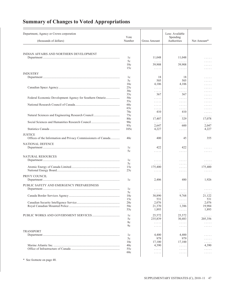| Department, Agency or Crown corporation                        | Vote           |                                                    | Less: Available<br>Spending            |                                                           |
|----------------------------------------------------------------|----------------|----------------------------------------------------|----------------------------------------|-----------------------------------------------------------|
| (thousands of dollars)                                         | Number         | Gross Amount                                       | Authorities                            | Net Amount*                                               |
|                                                                |                |                                                    |                                        |                                                           |
| INDIAN AFFAIRS AND NORTHERN DEVELOPMENT                        |                |                                                    |                                        |                                                           |
|                                                                | 1c             | 11,048                                             | 11,048                                 | .                                                         |
|                                                                | 5c             | $\ldots$                                           | .                                      | .                                                         |
|                                                                | 10c            | 39,908                                             | 39,908                                 | .                                                         |
|                                                                | 15c            | $\ldots$                                           | $\ldots$                               | .                                                         |
| <b>INDUSTRY</b>                                                |                |                                                    |                                        |                                                           |
|                                                                | 1c             | 18                                                 | 18                                     | .                                                         |
|                                                                | 5c             | 505                                                | 505                                    | .                                                         |
|                                                                | 10c<br>25c     | 4,106                                              | 4,106                                  | .                                                         |
|                                                                | 30c            | .                                                  | .                                      |                                                           |
|                                                                | 35c            | 1.1.1.1<br>367                                     | 1.1.1.1<br>367                         |                                                           |
| Federal Economic Development Agency for Southern Ontario       | 50c            | 1.1.1.1                                            | 1.1.1.1                                |                                                           |
|                                                                | 55c            | .                                                  | .                                      |                                                           |
|                                                                | 60c            | 1.1.1.1                                            | .                                      |                                                           |
|                                                                | 65c            | $\mathbb{Z}^n$ . In the $\mathbb{Z}^n$             | $\mathbb{Z}^n$ . In the $\mathbb{Z}^n$ | .                                                         |
|                                                                | 70c            | 410                                                | 410                                    | $\mathbb{Z}^n$ . In the $\mathbb{Z}^n$                    |
|                                                                | 75c            |                                                    | .                                      | .                                                         |
|                                                                | 80c<br>90c     | 17,407                                             | 329                                    | 17,078                                                    |
|                                                                | 95c            | .<br>2,647                                         | .<br>600                               | $\mathbb{Z}^n$ . $\mathbb{Z}^n$ , $\mathbb{Z}^n$<br>2,047 |
|                                                                | 105c           | 4,227                                              | .                                      | 4,227                                                     |
| <b>JUSTICE</b>                                                 |                |                                                    |                                        |                                                           |
| Offices of the Information and Privacy Commissioners of Canada | 40c            | 400                                                | 45                                     | 355                                                       |
| NATIONAL DEFENCE                                               |                |                                                    |                                        |                                                           |
|                                                                | 1c             | 422                                                | 422                                    | .                                                         |
|                                                                | 5c             | .                                                  | .                                      | .                                                         |
| NATURAL RESOURCES                                              |                |                                                    |                                        |                                                           |
|                                                                | 1c             | .                                                  | .                                      | $\mathbb{Z}^n$ . $\mathbb{Z}^n$ , $\mathbb{Z}^n$ ,        |
|                                                                | 5c             | .                                                  | .                                      | .                                                         |
|                                                                | 15c            | 175,400                                            | .                                      | 175,400                                                   |
|                                                                | 25c            | .                                                  | .                                      | $\ldots$                                                  |
| PRIVY COUNCIL                                                  |                |                                                    |                                        |                                                           |
|                                                                | 1c             | 2,406                                              | 480                                    | 1,926                                                     |
|                                                                |                |                                                    |                                        |                                                           |
| PUBLIC SAFETY AND EMERGENCY PREPAREDNESS                       |                |                                                    |                                        |                                                           |
|                                                                | 1c<br>5c       | $\mathbb{Z}^n$ . $\mathbb{Z}^n$ , $\mathbb{Z}^n$ , | .                                      | $\ldots$                                                  |
|                                                                | 10c            | $\cdots$<br>30,890                                 | .<br>9,768                             | 21,122                                                    |
|                                                                | 15c            | 531                                                | .                                      | 531                                                       |
|                                                                | $20\mathrm{c}$ | 2,076                                              | .                                      | 2,076                                                     |
|                                                                | 50c            | 21,370                                             | 1,386                                  | 19,984                                                    |
|                                                                | 55c            | 1,893                                              | .                                      | 1,893                                                     |
|                                                                | 1c             | 25,572                                             | 25,572                                 | .                                                         |
|                                                                | 5c             | 235,839                                            | 30,483                                 | 205,356                                                   |
|                                                                | 8c             | .                                                  | .                                      | .                                                         |
|                                                                | 9c             | .                                                  | .                                      | .                                                         |
| <b>TRANSPORT</b>                                               |                |                                                    |                                        |                                                           |
|                                                                | 1c             | 4,400                                              | 4,400                                  |                                                           |
|                                                                | 5c             | 979                                                | 979                                    | .<br>.                                                    |
|                                                                | 10c            | 17,100                                             | 17,100                                 | .                                                         |
|                                                                | 40c            | 4,390                                              | .                                      | 4,390                                                     |
|                                                                | 55c            | .                                                  | .                                      | .                                                         |
|                                                                | 60c            | .                                                  | .                                      | .                                                         |
|                                                                |                |                                                    |                                        |                                                           |

## **Summary of Changes to Voted Appropriations**

\* See footnote on page 48.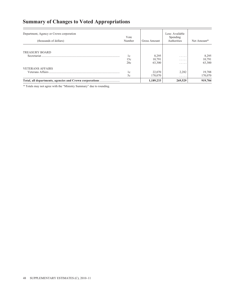## **Summary of Changes to Voted Appropriations**

| Department, Agency or Crown corporation<br>(thousands of dollars) | Vote<br>Number    | <b>Gross Amount</b>       | Less: Available<br>Spending<br>Authorities | Net Amount*               |
|-------------------------------------------------------------------|-------------------|---------------------------|--------------------------------------------|---------------------------|
| <b>TREASURY BOARD</b>                                             | l c<br>15c<br>20c | 8.295<br>10,791<br>63,300 | .<br>.<br>.                                | 8,295<br>10,791<br>63,300 |
| <b>VETERANS AFFAIRS</b>                                           | l c<br>5c         | 22,070<br>170,070         | 2.282<br>.                                 | 19,788<br>170,070         |
| Total, all departments, agencies and Crown corporations           |                   | 1,189,233                 | 269,529                                    | 919,704                   |

\* Totals may not agree with the "Ministry Summary" due to rounding.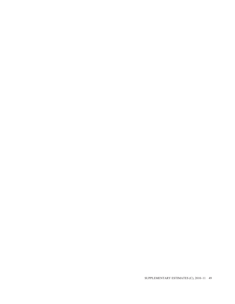SUPPLEMENTARY ESTIMATES (C), 2010–11 49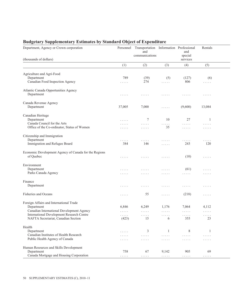| Department, Agency or Crown corporation<br>(thousands of dollars)                | Personnel  | Transportation Information Professional<br>and<br>communications |                      | and<br>special<br>services                     | Rentals                            |  |
|----------------------------------------------------------------------------------|------------|------------------------------------------------------------------|----------------------|------------------------------------------------|------------------------------------|--|
|                                                                                  | (1)        | (2)                                                              | (3)                  | (4)                                            | (5)                                |  |
|                                                                                  |            |                                                                  |                      |                                                |                                    |  |
| Agriculture and Agri-Food<br>Department<br>Canadian Food Inspection Agency       | 789<br>.   | (39)<br>274                                                      | (5)<br>.             | (127)<br>806                                   | (6)<br>$\ldots$                    |  |
| Atlantic Canada Opportunities Agency<br>Department                               | .          | .                                                                | .                    | .                                              | .                                  |  |
| Canada Revenue Agency<br>Department                                              | 37,005     | 7,000                                                            | 1.1.1.1              | (9,600)                                        | 13,084                             |  |
| Canadian Heritage                                                                |            |                                                                  |                      |                                                |                                    |  |
| Department<br>Canada Council for the Arts                                        | .          | 7                                                                | 10                   | 27                                             | 1                                  |  |
| Office of the Co-ordinator, Status of Women                                      | .<br>.     | $\ldots$<br>.                                                    | .<br>35              | .<br>.                                         | $\cdots$<br>.                      |  |
| Citizenship and Immigration<br>Department                                        | .          | .                                                                | .                    | .                                              | .                                  |  |
| Immigration and Refugee Board                                                    | 384        | 146                                                              | $\cdots$             | 243                                            | 120                                |  |
| Economic Development Agency of Canada for the Regions<br>of Quebec               | .          | .                                                                | $\ldots$             | (10)                                           | $\ldots$                           |  |
| Environment                                                                      |            |                                                                  |                      |                                                |                                    |  |
| Department<br>Parks Canada Agency                                                | .<br>.     | .<br>.                                                           | $\cdots$<br>$\cdots$ | (61)<br>$\mathbb{Z}^n$ . In the $\mathbb{Z}^n$ | $\cdots$<br>$\cdots$               |  |
| Finance<br>Department                                                            | .          | .                                                                | .                    | .                                              | .                                  |  |
| <b>Fisheries and Oceans</b>                                                      | .          | 55                                                               | $\cdots$             | (218)                                          | $\cdots$                           |  |
| Foreign Affairs and International Trade<br>Department                            | 6,846      | 6,249                                                            | 1,176                | 7,064                                          | 4,112                              |  |
| Canadian International Development Agency                                        | .          | $\sim$ $\sim$ $\sim$ $\sim$ $\sim$                               | $\ldots$             | $\sim$ $\sim$ $\sim$ $\sim$ $\sim$             | $\sim$ $\sim$ $\sim$ $\sim$ $\sim$ |  |
| International Development Research Centre<br>NAFTA Secretariat, Canadian Section | .<br>(423) | .<br>15                                                          | $\ldots$<br>6        | $\sim$ $\sim$ $\sim$ $\sim$ $\sim$<br>355      | $\ldots$<br>23                     |  |
| Health                                                                           |            |                                                                  |                      |                                                |                                    |  |
| Department                                                                       | .          | 3                                                                | $\mathbf{1}$         | 8                                              | 1                                  |  |
| Canadian Institutes of Health Research<br>Public Health Agency of Canada         | .<br>.     | .<br>.                                                           | .<br>.               | .<br>$\cdots\cdots\cdots$                      | .<br>.                             |  |
| Human Resources and Skills Development                                           |            |                                                                  |                      |                                                |                                    |  |
| Department                                                                       | 758        | 67                                                               | 9,142                | 905                                            | 69                                 |  |
| Canada Mortgage and Housing Corporation                                          | $\ldots$   | $\sim$ $\sim$ $\sim$ $\sim$ $\sim$                               | $\ldots$             | $\sim$ $\sim$ $\sim$ $\sim$ $\sim$             | $\sim$ $\sim$ $\sim$ $\sim$ $\sim$ |  |

## **Budgetary Supplementary Estimates by Standard Object of Expenditure**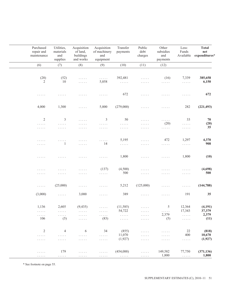| Purchased<br>repair and<br>maintenance | Utilities,<br>materials<br>and<br>supplies                               | Acquisition<br>of land,<br>buildings<br>and works | Acquisition<br>of machinery<br>and<br>equipment | Transfer<br>payments                           | Public<br>debt<br>charges          | Other<br>subsidies<br>and<br>payments | Less:<br>Funds<br>Available                                        | <b>Total</b><br>$\mathbf{net}$<br>expenditures* |
|----------------------------------------|--------------------------------------------------------------------------|---------------------------------------------------|-------------------------------------------------|------------------------------------------------|------------------------------------|---------------------------------------|--------------------------------------------------------------------|-------------------------------------------------|
| (6)                                    | (7)                                                                      | (8)                                               | (9)                                             | (10)                                           | (11)                               | (12)                                  |                                                                    |                                                 |
|                                        |                                                                          |                                                   |                                                 |                                                |                                    |                                       |                                                                    |                                                 |
| (28)                                   | (52)                                                                     | .                                                 | $\alpha$ is a set of                            | 392,481                                        | $\cdots$                           | (16)                                  | 7,339                                                              | 385,658                                         |
| $\overline{c}$                         | 10                                                                       | $\ldots$                                          | 5,058                                           | $\ldots$                                       | .                                  | .                                     | .                                                                  | 6,150                                           |
|                                        |                                                                          |                                                   |                                                 |                                                |                                    |                                       |                                                                    |                                                 |
| .                                      | .                                                                        | .                                                 | $\sim$ $\sim$ $\sim$ $\sim$ $\sim$              | 672                                            | .                                  | .                                     | .                                                                  | 672                                             |
|                                        |                                                                          |                                                   |                                                 |                                                |                                    |                                       |                                                                    |                                                 |
| 4,000                                  | 1,300                                                                    |                                                   | 5,000                                           | (279,000)                                      |                                    |                                       | 282                                                                | (221, 493)                                      |
|                                        |                                                                          | $\ldots$                                          |                                                 |                                                | $\sim$ $\sim$ $\sim$ $\sim$ $\sim$ | $\ldots$                              |                                                                    |                                                 |
|                                        |                                                                          |                                                   |                                                 |                                                |                                    |                                       |                                                                    |                                                 |
| $\sqrt{2}$                             | $\mathfrak{Z}$                                                           | .                                                 | 3                                               | 50                                             | .                                  | $\ldots$<br>(20)                      | 33                                                                 | 70<br>(20)                                      |
| $\cdots$<br>$\cdots\cdots\cdots$       | $\sim$ $\sim$ $\sim$ $\sim$ $\sim$<br>$\sim$ $\sim$ $\sim$ $\sim$ $\sim$ | $\cdots$<br>$\cdots\cdots\cdots$                  | $\sim$ $\sim$ $\sim$ $\sim$ $\sim$<br>.         | $\ldots$<br>$\sim$ $\sim$ $\sim$ $\sim$ $\sim$ | $\cdots$<br>.                      | .                                     | $\mathbb{Z}^2$ . $\mathbb{Z}^2$ , $\mathbb{Z}^2$<br>$\cdots\cdots$ | 35                                              |
|                                        |                                                                          |                                                   |                                                 |                                                |                                    |                                       |                                                                    |                                                 |
|                                        |                                                                          |                                                   |                                                 | 5,195                                          |                                    | 472                                   | 1,297                                                              | 4,370                                           |
| .<br>$\ldots$                          | .<br>$\mathbf{1}$                                                        | $\cdots$<br>.                                     | $\cdots$<br>14                                  | $\ldots$                                       | .<br>$\cdots$                      | .                                     | $\ldots$                                                           | 908                                             |
|                                        |                                                                          |                                                   |                                                 |                                                |                                    |                                       |                                                                    |                                                 |
| .                                      | .                                                                        | .                                                 | $\ldots$                                        | 1,800                                          | $\sim$ $\sim$ $\sim$ $\sim$ $\sim$ | $\sim$ $\sim$ $\sim$ $\sim$ $\sim$    | 1,800                                                              | (10)                                            |
|                                        |                                                                          |                                                   |                                                 |                                                |                                    |                                       |                                                                    |                                                 |
| .                                      | .                                                                        | .                                                 | (137)                                           | (4,500)                                        | $\cdots$                           | .                                     | $\cdots$                                                           | (4,698)                                         |
| $\sim$ $\sim$ $\sim$ $\sim$ $\sim$     | .                                                                        | $\sim$ $\sim$ $\sim$ $\sim$ $\sim$                | $\ldots$                                        | 500                                            | $\ldots$                           | $\cdots$                              | $\sim$ $\sim$ $\sim$ $\sim$ $\sim$                                 | 500                                             |
|                                        |                                                                          |                                                   |                                                 |                                                |                                    |                                       |                                                                    |                                                 |
| $\ldots$                               | (25,000)                                                                 | .                                                 | 1.1.1.1                                         | 5,212                                          | (125,000)                          | .                                     | .                                                                  | (144, 788)                                      |
|                                        |                                                                          |                                                   |                                                 |                                                |                                    |                                       |                                                                    |                                                 |
| (3,000)                                | $\alpha$ , $\alpha$ , $\alpha$                                           | 3,000                                             | $\sim$ $\sim$ $\sim$ $\sim$ $\sim$              | 389                                            | $\sim$ $\sim$ $\sim$ $\sim$ $\sim$ | $\sim$ $\sim$ $\sim$ $\sim$ $\sim$    | 191                                                                | 35                                              |
|                                        |                                                                          |                                                   |                                                 |                                                |                                    |                                       |                                                                    |                                                 |
| 1,136                                  | 2,605                                                                    | (9, 435)                                          | $\ldots$                                        | (11, 585)                                      | .                                  | 5                                     | 12,364                                                             | (4,191)                                         |
| $\ldots$                               | $\sim$ $\sim$ $\sim$ $\sim$ $\sim$                                       | $\sim$ $\sim$ $\sim$ $\sim$ $\sim$                | $\mathbb{Z}^n$ . In the $\mathbb{Z}^n$          | 54,722                                         | $\ldots$                           | $\ldots$                              | 17,343                                                             | 37,379                                          |
| $\ldots$<br>106                        | $\ldots$<br>(5)                                                          | $\mathbb{Z}^n$ . In the $\mathbb{Z}^n$            | $\sim$ $\sim$ $\sim$ $\sim$ $\sim$<br>(83)      | $\alpha$ , $\alpha$ , $\alpha$                 | $\sim$ $\sim$ $\sim$ $\sim$ $\sim$ | 2,379<br>(5)                          | $\ldots$                                                           | 2,379<br>(11)                                   |
|                                        |                                                                          | $\ldots$                                          |                                                 | $\alpha$ is a set of                           | .                                  |                                       | $\ldots$                                                           |                                                 |
| $\mathfrak{2}$                         | $\overline{4}$                                                           | 6                                                 | 34                                              | (855)                                          |                                    |                                       | $22\,$                                                             | (818)                                           |
| .                                      | .                                                                        | .                                                 | .                                               | 11,070                                         | .<br>.                             | .<br>.                                | 400                                                                | 10,670                                          |
| .                                      | .                                                                        | .                                                 | $\ldots$                                        | (1,927)                                        | .                                  | .                                     | $\dots$                                                            | (1,927)                                         |
|                                        |                                                                          |                                                   |                                                 |                                                |                                    |                                       |                                                                    |                                                 |
| $\ldots$                               | 179                                                                      | $\ldots$                                          | .                                               | (454, 088)                                     | .                                  | 149,582                               | 77,750                                                             | (371, 136)                                      |
| $\sim$ $\sim$ $\sim$ $\sim$ $\sim$     | $\alpha$ , $\alpha$ , $\alpha$ , $\alpha$                                | $\sim$ $\sim$ $\sim$ $\sim$ $\sim$                | $\sim$ $\sim$ $\sim$ $\sim$ $\sim$              | $\sim$ $\sim$ $\sim$ $\sim$ $\sim$             | $\ldots$                           | 1,800                                 | $\dots$                                                            | 1,800                                           |

\* See footnote on page 55.

SUPPLEMENTARY ESTIMATES (C), 2010–11 51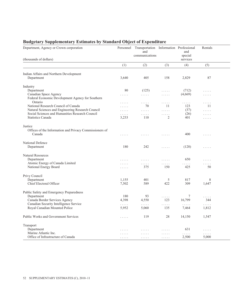| Department, Agency or Crown corporation                                 | Personnel  | Transportation Information Professional<br>and |                                                                   | and                 | Rentals                            |  |
|-------------------------------------------------------------------------|------------|------------------------------------------------|-------------------------------------------------------------------|---------------------|------------------------------------|--|
| (thousands of dollars)                                                  |            | communications                                 |                                                                   | special<br>services |                                    |  |
|                                                                         | (1)        | (2)                                            | (3)                                                               | (4)                 | (5)                                |  |
| Indian Affairs and Northern Development                                 |            |                                                |                                                                   |                     |                                    |  |
| Department                                                              | 3,640      | 405                                            | 158                                                               | 2,829               | 87                                 |  |
| Industry                                                                |            |                                                |                                                                   |                     |                                    |  |
| Department                                                              | 80         | (125)                                          | 1.1.1.1                                                           | (712)               | .                                  |  |
| Canadian Space Agency                                                   | .          | .                                              | $\mathbb{Z}^2$ . $\mathbb{Z}^2$ , $\mathbb{Z}^2$ , $\mathbb{Z}^2$ | (4,669)             | .                                  |  |
| Federal Economic Development Agency for Southern                        |            |                                                |                                                                   |                     |                                    |  |
| Ontario<br>National Research Council of Canada                          | .          | .<br>70                                        | .<br>11                                                           | 1.1.1.1<br>123      | .<br>11                            |  |
| Natural Sciences and Engineering Research Council                       | .<br>.     | .                                              | .                                                                 | (37)                | .                                  |  |
| Social Sciences and Humanities Research Council                         | .          | .                                              | .                                                                 | (26)                | .                                  |  |
| <b>Statistics Canada</b>                                                | 3,233      | 110                                            | $\mathfrak{2}$                                                    | 401                 | $\cdots$                           |  |
| Justice                                                                 |            |                                                |                                                                   |                     |                                    |  |
| Offices of the Information and Privacy Commissioners of                 |            |                                                |                                                                   |                     |                                    |  |
| Canada                                                                  | .          | .                                              | .                                                                 | 400                 | $\sim$ $\sim$ $\sim$ $\sim$ $\sim$ |  |
| National Defence                                                        |            |                                                |                                                                   |                     |                                    |  |
| Department                                                              | 180        | 242                                            | .                                                                 | (128)               | $\ldots$                           |  |
| <b>Natural Resources</b>                                                |            |                                                |                                                                   |                     |                                    |  |
| Department                                                              | .          | $\ldots$                                       | $\mathbb{Z}^2$ . $\mathbb{Z}^2$ , $\mathbb{Z}^2$ , $\mathbb{Z}^2$ | 650                 | .                                  |  |
| Atomic Energy of Canada Limited                                         | .          | $\ldots$                                       | $\ldots$                                                          | .                   | .                                  |  |
| National Energy Board                                                   | .          | 375                                            | 150                                                               | 425                 | 50                                 |  |
| Privy Council                                                           |            |                                                |                                                                   |                     |                                    |  |
| Department                                                              | 1,155      | 401                                            | 5                                                                 | 817                 | 8                                  |  |
| Chief Electoral Officer                                                 | 7,502      | 589                                            | 422                                                               | 309                 | 1,647                              |  |
| Public Safety and Emergency Preparedness                                |            |                                                |                                                                   |                     |                                    |  |
| Department                                                              | 180        | 93                                             | .                                                                 | 7                   | $\cdots$                           |  |
| Canada Border Services Agency                                           | 4,398      | 4,550                                          | 123                                                               | 16,799              | 344                                |  |
| Canadian Security Intelligence Service<br>Royal Canadian Mounted Police | .<br>5,952 | .<br>5,060                                     | .<br>135                                                          | 7,464               | .<br>1,812                         |  |
|                                                                         |            |                                                |                                                                   |                     |                                    |  |
| Public Works and Government Services                                    | .          | 119                                            | 28                                                                | 14,150              | 1,547                              |  |
| Transport                                                               |            |                                                |                                                                   |                     |                                    |  |
| Department                                                              | $\cdots$   | $\ldots$                                       | .                                                                 | 631                 | .                                  |  |
| Marine Atlantic Inc.                                                    | .          | $\cdots$                                       | $\cdots$                                                          | $\ldots$            | .                                  |  |
| Office of Infrastructure of Canada                                      | $\cdots$   | $\cdots$                                       | .                                                                 | 2,500               | 5,000                              |  |

## **Budgetary Supplementary Estimates by Standard Object of Expenditure**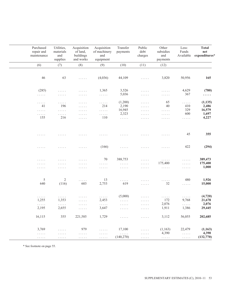| Purchased<br>repair and<br>maintenance | Utilities,<br>materials<br>and<br>supplies       | Acquisition<br>of land,<br>buildings<br>and works | Acquisition<br>of machinery<br>and<br>equipment | Transfer<br>payments           | Public<br>$\mathrm{debt}$<br>charges                                     | Other<br>subsidies<br>and<br>payments | Less:<br>Funds<br>Available                                                  | <b>Total</b><br>net<br>expenditures* |
|----------------------------------------|--------------------------------------------------|---------------------------------------------------|-------------------------------------------------|--------------------------------|--------------------------------------------------------------------------|---------------------------------------|------------------------------------------------------------------------------|--------------------------------------|
| (6)                                    | (7)                                              | (8)                                               | (9)                                             | (10)                           | (11)                                                                     | (12)                                  |                                                                              |                                      |
|                                        |                                                  |                                                   |                                                 |                                |                                                                          |                                       |                                                                              |                                      |
| 46                                     | 63                                               | .                                                 | (4,036)                                         | 44,109                         | $\sim$ $\sim$ $\sim$ $\sim$                                              | 3,820                                 | 50,956                                                                       | 165                                  |
| (285)                                  | .                                                | .                                                 | 1,365                                           | 3,526                          | 1.1.1.1                                                                  | .                                     | 4,629                                                                        | (780)                                |
| $\ldots$                               | $\ldots$ .                                       | .                                                 | $\ldots$                                        | 5,036                          | .                                                                        | $\ldots$                              | 367                                                                          | .                                    |
| .<br>41<br>$\ldots$                    | .<br>196<br>.                                    | .<br>.<br>.                                       | .<br>214<br>$\ldots$                            | (1,200)<br>2,190<br>16,945     | $\ldots$<br>$\sim$ $\sim$ $\sim$ $\sim$ $\sim$<br>$\ldots$               | 65<br>40<br>.                         | .<br>410<br>329                                                              | (1,135)<br>2,486<br>16,579           |
| .                                      | $\mathbb{R}^n$ . $\mathbb{R}^n$ , $\mathbb{R}^n$ | .                                                 | $\ldots$                                        | 2,323                          | $\alpha$ , $\alpha$ , $\alpha$                                           | .                                     | 600                                                                          | 1,697                                |
| 155                                    | 216                                              | .                                                 | 110                                             | .                              | .                                                                        | .                                     | .                                                                            | 4,227                                |
| .                                      | .                                                | .                                                 | .                                               | .                              | .                                                                        | .                                     | $45\,$                                                                       | 355                                  |
| $\sim$ $\sim$ $\sim$ $\sim$ $\sim$     | 1.1.1.1                                          | .                                                 | (166)                                           | .                              | 1.1.1.1                                                                  | .                                     | 422                                                                          | (294)                                |
| $\sim$ $\sim$ $\sim$ $\sim$ $\sim$     | $\sim$ $\sim$ $\sim$ $\sim$ $\sim$               | .                                                 | 70                                              | 388,753                        | .                                                                        | .                                     | $\ldots$                                                                     | 389,473                              |
| .                                      | $\dots$                                          | $\ldots$                                          | $\ldots$                                        | $\ldots$                       | $\ldots$                                                                 | 175,400                               | .                                                                            | 175,400<br>1,000                     |
| $\sim$ $\sim$ $\sim$ $\sim$ $\sim$     | $\sim$ $\sim$ $\sim$ $\sim$ $\sim$               | .                                                 | .                                               | .                              | $\sim$ $\sim$ $\sim$ $\sim$ $\sim$                                       | $\ldots$                              | $\mathbb{Z}^2$ , $\mathbb{Z}^2$ , $\mathbb{Z}^2$                             |                                      |
| 5<br>640                               | $\sqrt{2}$<br>(116)                              | .<br>603                                          | 13<br>2,753                                     | .<br>619                       | .<br>.                                                                   | .<br>32                               | 480<br>.                                                                     | 1,926<br>15,000                      |
| .<br>1,255                             | .<br>1,353                                       | .<br>$\ldots$                                     | .<br>2,453                                      | (5,000)<br>$\ldots$            | $\alpha$ is a set of<br>$\alpha$ , $\alpha$ , $\alpha$                   | .<br>172                              | $\ldots$<br>9,768                                                            | (4,720)<br>21,678                    |
| .                                      | .                                                | .                                                 | $\cdots$                                        | $\alpha$ , $\alpha$ , $\alpha$ | $\ldots$                                                                 | 2,076                                 | $\ldots$ .                                                                   | 2,076                                |
| 2,195                                  | 2,655                                            | $\ldots$                                          | 3,647                                           | $\dots$                        | $\sim$ $\sim$ $\sim$ $\sim$ $\sim$                                       | 1,911                                 | 1,386                                                                        | 29,445                               |
| 16,115                                 | 355                                              | 221,585                                           | 1,729                                           | .                              | $\sim$ $\sim$ $\sim$ $\sim$ $\sim$                                       | 3,112                                 | 56,055                                                                       | 202,685                              |
| 3,769                                  | $\sim$ $\sim$ $\sim$ $\sim$ $\sim$               | 979                                               | .                                               | 17,100                         | .                                                                        | (1,163)                               | 22,479                                                                       | (1,163)                              |
| .<br>$\ldots$                          | .<br>$\ldots$                                    | .<br>$\ldots$                                     | $\ldots$<br>$\alpha$ is a set of                | .<br>(140,270)                 | $\sim$ $\sim$ $\sim$ $\sim$ $\sim$<br>$\sim$ $\sim$ $\sim$ $\sim$ $\sim$ | 4,390<br>$\sim$ $\sim$ $\sim$ $\sim$  | $\mathbb{Z}^2$ . The set of $\mathbb{Z}^2$<br>$\alpha$ , $\alpha$ , $\alpha$ | 4,390<br>(132,770)                   |
|                                        |                                                  |                                                   |                                                 |                                |                                                                          |                                       |                                                                              |                                      |

\* See footnote on page 55.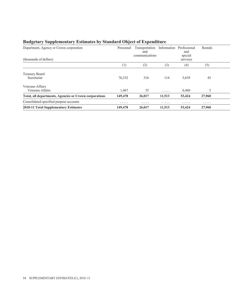| Department, Agency or Crown corporation<br>(thousands of dollars) | Personnel | Transportation<br>and<br>communications | Information | Professional<br>and<br>special<br>services | Rentals |  |
|-------------------------------------------------------------------|-----------|-----------------------------------------|-------------|--------------------------------------------|---------|--|
|                                                                   | (1)       | (2)                                     | (3)         | (4)                                        | (5)     |  |
| <b>Treasury Board</b><br>Secretariat                              | 76,332    | 316                                     | 114         | 5,639                                      | 45      |  |
| Veterans Affairs<br>Veterans Affairs                              | 1,467     | 35                                      | .           | 6,460                                      | 5       |  |
| Total, all departments, Agencies or Crown corporations            | 149,478   | 26,017                                  | 11,513      | 53,424                                     | 27,960  |  |
| Consolidated specified purpose accounts                           | .         | .                                       | .           | .                                          | .       |  |
| 2010-11 Total Supplementary Estimates                             | 149,478   | 26,017                                  | 11,513      | 53,424                                     | 27,960  |  |

## **Budgetary Supplementary Estimates by Standard Object of Expenditure**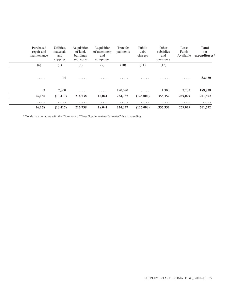| Purchased<br>repair and<br>maintenance | Utilities,<br>materials<br>and<br>supplies | Acquisition<br>of land,<br>buildings<br>and works | Acquisition<br>of machinery<br>and<br>equipment | Transfer<br>payments | Public<br>debt<br>charges | Other<br>subsidies<br>and<br>payments | Less:<br>Funds<br>Available | <b>Total</b><br>net<br>expenditures* |
|----------------------------------------|--------------------------------------------|---------------------------------------------------|-------------------------------------------------|----------------------|---------------------------|---------------------------------------|-----------------------------|--------------------------------------|
| (6)                                    | (7)                                        | (8)                                               | (9)                                             | (10)                 | (11)                      | (12)                                  |                             |                                      |
| .                                      | 14                                         | .                                                 | .                                               | .                    | .                         | .                                     | .                           | 82,460                               |
| 3                                      | 2,800                                      | $\cdots\cdots\cdots$                              | $\cdots$                                        | 170,070              | .                         | 11,300                                | 2,282                       | 189,858                              |
| 26,158                                 | (13, 417)                                  | 216,738                                           | 18,041                                          | 224,337              | (125,000)                 | 355,352                               | 269,029                     | 701,572                              |
| $\cdots\cdots\cdots$                   | .                                          | .                                                 | .                                               | .                    | .                         | .                                     | .                           | .                                    |
| 26,158                                 | (13, 417)                                  | 216,738                                           | 18,041                                          | 224,337              | (125,000)                 | 355,352                               | 269,029                     | 701,572                              |

\* Totals may not agree with the "Summary of These Supplementary Estimates" due to rounding.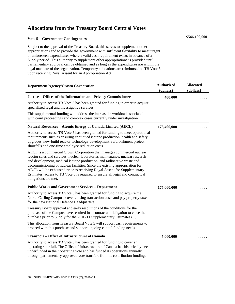## **Vote 5 – Government Contingencies \$546,100,000**

Subject to the approval of the Treasury Board, this serves to supplement other appropriations and to provide the government with sufficient flexibility to meet urgent or unforeseen expenditures where a valid cash requirement exists in advance of a Supply period. This authority to supplement other appropriations is provided until parliamentary approval can be obtained and as long as the expenditures are within the legal mandate of the organization. Temporary allocations are reimbursed to TB Vote 5 upon receiving Royal Assent for an Appropriation Act.

| <b>Department/Agency/Crown Corporation</b>                                                                                                                                                                                                                                                                                                                                                                                                                                                              | <b>Authorized</b><br>(dollars) | <b>Allocated</b><br>(dollars) |
|---------------------------------------------------------------------------------------------------------------------------------------------------------------------------------------------------------------------------------------------------------------------------------------------------------------------------------------------------------------------------------------------------------------------------------------------------------------------------------------------------------|--------------------------------|-------------------------------|
| Justice – Offices of the Information and Privacy Commissioners                                                                                                                                                                                                                                                                                                                                                                                                                                          | 400,000                        |                               |
| Authority to access TB Vote 5 has been granted for funding in order to acquire<br>specialized legal and investigative services.                                                                                                                                                                                                                                                                                                                                                                         |                                |                               |
| This supplemental funding will address the increase in workload associated<br>with court proceedings and complex cases currently under investigation.                                                                                                                                                                                                                                                                                                                                                   |                                |                               |
| Natural Resources - Atomic Energy of Canada Limited (AECL)                                                                                                                                                                                                                                                                                                                                                                                                                                              | 175,400,000                    |                               |
| Authority to access TB Vote 5 has been granted for funding to meet operational<br>requirements such as ensuring continued isotope production, health and safety<br>upgrades, new-build reactor technology development, refurbishment project<br>shortfalls and one-time employee reduction costs                                                                                                                                                                                                        |                                |                               |
| AECL is a commercial Crown Corporation that manages commercial nuclear<br>reactor sales and services, nuclear laboratories maintenance, nuclear research<br>and development, medical isotope production, and radioactive waste and<br>decommissioning of nuclear facilities. Since the existing appropriation for<br>AECL will be exhausted prior to receiving Royal Assent for Supplementary<br>Estimates, access to TB Vote 5 is required to ensure all legal and contractual<br>obligations are met. |                                |                               |
| <b>Public Works and Government Services - Department</b>                                                                                                                                                                                                                                                                                                                                                                                                                                                | 175,000,000                    |                               |
| Authority to access TB Vote 5 has been granted for funding to acquire the<br>Nortel Carling Campus, cover closing transaction costs and pay property taxes<br>for the new National Defence Headquarters.                                                                                                                                                                                                                                                                                                |                                |                               |
| Treasury Board approval and early resolutions of the conditions for the<br>purchase of the Campus have resulted in a contractual obligation to close the<br>purchase prior to Supply for the 2010-11 Supplementary Estimates (C).                                                                                                                                                                                                                                                                       |                                |                               |
| This allocation from Treasury Board Vote 5 will support cash requirements to<br>proceed with this purchase and support ongoing capital funding needs.                                                                                                                                                                                                                                                                                                                                                   |                                |                               |
| <b>Transport - Office of Infrastructure of Canada</b>                                                                                                                                                                                                                                                                                                                                                                                                                                                   | 5,000,000                      |                               |
| Authority to access TB Vote 5 has been granted for funding to cover an<br>operating shortfall. The Office of Infrastructure of Canada has historically been<br>underfunded in their operating vote and has funded its operations annually<br>through parliamentary-approved vote transfers from its contribution funding.                                                                                                                                                                               |                                |                               |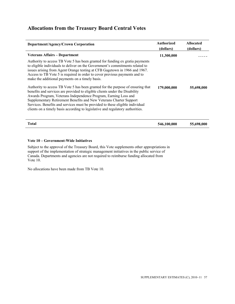| Department/Agency/Crown Corporation                                                                                                                                                                                                                                                                                                                                                                                                                                        | <b>Authorized</b><br>(dollars) | <b>Allocated</b><br>(dollars) |
|----------------------------------------------------------------------------------------------------------------------------------------------------------------------------------------------------------------------------------------------------------------------------------------------------------------------------------------------------------------------------------------------------------------------------------------------------------------------------|--------------------------------|-------------------------------|
| Veterans Affairs – Department                                                                                                                                                                                                                                                                                                                                                                                                                                              | 11,300,000                     |                               |
| Authority to access TB Vote 5 has been granted for funding ex gratia payments<br>to eligible individuals to deliver on the Government's commitments related to<br>issues arising from Agent Orange testing at CFB Gagetown in 1966 and 1967.<br>Access to TB Vote 5 is required in order to cover previous payments and to<br>make the additional payments on a timely basis.                                                                                              |                                |                               |
| Authority to access TB Vote 5 has been granted for the purpose of ensuring that<br>benefits and services are provided to eligible clients under the Disability<br>Awards Program, Veterans Independence Program, Earning Loss and<br>Supplementary Retirement Benefits and New Veterans Charter Support<br>Services. Benefits and services must be provided to these eligible individual<br>clients on a timely basis according to legislative and regulatory authorities. | 179,000,000                    | 55,698,000                    |
| Total                                                                                                                                                                                                                                                                                                                                                                                                                                                                      | 546,100,000                    | 55,698,000                    |

#### **Vote 10 – Government-Wide Initiatives**

Subject to the approval of the Treasury Board, this Vote supplements other appropriations in support of the implementation of strategic management initiatives in the public service of Canada. Departments and agencies are not required to reimburse funding allocated from Vote 10.

No allocations have been made from TB Vote 10.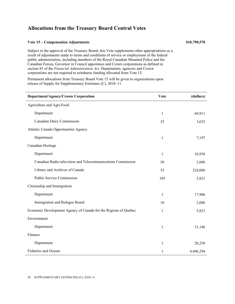#### Vote 15 – Compensation Adjustments **\$10,790,570**

Subject to the approval of the Treasury Board, this Vote supplements other appropriations as a result of adjustments made to terms and conditions of service or employment of the federal public administration, including members of the Royal Canadian Mounted Police and the Canadian Forces, Governor in Council appointees and Crown corporations as defined in section 83 of the *Financial Administration Act*. Departments, agencies and Crown corporations are not required to reimburse funding allocated from Vote 15.

Permanent allocations from Treasury Board Vote 15 will be given to organizations upon release of Supply for Supplementary Estimates (C), 2010–11.

| Department/Agency/Crown Corporation                             | Vote         | (dollars) |
|-----------------------------------------------------------------|--------------|-----------|
| Agriculture and Agri-Food                                       |              |           |
| Department                                                      | 1            | 69,911    |
| Canadian Dairy Commission                                       | 25           | 3,625     |
| Atlantic Canada Opportunities Agency                            |              |           |
| Department                                                      | $\mathbf{1}$ | 7,197     |
| Canadian Heritage                                               |              |           |
| Department                                                      | $\mathbf{1}$ | 10,930    |
| Canadian Radio-television and Telecommunications Commission     | 50           | 2,088     |
| Library and Archives of Canada                                  | 55           | 224,088   |
| <b>Public Service Commission</b>                                | 105          | 5,821     |
| Citizenship and Immigration                                     |              |           |
| Department                                                      | 1            | 17,906    |
| Immigration and Refugee Board                                   | 10           | 2,088     |
| Economic Development Agency of Canada for the Regions of Quebec | 1            | 5,821     |
| Environment                                                     |              |           |
| Department                                                      | $\mathbf{1}$ | 31,146    |
| Finance                                                         |              |           |
| Department                                                      | 1            | 20,250    |
| Fisheries and Oceans                                            | $\mathbf{1}$ | 4,496,294 |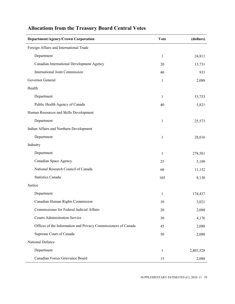| Department/Agency/Crown Corporation                            | <b>Vote</b>  | (dollars) |
|----------------------------------------------------------------|--------------|-----------|
| Foreign Affairs and International Trade                        |              |           |
| Department                                                     | 1            | 24,811    |
| Canadian International Development Agency                      | 20           | 13,731    |
| International Joint Commission                                 | 40           | 933       |
| Governor General                                               | $\mathbf{1}$ | 2,088     |
| Health                                                         |              |           |
| Department                                                     | 1            | 53,753    |
| Public Health Agency of Canada                                 | 40           | 5,821     |
| Human Resources and Skills Development                         |              |           |
| Department                                                     | $\mathbf{1}$ | 25,573    |
| Indian Affairs and Northern Development                        |              |           |
| Department                                                     | $\mathbf{1}$ | 28,616    |
| Industry                                                       |              |           |
| Department                                                     | $\mathbf{1}$ | 278,581   |
| Canadian Space Agency                                          | 25           | 5,109     |
| National Research Council of Canada                            | 60           | 11,152    |
| <b>Statistics Canada</b>                                       | 105          | 8,130     |
| Justice                                                        |              |           |
| Department                                                     | $\mathbf{1}$ | 174,437   |
| Canadian Human Rights Commission                               | 10           | 3,021     |
| Commissioner for Federal Judicial Affairs                      | 20           | 2,088     |
| <b>Courts Administration Service</b>                           | 30           | 4,176     |
| Offices of the Information and Privacy Commissioners of Canada | 45           | 2,088     |
| Supreme Court of Canada                                        | 50           | 2,088     |
| National Defence                                               |              |           |
| Department                                                     | $\mathbf{1}$ | 2,803,528 |
| Canadian Forces Grievance Board                                | 15           | 2,088     |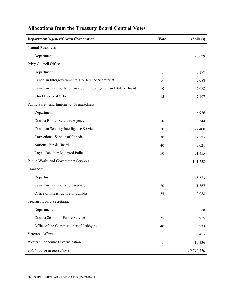| Department/Agency/Crown Corporation                             | Vote         | (dollars)  |
|-----------------------------------------------------------------|--------------|------------|
| <b>Natural Resources</b>                                        |              |            |
| Department                                                      | $\mathbf{1}$ | 20,029     |
| Privy Council Office                                            |              |            |
| Department                                                      | $\mathbf{1}$ | 7,197      |
| Canadian Intergovernmental Conference Secretariat               | 5            | 2,088      |
| Canadian Transportation Accident Investigation and Safety Board | 10           | 2,088      |
| Chief Electoral Officer                                         | 15           | 7,197      |
| Public Safety and Emergency Preparedness                        |              |            |
| Department                                                      | $\mathbf{1}$ | 6,976      |
| Canada Border Services Agency                                   | 10           | 23,544     |
| Canadian Security Intelligence Service                          | 20           | 2,024,400  |
| Correctional Service of Canada                                  | 30           | 32,925     |
| National Parole Board                                           | 40           | 3,021      |
| Royal Canadian Mounted Police                                   | 50           | 51,455     |
| <b>Public Works and Government Services</b>                     | $\mathbf{1}$ | 101,728    |
| Transport                                                       |              |            |
| Department                                                      | $\mathbf{1}$ | 45,623     |
| <b>Canadian Transportation Agency</b>                           | 30           | 1,867      |
| Office of Infrastructure of Canada                              | 55           | 2,088      |
| Treasury Board Secretariat                                      |              |            |
| Department                                                      | $\mathbf{1}$ | 60,688     |
| Canada School of Public Service                                 | 35           | 3,955      |
| Office of the Commissioner of Lobbying                          | 40           | 933        |
| Veterans Affairs                                                | $\mathbf{1}$ | 33,455     |
| Western Economic Diversification                                | $\mathbf{1}$ | 10,336     |
| Total approved allocations                                      |              | 10,790,570 |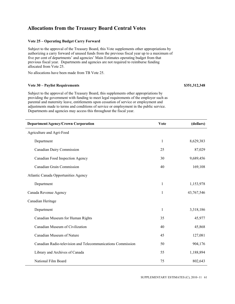#### **Vote 25 – Operating Budget Carry Forward**

Subject to the approval of the Treasury Board, this Vote supplements other appropriations by authorizing a carry forward of unused funds from the previous fiscal year up to a maximum of five per cent of departments' and agencies' Main Estimates operating budget from that previous fiscal year. Departments and agencies are not required to reimburse funding allocated from Vote 25.

No allocations have been made from TB Vote 25.

#### **Vote 30 – Paylist Requirements \$351,312,348**

Subject to the approval of the Treasury Board, this supplements other appropriations by providing the government with funding to meet legal requirements of the employer such as parental and maternity leave, entitlements upon cessation of service or employment and adjustments made to terms and conditions of service or employment in the public service. Departments and agencies may access this throughout the fiscal year.

| Department/Agency/Crown Corporation                         | <b>Vote</b>  | (dollars)  |
|-------------------------------------------------------------|--------------|------------|
| Agriculture and Agri-Food                                   |              |            |
| Department                                                  | $\mathbf{1}$ | 8,629,383  |
| Canadian Dairy Commission                                   | 25           | 87,029     |
| Canadian Food Inspection Agency                             | 30           | 9,689,456  |
| <b>Canadian Grain Commission</b>                            | 40           | 169,108    |
| Atlantic Canada Opportunities Agency                        |              |            |
| Department                                                  | $\mathbf{1}$ | 1,153,978  |
| Canada Revenue Agency                                       | $\mathbf{1}$ | 43,767,546 |
| Canadian Heritage                                           |              |            |
| Department                                                  | 1            | 3,318,186  |
| Canadian Museum for Human Rights                            | 35           | 45,977     |
| Canadian Museum of Civilization                             | 40           | 45,868     |
| Canadian Museum of Nature                                   | 45           | 127,081    |
| Canadian Radio-television and Telecommunications Commission | 50           | 904,176    |
| Library and Archives of Canada                              | 55           | 1,188,894  |
| National Film Board                                         | 75           | 802,643    |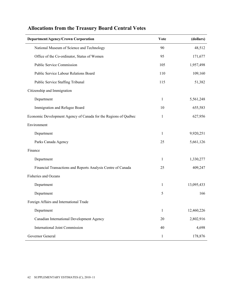| Department/Agency/Crown Corporation                             | <b>Vote</b>  | (dollars)  |
|-----------------------------------------------------------------|--------------|------------|
| National Museum of Science and Technology                       | 90           | 48,512     |
| Office of the Co-ordinator, Status of Women                     | 95           | 171,677    |
| Public Service Commission                                       | 105          | 1,957,498  |
| Public Service Labour Relations Board                           | 110          | 109,160    |
| Public Service Staffing Tribunal                                | 115          | 51,382     |
| Citizenship and Immigration                                     |              |            |
| Department                                                      | $\mathbf{1}$ | 5,561,248  |
| Immigration and Refugee Board                                   | 10           | 655,583    |
| Economic Development Agency of Canada for the Regions of Québec | 1            | 627,956    |
| Environment                                                     |              |            |
| Department                                                      | $\mathbf{1}$ | 9,920,251  |
| Parks Canada Agency                                             | 25           | 5,661,126  |
| Finance                                                         |              |            |
| Department                                                      | 1            | 1,330,277  |
| Financial Transactions and Reports Analysis Centre of Canada    | 25           | 409,247    |
| Fisheries and Oceans                                            |              |            |
| Department                                                      | 1            | 13,095,433 |
| Department                                                      | 5            | 166        |
| Foreign Affairs and International Trade                         |              |            |
| Department                                                      | $\mathbf{1}$ | 12,460,226 |
| Canadian International Development Agency                       | 20           | 2,802,916  |
| <b>International Joint Commission</b>                           | 40           | 4,698      |
| Governor General                                                | $\mathbf{1}$ | 178,876    |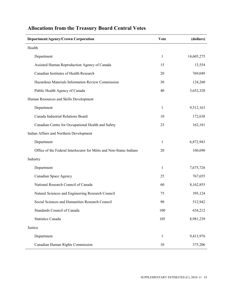| Department/Agency/Crown Corporation                                 | <b>Vote</b>  | (dollars)  |
|---------------------------------------------------------------------|--------------|------------|
| Health                                                              |              |            |
| Department                                                          | $\mathbf{1}$ | 14,605,275 |
| Assisted Human Reproduction Agency of Canada                        | 15           | 13,554     |
| Canadian Institutes of Health Research                              | 20           | 769,049    |
| Hazardous Materials Information Review Commission                   | 30           | 124,260    |
| Public Health Agency of Canada                                      | 40           | 3,652,320  |
| Human Resources and Skills Development                              |              |            |
| Department                                                          | 1            | 9,512,163  |
| Canada Industrial Relations Board                                   | 10           | 172,638    |
| Canadian Centre for Occupational Health and Safety                  | 25           | 162,181    |
| Indian Affairs and Northern Development                             |              |            |
| Department                                                          | 1            | 6,872,943  |
| Office of the Federal Interlocutor for Métis and Non-Status Indians | 20           | 160,690    |
| Industry                                                            |              |            |
| Department                                                          | 1            | 7,675,726  |
| Canadian Space Agency                                               | 25           | 767,655    |
| National Research Council of Canada                                 | 60           | 8,162,855  |
| Natural Sciences and Engineering Research Council                   | 75           | 395,124    |
| Social Sciences and Humanities Research Council                     | 90           | 512,942    |
| Standards Council of Canada                                         | 100          | 634,212    |
| <b>Statistics Canada</b>                                            | 105          | 8,981,239  |
| Justice                                                             |              |            |
| Department                                                          | 1            | 9,413,976  |
| Canadian Human Rights Commission                                    | 10           | 375,206    |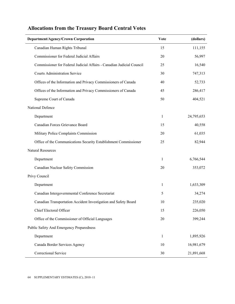| Department/Agency/Crown Corporation                                   | Vote         | (dollars)  |
|-----------------------------------------------------------------------|--------------|------------|
| Canadian Human Rights Tribunal                                        | 15           | 111,155    |
| <b>Commissioner for Federal Judicial Affairs</b>                      | 20           | 56,997     |
| Commissioner for Federal Judicial Affairs - Canadian Judicial Council | 25           | 16,540     |
| <b>Courts Administration Service</b>                                  | 30           | 747,313    |
| Offices of the Information and Privacy Commissioners of Canada        | 40           | 52,733     |
| Offices of the Information and Privacy Commissioners of Canada        | 45           | 286,417    |
| Supreme Court of Canada                                               | 50           | 404,521    |
| National Defence                                                      |              |            |
| Department                                                            | $\mathbf{1}$ | 24,795,653 |
| Canadian Forces Grievance Board                                       | 15           | 40,558     |
| Military Police Complaints Commission                                 | 20           | 61,035     |
| Office of the Communications Security Establishment Commissioner      | 25           | 82,944     |
| Natural Resources                                                     |              |            |
| Department                                                            | 1            | 6,766,544  |
| Canadian Nuclear Safety Commission                                    | 20           | 353,072    |
| Privy Council                                                         |              |            |
| Department                                                            | 1            | 1,633,309  |
| Canadian Intergovernmental Conference Secretariat                     | 5            | 34,274     |
| Canadian Transportation Accident Investigation and Safety Board       | 10           | 235,020    |
| Chief Electoral Officer                                               | 15           | 226,050    |
| Office of the Commissioner of Official Languages                      | 20           | 399,244    |
| Public Safety And Emergency Preparedness                              |              |            |
| Department                                                            | $\mathbf{1}$ | 1,895,926  |
| Canada Border Services Agency                                         | 10           | 16,981,679 |
| Correctional Service                                                  | 30           | 21,891,668 |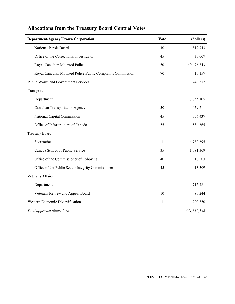| Department/Agency/Crown Corporation                        | Vote         | (dollars)   |
|------------------------------------------------------------|--------------|-------------|
| National Parole Board                                      | 40           | 819,743     |
| Office of the Correctional Investigator                    | 45           | 37,007      |
| Royal Canadian Mounted Police                              | 50           | 40,496,343  |
| Royal Canadian Mounted Police Public Complaints Commission | 70           | 10,157      |
| <b>Public Works and Government Services</b>                | $\mathbf{1}$ | 13,743,372  |
| Transport                                                  |              |             |
| Department                                                 | 1            | 7,855,105   |
| <b>Canadian Transportation Agency</b>                      | 30           | 459,711     |
| National Capital Commission                                | 45           | 756,437     |
| Office of Infrastructure of Canada                         | 55           | 534,665     |
| <b>Treasury Board</b>                                      |              |             |
| Secretariat                                                | $\mathbf{1}$ | 4,780,695   |
| Canada School of Public Service                            | 35           | 1,081,309   |
| Office of the Commissioner of Lobbying                     | 40           | 16,203      |
| Office of the Public Sector Integrity Commissioner         | 45           | 13,309      |
| <b>Veterans Affairs</b>                                    |              |             |
| Department                                                 | 1            | 4,715,481   |
| Veterans Review and Appeal Board                           | 10           | 80,244      |
| Western Economic Diversification                           | $\,1$        | 900,350     |
| Total approved allocations                                 |              | 351,312,348 |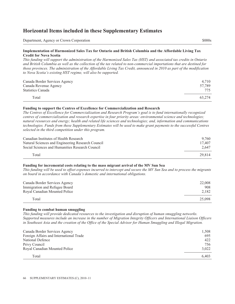### **Horizontal Items included in these Supplementary Estimates**

Department, Agency or Crown Corporation \$000s

#### **Implementation of Harmonized Sales Tax for Ontario and British Columbia and the Affordable Living Tax Credit for Nova Scotia**

*This funding will support the administration of the Harmonized Sales Tax (HST) and associated tax credits in Ontario and British Columbia as well as the collection of the tax related to non-commercial importations that are destined for those provinces. The administration of the Affordable Living Tax Credit, announced in 2010 as part of the modification to Nova Scotia's existing HST regime, will also be supported.*

| Canada Border Services Agency | 4.710  |
|-------------------------------|--------|
| Canada Revenue Agency         | 57,789 |
| <b>Statistics Canada</b>      | 775    |
| Total                         | 63.274 |

#### **Funding to support the Centres of Excellence for Commercialization and Research**

*The Centres of Excellence for Commercialization and Research Program's goal is to fund internationally recognized centres of commercialization and research expertise in four priority areas: environmental science and technologies; natural resources and energy; health and related life sciences and technologies; and, information and communications technologies. Funds from these Supplementary Estimates will be used to make grant payments to the successful Centres selected in the third competition under this program.*

| Canadian Institutes of Health Research            | 9.760  |
|---------------------------------------------------|--------|
| Natural Sciences and Engineering Research Council | 17.407 |
| Social Sciences and Humanities Research Council   | 2.647  |
| Total                                             | 29.814 |

#### **Funding for incremental costs relating to the mass migrant arrival of the MV Sun Sea**

*This funding will be used to offset expenses incurred to intercept and secure the MV Sun Sea and to process the migrants on board in accordance with Canada's domestic and international obligations.*

| Canada Border Services Agency | 22,008 |
|-------------------------------|--------|
| Immigration and Refugee Board | 908    |
| Royal Canadian Mounted Police | 2.182  |
| Total                         | 25,098 |

#### **Funding to combat human smuggling**

*This funding will provide dedicated resources to the investigation and disruption of human smuggling networks. Supported measures include an increase in the number of Migration Integrity Officers and International Liaison Officers in Southeast Asia and the creation of the Office of the Special Advisor for Human Smuggling and Illegal Migration.*

| Canada Border Services Agency           | 1,508 |
|-----------------------------------------|-------|
| Foreign Affairs and International Trade | 695   |
| National Defence                        | 422   |
| Privy Council                           | 756   |
| Royal Canadian Mounted Police           | 3.022 |
| Total                                   | 6.403 |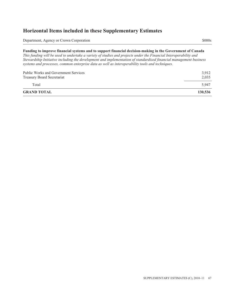### **Horizontal Items included in these Supplementary Estimates**

Department, Agency or Crown Corporation \$000s

### **Funding to improve financial systems and to support financial decision-making in the Government of Canada**

*This funding will be used to undertake a variety of studies and projects under the Financial Interoperability and Stewardship Initiative including the development and implementation of standardized financial management business systems and processes, common enterprise data as well as interoperability tools and techniques.*

| <b>GRAND TOTAL</b>                                                               | 130,536        |
|----------------------------------------------------------------------------------|----------------|
| Total                                                                            | 5.947          |
| <b>Public Works and Government Services</b><br><b>Treasury Board Secretariat</b> | 3.912<br>2.035 |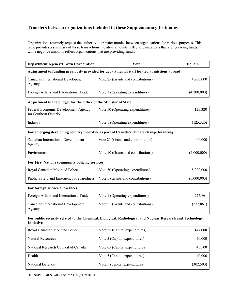Organizations routinely request the authority to transfer monies between organizations for various purposes. This table provides a summary of these transactions. Positive amounts reflect organizations that are receiving funds, while negative amounts reflect organizations that are providing funds.

| Department/Agency/Crown Corporation | 'ote | Vollars |
|-------------------------------------|------|---------|
|                                     |      |         |

#### **Adjustment to funding previously provided for departmental staff located at missions abroad**

| Canadian International Development<br>Agency | Vote 25 (Grants and contributions) | 4,200,000   |
|----------------------------------------------|------------------------------------|-------------|
| Foreign Affairs and International Trade      | Vote 1 (Operating expenditures)    | (4,200,000) |

#### **Adjustment to the budget for the Office of the Minister of State**

| Federal Economic Development Agency<br>for Southern Ontario | Vote 50 (Operating expenditures) | 125,320   |
|-------------------------------------------------------------|----------------------------------|-----------|
| Industry                                                    | Vote 1 (Operating expenditures)  | (125,320) |

#### **For emerging developing country priorities as part of Canada's climate change financing**

| Canadian International Development<br>Agency | Vote 25 (Grants and contributions) | 4,000,000   |
|----------------------------------------------|------------------------------------|-------------|
| Environment                                  | Vote 10 (Grants and contributions) | (4,000,000) |

#### **For First Nations community policing services**

| Royal Canadian Mounted Police            | Vote 50 (Operating expenditures)  | 5,000,000   |
|------------------------------------------|-----------------------------------|-------------|
| Public Safety and Emergency Preparedness | Vote 5 (Grants and contributions) | (5,000,000) |

#### **For foreign service allowances**

| Foreign Affairs and International Trade      | Vote 1 (Operating expenditures)    | 277,861    |
|----------------------------------------------|------------------------------------|------------|
| Canadian International Development<br>Agency | Vote 25 (Grants and contributions) | (277, 861) |

#### **For public security related to the Chemical, Biological, Radiological and Nuclear Research and Technology Initiative**

| Royal Canadian Mounted Police       | Vote 55 (Capital expenditures) | 147,000    |
|-------------------------------------|--------------------------------|------------|
| Natural Resources                   | Vote 5 (Capital expenditures)  | 70,000     |
| National Research Council of Canada | Vote 65 (Capital expenditures) | 45,500     |
| Health                              | Vote 5 (Capital expenditures)  | 40,000     |
| National Defence                    | Vote 5 (Capital expenditures)  | (302, 500) |

68 SUPPLEMENTARY ESTIMATES (C), 2010–11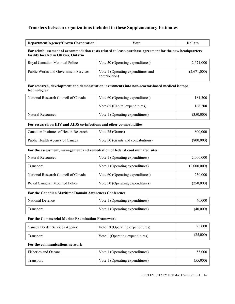| Department/Agency/Crown Corporation | v ote | Dollars |
|-------------------------------------|-------|---------|
|-------------------------------------|-------|---------|

#### **For reimbursement of accommodation costs related to lease-purchase agreement for the new headquarters facility located in Ottawa, Ontario**

| Royal Canadian Mounted Police               | Vote 50 (Operating expenditures)                    | 2,671,000   |
|---------------------------------------------|-----------------------------------------------------|-------------|
| <b>Public Works and Government Services</b> | Vote 1 (Operating expenditures and<br>contribution) | (2,671,000) |

#### **For research, development and demonstration investments into non-reactor-based medical isotope technologies**

| National Research Council of Canada | Vote 60 (Operating expenditures) | 181,300   |
|-------------------------------------|----------------------------------|-----------|
|                                     | Vote 65 (Capital expenditures)   | 168,700   |
| <b>Natural Resources</b>            | Vote 1 (Operating expenditures)  | (350,000) |

### **For research on HIV and AIDS co-infections and other co-morbidities**

| Canadian Institutes of Health Research | Vote 25 (Grants)                   | 800,000   |
|----------------------------------------|------------------------------------|-----------|
| Public Health Agency of Canada         | Vote 50 (Grants and contributions) | (800,000) |

#### **For the assessment, management and remediation of federal contaminated sites**

| <b>Natural Resources</b>            | Vote 1 (Operating expenditures)  | 2,000,000   |
|-------------------------------------|----------------------------------|-------------|
| Transport                           | Vote 1 (Operating expenditures)  | (2,000,000) |
| National Research Council of Canada | Vote 60 (Operating expenditures) | 250,000     |
| Royal Canadian Mounted Police       | Vote 50 (Operating expenditures) | (250,000)   |

#### **For the Canadian Maritime Domain Awareness Conference**

| National Defence | Vote 1 (Operating expenditures) | 40.000   |
|------------------|---------------------------------|----------|
| Transport        | Vote 1 (Operating expenditures) | (40,000) |

#### **For the Commercial Marine Examination Framework**

| Canada Border Services Agency | Vote 10 (Operating expenditures) | 25,000   |
|-------------------------------|----------------------------------|----------|
| Transport                     | Vote 1 (Operating expenditures)  | (25,000) |

#### **For the communications network**

| <b>Fisheries and Oceans</b> | Vote 1 (Operating expenditures) | 55,000   |
|-----------------------------|---------------------------------|----------|
| <b>Transport</b>            | Vote 1 (Operating expenditures) | (55,000) |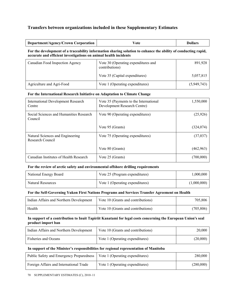| Department/Agency/Crown Corporation | V ote | Dollars |
|-------------------------------------|-------|---------|
|-------------------------------------|-------|---------|

#### **For the development of a traceability information sharing solution to enhance the ability of conducting rapid, accurate and efficient investigations on animal health incidents**

| Canadian Food Inspection Agency | Vote 30 (Operating expenditures and<br>contributions) | 891,928     |
|---------------------------------|-------------------------------------------------------|-------------|
|                                 | Vote 35 (Capital expenditures)                        | 5,057,815   |
| Agriculture and Agri-Food       | Vote 1 (Operating expenditures)                       | (5,949,743) |

#### **For the International Research Initiative on Adaptation to Climate Change**

| <b>International Development Research</b><br>Centre  | Vote 35 (Payments to the International<br>Development Research Centre) | 1,550,000  |
|------------------------------------------------------|------------------------------------------------------------------------|------------|
| Social Sciences and Humanities Research<br>Council   | Vote 90 (Operating expenditures)                                       | (25,926)   |
|                                                      | Vote 95 (Grants)                                                       | (324, 074) |
| Natural Sciences and Engineering<br>Research Council | Vote 75 (Operating expenditures)                                       | (37, 037)  |
|                                                      | Vote 80 (Grants)                                                       | (462,963)  |
| Canadian Institutes of Health Research               | Vote 25 (Grants)                                                       | (700,000)  |

#### **For the review of arctic safety and environmental offshore drilling requirements**

| National Energy Board | Vote 25 (Program expenditures)  | 1,000,000   |
|-----------------------|---------------------------------|-------------|
| Natural Resources     | Vote 1 (Operating expenditures) | (1,000,000) |

#### **For the Self-Governing Yukon First Nations Programs and Services Transfer Agreement on Health**

| Indian Affairs and Northern Development | Vote 10 (Grants and contributions) | 705,806    |
|-----------------------------------------|------------------------------------|------------|
| Health                                  | Vote 10 (Grants and contributions) | (705, 806) |

#### **In support of a contribution to Inuit Tapiriit Kanatami for legal costs concerning the European Union's seal product import ban**

| Indian Affairs and Northern Development | Vote 10 (Grants and contributions) | 20,000   |
|-----------------------------------------|------------------------------------|----------|
| <b>Fisheries and Oceans</b>             | Vote 1 (Operating expenditures)    | (20,000) |

#### **In support of the Minister's responsibilities for regional representation of Manitoba**

| Public Safety and Emergency Preparedness   Vote 1 (Operating expenditures) |                                 | 280,000   |
|----------------------------------------------------------------------------|---------------------------------|-----------|
| Foreign Affairs and International Trade                                    | Vote 1 (Operating expenditures) | (280,000) |

70 SUPPLEMENTARY ESTIMATES (C), 2010–11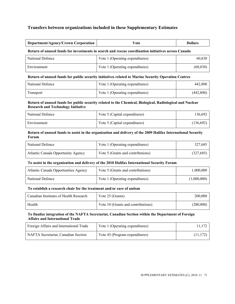| Department/Agency/Crown Corporation | ⁄ ote | Dollars |
|-------------------------------------|-------|---------|
|-------------------------------------|-------|---------|

#### **Return of unused funds for investments in search and rescue coordination initiatives across Canada**

| National Defence | Vote 1 (Operating expenditures) | 60,830    |
|------------------|---------------------------------|-----------|
| Environment      | Vote 1 (Operating expenditures) | (60, 830) |

#### **Return of unused funds for public security initiatives related to Marine Security Operation Centres**

| National Defence | Vote 1 (Operating expenditures) | 442,800   |
|------------------|---------------------------------|-----------|
| Transport        | Vote 1 (Operating expenditures) | (442,800) |

#### **Return of unused funds for public security related to the Chemical, Biological, Radiological and Nuclear Research and Technology Initiative**

| National Defence | Vote 5 (Capital expenditures) | 136,692   |
|------------------|-------------------------------|-----------|
| Environment      | Vote 5 (Capital expenditures) | (136,692) |

#### **Return of unused funds to assist in the organization and delivery of the 2009 Halifax International Security Forum**

| National Defence                   | Vote 1 (Operating expenditures)   | 327,685   |
|------------------------------------|-----------------------------------|-----------|
| Atlantic Canada Opportunity Agency | Vote 5 (Grants and contributions) | (327,685) |

#### **To assist in the organization and delivery of the 2010 Halifax International Security Forum**

| Atlantic Canada Opportunities Agency | Vote 5 (Grants and contributions) | 1,000,000   |
|--------------------------------------|-----------------------------------|-------------|
| National Defence                     | Vote 1 (Operating expenditures)   | (1,000,000) |

#### **To establish a research chair for the treatment and/or care of autism**

| Canadian Institutes of Health Research | Vote 25 (Grants)                   | 200.000   |
|----------------------------------------|------------------------------------|-----------|
| Health                                 | Vote 10 (Grants and contributions) | (200,000) |

#### **To finalize integration of the NAFTA Secretariat, Canadian Section within the Department of Foreign Affairs and International Trade**

| Foreign Affairs and International Trade | Vote 1 (Operating expenditures) | 11.172    |
|-----------------------------------------|---------------------------------|-----------|
| NAFTA Secretariat, Canadian Section     | Vote 45 (Program expenditures)  | (11, 172) |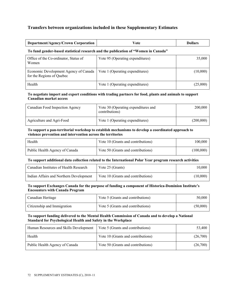| Department/Agency/Crown Corporation | `nt | <b>Dollars</b> |
|-------------------------------------|-----|----------------|
|                                     |     |                |

#### **To fund gender-based statistical research and the publication of "Women in Canada"**

| Office of the Co-ordinator, Status of<br>Women                     | Vote 95 (Operating expenditures) | 35,000   |
|--------------------------------------------------------------------|----------------------------------|----------|
| Economic Development Agency of Canada<br>for the Regions of Quebec | Vote 1 (Operating expenditures)  | (10,000) |
| Health                                                             | Vote 1 (Operating expenditures)  | (25,000) |

#### **To negotiate import and export conditions with trading partners for food, plants and animals to support Canadian market access**

| Canadian Food Inspection Agency | Vote 30 (Operating expenditures and<br>contributions) | 200,000   |
|---------------------------------|-------------------------------------------------------|-----------|
| Agriculture and Agri-Food       | Vote 1 (Operating expenditures)                       | (200,000) |

#### **To support a pan-territorial workshop to establish mechanisms to develop a coordinated approach to violence prevention and intervention across the territories**

| Health                         | Vote 10 (Grants and contributions) | 100.000   |
|--------------------------------|------------------------------------|-----------|
| Public Health Agency of Canada | Vote 50 (Grants and contributions) | (100,000) |

#### **To support additional data collection related to the International Polar Year program research activities**

| Canadian Institutes of Health Research  | Vote 25 (Grants)                   | 10.000   |
|-----------------------------------------|------------------------------------|----------|
| Indian Affairs and Northern Development | Vote 10 (Grants and contributions) | (10,000) |

#### **To support Exchanges Canada for the purpose of funding a component of Historica-Dominion Institute's Encounters with Canada Program**

| Canadian Heritage           | Vote 5 (Grants and contributions) | 50,000   |
|-----------------------------|-----------------------------------|----------|
| Citizenship and Immigration | Vote 5 (Grants and contributions) | (50,000) |

#### **To support funding delivered to the Mental Health Commission of Canada and to develop a National Standard for Psychological Health and Safety in the Workplace**

| Human Resources and Skills Development | Vote 5 (Grants and contributions)  | 53,400   |
|----------------------------------------|------------------------------------|----------|
| Health                                 | Vote 10 (Grants and contributions) | (26,700) |
| Public Health Agency of Canada         | Vote 50 (Grants and contributions) | (26,700) |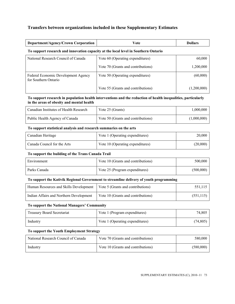| Department/Agency/Crown Corporation | √ote | <b>Dollars</b> |
|-------------------------------------|------|----------------|
|                                     |      |                |

#### **To support research and innovation capacity at the local level in Southern Ontario**

| National Research Council of Canada                         | Vote 60 (Operating expenditures)   | 60,000      |
|-------------------------------------------------------------|------------------------------------|-------------|
|                                                             | Vote 70 (Grants and contributions) | 1,200,000   |
| Federal Economic Development Agency<br>for Southern Ontario | Vote 50 (Operating expenditures)   | (60,000)    |
|                                                             | Vote 55 (Grants and contributions) | (1,200,000) |

#### **To support research in population health interventions and the reduction of health inequalities, particularly in the areas of obesity and mental health**

| Canadian Institutes of Health Research | Vote 25 (Grants)                   | 1,000,000   |
|----------------------------------------|------------------------------------|-------------|
| Public Health Agency of Canada         | Vote 50 (Grants and contributions) | (1,000,000) |

#### **To support statistical analysis and research summaries on the arts**

| Canadian Heritage           | Vote 1 (Operating expenditures)  | 20,000   |
|-----------------------------|----------------------------------|----------|
| Canada Council for the Arts | Vote 10 (Operating expenditures) | (20,000) |

#### **To support the building of the Trans Canada Trail**

| Environment  | Vote 10 (Grants and contributions) | 500,000   |
|--------------|------------------------------------|-----------|
| Parks Canada | Vote 25 (Program expenditures)     | (500,000) |

#### **To support the Kativik Regional Government to streamline delivery of youth programming**

| Human Resources and Skills Development  | Vote 5 (Grants and contributions)  | 551,115    |
|-----------------------------------------|------------------------------------|------------|
| Indian Affairs and Northern Development | Vote 10 (Grants and contributions) | (551, 115) |

#### **To support the National Managers' Community**

| <b>Treasury Board Secretariat</b> | Vote 1 (Program expenditures)   | 74,805    |
|-----------------------------------|---------------------------------|-----------|
| Industry                          | Vote 1 (Operating expenditures) | (74, 805) |

#### **To support the Youth Employment Strategy**

| National Research Council of Canada | Vote 70 (Grants and contributions) | 580,000   |
|-------------------------------------|------------------------------------|-----------|
| Industry                            | Vote 10 (Grants and contributions) | (580,000) |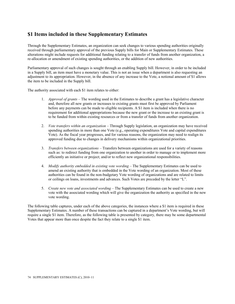### **\$1 Items included in these Supplementary Estimates**

Through the Supplementary Estimates, an organization can seek changes to various spending authorities originally received through parliamentary approval of the previous Supply bills for Main or Supplementary Estimates. These alterations might include requests for additional funding relating to a transfer of funds from another organization, a re-allocation or amendment of existing spending authorities, or the addition of new authorities.

Parliamentary approval of such changes is sought through an enabling Supply bill. However, in order to be included in a Supply bill, an item must have a monetary value. This is not an issue when a department is also requesting an adjustment to its appropriation. However, in the absence of any increase to the Vote, a notional amount of \$1 allows the item to be included in the Supply bill.

The authority associated with each \$1 item relates to either:

- 1. *Approval of grants* The wording used in the Estimates to describe a grant has a legislative character and, therefore all new grants or increases to existing grants must first be approved by Parliament before any payments can be made to eligible recipients. A \$1 item is included when there is no requirement for additional appropriations because the new grant or the increase to an existing grant is to be funded from within existing resources or from a transfer of funds from another organization.
- 2. *Vote transfers within an organization* Through Supply legislation, an organization may have received spending authorities in more than one Vote (e.g., operating expenditures Vote and capital expenditures Vote). As the fiscal year progresses, and for various reasons, the organization may need to realign its approved funding due to changes in delivery mechanisms within organizational priorities.
- 3. *Transfers between organizations* Transfers between organizations are used for a variety of reasons such as: to redirect funding from one organization to another in order to manage or to implement more efficiently an initiative or project; and/or to reflect new organizational responsibilities.
- 4. *Modify authority embedded in existing vote wording* The Supplementary Estimates can be used to amend an existing authority that is embedded in the Vote wording of an organization. Most of these authorities can be found in the non-budgetary Vote wording of organizations and are related to limits or ceilings on loans, investments and advances. Such Votes are preceded by the letter "L".
- 5. *Create new vote and associated wording* The Supplementary Estimates can be used to create a new vote with the associated wording which will give the organization the authority as specified in the new vote wording.

The following table captures, under each of the above categories, the instances where a \$1 item is required in these Supplementary Estimates. A number of these transactions can be captured in a department's Vote wording, but will require a single \$1 item. Therefore, as the following table is presented by category, there may be some departmental Votes that appear more than once despite the fact they relate to a single \$1 item.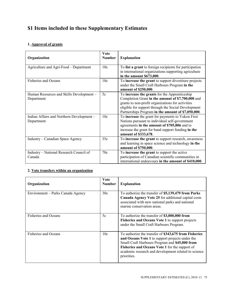### **1. Approval of grants**

| Organization                                           | Vote<br><b>Number</b> | <b>Explanation</b>                                                                                                                                                                                                                                                          |
|--------------------------------------------------------|-----------------------|-----------------------------------------------------------------------------------------------------------------------------------------------------------------------------------------------------------------------------------------------------------------------------|
| Agriculture and Agri-Food – Department                 | 10c                   | To list a grant to foreign recipients for participation<br>in international organizations supporting agriculture<br>in the amount \$673,000.                                                                                                                                |
| <b>Fisheries and Oceans</b>                            | 10c                   | To increase the grant to support divestiture projects<br>under the Small Craft Harbours Program in the<br>amount of \$250,000.                                                                                                                                              |
| Human Resources and Skills Development -<br>Department | 5c                    | To <b>increase the grants</b> for the Apprenticeship<br>Completion Grant in the amount of \$7,700,000 and<br>grants to non-profit organizations for activities<br>eligible for support through the Social Development<br>Partnerships Program in the amount of \$7,050,000. |
| Indian Affairs and Northern Development-<br>Department | 10c                   | To increase the grant for payments to Yukon First<br>Nations pursuant to individual self-government<br>agreements in the amount of \$705,806 and to<br>increase the grant for band support funding in the<br>amount of \$333,678.                                           |
| Industry – Canadian Space Agency                       | 35c                   | To increase the grant to support research, awareness<br>and learning in space science and technology in the<br>amount of \$750,000.                                                                                                                                         |
| Industry – National Research Council of<br>Canada      | 70c                   | To increase the grant to support the active<br>participation of Canadian scientific communities in<br>international endeavours in the amount of \$410,000.                                                                                                                  |

### **2. Vote transfers within an organization**

| Organization                      | Vote<br><b>Number</b> | <b>Explanation</b>                                                                                                                                                                                                                                                                  |
|-----------------------------------|-----------------------|-------------------------------------------------------------------------------------------------------------------------------------------------------------------------------------------------------------------------------------------------------------------------------------|
| Environment – Parks Canada Agency | 30c                   | To authorize the transfer of \$5,139,479 from Parks<br>Canada Agency Vote 25 for additional capital costs<br>associated with new national parks and national<br>marine conservation areas.                                                                                          |
| <b>Fisheries and Oceans</b>       | 5c                    | To authorize the transfer of \$3,000,000 from<br><b>Fisheries and Oceans Vote 1</b> to support projects<br>under the Small Craft Harbours Program.                                                                                                                                  |
| <b>Fisheries and Oceans</b>       | 10c                   | To authorize the transfer of \$343,675 from Fisheries<br>and Oceans Vote 1 to support projects under the<br>Small Craft Harbours Program and \$45,000 from<br>Fisheries and Oceans Vote 1 for the support of<br>academic research and development related to science<br>priorities. |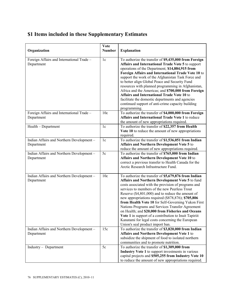|                                                         | <b>Vote</b>   |                                                                                                                                                                                                                                                                                                                                                                                                                                                                                                                                                                                                                                            |  |  |
|---------------------------------------------------------|---------------|--------------------------------------------------------------------------------------------------------------------------------------------------------------------------------------------------------------------------------------------------------------------------------------------------------------------------------------------------------------------------------------------------------------------------------------------------------------------------------------------------------------------------------------------------------------------------------------------------------------------------------------------|--|--|
| Organization                                            | <b>Number</b> | <b>Explanation</b>                                                                                                                                                                                                                                                                                                                                                                                                                                                                                                                                                                                                                         |  |  |
| Foreign Affairs and International Trade -<br>Department | 1c            | To authorize the transfer of \$9,435,000 from Foreign<br>Affairs and International Trade Vote 5 to support<br>operations of the Department; \$14,884,915 from<br>Foreign Affairs and International Trade Vote 10 to<br>support the work of the Afghanistan Task Force and<br>to better align Global Peace and Security Fund<br>resources with planned programming in Afghanistan,<br>Africa and the Americas; and \$700,000 from Foreign<br>Affairs and International Trade Vote 10 to<br>facilitate the domestic departments and agencies<br>continued support of anti-crime capacity building<br>programming.                            |  |  |
| Foreign Affairs and International Trade -<br>Department | 10c           | To authorize the transfer of \$4,000,000 from Foreign<br>Affairs and International Trade Vote 1 to reduce<br>the amount of new appropriations required.                                                                                                                                                                                                                                                                                                                                                                                                                                                                                    |  |  |
| Health - Department                                     | 1c            | To authorize the transfer of \$22,357 from Health<br>Vote 10 to reduce the amount of new appropriations<br>required.                                                                                                                                                                                                                                                                                                                                                                                                                                                                                                                       |  |  |
| Indian Affairs and Northern Development -<br>Department | 1c            | To authorize the transfer of \$1,536,051 from Indian<br>Affairs and Northern Development Vote 5 to<br>reduce the amount of new appropriations required.                                                                                                                                                                                                                                                                                                                                                                                                                                                                                    |  |  |
| Indian Affairs and Northern Development-<br>Department  | 5c            | To authorize the transfer of \$765,000 from Indian<br>Affairs and Northern Development Vote 10 to<br>correct a previous transfer to Health Canada for the<br>Arctic Research Infrastructure Fund.                                                                                                                                                                                                                                                                                                                                                                                                                                          |  |  |
| Indian Affairs and Northern Development-<br>Department  | 10c           | To authorize the transfer of \$5,679,876 from Indian<br>Affairs and Northern Development Vote 5 to fund<br>costs associated with the provision of programs and<br>services to members of the new Peerless Trout<br>Reserve (\$4,801,000) and to reduce the amount of<br>new appropriations required (\$878,876); \$705,806<br>from Health Vote 10 for Self-Governing Yukon First<br>Nations Programs and Services Transfer Agreement<br>on Health; and \$20,000 from Fisheries and Oceans<br>Vote 1 in support of a contribution to Inuit Tapiriit<br>Kanatami for legal costs concerning the European<br>Union's seal product import ban. |  |  |
| Indian Affairs and Northern Development-<br>Department  | 15c           | To authorize the transfer of \$3,820,000 from Indian<br>Affairs and Northern Development Vote 1 to<br>subsidize the shipment of food to isolated northern<br>communities and to promote nutrition.                                                                                                                                                                                                                                                                                                                                                                                                                                         |  |  |
| Industry - Department                                   | 5c            | To authorize the transfer of \$1,309,000 from<br>Industry Vote 1 to support investments in various<br>capital projects and \$505,255 from Industry Vote 10<br>to reduce the amount of new appropriations required.                                                                                                                                                                                                                                                                                                                                                                                                                         |  |  |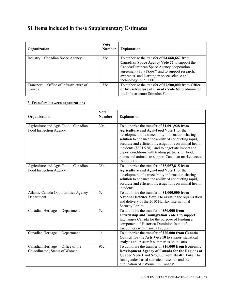| Organization                            | <b>V</b> ote<br><b>Number</b> | <b>Explanation</b>                                   |
|-----------------------------------------|-------------------------------|------------------------------------------------------|
| Industry – Canadian Space Agency        | 35c                           | To authorize the transfer of \$4,668,667 from        |
|                                         |                               | Canadian Space Agency Vote 25 to support the         |
|                                         |                               | Canada/European Space Agency cooperation             |
|                                         |                               | agreement (\$3,918,667) and to support research,     |
|                                         |                               | awareness and learning in space science and          |
|                                         |                               | technology $(\$750,000)$ .                           |
| Transport - Office of Infrastructure of | 55c                           | To authorize the transfer of \$7,500,000 from Office |
| Canada                                  |                               | of Infrastructure of Canada Vote 60 to administer    |
|                                         |                               | the Infrastructure Stimulus Fund.                    |

### **3. Transfers between organizations**

| Organization                                                       | Vote<br><b>Number</b> | <b>Explanation</b>                                                                                                                                                                                                                                                                                                                                                                                                                                    |  |  |
|--------------------------------------------------------------------|-----------------------|-------------------------------------------------------------------------------------------------------------------------------------------------------------------------------------------------------------------------------------------------------------------------------------------------------------------------------------------------------------------------------------------------------------------------------------------------------|--|--|
| Agriculture and Agri-Food - Canadian<br>Food Inspection Agency     | 30 <sub>c</sub>       | To authorize the transfer of \$1,091,928 from<br>Agriculture and Agri-Food Vote 1 for the<br>development of a traceability information sharing<br>solution to enhance the ability of conducting rapid,<br>accurate and efficient investigations on animal health<br>incidents (\$891,928), and to negotiate import and<br>export conditions with trading partners for food,<br>plants and animals to support Canadian market access<br>$(\$200,000).$ |  |  |
| Agriculture and Agri-Food - Canadian<br>Food Inspection Agency     | 35c                   | To authorize the transfer of \$5,057,815 from<br>Agriculture and Agri-Food Vote 1 for the<br>development of a traceability information sharing<br>solution to enhance the ability of conducting rapid,<br>accurate and efficient investigations on animal health<br>incidents.                                                                                                                                                                        |  |  |
| Atlantic Canada Opportunities Agency -<br>Department               | 5c                    | To authorize the transfer of \$1,000,000 from<br>National Defence Vote 1 to assist in the organization<br>and delivery of the 2010 Halifax International<br>Security Forum.                                                                                                                                                                                                                                                                           |  |  |
| Canadian Heritage - Department                                     | 5c                    | To authorize the transfer of \$50,000 from<br>Citizenship and Immigration Vote 1 to support<br>Exchanges Canada for the purpose of funding a<br>component of Historica-Dominion Institute's<br>Encounters with Canada Program.                                                                                                                                                                                                                        |  |  |
| Canadian Heritage - Department                                     | 1 <sub>c</sub>        | To authorize the transfer of \$20,000 from Canada<br>Council for the Arts Vote 10 to support statistical<br>analysis and research summaries on the arts.                                                                                                                                                                                                                                                                                              |  |  |
| Canadian Heritage - Office of the<br>Co-ordinator, Status of Women | 95c                   | To authorize the transfer of \$10,000 from Economic<br>Development Agency of Canada for the Regions of<br>Quebec Vote 1 and \$25,000 from Health Vote 1 to<br>fund gender-based statistical research and the<br>publication of "Women in Canada".                                                                                                                                                                                                     |  |  |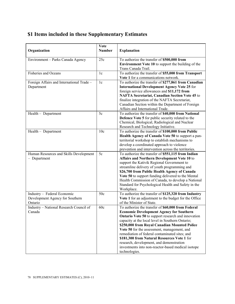| Organization                                                              | Vote<br><b>Number</b> | <b>Explanation</b>                                                                                                                                                                                                                                                                                                                                                                                                                                                                                                                        |
|---------------------------------------------------------------------------|-----------------------|-------------------------------------------------------------------------------------------------------------------------------------------------------------------------------------------------------------------------------------------------------------------------------------------------------------------------------------------------------------------------------------------------------------------------------------------------------------------------------------------------------------------------------------------|
| Environment - Parks Canada Agency                                         | 25c                   | To authorize the transfer of \$500,000 from<br><b>Environment Vote 10</b> to support the building of the<br>Trans Canada Trail.                                                                                                                                                                                                                                                                                                                                                                                                           |
| Fisheries and Oceans                                                      | 1c                    | To authorize the transfer of \$55,000 from Transport<br>Vote 1 for a communications network.                                                                                                                                                                                                                                                                                                                                                                                                                                              |
| Foreign Affairs and International Trade -<br>Department                   | 1 <sub>c</sub>        | To authorize the transfer of \$277,861 from Canadian<br><b>International Development Agency Vote 25 for</b><br>foreign service allowances and \$11,172 from<br><b>NAFTA Secretariat, Canadian Section Vote 45 to</b><br>finalize integration of the NAFTA Secretariat,<br>Canadian Section within the Department of Foreign<br>Affairs and International Trade.                                                                                                                                                                           |
| Health - Department                                                       | 5c                    | To authorize the transfer of \$40,000 from National<br><b>Defence Vote 5</b> for public security related to the<br>Chemical, Biological, Radiological and Nuclear<br>Research and Technology Initiative.                                                                                                                                                                                                                                                                                                                                  |
| Health - Department                                                       | 10 <sub>c</sub>       | To authorize the transfer of \$100,000 from Public<br>Health Agency of Canada Vote 50 to support a pan-<br>territorial workshop to establish mechanisms to<br>develop a coordinated approach to violence<br>prevention and intervention across the territories.                                                                                                                                                                                                                                                                           |
| Human Resources and Skills Development<br>- Department                    | 5c                    | To authorize the transfer of \$551,115 from Indian<br>Affairs and Northern Development Vote 10 to<br>support the Kativik Regional Government to<br>streamline delivery of youth programming and<br>\$26,700 from Public Health Agency of Canada<br>Vote 50 to support funding delivered to the Mental<br>Health Commission of Canada, to develop a National<br>Standard for Psychological Health and Safety in the<br>Workplace.                                                                                                          |
| Industry - Federal Economic<br>Development Agency for Southern<br>Ontario | 50c                   | To authorize the transfer of \$125,320 from Industry<br>Vote 1 for an adjustment to the budget for the Office<br>of the Minister of State.                                                                                                                                                                                                                                                                                                                                                                                                |
| Industry - National Research Council of<br>Canada                         | 60c                   | To authorize the transfer of \$60,000 from Federal<br><b>Economic Development Agency for Southern</b><br><b>Ontario Vote 50</b> to support research and innovation<br>capacity at the local level in Southern Ontario;<br>\$250,000 from Royal Canadian Mounted Police<br>Vote 50 for the assessment, management, and<br>remediation of federal contaminated sites; and<br>\$181,300 from Natural Resources Vote 1 for<br>research, development, and demonstration<br>investments into non-reactor-based medical isotope<br>technologies. |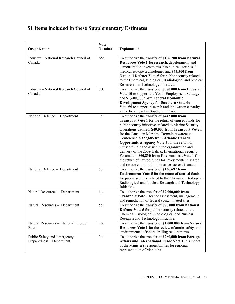| Organization                                             | Vote<br><b>Number</b> | <b>Explanation</b>                                                                                                                                                                                                                                                                                                                                                                                                                                                                                                                                                                                                                                |
|----------------------------------------------------------|-----------------------|---------------------------------------------------------------------------------------------------------------------------------------------------------------------------------------------------------------------------------------------------------------------------------------------------------------------------------------------------------------------------------------------------------------------------------------------------------------------------------------------------------------------------------------------------------------------------------------------------------------------------------------------------|
| Industry - National Research Council of<br>Canada        | 65c                   | To authorize the transfer of \$168,700 from Natural<br>Resources Vote 1 for research, development, and<br>demonstration investments into non-reactor-based<br>medical isotope technologies and \$45,500 from<br>National Defence Vote 5 for public security related<br>to the Chemical, Biological, Radiological and Nuclear<br>Research and Technology Initiative.                                                                                                                                                                                                                                                                               |
| Industry - National Research Council of<br>Canada        | 70c                   | To authorize the transfer of \$580,000 from Industry<br>Vote 10 to support the Youth Employment Strategy<br>and \$1,200,000 from Federal Economic<br><b>Development Agency for Southern Ontario</b><br>Vote 55 to support research and innovation capacity<br>at the local level in Southern Ontario.                                                                                                                                                                                                                                                                                                                                             |
| National Defence - Department                            | 1c                    | To authorize the transfer of \$442,800 from<br>Transport Vote 1 for the return of unused funds for<br>pubic security initiatives related to Marine Security<br>Operations Centres; \$40,000 from Transport Vote 1<br>for the Canadian Maritime Domain Awareness<br>Conference; \$327,685 from Atlantic Canada<br><b>Opportunities Agency Vote 5 for the return of</b><br>unused funding to assist in the organization and<br>delivery of the 2009 Halifax International Security<br>Forum; and \$60,830 from Environment Vote 1 for<br>the return of unused funds for investments in search<br>and rescue coordination initiatives across Canada. |
| National Defence - Department                            | 5c                    | To authorize the transfer of \$136,692 from<br><b>Environment Vote 5</b> for the return of unused funds<br>for public security related to the Chemical, Biological,<br>Radiological and Nuclear Research and Technology<br>Initiative.                                                                                                                                                                                                                                                                                                                                                                                                            |
| Natural Resources - Department                           | 1c                    | To authorize the transfer of \$2,000,000 from<br>Transport Vote 1 for the assessment, management<br>and remediation of federal contaminated sites.                                                                                                                                                                                                                                                                                                                                                                                                                                                                                                |
| Natural Resources - Department                           | 5c                    | To authorize the transfer of \$70,000 from National<br><b>Defence Vote 5</b> for public security related to the<br>Chemical, Biological, Radiological and Nuclear<br>Research and Technology Initiative.                                                                                                                                                                                                                                                                                                                                                                                                                                          |
| Natural Resources - National Energy<br>Board             | 25c                   | To authorize the transfer of \$1,000,000 from Natural<br>Resources Vote 1 for the review of arctic safety and<br>environmental offshore drilling requirements.                                                                                                                                                                                                                                                                                                                                                                                                                                                                                    |
| Public Safety and Emergency<br>Preparedness - Department | 1c                    | To authorize the transfer of \$280,000 from Foreign<br>Affairs and International Trade Vote 1 in support<br>of the Minister's responsibilities for regional<br>representation of Manitoba.                                                                                                                                                                                                                                                                                                                                                                                                                                                        |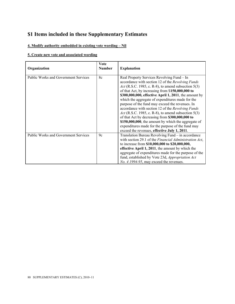### **4. Modify authority embedded in existing vote wording – Nil**

### **5. Create new vote and associated wording**

| Organization                                | <b>Vote</b><br><b>Number</b> | <b>Explanation</b>                                                                                                                                                                                                                                                                                                                                                                                                                                                                                                                                                                                                                                                                                        |
|---------------------------------------------|------------------------------|-----------------------------------------------------------------------------------------------------------------------------------------------------------------------------------------------------------------------------------------------------------------------------------------------------------------------------------------------------------------------------------------------------------------------------------------------------------------------------------------------------------------------------------------------------------------------------------------------------------------------------------------------------------------------------------------------------------|
| <b>Public Works and Government Services</b> | 8c                           | Real Property Services Revolving Fund - In<br>accordance with section 12 of the Revolving Funds<br>Act (R.S.C. 1985, c. R-8), to amend subsection $5(3)$<br>of that Act, by increasing from \$150,000,000 to<br>\$300,000,000, effective April 1, 2011, the amount by<br>which the aggregate of expenditures made for the<br>purpose of the fund may exceed the revenues. In<br>accordance with section 12 of the Revolving Funds<br>Act (R.S.C. 1985, c. R-8), to amend subsection $5(3)$<br>of that Act by decreasing from \$300,000,000 to<br>\$150,000,000, the amount by which the aggregate of<br>expenditures made for the purpose of the fund may<br>exceed the revenues, effective July 1, 2011. |
| <b>Public Works and Government Services</b> | 9c                           | Translation Bureau Revolving Fund – in accordance<br>with section 29.1 of the Financial Administration Act,<br>to increase from \$10,000,000 to \$20,000,000,<br>effective April 1, 2011, the amount by which the<br>aggregate of expenditures made for the purpose of the<br>fund, established by Vote 23d, Appropriation Act<br>No. 4 1994-95, may exceed the revenues.                                                                                                                                                                                                                                                                                                                                 |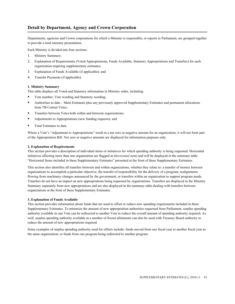### **Detail by Department, Agency and Crown Corporation**

Departments, agencies and Crown corporations for which a Minister is responsible, or reports to Parliament, are grouped together to provide a total ministry presentation.

Each Ministry is divided into four sections:

- 1. Ministry Summary;
- 2. Explanation of Requirements (Voted Appropriations, Funds Available, Statutory Appropriations and Transfers) for each organization requiring supplementary estimates;
- 3. Explanation of Funds Available (if applicable); and
- 4. Transfer Payments (if applicable).

#### **1. Ministry Summary**

This table displays all Voted and Statutory information in Ministry order, including:

- Vote number, Vote wording and Statutory wording;
- Authorities to date Main Estimates plus any previously approved Supplementary Estimates and permanent allocations from TB Central Votes;
- Transfers between Votes both within and between organizations;
- Adjustments to Appropriations (new funding requests); and
- Total Estimates to date.

Where a Vote's "Adjustment to Appropriations" result in a net zero or negative amount for an organization, it will not form part of the Appropriation Bill. Net zero or negative amounts are displayed for information purposes only.

#### **2. Explanation of Requirements**

This section provides a description of individual items or initiatives for which spending authority is being requested. Horizontal initiatives affecting more than one organization are flagged as (*horizontal item*) and will be displayed in the summary table "Horizontal Items included in these Supplementary Estimates" presented at the front of these Supplementary Estimates.

This section also identifies all transfers between and within organizations, whether they relate to: a transfer of monies between organizations to accomplish a particular objective; the transfer of responsibility for the delivery of a program; realignments flowing from machinery changes announced by the government; or transfers within an organization to support program needs. Transfers do not have an impact on new appropriations being requested by organizations. Transfers are displayed in the Ministry Summary separately from new appropriations and are also displayed in the summary table dealing with transfers between organizations at the front of these Supplementary Estimates.

#### **3. Explanation of Funds Available**

This section provides information about funds that are used to offset or reduce new spending requirements included in these Supplementary Estimates. To minimize the amount of new appropriation authorities requested from Parliament, surplus spending authority available in one Vote can be redirected to another Vote to reduce the overall amount of spending authority required. As well, surplus spending authority available in a number of frozen allotments can also be used with Treasury Board authority to reduce the amount of new appropriations required.

Some examples of surplus spending authority used for offsets include: funds moved from one fiscal year to another fiscal year in the same organization; or funds from one program being redirected to another program.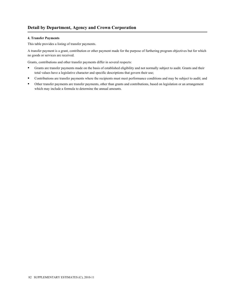#### **4. Transfer Payments**

This table provides a listing of transfer payments.

A transfer payment is a grant, contribution or other payment made for the purpose of furthering program objectives but for which no goods or services are received.

Grants, contributions and other transfer payments differ in several respects:

- Grants are transfer payments made on the basis of established eligibility and not normally subject to audit. Grants and their total values have a legislative character and specific descriptions that govern their use;
- Contributions are transfer payments where the recipients must meet performance conditions and may be subject to audit; and
- Other transfer payments are transfer payments, other than grants and contributions, based on legislation or an arrangement which may include a formula to determine the annual amounts.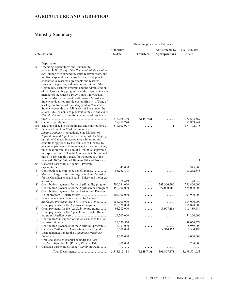### **AGRICULTURE AND AGRI-FOOD**

|            |                                                                                                                |                             | These Supplementary Estimates |                           |                            |
|------------|----------------------------------------------------------------------------------------------------------------|-----------------------------|-------------------------------|---------------------------|----------------------------|
|            |                                                                                                                | Authorities                 |                               | <b>Adjustments to</b>     | <b>Total Estimates</b>     |
|            | Vote (dollars)                                                                                                 | to date                     | <b>Transfers</b>              | <b>Appropriations</b>     | to date                    |
|            | Department                                                                                                     |                             |                               |                           |                            |
| 1c         | Operating expenditures and, pursuant to                                                                        |                             |                               |                           |                            |
|            | paragraph $29.1(2)(a)$ of the <i>Financial Administration</i>                                                  |                             |                               |                           |                            |
|            | Act, authority to expend revenues received from, and                                                           |                             |                               |                           |                            |
|            | to offset expenditures incurred in the fiscal year for,<br>collaborative research agreements and research      |                             |                               |                           |                            |
|            | services, the grazing and breeding activities of the                                                           |                             |                               |                           |                            |
|            | Community Pastures Program and the administration                                                              |                             |                               |                           |                            |
|            | of the AgriStability program; and the payment to each                                                          |                             |                               |                           |                            |
|            | member of the Queen's Privy Council for Canada                                                                 |                             |                               |                           |                            |
|            | who is a Minister without Portfolio or a Minister of<br>State who does not preside over a Ministry of State of |                             |                               |                           |                            |
|            | a salary not to exceed the salary paid to Ministers of                                                         |                             |                               |                           |                            |
|            | State who preside over Ministries of State under the                                                           |                             |                               |                           |                            |
|            | Salaries Act, as adjusted pursuant to the Parliament of                                                        |                             |                               |                           |                            |
|            | Canada Act and pro rata for any period of less than a                                                          |                             |                               |                           |                            |
|            |                                                                                                                | 778,798,330                 | (6,149,743)                   |                           | 772,648,587                |
| 5b         | 10c The grants listed in the Estimates and contributions                                                       | 57,859,744<br>577, 102, 977 | .                             | .<br>$\mathbf{1}$         | 57,859,744<br>577,102,978  |
| 15         | Pursuant to section 29 of the Financial                                                                        |                             |                               |                           |                            |
|            | <i>Administration Act</i> , to authorize the Minister of                                                       |                             |                               |                           |                            |
|            | Agriculture and Agri-Food, on behalf of Her Majesty                                                            |                             |                               |                           |                            |
|            | in right of Canada, in accordance with terms and                                                               |                             |                               |                           |                            |
|            | conditions approved by the Minister of Finance, to<br>guarantee payments of amounts not exceeding, at any      |                             |                               |                           |                            |
|            | time, in aggregate, the sum of \$140,000,000 payable                                                           |                             |                               |                           |                            |
|            | in respect of Line of Credit Agreements to be entered                                                          |                             |                               |                           |                            |
|            | into by Farm Credit Canada for the purpose of the                                                              |                             |                               |                           |                            |
|            | renewed (2003) National Biomass Ethanol Program                                                                | 1                           |                               |                           | 1                          |
| 20         | Canadian Pari-Mutuel Agency - Program                                                                          | 345,000                     |                               |                           | 345,000                    |
| (S)        |                                                                                                                | 83,262,843                  | .                             | .                         | 83,262,843                 |
| (S)        | Minister of Agriculture and Agri-Food and Minister                                                             |                             |                               |                           |                            |
|            | for the Canadian Wheat Board - Salary and motor car                                                            |                             |                               |                           |                            |
|            |                                                                                                                | 78,649                      |                               |                           | 78,649                     |
| (S)<br>(S) | Contribution payments for the AgriStability program<br>Contribution payments for the Agril nsurance program    | 500,034,000<br>452,000,000  | .                             | 295,366,000<br>72,000,000 | 795,400,000<br>524,000,000 |
| (S)        | Contribution payments for the Agricultural Disaster                                                            |                             | .                             |                           |                            |
|            |                                                                                                                | 307,900,000                 | .                             | .                         | 307,900,000                |
| (S)        | Payments in connection with the Agriculutral                                                                   |                             |                               |                           |                            |
|            | Marketing Programs Act (S.C. 1997, c. C-34)                                                                    | 184,000,000                 |                               | .                         | 184,000,000                |
| (S)<br>(S) | Grant payments for the AgriInvest program<br>Grant payments for the AgriStability program                      | 155,820,000<br>95,282,000   |                               | .<br>19,907,484           | 155,820,000<br>115,189,484 |
| (S)        | Grant payments for the Agricultural Disaster Relief                                                            |                             | .                             |                           |                            |
|            |                                                                                                                | 54,200,000                  | .                             | .                         | 54,200,000                 |
| (S)        | Contributions in support of the Assistance to the Pork                                                         |                             |                               |                           |                            |
|            |                                                                                                                | 39,070,574                  |                               | .                         | 39,070,574                 |
| (S)<br>(S) | Contribution payments for the AgriInvest program<br>Canadian Cattlemen's Association Legacy Fund               | 18,959,000<br>5,000,000     |                               | .<br>4,534,193            | 18,959,000                 |
|            | (S) Loan guarantees under the <i>Canadian Agriculture</i>                                                      |                             | .                             |                           | 9,534,193                  |
|            |                                                                                                                | 4,000,000                   | .                             | .                         | 4,000,000                  |
| (S)        | Grants to agencies established under the Farm                                                                  |                             |                               |                           |                            |
|            | Products Agencies Act (R.S.C., 1985, c. F-4)                                                                   | 200,000                     |                               |                           | 200,000                    |
| (S)        | Canadian Pari-Mutuel Agency Revolving Fund                                                                     |                             |                               |                           |                            |
|            |                                                                                                                | 3,313,913,118               | (6,149,743)                   | 391,807,678               | 3,699,571,053              |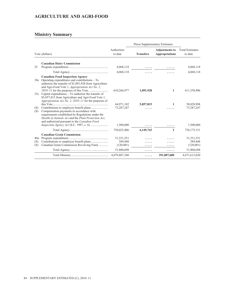### **AGRICULTURE AND AGRI-FOOD**

|                   |                                                                                                                                                                                                                                                 |                                      | These Supplementary Estimates |                                                |                                      |
|-------------------|-------------------------------------------------------------------------------------------------------------------------------------------------------------------------------------------------------------------------------------------------|--------------------------------------|-------------------------------|------------------------------------------------|--------------------------------------|
| Vote (dollars)    |                                                                                                                                                                                                                                                 | Authorities<br>to date               | <b>Transfers</b>              | <b>Adjustments to</b><br><b>Appropriations</b> | <b>Total Estimates</b><br>to date    |
|                   | <b>Canadian Dairy Commission</b>                                                                                                                                                                                                                |                                      |                               |                                                |                                      |
| 25                |                                                                                                                                                                                                                                                 | 4,068,118                            |                               |                                                | 4,068,118                            |
|                   |                                                                                                                                                                                                                                                 | 4,068,118                            |                               |                                                | 4,068,118                            |
| 30c               | <b>Canadian Food Inspection Agency</b><br>Operating expenditures and contributions $-$ To<br>authorize the transfer of \$1,091,928 from Agriculture<br>and Agri-Food Vote 1, Appropriation Act No. 2,                                           |                                      |                               |                                                |                                      |
|                   | 35c Capital expenditures – To authorize the transfer of<br>\$5,057,815 from Agriculture and Agri-Food Vote 1,<br>Appropriation Act No. 2, 2010–11 for the purposes of                                                                           | 610,266,977                          | 1,091,928                     | 1                                              | 611,358,906                          |
| (S)<br>(S)        | Contributions to employee benefit plans<br>Compensation payments in accordance with<br>requirements established by Regulations under the<br>Health of Animals Act and the Plant Protection Act,<br>and authorized pursuant to the Canadian Food | 44,971,182<br>73,287,247             | 5,057,815                     | 1                                              | 50,028,998<br>73,287,247             |
|                   |                                                                                                                                                                                                                                                 | 1,500,000                            |                               |                                                | 1,500,000                            |
|                   |                                                                                                                                                                                                                                                 | 730,025,406                          | 6,149,743                     | $\mathbf{2}$                                   | 736, 175, 151                        |
| 40a<br>(S)<br>(S) | <b>Canadian Grain Commission</b><br>Canadian Grain Commission Revolving Fund                                                                                                                                                                    | 31, 331, 251<br>589,448<br>(120,001) |                               |                                                | 31, 331, 251<br>589,448<br>(120,001) |
|                   |                                                                                                                                                                                                                                                 | 31,800,698                           | .                             | .                                              | 31,800,698                           |
|                   |                                                                                                                                                                                                                                                 | 4,079,807,340                        | .                             | 391,807,680                                    | 4,471,615,020                        |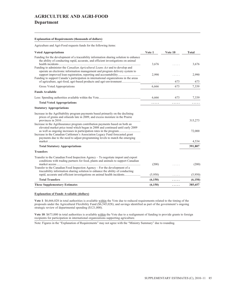### **AGRICULTURE AND AGRI-FOOD Department**

#### **Explanation of Requirements (thousands of dollars)**

Agriculture and Agri-Food requests funds for the following items:

| <b>Voted Appropriations</b>                                                                                                                                                                                                                                                                                                                                                                          | Vote 1  | Vote 10  | <b>Total</b>      |
|------------------------------------------------------------------------------------------------------------------------------------------------------------------------------------------------------------------------------------------------------------------------------------------------------------------------------------------------------------------------------------------------------|---------|----------|-------------------|
| Funding for the development of a traceability information sharing solution to enhance<br>the ability of conducting rapid, accurate, and efficient investigations on animal<br>Funding to administer the <i>Canadian Agricultural Loans Act</i> and to develop and                                                                                                                                    | 3,676   | .        | 3,676             |
| operate an electronic information management and program delivery system to<br>Funding to support Canada's participation in international organizations in the areas                                                                                                                                                                                                                                 | 2,990   | $\cdots$ | 2,990             |
| of agriculture, agri-food, agri-based products and agri-environment                                                                                                                                                                                                                                                                                                                                  | .       | 673      | 673               |
| Gross Voted Appropriations                                                                                                                                                                                                                                                                                                                                                                           | 6,666   | 673      | 7,339             |
| <b>Funds Available</b>                                                                                                                                                                                                                                                                                                                                                                               |         |          |                   |
|                                                                                                                                                                                                                                                                                                                                                                                                      | 6,666   | 673      | 7,339             |
| <b>Total Voted Appropriations</b>                                                                                                                                                                                                                                                                                                                                                                    | .       | .        | .                 |
| <b>Statutory Appropriations</b>                                                                                                                                                                                                                                                                                                                                                                      |         |          |                   |
| Increase in the AgriStability program payments based primarily on the declining<br>prices of grains and oilseeds late in 2009, and excess moisture in the Prairie                                                                                                                                                                                                                                    |         |          |                   |
| Increase in the AgriInsurance program contribution payments based on both an<br>elevated market price trend which began in 2008 and continued until early 2009<br>as well as ongoing increases in participation rates in the program<br>Increase in the Canadian Cattlemen's Association Legacy Fund forecasted grant<br>payments due to the need to adjust programming levels to match the emerging |         |          | 315,273<br>72,000 |
|                                                                                                                                                                                                                                                                                                                                                                                                      |         |          | 4,534             |
| <b>Total Statutory Appropriations</b>                                                                                                                                                                                                                                                                                                                                                                |         |          | 391,807           |
| <b>Transfers</b>                                                                                                                                                                                                                                                                                                                                                                                     |         |          |                   |
| Transfer to the Canadian Food Inspection Agency – To negotiate import and export<br>conditions with trading partners for food, plants and animals to support Canadian                                                                                                                                                                                                                                | (200)   |          | (200)             |
| Transfer to the Canadian Food Inspection Agency – For the development of a<br>traceability information sharing solution to enhance the ability of conducting<br>rapid, accurate and efficient investigations on animal health incidents                                                                                                                                                              | (5,950) | .        | (5,950)           |
| <b>Total Transfers</b>                                                                                                                                                                                                                                                                                                                                                                               | (6,150) |          | (6,150)           |
| <b>These Supplementary Estimates</b>                                                                                                                                                                                                                                                                                                                                                                 | (6,150) | .        | 385,657           |

#### **Explanation of Funds Available (dollars)**

**Vote 1**: \$6,666,028 in total authorities is available within the Vote due to reduced requirements related to the timing of the proposals under the Agricultural Flexibility Fund (\$6,545,028); and savings identified as part of the government's ongoing strategic review of departmental spending (\$121,000).

**Vote 10**: \$673,000 in total authorities is available within the Vote due to a realignment of funding to provide grants to foreign recipients for participation in international organizations supporting agriculture.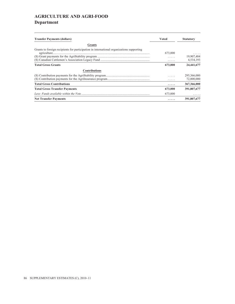## **AGRICULTURE AND AGRI-FOOD Department**

| <b>Transfer Payments (dollars)</b>                                                       | <b>Voted</b>      | <b>Statutory</b>          |
|------------------------------------------------------------------------------------------|-------------------|---------------------------|
| Grants                                                                                   |                   |                           |
| Grants to foreign recipients for participation in international organizations supporting | 673,000<br>.<br>. | 19,907,484<br>4,534,193   |
| <b>Total Gross Grants</b>                                                                | 673,000           | 24,441,677                |
| <b>Contributions</b>                                                                     |                   |                           |
|                                                                                          | .                 | 295,366,000<br>72,000,000 |
| <b>Total Gross Contributions</b>                                                         | .                 | 367,366,000               |
| <b>Total Gross Transfer Payments</b>                                                     | 673,000           | 391,807,677               |
|                                                                                          | 673,000           | .                         |
| <b>Net Transfer Payments</b>                                                             | .                 | 391,807,677               |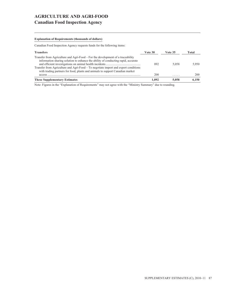### **AGRICULTURE AND AGRI-FOOD Canadian Food Inspection Agency**

#### **Explanation of Requirements (thousands of dollars)**

Canadian Food Inspection Agency requests funds for the following items:

| <b>Transfers</b>                                                                                                                                                                                                                                                                                                                             | Vote 30 | Vote 35 | Total |
|----------------------------------------------------------------------------------------------------------------------------------------------------------------------------------------------------------------------------------------------------------------------------------------------------------------------------------------------|---------|---------|-------|
| Transfer from Agriculture and Agri-Food – For the development of a traceability<br>information sharing solution to enhance the ability of conducting rapid, accurate<br>Transfer from Agriculture and Agri-Food – To negotiate import and export conditions<br>with trading partners for food, plants and animals to support Canadian market | 892     | 5.058   | 5.950 |
|                                                                                                                                                                                                                                                                                                                                              | 200     | .       | 200   |
| <b>These Supplementary Estimates</b>                                                                                                                                                                                                                                                                                                         | 1.092   | 5.058   | 6.150 |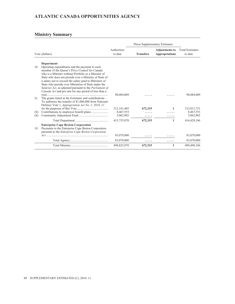### **ATLANTIC CANADA OPPORTUNITIES AGENCY**

|                |                                                                                                                                                                                                                                                                                                                                                                                                                                                          |                        | These Supplementary Estimates |                                                |                                   |
|----------------|----------------------------------------------------------------------------------------------------------------------------------------------------------------------------------------------------------------------------------------------------------------------------------------------------------------------------------------------------------------------------------------------------------------------------------------------------------|------------------------|-------------------------------|------------------------------------------------|-----------------------------------|
|                | Vote (dollars)                                                                                                                                                                                                                                                                                                                                                                                                                                           | Authorities<br>to date | <b>Transfers</b>              | <b>Adjustments to</b><br><b>Appropriations</b> | <b>Total Estimates</b><br>to date |
|                | Department                                                                                                                                                                                                                                                                                                                                                                                                                                               |                        |                               |                                                |                                   |
| 1 <sub>b</sub> | Operating expenditures and the payment to each<br>member of the Queen's Privy Council for Canada<br>who is a Minister without Portfolio or a Minister of<br>State who does not preside over a Ministry of State of<br>a salary not to exceed the salary paid to Ministers of<br>State who preside over Ministries of State under the<br>Salaries Act, as adjusted pursuant to the Parliament of<br>Canada Act and pro rata for any period of less than a |                        |                               |                                                |                                   |
| 5c             | The grants listed in the Estimates and contributions -<br>To authorize the transfer of \$1,000,000 from National<br>Defence Vote 1, Appropriation Act No. 2, 2010-11                                                                                                                                                                                                                                                                                     | 90,084,009             |                               |                                                | 90,084,009                        |
|                |                                                                                                                                                                                                                                                                                                                                                                                                                                                          | 312, 141, 405          | 672,315                       | 1                                              | 312,813,721                       |
| (S)            |                                                                                                                                                                                                                                                                                                                                                                                                                                                          | 8,467,553              |                               |                                                | 8,467,553                         |
| (S)            |                                                                                                                                                                                                                                                                                                                                                                                                                                                          | 5,062,903              | .                             |                                                | 5,062,903                         |
|                |                                                                                                                                                                                                                                                                                                                                                                                                                                                          | 415,755,870            | 672,315                       | 1                                              | 416, 428, 186                     |
| 10             | <b>Enterprise Cape Breton Corporation</b><br>Payments to the Enterprise Cape Breton Corporation<br>pursuant to the Enterprise Cape Breton Corporation                                                                                                                                                                                                                                                                                                    |                        |                               |                                                |                                   |
|                |                                                                                                                                                                                                                                                                                                                                                                                                                                                          | 83,070,000             | .                             |                                                | 83,070,000                        |
|                |                                                                                                                                                                                                                                                                                                                                                                                                                                                          | 83,070,000             | .                             |                                                | 83,070,000                        |
|                |                                                                                                                                                                                                                                                                                                                                                                                                                                                          | 498,825,870            | 672,315                       | 1                                              | 499,498,186                       |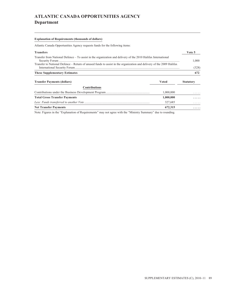## **ATLANTIC CANADA OPPORTUNITIES AGENCY Department**

#### **Explanation of Requirements (thousands of dollars)**

Atlantic Canada Opportunities Agency requests funds for the following items:

| <b>Transfers</b>                                                                                                     | Vote 5 |
|----------------------------------------------------------------------------------------------------------------------|--------|
| Transfer from National Defence – To assist in the organization and delivery of the 2010 Halifax International        | 000.1  |
| Transfer to National Defence – Return of unused funds to assist in the organization and delivery of the 2009 Halifax | (328)  |
| <b>These Supplementary Estimates</b>                                                                                 | 672    |
|                                                                                                                      |        |

| <b>Transfer Payments (dollars)</b>   | Voted     | <b>Statutory</b> |
|--------------------------------------|-----------|------------------|
| <b>Contributions</b>                 |           |                  |
|                                      | 1,000,000 | .                |
| <b>Total Gross Transfer Payments</b> | 1,000,000 | .                |
|                                      | 327,685   | .                |
| <b>Net Transfer Payments</b>         | 672,315   | .                |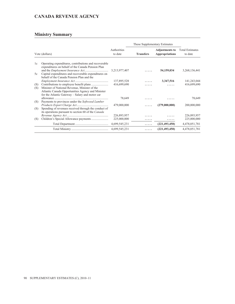### **CANADA REVENUE AGENCY**

|     | These Supplementary Estimates                                                                                                                         |                        |                  |                                                |                                   |  |
|-----|-------------------------------------------------------------------------------------------------------------------------------------------------------|------------------------|------------------|------------------------------------------------|-----------------------------------|--|
|     | Vote (dollars)                                                                                                                                        | Authorities<br>to date | <b>Transfers</b> | <b>Adjustments to</b><br><b>Appropriations</b> | <b>Total Estimates</b><br>to date |  |
| 1c  | Operating expenditures, contributions and recoverable<br>expenditures on behalf of the Canada Pension Plan                                            |                        |                  |                                                |                                   |  |
| 5c  | and the <i>Employment Insurance Act</i><br>Capital expenditures and recoverable expenditures on<br>behalf of the Canada Pension Plan and the          | 3,213,977,407          |                  | 54,159,034                                     | 3,268,136,441                     |  |
|     |                                                                                                                                                       | 137,895,528            |                  | 3,347,516                                      | 141,243,044                       |  |
| (S) |                                                                                                                                                       | 416,699,690            | .                |                                                | 416,699,690                       |  |
| (S) | Minister of National Revenue, Minister of the<br>Atlantic Canada Opportunities Agency and Minister<br>for the Atlantic Gateway – Salary and motor car |                        |                  |                                                |                                   |  |
| (S) | Payments to provinces under the Softwood Lumber                                                                                                       | 78,649                 |                  |                                                | 78,649                            |  |
|     |                                                                                                                                                       | 479,000,000            | .                | (279,000,000)                                  | 200,000,000                       |  |
| (S) | Spending of revenues received through the conduct of<br>its operations pursuant to section 60 of the Canada                                           |                        |                  |                                                |                                   |  |
|     |                                                                                                                                                       | 226,893,957            |                  |                                                | 226,893,957                       |  |
| (S) |                                                                                                                                                       | 225,000,000            | .                | .                                              | 225,000,000                       |  |
|     |                                                                                                                                                       | 4,699,545,231          | .                | (221, 493, 450)                                | 4,478,051,781                     |  |
|     |                                                                                                                                                       | 4,699,545,231          |                  | (221, 493, 450)                                | 4,478,051,781                     |  |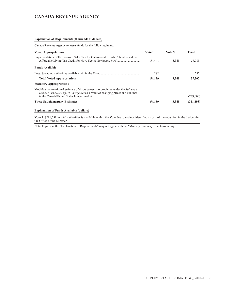### **CANADA REVENUE AGENCY**

#### **Explanation of Requirements (thousands of dollars)**

Canada Revenue Agency requests funds for the following items:

| <b>Voted Appropriations</b>                                                                                                                                               | Vote 1 | Vote 5 | Total      |
|---------------------------------------------------------------------------------------------------------------------------------------------------------------------------|--------|--------|------------|
| Implementation of Harmonized Sales Tax for Ontario and British Columbia and the                                                                                           | 54,441 | 3.348  | 57,789     |
| <b>Funds Available</b>                                                                                                                                                    |        |        |            |
|                                                                                                                                                                           | 282    | .      | 282        |
| <b>Total Voted Appropriations</b>                                                                                                                                         | 54,159 | 3.348  | 57,507     |
| <b>Statutory Appropriations</b>                                                                                                                                           |        |        |            |
| Modification to original estimate of disbursements to provinces under the Softwood<br><i>Lumber Products Export Charge Act</i> as a result of changing prices and volumes |        | .      | (279,000)  |
| <b>These Supplementary Estimates</b>                                                                                                                                      | 54,159 | 3.348  | (221, 493) |

#### **Explanation of Funds Available (dollars)**

**Vote 1**: \$281,538 in total authorities is available within the Vote due to savings identified as part of the reduction in the budget for the Office of the Minister.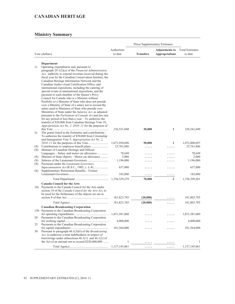| These Supplementary Estimates   |                                                                                                                                                                                                                                                                                                                                                                                                                                                                                                                                                                                                                                                                                                                                                                                                                                                                                                                       |                                           |                    |                                                |                                           |
|---------------------------------|-----------------------------------------------------------------------------------------------------------------------------------------------------------------------------------------------------------------------------------------------------------------------------------------------------------------------------------------------------------------------------------------------------------------------------------------------------------------------------------------------------------------------------------------------------------------------------------------------------------------------------------------------------------------------------------------------------------------------------------------------------------------------------------------------------------------------------------------------------------------------------------------------------------------------|-------------------------------------------|--------------------|------------------------------------------------|-------------------------------------------|
|                                 | Vote (dollars)                                                                                                                                                                                                                                                                                                                                                                                                                                                                                                                                                                                                                                                                                                                                                                                                                                                                                                        | Authorities<br>to date                    | <b>Transfers</b>   | <b>Adjustments to</b><br><b>Appropriations</b> | <b>Total Estimates</b><br>to date         |
| 1c                              | Department<br>Operating expenditures and, pursuant to<br>paragraph $29.1(2)(a)$ of the <i>Financial Administration</i><br>Act, authority to expend revenues received during the<br>fiscal year by the Canadian Conservation Institute, the<br>Canadian Heritage Information Network and the<br>Canadian Audio-visual Certification Office, and<br>international expositions, including the catering of<br>special events at international expositions, and the<br>payment to each member of the Queen's Privy<br>Council for Canada who is a Minister without<br>Portfolio or a Minister of State who does not preside<br>over a Ministry of State of a salary not to exceed the<br>salary paid to Ministers of State who preside over<br>Ministries of State under the Salaries Act, as adjusted<br>pursuant to the Parliament of Canada Act and pro rata<br>for any period of less than a year $-$ To authorize the |                                           |                    |                                                |                                           |
| 5c                              | transfer of \$20,000 from Canadian Heritage Vote 10,<br>Appropriation Act No. 2, 2010–11 for the purposes of<br>The grants listed in the Estimates and contributions –<br>To authorize the transfer of \$50,000 from Citizenship                                                                                                                                                                                                                                                                                                                                                                                                                                                                                                                                                                                                                                                                                      | 236,521,048                               | 20,000             | $\mathbf{1}$                                   | 236,541,049                               |
| (S)                             | and Immigration Vote 5, Appropriation Act No. 2,<br>Minister of Canadian Heritage and Official                                                                                                                                                                                                                                                                                                                                                                                                                                                                                                                                                                                                                                                                                                                                                                                                                        | 1,071,950,696<br>25,761,886               | 50,000<br>.        | $\mathbf{1}$<br>.                              | 1,072,000,697<br>25,761,886               |
| (S)<br>(S)<br>(S)<br>(S)<br>(S) | Languages – Salary and motor car allowance<br>Minister of State (Sport) – Motor car allowance<br>Payments under the Lieutenant-Governors<br>Superannuation Act (R.S.C., 1985, c. L-8)<br>Supplementary Retirement Benefits – Former                                                                                                                                                                                                                                                                                                                                                                                                                                                                                                                                                                                                                                                                                   | 78,649<br>2,000<br>1,196,000<br>637,000   | .<br>.             | .<br>.                                         | 78,649<br>2,000<br>1,196,000<br>637,000   |
|                                 |                                                                                                                                                                                                                                                                                                                                                                                                                                                                                                                                                                                                                                                                                                                                                                                                                                                                                                                       | 182,000                                   |                    |                                                | 182,000                                   |
|                                 | <b>Canada Council for the Arts</b><br>10c Payments to the Canada Council for the Arts under<br>section 18 of the Canada Council for the Arts Act, to<br>be used for the furtherance of the objects set out in                                                                                                                                                                                                                                                                                                                                                                                                                                                                                                                                                                                                                                                                                                         | 1,336,329,279<br>181,823,785              | 70,000<br>(20,000) | $\overline{2}$                                 | 1,336,399,281<br>181,803,785              |
|                                 |                                                                                                                                                                                                                                                                                                                                                                                                                                                                                                                                                                                                                                                                                                                                                                                                                                                                                                                       | 181,823,785                               | (20,000)           | .                                              | 181,803,785                               |
| 20<br>25<br>30                  | <b>Canadian Broadcasting Corporation</b><br>15b Payments to the Canadian Broadcasting Corporation<br>Payments to the Canadian Broadcasting Corporation<br>Payments to the Canadian Broadcasting Corporation<br>Pursuant to paragraph $46.1(3)(b)$ of the <i>Broadcasting</i><br>Act, to authorize a total indebtedness in respect of                                                                                                                                                                                                                                                                                                                                                                                                                                                                                                                                                                                  | 1,031,581,060<br>4,000,000<br>101,564,000 | .                  | .                                              | 1,031,581,060<br>4,000,000<br>101,564,000 |
|                                 | borrowings under subsections $46.1(1)$ and $46.1(2)$ of<br>the Act of an amount not to exceed \$220,000,000                                                                                                                                                                                                                                                                                                                                                                                                                                                                                                                                                                                                                                                                                                                                                                                                           | 1<br>1,137,145,061                        | .                  | .                                              | 1<br>1,137,145,061                        |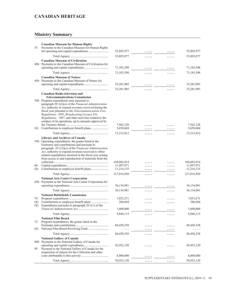### **Ministry Summary**

| 35  | <b>Canadian Museum for Human Rights</b><br>Payments to the Canadian Museum for Human Rights                                                                                                                                                                                                                                                                                                                                                                                 | 55,895,977                                 | .        | . | 55,895,977                                 |
|-----|-----------------------------------------------------------------------------------------------------------------------------------------------------------------------------------------------------------------------------------------------------------------------------------------------------------------------------------------------------------------------------------------------------------------------------------------------------------------------------|--------------------------------------------|----------|---|--------------------------------------------|
|     |                                                                                                                                                                                                                                                                                                                                                                                                                                                                             | 55,895,977                                 | .        | . | 55,895,977                                 |
|     | <b>Canadian Museum of Civilization</b><br>40b Payments to the Canadian Museum of Civilization for                                                                                                                                                                                                                                                                                                                                                                           |                                            |          |   |                                            |
|     |                                                                                                                                                                                                                                                                                                                                                                                                                                                                             | 71,183,598                                 |          |   | 71,183,598                                 |
|     |                                                                                                                                                                                                                                                                                                                                                                                                                                                                             | 71,183,598                                 | .        | . | 71,183,598                                 |
|     | <b>Canadian Museum of Nature</b>                                                                                                                                                                                                                                                                                                                                                                                                                                            |                                            |          |   |                                            |
|     | 45b Payments to the Canadian Museum of Nature for                                                                                                                                                                                                                                                                                                                                                                                                                           |                                            |          |   |                                            |
|     |                                                                                                                                                                                                                                                                                                                                                                                                                                                                             | 33,281,985                                 |          |   | 33,281,985                                 |
|     |                                                                                                                                                                                                                                                                                                                                                                                                                                                                             | 33,281,985                                 | .        | . | 33,281,985                                 |
|     | <b>Canadian Radio-television and</b><br><b>Telecommunications Commission</b><br>50b Program expenditures and, pursuant to<br>paragraph $29.1(2)(a)$ of the <i>Financial Administration</i><br>Act, authority to expend revenues received during the<br>fiscal year pursuant to the Telecommunications Fees<br>Regulations, 1995, Broadcasting Licence Fee<br>Regulations, 1997, and other activities related to the<br>conduct of its operations, up to amounts approved by |                                            |          |   |                                            |
|     |                                                                                                                                                                                                                                                                                                                                                                                                                                                                             | 7,562,128                                  |          |   | 7,562,128                                  |
| (S) |                                                                                                                                                                                                                                                                                                                                                                                                                                                                             | 5,650,684                                  | .        | . | 5,650,684                                  |
|     | <b>Library and Archives of Canada</b><br>55b Operating expenditures, the grants listed in the<br>Estimates and contributions and pursuant to<br>paragraph $29.1(2)(a)$ of the Financial Administration<br>Act, authority to expend revenues received to offset<br>related expenditures incurred in the fiscal year arising<br>from access to and reproduction of materials from the                                                                                         | 13,212,812                                 | .        | . | 13,212,812                                 |
|     |                                                                                                                                                                                                                                                                                                                                                                                                                                                                             | 104,602,814                                |          |   | 104,602,814                                |
| 60  |                                                                                                                                                                                                                                                                                                                                                                                                                                                                             | 11,997,971                                 |          |   | 11,997,971                                 |
| (S) |                                                                                                                                                                                                                                                                                                                                                                                                                                                                             | 11,216,135                                 | .        | . | 11,216,135                                 |
|     |                                                                                                                                                                                                                                                                                                                                                                                                                                                                             | 127,816,920                                | .        | . | 127,816,920                                |
|     | <b>National Arts Centre Corporation</b>                                                                                                                                                                                                                                                                                                                                                                                                                                     |                                            |          |   |                                            |
|     | 65b Payments to the National Arts Centre Corporation for                                                                                                                                                                                                                                                                                                                                                                                                                    | 36,134,981                                 |          |   | 36,134,981                                 |
|     |                                                                                                                                                                                                                                                                                                                                                                                                                                                                             |                                            |          |   | 36,134,981                                 |
|     |                                                                                                                                                                                                                                                                                                                                                                                                                                                                             | 36,134,981                                 | .        | . |                                            |
| 70  | <b>National Battlefields Commission</b>                                                                                                                                                                                                                                                                                                                                                                                                                                     | 7,853,271                                  | .        | . | 7,853,271                                  |
| (S) |                                                                                                                                                                                                                                                                                                                                                                                                                                                                             | 386,844                                    | .        |   | 386,844                                    |
| (S) | Expenditures pursuant to paragraph $29.1(1)$ of the                                                                                                                                                                                                                                                                                                                                                                                                                         |                                            |          |   |                                            |
|     |                                                                                                                                                                                                                                                                                                                                                                                                                                                                             | 1,600,000                                  | .        | . | 1,600,000                                  |
|     |                                                                                                                                                                                                                                                                                                                                                                                                                                                                             | 9,840,115                                  |          |   | 9,840,115                                  |
| 75  | <b>National Film Board</b><br>Program expenditures, the grants listed in the                                                                                                                                                                                                                                                                                                                                                                                                |                                            |          |   |                                            |
|     |                                                                                                                                                                                                                                                                                                                                                                                                                                                                             | 68,458,338                                 | .        | . | 68,458,338                                 |
| (S) |                                                                                                                                                                                                                                                                                                                                                                                                                                                                             | $\mathbb{Z}^2$ . The set of $\mathbb{Z}^2$ | $\cdots$ |   | $\mathbb{Z}^2$ . The set of $\mathbb{Z}^2$ |
|     |                                                                                                                                                                                                                                                                                                                                                                                                                                                                             | 68,458,338                                 | .        | . | 68,458,338                                 |
| 85  | <b>National Gallery of Canada</b><br>80b Payments to the National Gallery of Canada for<br>Payment to the National Gallery of Canada for the<br>acquisition of objects for the Collection and other                                                                                                                                                                                                                                                                         | 42,952,120                                 | .        | . | 42,952,120                                 |
|     |                                                                                                                                                                                                                                                                                                                                                                                                                                                                             | 8,000,000                                  | .        | . | 8,000,000                                  |
|     |                                                                                                                                                                                                                                                                                                                                                                                                                                                                             | 50,952,120                                 | .        | . | 50,952,120                                 |

<u> 1980 - Johann Barbara, martxa alemaniar a</u>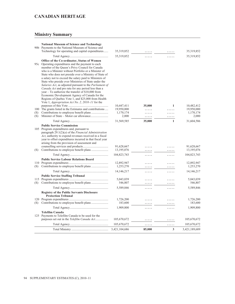|     | <b>National Museum of Science and Technology</b><br>90b Payments to the National Museum of Science and<br>Technology for operating and capital expenditures                                                                                                                                                                                                                                                                                                                                                                                                                                                                                                                                                                | 35,319,852                 |        |              | 35,319,852               |
|-----|----------------------------------------------------------------------------------------------------------------------------------------------------------------------------------------------------------------------------------------------------------------------------------------------------------------------------------------------------------------------------------------------------------------------------------------------------------------------------------------------------------------------------------------------------------------------------------------------------------------------------------------------------------------------------------------------------------------------------|----------------------------|--------|--------------|--------------------------|
|     |                                                                                                                                                                                                                                                                                                                                                                                                                                                                                                                                                                                                                                                                                                                            | 35, 319, 852               |        |              | 35,319,852               |
|     | Office of the Co-ordinator, Status of Women<br>95c Operating expenditures and the payment to each<br>member of the Queen's Privy Council for Canada<br>who is a Minister without Portfolio or a Minister of<br>State who does not preside over a Ministry of State of<br>a salary not to exceed the salary paid to Ministers of<br>State who preside over Ministries of State under the<br>Salaries Act, as adjusted pursuant to the Parliament of<br>Canada Act and pro rata for any period less than a<br>year $-$ To authorize the transfer of \$10,000 from<br>Economic Development Agency of Canada for the<br>Regions of Quebec Vote 1, and \$25,000 from Health<br>Vote 1, Appropriation Act No. 2, 2010-11 for the |                            |        |              |                          |
|     |                                                                                                                                                                                                                                                                                                                                                                                                                                                                                                                                                                                                                                                                                                                            | 10,447,411                 | 35,000 | 1            | 10,482,412               |
| 100 | The grants listed in the Estimates and contributions                                                                                                                                                                                                                                                                                                                                                                                                                                                                                                                                                                                                                                                                       | 19,950,000                 | .      | .            | 19,950,000               |
| (S) |                                                                                                                                                                                                                                                                                                                                                                                                                                                                                                                                                                                                                                                                                                                            | 1,170,174                  | .      | .            | 1,170,174                |
| (S) |                                                                                                                                                                                                                                                                                                                                                                                                                                                                                                                                                                                                                                                                                                                            | 2,000                      | .      | .            | 2,000                    |
|     |                                                                                                                                                                                                                                                                                                                                                                                                                                                                                                                                                                                                                                                                                                                            | 31,569,585                 | 35,000 | $\mathbf{1}$ | 31,604,586               |
| (S) | 105 Program expenditures and, pursuant to<br>paragraph $29.1(2)(a)$ of the <i>Financial Administration</i><br>Act, authority to expend revenues received in a fiscal<br>year to offset expenditures incurred in that fiscal year<br>arising from the provision of assessment and                                                                                                                                                                                                                                                                                                                                                                                                                                           | 91,628,667<br>13, 195, 076 | .<br>. | .            | 91,628,667<br>13,195,076 |
|     |                                                                                                                                                                                                                                                                                                                                                                                                                                                                                                                                                                                                                                                                                                                            | 104,823,743                | .      | .            | 104,823,743              |
|     | <b>Public Service Labour Relations Board</b>                                                                                                                                                                                                                                                                                                                                                                                                                                                                                                                                                                                                                                                                               | 12,892,947                 |        |              | 12,892,947               |
| (S) |                                                                                                                                                                                                                                                                                                                                                                                                                                                                                                                                                                                                                                                                                                                            | 1,253,270                  | .      | .            | 1,253,270                |
|     |                                                                                                                                                                                                                                                                                                                                                                                                                                                                                                                                                                                                                                                                                                                            | 14, 146, 217               | .      | .            | 14, 146, 217             |
|     | <b>Public Service Staffing Tribunal</b>                                                                                                                                                                                                                                                                                                                                                                                                                                                                                                                                                                                                                                                                                    |                            |        |              |                          |
|     |                                                                                                                                                                                                                                                                                                                                                                                                                                                                                                                                                                                                                                                                                                                            | 5,043,039                  | .      | .            | 5,043,039                |
| (S) |                                                                                                                                                                                                                                                                                                                                                                                                                                                                                                                                                                                                                                                                                                                            | 546,807                    | .      | .            | 546,807                  |
|     |                                                                                                                                                                                                                                                                                                                                                                                                                                                                                                                                                                                                                                                                                                                            | 5,589,846                  | .      | .            | 5,589,846                |
|     | <b>Registry of the Public Servants Disclosure</b><br><b>Protection Tribunal</b>                                                                                                                                                                                                                                                                                                                                                                                                                                                                                                                                                                                                                                            |                            |        |              |                          |
|     |                                                                                                                                                                                                                                                                                                                                                                                                                                                                                                                                                                                                                                                                                                                            | 1,726,200                  |        |              | 1,726,200                |
| (S) |                                                                                                                                                                                                                                                                                                                                                                                                                                                                                                                                                                                                                                                                                                                            | 183,600                    | .      | .            | 183,600                  |
|     |                                                                                                                                                                                                                                                                                                                                                                                                                                                                                                                                                                                                                                                                                                                            | 1,909,800                  | .      | .            | 1,909,800                |
|     | <b>Telefilm Canada</b><br>125 Payments to Telefilm Canada to be used for the                                                                                                                                                                                                                                                                                                                                                                                                                                                                                                                                                                                                                                               |                            |        |              |                          |
|     | purposes set out in the Telefilm Canada Act                                                                                                                                                                                                                                                                                                                                                                                                                                                                                                                                                                                                                                                                                | 105,670,672                | .      |              | 105,670,672              |
|     |                                                                                                                                                                                                                                                                                                                                                                                                                                                                                                                                                                                                                                                                                                                            | 105,670,672                | .      | .            | 105,670,672              |
|     |                                                                                                                                                                                                                                                                                                                                                                                                                                                                                                                                                                                                                                                                                                                            | 3,421,104,686              | 85,000 | 3            | 3,421,189,689            |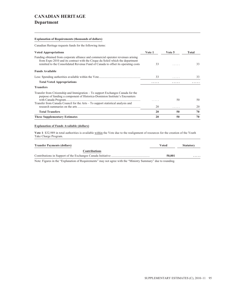### **Department**

#### **Explanation of Requirements (thousands of dollars)**

Canadian Heritage requests funds for the following items:

| <b>Voted Appropriations</b>                                                                                                                                                                                                                              | Vote 1 | Vote 5 | Total |
|----------------------------------------------------------------------------------------------------------------------------------------------------------------------------------------------------------------------------------------------------------|--------|--------|-------|
| Funding obtained from corporate alliance and commercial operator revenues arising<br>from Expo 2010 and its contract with the Cirque du Soleil which the department<br>remitted to the Consolidated Revenue Fund of Canada to offset its operating costs | 33     |        | 33    |
| <b>Funds Available</b>                                                                                                                                                                                                                                   |        |        |       |
|                                                                                                                                                                                                                                                          | 33     | .      | 33    |
| <b>Total Voted Appropriations</b>                                                                                                                                                                                                                        | .      |        |       |
| <b>Transfers</b>                                                                                                                                                                                                                                         |        |        |       |
| Transfer from Citizenship and Immigration – To support Exchanges Canada for the<br>purpose of funding a component of Historica-Dominion Institute's Encounters                                                                                           |        | 50     | 50    |
| Transfer from Canada Council for the Arts - To support statistical analysis and                                                                                                                                                                          | 20     | .      | 20    |
| <b>Total Transfers</b>                                                                                                                                                                                                                                   | 20     | 50     | 70    |
| <b>These Supplementary Estimates</b>                                                                                                                                                                                                                     | 20     | 50     | 70    |

### **Explanation of Funds Available (dollars)**

**Vote 1**: \$32,989 in total authorities is available within the Vote due to the realignment of resources for the creation of the Youth Take Charge Program.

| <b>Transfer Payments (dollars)</b> | Voted  | <b>Statutory</b> |
|------------------------------------|--------|------------------|
| <b>Contributions</b>               |        |                  |
|                                    | 50,001 | .                |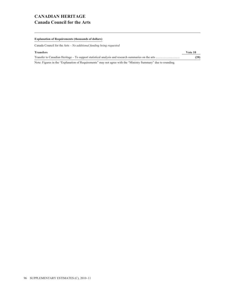### **CANADIAN HERITAGE Canada Council for the Arts**

#### **Explanation of Requirements (thousands of dollars)**

Canada Council for the Arts – *No additional funding being requested*

**Transfers Vote 10** Transfer to Canadian Heritage – To support statistical analysis and research summaries on the arts ............................... **(20)** Note: Figures in the "Explanation of Requirements" may not agree with the "Ministry Summary" due to rounding.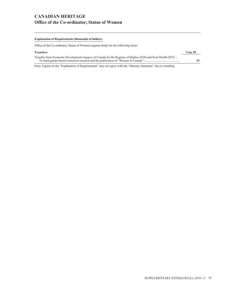### **CANADIAN HERITAGE Office of the Co-ordinator, Status of Women**

#### **Explanation of Requirements (thousands of dollars)**

Office of the Co-ordinator, Status of Women requests funds for the following items:

| <b>Transfers</b>                                                                                              | Vote 95 |
|---------------------------------------------------------------------------------------------------------------|---------|
| Transfer from Economic Development Agency of Canada for the Regions of Quebec (\$10) and from Health (\$25) – |         |
|                                                                                                               |         |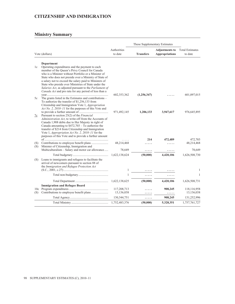### **CITIZENSHIP AND IMMIGRATION**

| These Supplementary Estimates |                                                                                                                                                                                                                                                                                                                                                                                                                                                                        |                           |                  |                                                |                                   |
|-------------------------------|------------------------------------------------------------------------------------------------------------------------------------------------------------------------------------------------------------------------------------------------------------------------------------------------------------------------------------------------------------------------------------------------------------------------------------------------------------------------|---------------------------|------------------|------------------------------------------------|-----------------------------------|
|                               | Vote (dollars)                                                                                                                                                                                                                                                                                                                                                                                                                                                         | Authorities<br>to date    | <b>Transfers</b> | <b>Adjustments to</b><br><b>Appropriations</b> | <b>Total Estimates</b><br>to date |
|                               |                                                                                                                                                                                                                                                                                                                                                                                                                                                                        |                           |                  |                                                |                                   |
| 1c                            | Department<br>Operating expenditures and the payment to each<br>member of the Queen's Privy Council for Canada<br>who is a Minister without Portfolio or a Minister of<br>State who does not preside over a Ministry of State of<br>a salary not to exceed the salary paid to Ministers of<br>State who preside over Ministries of State under the<br>Salaries Act, as adjusted pursuant to the Parliament of<br>Canada Act and pro rata for any period of less than a |                           |                  |                                                |                                   |
| 5c                            | The grants listed in the Estimates and contributions –<br>To authorize the transfer of \$1,256,133 from<br>Citizenship and Immigration Vote 1, Appropriation<br>Act No. 2, 2010–11 for the purposes of this Vote and                                                                                                                                                                                                                                                   | 602,353,362               | (1,256,347)      |                                                | 601,097,015                       |
| $\frac{7c}{2}$                | Pursuant to section 25(2) of the Financial<br>Administration Act, to write-off from the Accounts of<br>Canada 1,908 debts due to Her Majesty in right of<br>Canada amounting to \$472,703 - To authorize the<br>transfer of \$214 from Citizenship and Immigration<br>Vote 1, <i>Appropriation Act No. 2, 2010–11</i> for the<br>purposes of this Vote and to provide a further amount                                                                                 | 971,492,145               | 1,206,133        | 3,947,617                                      | 976,645,895                       |
|                               |                                                                                                                                                                                                                                                                                                                                                                                                                                                                        |                           | 214              | 472,489                                        | 472,703                           |
| (S)<br>(S)                    | Minister of Citizenship, Immigration and                                                                                                                                                                                                                                                                                                                                                                                                                               | 48,214,468                |                  |                                                | 48,214,468                        |
|                               | Multiculturalism - Salary and motor car allowance                                                                                                                                                                                                                                                                                                                                                                                                                      | 78,649                    |                  |                                                | 78,649                            |
|                               |                                                                                                                                                                                                                                                                                                                                                                                                                                                                        | 1,622,138,624             | (50,000)         | 4,420,106                                      | 1,626,508,730                     |
| (S)                           | Loans to immigrants and refugees to facilitate the<br>arrival of newcomers pursuant to section 88 of<br>the Immigration and Refugee Protection Act                                                                                                                                                                                                                                                                                                                     | 1                         |                  |                                                | $\mathbf{1}$                      |
|                               |                                                                                                                                                                                                                                                                                                                                                                                                                                                                        | $\mathbf{1}$              |                  |                                                | 1                                 |
|                               |                                                                                                                                                                                                                                                                                                                                                                                                                                                                        |                           | .                |                                                |                                   |
|                               |                                                                                                                                                                                                                                                                                                                                                                                                                                                                        | 1,622,138,625             | (50,000)         | 4,420,106                                      | 1,626,508,731                     |
| (S)                           | <b>Immigration and Refugee Board</b>                                                                                                                                                                                                                                                                                                                                                                                                                                   | 117,208,713<br>13,136,038 |                  | 908,245                                        | 118,116,958<br>13,136,038         |
|                               |                                                                                                                                                                                                                                                                                                                                                                                                                                                                        | 130, 344, 751             | .                | 908,245                                        | 131,252,996                       |
|                               |                                                                                                                                                                                                                                                                                                                                                                                                                                                                        | 1,752,483,376             | (50,000)         | 5,328,351                                      | 1,757,761,727                     |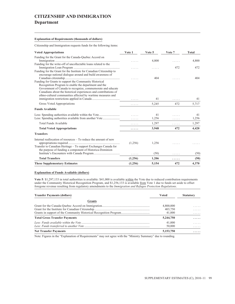### **CITIZENSHIP AND IMMIGRATION Department**

#### **Explanation of Requirements (thousands of dollars)**

Citizenship and Immigration requests funds for the following items:

| <b>Voted Appropriations</b>                                                                                                                                                                  | Vote 1       | Vote 5      | Vote 7 | Total       |
|----------------------------------------------------------------------------------------------------------------------------------------------------------------------------------------------|--------------|-------------|--------|-------------|
| Funding for the Grant for the Canada-Quebec Accord on                                                                                                                                        |              | 4,800       | .      | 4,800       |
| Funding for the write-off of uncollectable loans related to the                                                                                                                              | .            | .           | 472    | 472         |
| Funding for the Grant for the Institute for Canadian Citizenship to<br>encourage national dialogue around and build awareness of                                                             |              |             |        |             |
| Funding for Grants to support the Community Historical<br>Recognition Program to enable the department and the                                                                               |              | 404         | .      | 404         |
| Government of Canada to recognize, commemorate and educate<br>Canadians about the historical experiences and contributions of<br>ethno-cultural communities affected by wartime measures and |              |             |        |             |
|                                                                                                                                                                                              | 1.1.1.1      | 41          | .      | 41          |
| Gross Voted Appropriations                                                                                                                                                                   | .            | 5,245       | 472    | 5,717       |
| <b>Funds Available</b>                                                                                                                                                                       |              |             |        |             |
| Less: Spending authorities available from another Vote                                                                                                                                       |              | 41<br>1,256 | .<br>. | 41<br>1,256 |
| <b>Total Funds Available</b>                                                                                                                                                                 | .            | 1,297       | .      | 1,297       |
| <b>Total Voted Appropriations</b>                                                                                                                                                            | .            | 3,948       | 472    | 4,420       |
| <b>Transfers</b>                                                                                                                                                                             |              |             |        |             |
| Internal reallocation of resources – To reduce the amount of new                                                                                                                             | (1,256)      | 1,256       |        |             |
| Transfer to Canadian Heritage – To support Exchanges Canada for<br>the purpose of funding a component of Historica-Dominion                                                                  |              | (50)        |        | (50)        |
| <b>Total Transfers</b>                                                                                                                                                                       | .<br>(1,256) | 1,206       |        | (50)        |
|                                                                                                                                                                                              |              |             | .      |             |
| <b>These Supplementary Estimates</b>                                                                                                                                                         | (1,256)      | 5.154       | 472    | 4.370       |

#### **Explanation of Funds Available (dollars)**

**Vote 5**: \$1,297,133 in total authorities is available: \$41,000 is available within the Vote due to reduced contribution requirements under the Community Historical Recognition Program, and \$1,256,133 is available from Vote 1 due to funds set aside to offset foregone revenue resulting from regulatory amendments to the *Immigration and Refugee Protection Regulations*.

| <b>Transfer Payments (dollars)</b>   | Voted     | <b>Statutory</b> |
|--------------------------------------|-----------|------------------|
| Grants                               |           |                  |
|                                      | 4,800,000 | .                |
|                                      | 403,750   | .                |
|                                      | 41,000    | .                |
| <b>Total Gross Transfer Payments</b> | 5,244,750 | .                |
|                                      | 41,000    | .                |
|                                      | 50,000    | .                |
| <b>Net Transfer Payments</b>         | 5,153,750 | .                |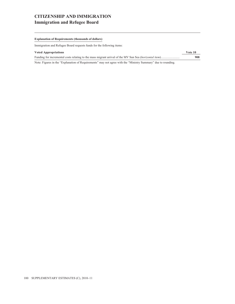### **CITIZENSHIP AND IMMIGRATION Immigration and Refugee Board**

#### **Explanation of Requirements (thousands of dollars)**

Immigration and Refugee Board requests funds for the following items:

**Voted Appropriations Vote 10** Funding for incremental costs relating to the mass migrant arrival of the MV Sun Sea (*horizontal item*)........................ **908**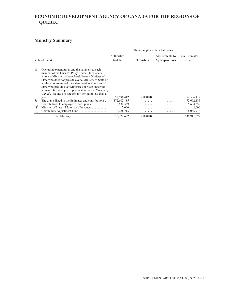### **ECONOMIC DEVELOPMENT AGENCY OF CANADA FOR THE REGIONS OF QUEBEC**

|                |                                                                                                                                                                                                                                                                                                                                                                                                                                                                 |                        | These Supplementary Estimates |                                         |                                   |
|----------------|-----------------------------------------------------------------------------------------------------------------------------------------------------------------------------------------------------------------------------------------------------------------------------------------------------------------------------------------------------------------------------------------------------------------------------------------------------------------|------------------------|-------------------------------|-----------------------------------------|-----------------------------------|
| Vote (dollars) |                                                                                                                                                                                                                                                                                                                                                                                                                                                                 | Authorities<br>to date | <b>Transfers</b>              | <b>Adjustments to</b><br>Appropriations | <b>Total Estimates</b><br>to date |
| 1c             | Operating expenditures and the payment to each<br>member of the Queen's Privy Council for Canada<br>who is a Minister without Portfolio or a Minister of<br>State who does not preside over a Ministry of State of<br>a salary not to exceed the salary paid to Ministers of<br>State who preside over Ministries of State under the<br>Salaries Act, as adjusted pursuant to the Parliament of<br><i>Canada Act</i> and pro rata for any period of less than a |                        |                               |                                         |                                   |
|                |                                                                                                                                                                                                                                                                                                                                                                                                                                                                 | 52,596,412             | (10,000)                      | .                                       | 52,586,412                        |
| 5c             | The grants listed in the Estimates and contributions                                                                                                                                                                                                                                                                                                                                                                                                            | 472,602,185            | .                             | .                                       | 472,602,185                       |
| (S)            |                                                                                                                                                                                                                                                                                                                                                                                                                                                                 | 5,634,359              | .                             | .                                       | 5,634,359                         |
| (S)            |                                                                                                                                                                                                                                                                                                                                                                                                                                                                 | 2,000                  | .                             | .                                       | 2,000                             |
| (S)            |                                                                                                                                                                                                                                                                                                                                                                                                                                                                 | 6,086,716              | .                             | .                                       | 6,086,716                         |
|                |                                                                                                                                                                                                                                                                                                                                                                                                                                                                 | 536,921,672            | (10,000)                      | .                                       | 536,911,672                       |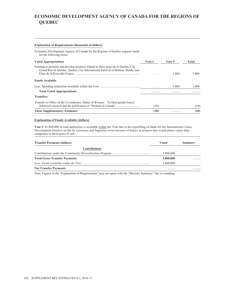### **ECONOMIC DEVELOPMENT AGENCY OF CANADA FOR THE REGIONS OF QUEBEC**

#### **Explanation of Requirements (thousands of dollars)**

Economic Development Agency of Canada for the Regions of Quebec requests funds for the following items:

| <b>Voted Appropriations</b>                                                                                                                                           | Vote 1 | Vote 5 | Total |
|-----------------------------------------------------------------------------------------------------------------------------------------------------------------------|--------|--------|-------|
| Funding to promote and develop products related to three festivals in Quebec City:<br>Grand Rire de Ouébec, Ouebec City International Festival of Military Bands, and |        | 1.800  | 1.800 |
| <b>Funds Available</b>                                                                                                                                                |        |        |       |
|                                                                                                                                                                       |        | 1.800  | 1.800 |
| <b>Total Voted Appropriations</b>                                                                                                                                     | .      | .      |       |
| <b>Transfers</b>                                                                                                                                                      |        |        |       |
| Transfer to Office of the Co-ordinator, Status of Women $-$ To fund gender-based                                                                                      | (10)   | .      | (10)  |
| <b>These Supplementary Estimates</b>                                                                                                                                  | (10)   | .      | (10)  |

#### **Explanation of Funds Available (dollars)**

**Vote 5**: \$1,800,000 in total authorities is available within the Vote due to the reprofiling of funds for the International Cruise Development Initative on the St. Lawrence and Saguenay rivers because of delays in projects that would attract cruise ship companies to these ports of call.

| <b>Transfer Payments (dollars)</b>   | Voted     | <b>Statutory</b> |
|--------------------------------------|-----------|------------------|
| <b>Contributions</b>                 |           |                  |
|                                      | 1.800.000 | .                |
| <b>Total Gross Transfer Payments</b> | 1,800,000 | .                |
|                                      | 1,800,000 | .                |
| <b>Net Transfer Payments</b>         | .         | .                |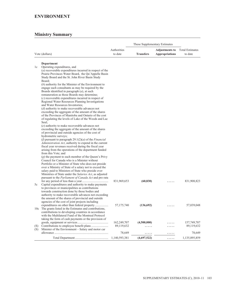| These Supplementary Estimates |                                                                                                            |               |                  |                       |                        |
|-------------------------------|------------------------------------------------------------------------------------------------------------|---------------|------------------|-----------------------|------------------------|
|                               |                                                                                                            | Authorities   |                  | <b>Adjustments to</b> | <b>Total Estimates</b> |
|                               | Vote (dollars)                                                                                             | to date       | <b>Transfers</b> | <b>Appropriations</b> | to date                |
|                               |                                                                                                            |               |                  |                       |                        |
|                               | Department                                                                                                 |               |                  |                       |                        |
| 1c                            | Operating expenditures, and                                                                                |               |                  |                       |                        |
|                               | (a) recoverable expenditures incurred in respect of the                                                    |               |                  |                       |                        |
|                               | Prairie Provinces Water Board, the Qu'Appelle Basin                                                        |               |                  |                       |                        |
|                               | Study Board and the St. John River Basin Study<br>Board:                                                   |               |                  |                       |                        |
|                               | $(b)$ authority for the Minister of the Environment to                                                     |               |                  |                       |                        |
|                               | engage such consultants as may be required by the                                                          |               |                  |                       |                        |
|                               | Boards identified in paragraph $(a)$ , at such                                                             |               |                  |                       |                        |
|                               | remuneration as those Boards may determine;                                                                |               |                  |                       |                        |
|                               | $(c)$ recoverable expenditures incurred in respect of                                                      |               |                  |                       |                        |
|                               | Regional Water Resources Planning Investigations                                                           |               |                  |                       |                        |
|                               | and Water Resources Inventories;                                                                           |               |                  |                       |                        |
|                               | $(d)$ authority to make recoverable advances not                                                           |               |                  |                       |                        |
|                               | exceeding the aggregate of the amount of the shares                                                        |               |                  |                       |                        |
|                               | of the Provinces of Manitoba and Ontario of the cost                                                       |               |                  |                       |                        |
|                               | of regulating the levels of Lake of the Woods and Lac<br>Seul:                                             |               |                  |                       |                        |
|                               | (e) authority to make recoverable advances not                                                             |               |                  |                       |                        |
|                               | exceeding the aggregate of the amount of the shares                                                        |               |                  |                       |                        |
|                               | of provincial and outside agencies of the cost of                                                          |               |                  |                       |                        |
|                               | hydrometric surveys;                                                                                       |               |                  |                       |                        |
|                               | ( <i>f</i> ) pursuant to paragraph 29.1(2)( <i>a</i> ) of the <i>Financial</i>                             |               |                  |                       |                        |
|                               | Administration Act, authority to expend in the current                                                     |               |                  |                       |                        |
|                               | fiscal year revenues received during the fiscal year                                                       |               |                  |                       |                        |
|                               | arising from the operations of the department funded                                                       |               |                  |                       |                        |
|                               | from this Vote; and                                                                                        |               |                  |                       |                        |
|                               | (g) the payment to each member of the Queen's Privy<br>Council for Canada who is a Minister without        |               |                  |                       |                        |
|                               | Portfolio or a Minister of State who does not preside                                                      |               |                  |                       |                        |
|                               | over a Ministry of State of a salary not to exceed the                                                     |               |                  |                       |                        |
|                               | salary paid to Ministers of State who preside over                                                         |               |                  |                       |                        |
|                               | Ministries of State under the Salaries Act, as adjusted                                                    |               |                  |                       |                        |
|                               | pursuant to the Parliament of Canada Act and pro rata                                                      |               |                  |                       |                        |
|                               |                                                                                                            | 831,969,653   | (60, 830)        |                       | 831,908,823            |
| 5c                            | Capital expenditures and authority to make payments                                                        |               |                  |                       |                        |
|                               | to provinces or municipalities as contributions                                                            |               |                  |                       |                        |
|                               | towards construction done by those bodies and                                                              |               |                  |                       |                        |
|                               | authority to make recoverable advances not exceeding<br>the amount of the shares of provincial and outside |               |                  |                       |                        |
|                               | agencies of the cost of joint projects including                                                           |               |                  |                       |                        |
|                               |                                                                                                            | 57, 175, 740  | (136,692)        |                       | 57,039,048             |
|                               | 10c The grants listed in the Estimates and contributions,                                                  |               |                  |                       |                        |
|                               | contributions to developing countries in accordance                                                        |               |                  |                       |                        |
|                               | with the Multilateral Fund of the Montreal Protocol                                                        |               |                  |                       |                        |
|                               | taking the form of cash payments or the provision of                                                       |               |                  |                       |                        |
|                               |                                                                                                            | 162,249,707   | (4,500,000)      |                       | 157,749,707            |
| (S)                           |                                                                                                            | 89,119,632    | .                | .                     | 89,119,632             |
| (S)                           | Minister of the Environment – Salary and motor car                                                         | 78,649        |                  |                       | 78,649                 |
|                               |                                                                                                            |               | .                | .                     |                        |
|                               |                                                                                                            | 1,140,593,381 | (4,697,522)      | .                     | 1,135,895,859          |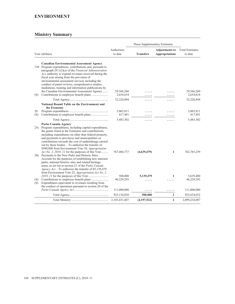### **ENVIRONMENT**

|           |                                                                                                                                                                                                                                                                                                                                                                                                                                                                                                                                                                                                                                                                                                                                                                                                                                    |                          | These Supplementary Estimates |                                                |                                   |
|-----------|------------------------------------------------------------------------------------------------------------------------------------------------------------------------------------------------------------------------------------------------------------------------------------------------------------------------------------------------------------------------------------------------------------------------------------------------------------------------------------------------------------------------------------------------------------------------------------------------------------------------------------------------------------------------------------------------------------------------------------------------------------------------------------------------------------------------------------|--------------------------|-------------------------------|------------------------------------------------|-----------------------------------|
|           | Vote (dollars)                                                                                                                                                                                                                                                                                                                                                                                                                                                                                                                                                                                                                                                                                                                                                                                                                     | Authorities<br>to date   | <b>Transfers</b>              | <b>Adjustments to</b><br><b>Appropriations</b> | <b>Total Estimates</b><br>to date |
| (S)       | <b>Canadian Environmental Assessment Agency</b><br>15b Program expenditures, contributions and, pursuant to<br>paragraph $29.1(2)(a)$ of the <i>Financial Administration</i><br>Act, authority to expend revenues received during the<br>fiscal year arising from the provision of<br>environmental assessment services including the<br>conduct of panel reviews, comprehensive studies,<br>mediations, training and information publications by<br>the Canadian Environmental Assessment Agency                                                                                                                                                                                                                                                                                                                                  | 29,566,260<br>2,654,634  | .                             |                                                | 29,566,260<br>2,654,634           |
|           |                                                                                                                                                                                                                                                                                                                                                                                                                                                                                                                                                                                                                                                                                                                                                                                                                                    | 32,220,894               | .                             | .                                              | 32,220,894                        |
| 20<br>(S) | <b>National Round Table on the Environment and</b><br>the Economy                                                                                                                                                                                                                                                                                                                                                                                                                                                                                                                                                                                                                                                                                                                                                                  | 5,065,811<br>417,491     | .                             | .                                              | 5,065,811<br>417,491              |
|           |                                                                                                                                                                                                                                                                                                                                                                                                                                                                                                                                                                                                                                                                                                                                                                                                                                    | 5,483,302                | .                             | .                                              | 5,483,302                         |
|           | <b>Parks Canada Agency</b><br>25c Program expenditures, including capital expenditures,<br>the grants listed in the Estimates and contributions,<br>including expenditures on other than federal property,<br>and payments to provinces and municipalities as<br>contributions towards the cost of undertakings carried<br>out by those bodies – To authorize the transfer of<br>\$500,000 from Environment Vote 10, Appropriation<br>Act No. 2, 2010–11 for the purposes of this Vote<br>30c Payments to the New Parks and Historic Sites<br>Account for the purposes of establishing new national<br>parks, national historic sites and related heritage<br>areas, as set out in section 21 of the Parks Canada<br>Agency $Act$ – To authorize the transfer of \$5,139,479<br>from Environment Vote 25, Appropriation Act No. 2, | 767, 404, 737<br>500,000 | (4,639,479)<br>5,139,479      | 1<br>1                                         | 762, 765, 259<br>5,639,480        |
| (S)       |                                                                                                                                                                                                                                                                                                                                                                                                                                                                                                                                                                                                                                                                                                                                                                                                                                    | 46,229,293               |                               | .                                              | 46,229,293                        |
| (S)       | Expenditures equivalent to revenues resulting from<br>the conduct of operations pursuant to section 20 of the                                                                                                                                                                                                                                                                                                                                                                                                                                                                                                                                                                                                                                                                                                                      | 111,000,000              | .                             |                                                | 111,000,000                       |
|           |                                                                                                                                                                                                                                                                                                                                                                                                                                                                                                                                                                                                                                                                                                                                                                                                                                    | 925,134,030              | 500,000                       | $\overline{2}$                                 | 925,634,032                       |
|           |                                                                                                                                                                                                                                                                                                                                                                                                                                                                                                                                                                                                                                                                                                                                                                                                                                    | 2,103,431,607            | (4,197,522)                   | $\overline{2}$                                 | 2,099,234,087                     |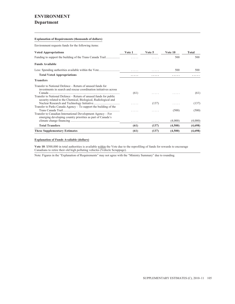# **ENVIRONMENT**

## **Department**

#### **Explanation of Requirements (thousands of dollars)**

Environment requests funds for the following items:

| <b>Voted Appropriations</b>                                                                                                                                                                                                                                         | Vote 1 | Vote 5 | Vote 10    | Total         |
|---------------------------------------------------------------------------------------------------------------------------------------------------------------------------------------------------------------------------------------------------------------------|--------|--------|------------|---------------|
|                                                                                                                                                                                                                                                                     |        |        | 500        | 500           |
| <b>Funds Available</b>                                                                                                                                                                                                                                              |        |        |            |               |
|                                                                                                                                                                                                                                                                     |        | .      | 500        | 500           |
| <b>Total Voted Appropriations</b>                                                                                                                                                                                                                                   | .      | .      | .          |               |
| <b>Transfers</b>                                                                                                                                                                                                                                                    |        |        |            |               |
| Transfer to National Defence – Return of unused funds for<br>investments in search and rescue coordination initiatives across<br>Transfer to National Defence – Return of unused funds for public<br>security related to the Chemical, Biological, Radiological and | (61)   | (137)  |            | (61)<br>(137) |
| Transfer to Parks Canada Agency – To support the building of the                                                                                                                                                                                                    |        |        | .<br>(500) | (500)         |
| Transfer to Canadian International Development Agency – For<br>emerging developing country priorities as part of Canada's                                                                                                                                           |        | .      | (4,000)    | (4,000)       |
| <b>Total Transfers</b>                                                                                                                                                                                                                                              | (61)   | (137)  | (4,500)    | (4,698)       |
| <b>These Supplementary Estimates</b>                                                                                                                                                                                                                                | (61)   | (137)  | (4,500)    | (4,698)       |

#### **Explanation of Funds Available (dollars)**

**Vote 10**: \$500,000 in total authorities is available within the Vote due to the reprofiling of funds for rewards to encourage Canadians to retire their old high polluting vehicles (Vehicle Scrappage).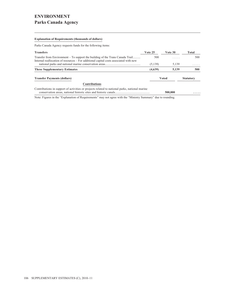#### **Explanation of Requirements (thousands of dollars)**

Parks Canada Agency requests funds for the following items:

| <b>Transfers</b>                                                                                                                                                       | Vote 25  | Vote 30      | Total            |
|------------------------------------------------------------------------------------------------------------------------------------------------------------------------|----------|--------------|------------------|
| Transfer from Environment – To support the building of the Trans Canada Trail<br>Internal reallocation of resources – For additional capital costs associated with new | 500      | .            | 500              |
|                                                                                                                                                                        | (5, 139) | 5,139        | .                |
| <b>These Supplementary Estimates</b>                                                                                                                                   | (4,639)  | 5.139        | 500              |
| <b>Transfer Payments (dollars)</b>                                                                                                                                     |          | <b>Voted</b> | <b>Statutory</b> |
| <b>Contributions</b>                                                                                                                                                   |          |              |                  |
| Contributions in support of activities or projects related to national parks, national marine                                                                          |          | 500,000      | .                |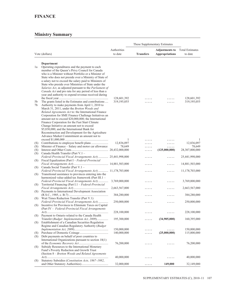| Authorities<br><b>Total Estimates</b><br><b>Adjustments to</b><br>Vote (dollars)<br>to date<br><b>Transfers</b><br><b>Appropriations</b><br>to date<br>Department<br>Operating expenditures and the payment to each<br>1a<br>member of the Queen's Privy Council for Canada<br>who is a Minister without Portfolio or a Minister of<br>State who does not preside over a Ministry of State of<br>a salary not to exceed the salary paid to Ministers of<br>State who preside over Ministries of State under the<br>Salaries Act, as adjusted pursuant to the Parliament of<br>Canada Act and pro rata for any period of less than a<br>year and authority to expend revenue received during<br>128,601,392<br>128,601,392<br>The grants listed in the Estimates and contributions<br>319,195,055<br>319,195,055<br>5b<br>Authority to make payments from April 1, 2010 to<br>7b<br>March 31, 2011, under the Bretton Woods and<br>Related Agreements Act to: the International Finance<br>Corporation for SME Finance Challenge Initiatives an<br>amount not to exceed \$20,000,000; the International<br>Finance Corporation for the Fast Start Climate<br>Change Initiative an amount not to exceed<br>\$5,830,000; and the International Bank for<br>Reconstruction and Development for the Agriculture<br>Advance Market Commitment an amount not to<br>1<br>12,836,097<br>12,836,097<br>(S)<br>Minister of Finance - Salary and motor car allowance<br>78,649<br>78,649<br>(S)<br>.<br>28,307,000,000<br>(S)<br>(125,000,000)<br>.<br>Canada Health Transfer (Part V.1 -<br>(S)<br>Federal-Provincial Fiscal Arrangements Act)  25,441,998,000<br>25,441,998,000<br>.<br>Fiscal Equalization (Part I - Federal-Provincial<br>(S)<br>14,881,503,000<br>.<br>Canada Social Transfer (Part V.1 -<br>(S)<br>Federal-Provincial Fiscal Arrangements Act)  11,178,703,000<br>11,178,703,000<br>.<br>.<br>Transitional assistance to provinces entering into the<br>(S)<br>harmonized value-added tax framework (Part III.1 -<br>Federal-Provincial Fiscal Arrangements Act)<br>3,769,000,000<br>3,769,000,000<br>.<br>.<br>Territorial Financing (Part I.1 - Federal-Provincial<br>(S)<br>2,663,567,000<br>2,663,567,000<br>.<br>Payments to International Development Association<br>(S)<br>384,280,000<br>384,280,000<br>Wait Times Reduction Transfer (Part V.1)<br>(S)<br>Federal-Provincial Fiscal Arrangements Act)<br>250,000,000<br>250,000,000<br>.<br>.<br>Incentive for Provinces to Eliminate Taxes on Capital<br>(S)<br>(Part IV - Federal-Provincial Fiscal Arrangements<br>228,100,000<br>.<br>.<br>(S)<br>Payment to Ontario related to the Canada Health<br>Transfer (Budget Implementation Act, 2009)<br>160,395,000<br>195,300,000<br>(34,905,000)<br>.<br>Establishment of a Canadian Securities Regulation<br>(S)<br>Regime and Canadian Regulatory Authority (Budget<br>150,000,000<br>150,000,000<br>(25,000,000)<br>140,000,000<br>115,000,000<br>(S)<br>.<br>Debt payments on behalf of poor countries to<br>(S)<br>International Organizations pursuant to section 18(1)<br>76,200,000<br>76,200,000<br>Subsidy Resources to the International Monetary<br>(S)<br>Fund's Poverty Reduction and Growth Trust<br>(Section 8 – Bretton Woods and Related Agreements<br>40,000,000<br>40,000,000<br>Statutory Subsidies (Constitution Acts, 1867-1982,<br>(S) |  |            | These Supplementary Estimates |         |             |
|------------------------------------------------------------------------------------------------------------------------------------------------------------------------------------------------------------------------------------------------------------------------------------------------------------------------------------------------------------------------------------------------------------------------------------------------------------------------------------------------------------------------------------------------------------------------------------------------------------------------------------------------------------------------------------------------------------------------------------------------------------------------------------------------------------------------------------------------------------------------------------------------------------------------------------------------------------------------------------------------------------------------------------------------------------------------------------------------------------------------------------------------------------------------------------------------------------------------------------------------------------------------------------------------------------------------------------------------------------------------------------------------------------------------------------------------------------------------------------------------------------------------------------------------------------------------------------------------------------------------------------------------------------------------------------------------------------------------------------------------------------------------------------------------------------------------------------------------------------------------------------------------------------------------------------------------------------------------------------------------------------------------------------------------------------------------------------------------------------------------------------------------------------------------------------------------------------------------------------------------------------------------------------------------------------------------------------------------------------------------------------------------------------------------------------------------------------------------------------------------------------------------------------------------------------------------------------------------------------------------------------------------------------------------------------------------------------------------------------------------------------------------------------------------------------------------------------------------------------------------------------------------------------------------------------------------------------------------------------------------------------------------------------------------------------------------------------------------------------------------------------------------------------------------------------------------------------------------------------------------------------------------------------------------------------------------------------------------------------------------------------|--|------------|-------------------------------|---------|-------------|
|                                                                                                                                                                                                                                                                                                                                                                                                                                                                                                                                                                                                                                                                                                                                                                                                                                                                                                                                                                                                                                                                                                                                                                                                                                                                                                                                                                                                                                                                                                                                                                                                                                                                                                                                                                                                                                                                                                                                                                                                                                                                                                                                                                                                                                                                                                                                                                                                                                                                                                                                                                                                                                                                                                                                                                                                                                                                                                                                                                                                                                                                                                                                                                                                                                                                                                                                                                                    |  |            |                               |         |             |
|                                                                                                                                                                                                                                                                                                                                                                                                                                                                                                                                                                                                                                                                                                                                                                                                                                                                                                                                                                                                                                                                                                                                                                                                                                                                                                                                                                                                                                                                                                                                                                                                                                                                                                                                                                                                                                                                                                                                                                                                                                                                                                                                                                                                                                                                                                                                                                                                                                                                                                                                                                                                                                                                                                                                                                                                                                                                                                                                                                                                                                                                                                                                                                                                                                                                                                                                                                                    |  |            |                               |         |             |
|                                                                                                                                                                                                                                                                                                                                                                                                                                                                                                                                                                                                                                                                                                                                                                                                                                                                                                                                                                                                                                                                                                                                                                                                                                                                                                                                                                                                                                                                                                                                                                                                                                                                                                                                                                                                                                                                                                                                                                                                                                                                                                                                                                                                                                                                                                                                                                                                                                                                                                                                                                                                                                                                                                                                                                                                                                                                                                                                                                                                                                                                                                                                                                                                                                                                                                                                                                                    |  |            |                               |         |             |
|                                                                                                                                                                                                                                                                                                                                                                                                                                                                                                                                                                                                                                                                                                                                                                                                                                                                                                                                                                                                                                                                                                                                                                                                                                                                                                                                                                                                                                                                                                                                                                                                                                                                                                                                                                                                                                                                                                                                                                                                                                                                                                                                                                                                                                                                                                                                                                                                                                                                                                                                                                                                                                                                                                                                                                                                                                                                                                                                                                                                                                                                                                                                                                                                                                                                                                                                                                                    |  |            |                               |         |             |
|                                                                                                                                                                                                                                                                                                                                                                                                                                                                                                                                                                                                                                                                                                                                                                                                                                                                                                                                                                                                                                                                                                                                                                                                                                                                                                                                                                                                                                                                                                                                                                                                                                                                                                                                                                                                                                                                                                                                                                                                                                                                                                                                                                                                                                                                                                                                                                                                                                                                                                                                                                                                                                                                                                                                                                                                                                                                                                                                                                                                                                                                                                                                                                                                                                                                                                                                                                                    |  |            |                               |         |             |
|                                                                                                                                                                                                                                                                                                                                                                                                                                                                                                                                                                                                                                                                                                                                                                                                                                                                                                                                                                                                                                                                                                                                                                                                                                                                                                                                                                                                                                                                                                                                                                                                                                                                                                                                                                                                                                                                                                                                                                                                                                                                                                                                                                                                                                                                                                                                                                                                                                                                                                                                                                                                                                                                                                                                                                                                                                                                                                                                                                                                                                                                                                                                                                                                                                                                                                                                                                                    |  |            |                               |         |             |
|                                                                                                                                                                                                                                                                                                                                                                                                                                                                                                                                                                                                                                                                                                                                                                                                                                                                                                                                                                                                                                                                                                                                                                                                                                                                                                                                                                                                                                                                                                                                                                                                                                                                                                                                                                                                                                                                                                                                                                                                                                                                                                                                                                                                                                                                                                                                                                                                                                                                                                                                                                                                                                                                                                                                                                                                                                                                                                                                                                                                                                                                                                                                                                                                                                                                                                                                                                                    |  |            |                               |         |             |
|                                                                                                                                                                                                                                                                                                                                                                                                                                                                                                                                                                                                                                                                                                                                                                                                                                                                                                                                                                                                                                                                                                                                                                                                                                                                                                                                                                                                                                                                                                                                                                                                                                                                                                                                                                                                                                                                                                                                                                                                                                                                                                                                                                                                                                                                                                                                                                                                                                                                                                                                                                                                                                                                                                                                                                                                                                                                                                                                                                                                                                                                                                                                                                                                                                                                                                                                                                                    |  |            |                               |         |             |
|                                                                                                                                                                                                                                                                                                                                                                                                                                                                                                                                                                                                                                                                                                                                                                                                                                                                                                                                                                                                                                                                                                                                                                                                                                                                                                                                                                                                                                                                                                                                                                                                                                                                                                                                                                                                                                                                                                                                                                                                                                                                                                                                                                                                                                                                                                                                                                                                                                                                                                                                                                                                                                                                                                                                                                                                                                                                                                                                                                                                                                                                                                                                                                                                                                                                                                                                                                                    |  |            |                               |         |             |
|                                                                                                                                                                                                                                                                                                                                                                                                                                                                                                                                                                                                                                                                                                                                                                                                                                                                                                                                                                                                                                                                                                                                                                                                                                                                                                                                                                                                                                                                                                                                                                                                                                                                                                                                                                                                                                                                                                                                                                                                                                                                                                                                                                                                                                                                                                                                                                                                                                                                                                                                                                                                                                                                                                                                                                                                                                                                                                                                                                                                                                                                                                                                                                                                                                                                                                                                                                                    |  |            |                               |         |             |
|                                                                                                                                                                                                                                                                                                                                                                                                                                                                                                                                                                                                                                                                                                                                                                                                                                                                                                                                                                                                                                                                                                                                                                                                                                                                                                                                                                                                                                                                                                                                                                                                                                                                                                                                                                                                                                                                                                                                                                                                                                                                                                                                                                                                                                                                                                                                                                                                                                                                                                                                                                                                                                                                                                                                                                                                                                                                                                                                                                                                                                                                                                                                                                                                                                                                                                                                                                                    |  |            |                               |         |             |
|                                                                                                                                                                                                                                                                                                                                                                                                                                                                                                                                                                                                                                                                                                                                                                                                                                                                                                                                                                                                                                                                                                                                                                                                                                                                                                                                                                                                                                                                                                                                                                                                                                                                                                                                                                                                                                                                                                                                                                                                                                                                                                                                                                                                                                                                                                                                                                                                                                                                                                                                                                                                                                                                                                                                                                                                                                                                                                                                                                                                                                                                                                                                                                                                                                                                                                                                                                                    |  |            |                               |         |             |
|                                                                                                                                                                                                                                                                                                                                                                                                                                                                                                                                                                                                                                                                                                                                                                                                                                                                                                                                                                                                                                                                                                                                                                                                                                                                                                                                                                                                                                                                                                                                                                                                                                                                                                                                                                                                                                                                                                                                                                                                                                                                                                                                                                                                                                                                                                                                                                                                                                                                                                                                                                                                                                                                                                                                                                                                                                                                                                                                                                                                                                                                                                                                                                                                                                                                                                                                                                                    |  |            |                               |         |             |
|                                                                                                                                                                                                                                                                                                                                                                                                                                                                                                                                                                                                                                                                                                                                                                                                                                                                                                                                                                                                                                                                                                                                                                                                                                                                                                                                                                                                                                                                                                                                                                                                                                                                                                                                                                                                                                                                                                                                                                                                                                                                                                                                                                                                                                                                                                                                                                                                                                                                                                                                                                                                                                                                                                                                                                                                                                                                                                                                                                                                                                                                                                                                                                                                                                                                                                                                                                                    |  |            |                               |         | 228,100,000 |
|                                                                                                                                                                                                                                                                                                                                                                                                                                                                                                                                                                                                                                                                                                                                                                                                                                                                                                                                                                                                                                                                                                                                                                                                                                                                                                                                                                                                                                                                                                                                                                                                                                                                                                                                                                                                                                                                                                                                                                                                                                                                                                                                                                                                                                                                                                                                                                                                                                                                                                                                                                                                                                                                                                                                                                                                                                                                                                                                                                                                                                                                                                                                                                                                                                                                                                                                                                                    |  |            |                               |         |             |
|                                                                                                                                                                                                                                                                                                                                                                                                                                                                                                                                                                                                                                                                                                                                                                                                                                                                                                                                                                                                                                                                                                                                                                                                                                                                                                                                                                                                                                                                                                                                                                                                                                                                                                                                                                                                                                                                                                                                                                                                                                                                                                                                                                                                                                                                                                                                                                                                                                                                                                                                                                                                                                                                                                                                                                                                                                                                                                                                                                                                                                                                                                                                                                                                                                                                                                                                                                                    |  |            |                               |         |             |
|                                                                                                                                                                                                                                                                                                                                                                                                                                                                                                                                                                                                                                                                                                                                                                                                                                                                                                                                                                                                                                                                                                                                                                                                                                                                                                                                                                                                                                                                                                                                                                                                                                                                                                                                                                                                                                                                                                                                                                                                                                                                                                                                                                                                                                                                                                                                                                                                                                                                                                                                                                                                                                                                                                                                                                                                                                                                                                                                                                                                                                                                                                                                                                                                                                                                                                                                                                                    |  |            |                               |         |             |
|                                                                                                                                                                                                                                                                                                                                                                                                                                                                                                                                                                                                                                                                                                                                                                                                                                                                                                                                                                                                                                                                                                                                                                                                                                                                                                                                                                                                                                                                                                                                                                                                                                                                                                                                                                                                                                                                                                                                                                                                                                                                                                                                                                                                                                                                                                                                                                                                                                                                                                                                                                                                                                                                                                                                                                                                                                                                                                                                                                                                                                                                                                                                                                                                                                                                                                                                                                                    |  |            |                               |         |             |
|                                                                                                                                                                                                                                                                                                                                                                                                                                                                                                                                                                                                                                                                                                                                                                                                                                                                                                                                                                                                                                                                                                                                                                                                                                                                                                                                                                                                                                                                                                                                                                                                                                                                                                                                                                                                                                                                                                                                                                                                                                                                                                                                                                                                                                                                                                                                                                                                                                                                                                                                                                                                                                                                                                                                                                                                                                                                                                                                                                                                                                                                                                                                                                                                                                                                                                                                                                                    |  |            |                               |         |             |
|                                                                                                                                                                                                                                                                                                                                                                                                                                                                                                                                                                                                                                                                                                                                                                                                                                                                                                                                                                                                                                                                                                                                                                                                                                                                                                                                                                                                                                                                                                                                                                                                                                                                                                                                                                                                                                                                                                                                                                                                                                                                                                                                                                                                                                                                                                                                                                                                                                                                                                                                                                                                                                                                                                                                                                                                                                                                                                                                                                                                                                                                                                                                                                                                                                                                                                                                                                                    |  |            |                               |         |             |
|                                                                                                                                                                                                                                                                                                                                                                                                                                                                                                                                                                                                                                                                                                                                                                                                                                                                                                                                                                                                                                                                                                                                                                                                                                                                                                                                                                                                                                                                                                                                                                                                                                                                                                                                                                                                                                                                                                                                                                                                                                                                                                                                                                                                                                                                                                                                                                                                                                                                                                                                                                                                                                                                                                                                                                                                                                                                                                                                                                                                                                                                                                                                                                                                                                                                                                                                                                                    |  | 32,000,000 |                               | 149,000 | 32,149,000  |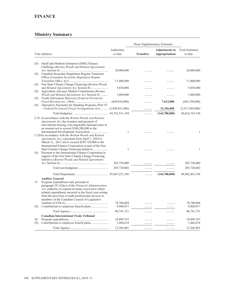### **FINANCE**

|     |                                                                                                     |                 | These Supplementary Estimates |                       |                        |
|-----|-----------------------------------------------------------------------------------------------------|-----------------|-------------------------------|-----------------------|------------------------|
|     |                                                                                                     | Authorities     |                               | <b>Adjustments to</b> | <b>Total Estimates</b> |
|     | Vote (dollars)                                                                                      | to date         | <b>Transfers</b>              | <b>Appropriations</b> | to date                |
|     |                                                                                                     |                 |                               |                       |                        |
| (S) | Small and Medium Enterprise (SME) Finance                                                           |                 |                               |                       |                        |
|     | Challenge (Bretton Woods and Related Agreements                                                     |                 |                               |                       |                        |
|     |                                                                                                     | 20,000,000      |                               |                       | 20,000,000             |
| (S) | Canadian Securities Regulation Regime Transition<br>Office (Canadian Securities Regulation Regime   |                 |                               |                       |                        |
|     |                                                                                                     | 11,000,000      |                               |                       | 11,000,000             |
| (S) | Fast Start Climate Change Financing (Bretton Woods                                                  |                 |                               |                       |                        |
|     |                                                                                                     | 5,830,000       |                               |                       | 5,830,000              |
| (S) | Agriculture Advance Market Commitment (Bretton                                                      |                 |                               |                       |                        |
|     | Woods and Related Agreements Act, Section 8)                                                        | 1,000,000       |                               | .                     | 1,000,000              |
| (S) | Youth Allowances Recovery (Federal-Provincial                                                       |                 |                               |                       |                        |
| (S) | Alternative Payments for Standing Programs (Part VI)                                                | (649, 810, 000) | .                             | 7,612,000             | (642, 198, 000)        |
|     | - Federal-Provincial Fiscal Arrangements Act)  (2,949,851,000)                                      |                 | .                             | 32,356,000            | (2,917,495,000)        |
|     |                                                                                                     |                 | .                             | (144, 788, 000)       | 84,616,743,194         |
|     |                                                                                                     |                 |                               |                       |                        |
|     | L10 In accordance with the Bretton Woods and Related<br>Agreements Act, the issuance and payment of |                 |                               |                       |                        |
|     | non-interest bearing, non-negotiable demand notes in                                                |                 |                               |                       |                        |
|     | an amount not to exceed \$384,280,000 to the                                                        |                 |                               |                       |                        |
|     |                                                                                                     | 1               |                               |                       | 1                      |
|     | L12b In accordance with the Bretton Woods and Related                                               |                 |                               |                       |                        |
|     | Agreements Act, a payment from April 1, 2010 to                                                     |                 |                               |                       |                        |
|     | March 31, 2011 not to exceed \$285,720,000 to the                                                   |                 |                               |                       |                        |
|     | International Finance Corporation as part of the Fast                                               | 1               |                               |                       | 1                      |
| (S) | Payment to the International Finance Corporation in                                                 |                 |                               |                       |                        |
|     | support of the Fast Start Climate Change Financing                                                  |                 |                               |                       |                        |
|     | Initiative (Bretton Woods and Related Agreements)                                                   |                 |                               |                       |                        |
|     |                                                                                                     | 285,720,000     |                               |                       | 285,720,000            |
|     |                                                                                                     | 285,720,002     |                               |                       | 285,720,002            |
|     |                                                                                                     |                 | .                             | (144, 788, 000)       | 84,902,463,196         |
|     |                                                                                                     |                 |                               |                       |                        |
| 15  | <b>Auditor General</b><br>Program expenditures and, pursuant to                                     |                 |                               |                       |                        |
|     | paragraph $29.1(2)(a)$ of the <i>Financial Administration</i>                                       |                 |                               |                       |                        |
|     | Act, authority to expend revenues received to offset                                                |                 |                               |                       |                        |
|     | related expenditures incurred in the fiscal year arising                                            |                 |                               |                       |                        |
|     | from the provision of audit professional services to                                                |                 |                               |                       |                        |
|     | members of the Canadian Council of Legislative                                                      |                 |                               |                       |                        |
|     |                                                                                                     | 78,780,804      |                               |                       | 78,780,804             |
| (S) |                                                                                                     | 9,960,917       | .                             |                       | 9,960,917              |
|     |                                                                                                     | 88,741,721      | .                             | .                     | 88,741,721             |
|     | <b>Canadian International Trade Tribunal</b>                                                        |                 |                               |                       |                        |
| 20  |                                                                                                     | 10,899,767      |                               |                       | 10,899,767             |
| (S) |                                                                                                     | 1,466,634       | .                             |                       | 1,466,634              |
|     |                                                                                                     | 12,366,401      | .                             | .                     | 12,366,401             |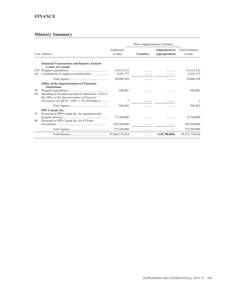### **FINANCE**

|                 |                                                                                                                                                                                                                                         |                        | These Supplementary Estimates |                                                |                                   |
|-----------------|-----------------------------------------------------------------------------------------------------------------------------------------------------------------------------------------------------------------------------------------|------------------------|-------------------------------|------------------------------------------------|-----------------------------------|
|                 | Vote (dollars)                                                                                                                                                                                                                          | Authorities<br>to date | <b>Transfers</b>              | <b>Adjustments to</b><br><b>Appropriations</b> | <b>Total Estimates</b><br>to date |
|                 | <b>Financial Transactions and Reports Analysis</b><br><b>Centre of Canada</b>                                                                                                                                                           |                        |                               |                                                |                                   |
| 25 <sub>b</sub> |                                                                                                                                                                                                                                         | 51,612,532             |                               |                                                | 51,612,532                        |
| (S)             |                                                                                                                                                                                                                                         | 4,393,772              |                               |                                                | 4,393,772                         |
|                 |                                                                                                                                                                                                                                         | 56,006,304             |                               |                                                | 56,006,304                        |
| 30<br>(S)       | Office of the Superintendent of Financial<br><b>Institutions</b><br>Spending of revenues pursuant to subsection $17(2)$ of<br>the Office of the Superintendent of Financial<br><i>Institutions Act</i> (R.S.C. 1985, c. 18 (3rd Supp.)) | 946,801                |                               |                                                | 946,801                           |
|                 |                                                                                                                                                                                                                                         | 946,802                |                               |                                                | 946,802                           |
| 35<br>40        | PPP Canada Inc.<br>Payments to PPP Canada Inc. for operations and<br>Payments to PPP Canada Inc. for P3 Fund                                                                                                                            | 12,700,000             |                               |                                                | 12,700,000                        |
|                 |                                                                                                                                                                                                                                         | 242,500,000            |                               |                                                | 242,500,000                       |
|                 |                                                                                                                                                                                                                                         | 255,200,000            |                               |                                                | 255,200,000                       |
|                 |                                                                                                                                                                                                                                         |                        |                               | (144, 788, 000)                                | 85, 315, 724, 424                 |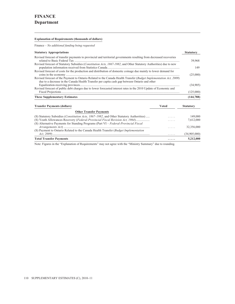#### **Explanation of Requirements (thousands of dollars)**

Finance – *No additional funding being requested*

| <b>Statutory Appropriations</b>                                                                                                                                                                                     | <b>Statutory</b> |  |  |  |  |
|---------------------------------------------------------------------------------------------------------------------------------------------------------------------------------------------------------------------|------------------|--|--|--|--|
| Revised forecast of transfer payments to provincial and territorial governments resulting from decreased recoveries                                                                                                 | 39,968           |  |  |  |  |
| Revised forecast of Statutory Subsidies (Constitution Acts, 1867-1982, and Other Statutory Authorities) due to new                                                                                                  |                  |  |  |  |  |
| Revised forecast of costs for the production and distribution of domestic coinage due mainly to lower demand for                                                                                                    |                  |  |  |  |  |
| Revised forecast of the Payment to Ontario Related to the Canada Health Transfer (Budget Implementation Act, 2009)<br>due to a decrease in the Canada Health Transfer per capita cash gap between Ontario and other |                  |  |  |  |  |
| Revised forecast of public debt charges due to lower forecasted interest rates in the 2010 Update of Economic and                                                                                                   | (125,000)        |  |  |  |  |
| <b>These Supplementary Estimates</b>                                                                                                                                                                                | (144, 788)       |  |  |  |  |
| <b>Transfer Payments (dollars)</b><br>Voted                                                                                                                                                                         | <b>Statutory</b> |  |  |  |  |
| <b>Other Transfer Payments</b>                                                                                                                                                                                      |                  |  |  |  |  |

| <b>Other Transfer Payments</b>                                                                   |         |              |
|--------------------------------------------------------------------------------------------------|---------|--------------|
| (S) Statutory Subsidies ( <i>Constitution Acts, 1867–1982</i> , and Other Statutory Authorities) | .       | 149,000      |
| (S) Youth Allowances Recovery ( <i>Federal-Provincial Fiscal Revision Act, 1964</i> )            | 1.1.1.1 | 7,612,000    |
| (S) Alternative Payments for Standing Programs (Part VI – Federal-Provincial Fiscal              |         |              |
|                                                                                                  | .       | 32,356,000   |
| (S) Payment to Ontario Related to the Canada Health Transfer (Budget Implementation              |         |              |
|                                                                                                  | .       | (34,905,000) |
| <b>Total Transfer Payments</b>                                                                   | .       | 5,212,000    |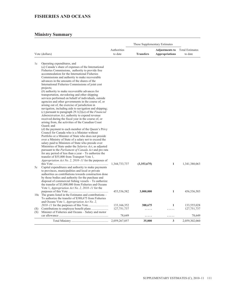### **FISHERIES AND OCEANS**

# **Ministry Summary**

|     | Vote (dollars)                                                                                                                                                                                                                                                                                                                                                                                                                                                                                                                                                                                                                                                                                                                                                                                                                                                                                                                                                                                                                                                                                                                                                                                                                                                                                                                                                                                                                                                  | Authorities<br>to date | <b>Transfers</b> | <b>Adjustments to</b><br><b>Appropriations</b> | <b>Total Estimates</b><br>to date |
|-----|-----------------------------------------------------------------------------------------------------------------------------------------------------------------------------------------------------------------------------------------------------------------------------------------------------------------------------------------------------------------------------------------------------------------------------------------------------------------------------------------------------------------------------------------------------------------------------------------------------------------------------------------------------------------------------------------------------------------------------------------------------------------------------------------------------------------------------------------------------------------------------------------------------------------------------------------------------------------------------------------------------------------------------------------------------------------------------------------------------------------------------------------------------------------------------------------------------------------------------------------------------------------------------------------------------------------------------------------------------------------------------------------------------------------------------------------------------------------|------------------------|------------------|------------------------------------------------|-----------------------------------|
|     |                                                                                                                                                                                                                                                                                                                                                                                                                                                                                                                                                                                                                                                                                                                                                                                                                                                                                                                                                                                                                                                                                                                                                                                                                                                                                                                                                                                                                                                                 |                        |                  |                                                |                                   |
| 1c  | Operating expenditures, and<br>$(a)$ Canada's share of expenses of the International<br>Fisheries Commissions, authority to provide free<br>accommodation for the International Fisheries<br>Commissions and authority to make recoverable<br>advances in the amounts of the shares of the<br>International Fisheries Commissions of joint cost<br>projects;<br>$(b)$ authority to make recoverable advances for<br>transportation, stevedoring and other shipping<br>services performed on behalf of individuals, outside<br>agencies and other governments in the course of, or<br>arising out of, the exercise of jurisdiction in<br>navigation, including aids to navigation and shipping;<br>(c) pursuant to paragraph $29.1(2)(a)$ of the <i>Financial</i><br>Administration Act, authority to expend revenue<br>received during the fiscal year in the course of, or<br>arising from, the activities of the Canadian Coast<br>Guard; and<br>$(d)$ the payment to each member of the Queen's Privy<br>Council for Canada who is a Minister without<br>Portfolio or a Minister of State who does not preside<br>over a Ministry of State of a salary not to exceed the<br>salary paid to Ministers of State who preside over<br>Ministries of State under the Salaries Act, as adjusted<br>pursuant to the Parliament of Canada Act and pro rata<br>for any period of less than a year $-$ To authorize the<br>transfer of \$55,000 from Transport Vote 1, |                        |                  |                                                |                                   |
| 5c  | Appropriation Act No. 2, 2010–11 for the purposes of<br>Capital expenditures and authority to make payments<br>to provinces, municipalities and local or private<br>authorities as contributions towards construction done<br>by those bodies and authority for the purchase and<br>disposal of commercial fishing vessels – To authorize<br>the transfer of \$3,000,000 from Fisheries and Oceans                                                                                                                                                                                                                                                                                                                                                                                                                                                                                                                                                                                                                                                                                                                                                                                                                                                                                                                                                                                                                                                              | 1,344,733,737          | (3,353,675)      | 1                                              | 1,341,380,063                     |
|     | Vote 1, <i>Appropriation Act No. 2, 2010–11</i> for the<br>10c The grants listed in the Estimates and contributions –<br>To authorize the transfer of \$388,675 from Fisheries<br>and Oceans Vote 1, Appropriation Act No. 2,                                                                                                                                                                                                                                                                                                                                                                                                                                                                                                                                                                                                                                                                                                                                                                                                                                                                                                                                                                                                                                                                                                                                                                                                                                   | 453,536,582            | 3,000,000        | $\mathbf{1}$                                   | 456,536,583                       |
|     |                                                                                                                                                                                                                                                                                                                                                                                                                                                                                                                                                                                                                                                                                                                                                                                                                                                                                                                                                                                                                                                                                                                                                                                                                                                                                                                                                                                                                                                                 | 133,166,352            | 388,675          | $\mathbf{1}$                                   | 133,555,028                       |
| (S) |                                                                                                                                                                                                                                                                                                                                                                                                                                                                                                                                                                                                                                                                                                                                                                                                                                                                                                                                                                                                                                                                                                                                                                                                                                                                                                                                                                                                                                                                 | 127,751,737            | .                | .                                              | 127,751,737                       |
| (S) | Minister of Fisheries and Oceans – Salary and motor                                                                                                                                                                                                                                                                                                                                                                                                                                                                                                                                                                                                                                                                                                                                                                                                                                                                                                                                                                                                                                                                                                                                                                                                                                                                                                                                                                                                             |                        |                  |                                                |                                   |
|     |                                                                                                                                                                                                                                                                                                                                                                                                                                                                                                                                                                                                                                                                                                                                                                                                                                                                                                                                                                                                                                                                                                                                                                                                                                                                                                                                                                                                                                                                 | 78,649                 | .                | .                                              | 78,649                            |
|     |                                                                                                                                                                                                                                                                                                                                                                                                                                                                                                                                                                                                                                                                                                                                                                                                                                                                                                                                                                                                                                                                                                                                                                                                                                                                                                                                                                                                                                                                 | 2,059,267,057          | 35,000           | 3                                              | 2,059,302,060                     |

<u> 1980 - Johann Barn, mars ann an t-Amhain Aonaich an t-Aonaich an t-Aonaich ann an t-Aonaich ann an t-Aonaich</u>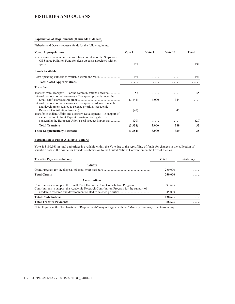#### **FISHERIES AND OCEANS**

#### **Explanation of Requirements (thousands of dollars)**

Fisheries and Oceans requests funds for the following items:

| <b>Voted Appropriations</b>                                                                                                             | Vote 1  | Vote 5   | Vote 10 | Total |
|-----------------------------------------------------------------------------------------------------------------------------------------|---------|----------|---------|-------|
| Reinvestiment of revenue received from polluters or the Ship-Source<br>Oil Source Pollution Fund for clean up costs associated with oil | 191     | .        |         | 191   |
| <b>Funds Available</b>                                                                                                                  |         |          |         |       |
|                                                                                                                                         | 191     |          | .       | 191   |
| <b>Total Voted Appropriations</b>                                                                                                       | .       | .        | .       | .     |
| <b>Transfers</b>                                                                                                                        |         |          |         |       |
| Internal reallocation of resources – To support projects under the                                                                      | 55      |          | .       | 55    |
| Internal reallocation of resources – To support academic research                                                                       | (3,344) | 3,000    | 344     |       |
| and development related to science priorities (Academic<br>Transfer to Indian Affairs and Northern Development – In support of          | (45)    | $\cdots$ | 45      |       |
| a contribution to Inuit Tapiriit Kanatami for legal costs                                                                               | (20)    | .        | .       | (20)  |
| <b>Total Transfers</b>                                                                                                                  | (3,354) | 3,000    | 389     | 35    |
| <b>These Supplementary Estimates</b>                                                                                                    | (3,354) | 3,000    | 389     | 35    |

#### **Explanation of Funds Available (dollars)**

**Vote 1**: \$190,961 in total authorities is available within the Vote due to the reprofiling of funds for changes in the collection of scientific data in the Arctic for Canada's submission to the United Nations Convention on the Law of the Sea.

| <b>Transfer Payments (dollars)</b>                                                                                                                                     | Voted   | <b>Statutory</b> |
|------------------------------------------------------------------------------------------------------------------------------------------------------------------------|---------|------------------|
| <b>Grants</b>                                                                                                                                                          |         |                  |
|                                                                                                                                                                        | 250,000 | .                |
| <b>Total Grants</b>                                                                                                                                                    | 250,000 | .                |
| <b>Contributions</b>                                                                                                                                                   |         |                  |
| Contributions to support the Small Craft Harbours Class Contribution Program<br>Contributions to support the Academic Research Contribution Program for the support of | 93.675  | .                |
|                                                                                                                                                                        | 45,000  | .                |
| <b>Total Contributions</b>                                                                                                                                             | 138,675 | .                |
| <b>Total Transfer Payments</b>                                                                                                                                         | 388,675 | .                |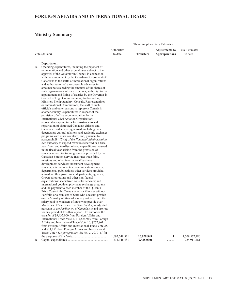### **Ministry Summary**

|                |                        |                  | These Supplementary Estimates |                                                  |
|----------------|------------------------|------------------|-------------------------------|--------------------------------------------------|
| Vote (dollars) | Authorities<br>to date | <b>Transfers</b> | <b>Appropriations</b>         | <b>Adjustments to</b> Total Estimates<br>to date |

#### **Department**

| 1c | Operating expenditures, including the payment of<br>remuneration and other expenditures subject to the |               |             |   |               |
|----|--------------------------------------------------------------------------------------------------------|---------------|-------------|---|---------------|
|    | approval of the Governor in Council in connection                                                      |               |             |   |               |
|    | with the assignment by the Canadian Government of                                                      |               |             |   |               |
|    |                                                                                                        |               |             |   |               |
|    | Canadians to the staffs of international organizations                                                 |               |             |   |               |
|    | and authority to make recoverable advances in                                                          |               |             |   |               |
|    | amounts not exceeding the amounts of the shares of                                                     |               |             |   |               |
|    | such organizations of such expenses; authority for the                                                 |               |             |   |               |
|    | appointment and fixing of salaries by the Governor in                                                  |               |             |   |               |
|    | Council of High Commissioners, Ambassadors,                                                            |               |             |   |               |
|    | Ministers Plenipotentiary, Consuls, Representatives                                                    |               |             |   |               |
|    | on International Commissions, the staff of such                                                        |               |             |   |               |
|    | officials and other persons to represent Canada in                                                     |               |             |   |               |
|    | another country; expenditures in respect of the                                                        |               |             |   |               |
|    | provision of office accommodation for the                                                              |               |             |   |               |
|    | International Civil Aviation Organization;                                                             |               |             |   |               |
|    | recoverable expenditures for assistance to and                                                         |               |             |   |               |
|    | repatriation of distressed Canadian citizens and                                                       |               |             |   |               |
|    | Canadian residents living abroad, including their                                                      |               |             |   |               |
|    | dependants; cultural relations and academic exchange                                                   |               |             |   |               |
|    | programs with other countries; and, pursuant to                                                        |               |             |   |               |
|    | paragraph $29.1(2)(a)$ of the <i>Financial Administration</i>                                          |               |             |   |               |
|    | Act, authority to expend revenues received in a fiscal                                                 |               |             |   |               |
|    | year from, and to offset related expenditures incurred                                                 |               |             |   |               |
|    | in the fiscal year arising from the provision of                                                       |               |             |   |               |
|    | services related to: training services provided by the                                                 |               |             |   |               |
|    | Canadian Foreign Service Institute; trade fairs,                                                       |               |             |   |               |
|    | missions and other international business                                                              |               |             |   |               |
|    | development services; investment development                                                           |               |             |   |               |
|    | services; international telecommunication services;                                                    |               |             |   |               |
|    | departmental publications; other services provided                                                     |               |             |   |               |
|    | abroad to other government departments, agencies,                                                      |               |             |   |               |
|    | Crown corporations and other non-federal                                                               |               |             |   |               |
|    | organizations; specialized consular services; and                                                      |               |             |   |               |
|    | international youth employment exchange programs                                                       |               |             |   |               |
|    | and the payment to each member of the Queen's                                                          |               |             |   |               |
|    | Privy Council for Canada who is a Minister without                                                     |               |             |   |               |
|    | Portfolio or a Minister of State who does not preside                                                  |               |             |   |               |
|    | over a Ministry of State of a salary not to exceed the                                                 |               |             |   |               |
|    | salary paid to Ministers of State who preside over                                                     |               |             |   |               |
|    | Ministries of State under the Salaries Act, as adjusted                                                |               |             |   |               |
|    | pursuant to the <i>Parliament of Canada Act</i> and pro rata                                           |               |             |   |               |
|    |                                                                                                        |               |             |   |               |
|    | for any period of less than a year $-$ To authorize the                                                |               |             |   |               |
|    | transfer of \$9,435,000 from Foreign Affairs and                                                       |               |             |   |               |
|    | International Trade Vote 5, \$14,884,915 from Foreign                                                  |               |             |   |               |
|    | Affairs and International Trade Vote 10, \$277,861                                                     |               |             |   |               |
|    | from Foreign Affairs and International Trade Vote 25,                                                  |               |             |   |               |
|    | and \$11,172 from Foreign Affairs and International                                                    |               |             |   |               |
|    | Trade Vote 45, Appropriation Act No. 2, 2010-11 for                                                    |               |             |   |               |
|    |                                                                                                        | 1,692,748,531 | 16,828,948  | 1 | 1,709,577,480 |
| 5c |                                                                                                        | 234,346,481   | (9,435,000) | . | 224,911,481   |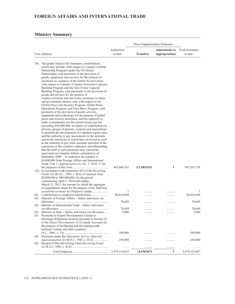# **Ministry Summary**

|            |                                                                                                                                                                                                                                                                                                                                                                                                                                                                                                                                                                                                                                                                                                                                                                                                                                                                                                                                                                                                                                                                                                                                                                                                                                                                                                                                                                                                                                                                                                                                                                                                    |               | These Supplementary Estimates |                       |                        |
|------------|----------------------------------------------------------------------------------------------------------------------------------------------------------------------------------------------------------------------------------------------------------------------------------------------------------------------------------------------------------------------------------------------------------------------------------------------------------------------------------------------------------------------------------------------------------------------------------------------------------------------------------------------------------------------------------------------------------------------------------------------------------------------------------------------------------------------------------------------------------------------------------------------------------------------------------------------------------------------------------------------------------------------------------------------------------------------------------------------------------------------------------------------------------------------------------------------------------------------------------------------------------------------------------------------------------------------------------------------------------------------------------------------------------------------------------------------------------------------------------------------------------------------------------------------------------------------------------------------------|---------------|-------------------------------|-----------------------|------------------------|
|            |                                                                                                                                                                                                                                                                                                                                                                                                                                                                                                                                                                                                                                                                                                                                                                                                                                                                                                                                                                                                                                                                                                                                                                                                                                                                                                                                                                                                                                                                                                                                                                                                    | Authorities   |                               | <b>Adjustments to</b> | <b>Total Estimates</b> |
|            | Vote (dollars)                                                                                                                                                                                                                                                                                                                                                                                                                                                                                                                                                                                                                                                                                                                                                                                                                                                                                                                                                                                                                                                                                                                                                                                                                                                                                                                                                                                                                                                                                                                                                                                     | to date       | <b>Transfers</b>              | <b>Appropriations</b> | to date                |
|            | 10c The grants listed in the Estimates, contributions,<br>which may include: with respect to Canada's Global<br>Partnership Program (under the G8 Global<br>Partnership), cash payments or the provision of<br>goods, equipment and services for the purpose of<br>assistance to countries of the former Soviet Union;<br>with respect to Canada's Counter-Terrorism Capacity<br>Building Program and the Anti-Crime Capacity<br>Building Program, cash payments or the provision of<br>goods and services for the purpose of<br>counter-terrorism and anti-crime assistance to states<br>and government entities; and, with respect to the<br>Global Peace and Security Program, Global Peace<br>Operations Program, and Glyn Berry Program, cash<br>payments or the provision of goods, services,<br>equipment and technology for the purpose of global<br>peace and security assistance; and the authority to<br>make commitments for the current fiscal year not<br>exceeding \$30,000,000, in respect of contributions to<br>persons, groups of persons, councils and associations<br>to promote the development of Canadian export sales;<br>and the authority to pay assessments in the amounts<br>and in the currencies in which they are levied as well<br>as the authority to pay other amounts specified in the<br>currencies of the countries indicated, notwithstanding<br>that the total of such payments may exceed the<br>equivalent in Canadian dollars, estimated as of<br>September $2009 - To$ authorize the transfer of<br>\$4,000,000 from Foreign Affairs and International |               |                               |                       |                        |
|            | Trade Vote 1, Appropriation Act No. 2, 2010-11 for<br>12b In accordance with subsection 4(3) of the Revolving<br><i>Funds Act</i> (R.S.C., 1985, c. R-8), to increase from<br>\$4,000,000 to \$89,000,000, for the period<br>commencing April 1, 2010 and ending<br>March 31, 2011, the amount by which the aggregate<br>of expenditures made for the purpose of the fund may                                                                                                                                                                                                                                                                                                                                                                                                                                                                                                                                                                                                                                                                                                                                                                                                                                                                                                                                                                                                                                                                                                                                                                                                                      | 963,886,292   | (11,584,915)                  | $\mathbf{1}$          | 952, 301, 378          |
|            | exceed the revenues for Passport Canada                                                                                                                                                                                                                                                                                                                                                                                                                                                                                                                                                                                                                                                                                                                                                                                                                                                                                                                                                                                                                                                                                                                                                                                                                                                                                                                                                                                                                                                                                                                                                            | 1             |                               |                       | 1                      |
| (S)<br>(S) | Minister of Foreign Affairs – Salary and motor car                                                                                                                                                                                                                                                                                                                                                                                                                                                                                                                                                                                                                                                                                                                                                                                                                                                                                                                                                                                                                                                                                                                                                                                                                                                                                                                                                                                                                                                                                                                                                 | 86,624,049    |                               |                       | 86,624,049             |
| (S)        | Minister of International Trade – Salary and motor                                                                                                                                                                                                                                                                                                                                                                                                                                                                                                                                                                                                                                                                                                                                                                                                                                                                                                                                                                                                                                                                                                                                                                                                                                                                                                                                                                                                                                                                                                                                                 | 78,649        |                               |                       | 78,649                 |
|            |                                                                                                                                                                                                                                                                                                                                                                                                                                                                                                                                                                                                                                                                                                                                                                                                                                                                                                                                                                                                                                                                                                                                                                                                                                                                                                                                                                                                                                                                                                                                                                                                    | 78,649        | .                             | .                     | 78,649                 |
| (S)<br>(S) | Minister of State - Salary and motor car allowance<br>Payments to Export Development Canada to<br>discharge obligations incurred pursuant to Section 23<br>of the Export Development Act (Canada Account) for<br>the purpose of facilitating and developing trade<br>between Canada and other countries                                                                                                                                                                                                                                                                                                                                                                                                                                                                                                                                                                                                                                                                                                                                                                                                                                                                                                                                                                                                                                                                                                                                                                                                                                                                                            | 2,000         |                               |                       | 2,000                  |
| (S)        | Payments under the Diplomatic Service (Special)                                                                                                                                                                                                                                                                                                                                                                                                                                                                                                                                                                                                                                                                                                                                                                                                                                                                                                                                                                                                                                                                                                                                                                                                                                                                                                                                                                                                                                                                                                                                                    | 500,000       |                               |                       | 500,000                |
| (S)        | Superannuation Act (R.S.C, 1985, c. D-2)<br>Passport Office Revolving Fund (Revolving Funds                                                                                                                                                                                                                                                                                                                                                                                                                                                                                                                                                                                                                                                                                                                                                                                                                                                                                                                                                                                                                                                                                                                                                                                                                                                                                                                                                                                                                                                                                                        | 250,000       |                               |                       | 250,000                |
|            |                                                                                                                                                                                                                                                                                                                                                                                                                                                                                                                                                                                                                                                                                                                                                                                                                                                                                                                                                                                                                                                                                                                                                                                                                                                                                                                                                                                                                                                                                                                                                                                                    |               |                               | $\overline{2}$        |                        |
|            |                                                                                                                                                                                                                                                                                                                                                                                                                                                                                                                                                                                                                                                                                                                                                                                                                                                                                                                                                                                                                                                                                                                                                                                                                                                                                                                                                                                                                                                                                                                                                                                                    | 2,978,514,652 | (4,190,967)                   |                       | 2,974,323,687          |

<u> 1989 - Johann Barn, mars and de Brasilian (b. 1989)</u>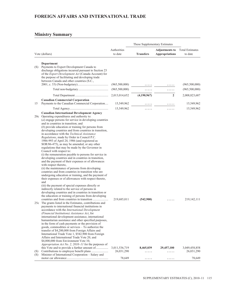### **Ministry Summary**

|     |                                                                                                                                                                                                                                                                                                                                                                                                                                                                                                                                                                                                                                                                                                                                                                                                                                                                                                                                                                                                                                                                                                                                                                                                                                                              |                              | These Supplementary Estimates |                                                |                                   |
|-----|--------------------------------------------------------------------------------------------------------------------------------------------------------------------------------------------------------------------------------------------------------------------------------------------------------------------------------------------------------------------------------------------------------------------------------------------------------------------------------------------------------------------------------------------------------------------------------------------------------------------------------------------------------------------------------------------------------------------------------------------------------------------------------------------------------------------------------------------------------------------------------------------------------------------------------------------------------------------------------------------------------------------------------------------------------------------------------------------------------------------------------------------------------------------------------------------------------------------------------------------------------------|------------------------------|-------------------------------|------------------------------------------------|-----------------------------------|
|     | Vote (dollars)                                                                                                                                                                                                                                                                                                                                                                                                                                                                                                                                                                                                                                                                                                                                                                                                                                                                                                                                                                                                                                                                                                                                                                                                                                               | Authorities<br>to date       | <b>Transfers</b>              | <b>Adjustments to</b><br><b>Appropriations</b> | <b>Total Estimates</b><br>to date |
| (S) | Department<br>Payments to Export Development Canada to<br>discharge obligations incurred pursuant to Section 23<br>of the Export Development Act (Canada Account) for<br>the purpose of facilitating and developing trade<br>between Canada and other countries (S.C.,                                                                                                                                                                                                                                                                                                                                                                                                                                                                                                                                                                                                                                                                                                                                                                                                                                                                                                                                                                                       |                              |                               |                                                |                                   |
|     |                                                                                                                                                                                                                                                                                                                                                                                                                                                                                                                                                                                                                                                                                                                                                                                                                                                                                                                                                                                                                                                                                                                                                                                                                                                              | (965,500,000)                |                               |                                                | (965,500,000)                     |
|     |                                                                                                                                                                                                                                                                                                                                                                                                                                                                                                                                                                                                                                                                                                                                                                                                                                                                                                                                                                                                                                                                                                                                                                                                                                                              | (965,500,000)                | .                             | .                                              | (965,500,000)                     |
|     |                                                                                                                                                                                                                                                                                                                                                                                                                                                                                                                                                                                                                                                                                                                                                                                                                                                                                                                                                                                                                                                                                                                                                                                                                                                              | 2,013,014,652                | (4,190,967)                   | $\overline{2}$                                 | 2,008,823,687                     |
| 15  | <b>Canadian Commercial Corporation</b><br>Payments to the Canadian Commercial Corporation                                                                                                                                                                                                                                                                                                                                                                                                                                                                                                                                                                                                                                                                                                                                                                                                                                                                                                                                                                                                                                                                                                                                                                    | 15,549,962                   |                               |                                                | 15,549,962                        |
|     |                                                                                                                                                                                                                                                                                                                                                                                                                                                                                                                                                                                                                                                                                                                                                                                                                                                                                                                                                                                                                                                                                                                                                                                                                                                              | 15,549,962                   | .                             | .                                              | 15,549,962                        |
|     | <b>Canadian International Development Agency</b><br>20c Operating expenditures and authority to:<br>(a) engage persons for service in developing countries<br>and in countries in transition; and<br>$(b)$ provide education or training for persons from<br>developing countries and from countries in transition,<br>in accordance with the Technical Assistance<br>Regulations, made by Order in Council P.C.<br>1986-993 of April 24, 1986 (and registered as<br>SOR/86-475), as may be amended, or any other<br>regulations that may be made by the Governor in<br>Council with respect to:<br>(i) the remuneration payable to persons for service in<br>developing countries and in countries in transition,<br>and the payment of their expenses or of allowances<br>with respect thereto,<br>(ii) the maintenance of persons from developing<br>countries and from countries in transition who are<br>undergoing education or training, and the payment of<br>their expenses or of allowances with respect thereto,<br>and<br>(iii) the payment of special expenses directly or<br>indirectly related to the service of persons in<br>developing countries and in countries in transition or<br>the education or training of persons from developing |                              |                               |                                                |                                   |
|     | 25c The grants listed in the Estimates, contributions and<br>payments to international financial institutions in<br>accordance with the International Development<br>(Financial Institutions) Assistance Act, for<br>international development assistance, international<br>humanitarian assistance and other specified purposes,<br>in the form of cash payments or the provision of<br>goods, commodities or services – To authorize the<br>transfer of \$4,200,000 from Foreign Affairs and<br>International Trade Vote 1, \$542,900 from Foreign<br>Affairs and International Trade Vote 20, and<br>\$4,000,000 from Environment Vote 10,<br>Appropriation Act No. 2, 2010–11 for the purposes of<br>this Vote and to provide a further amount of                                                                                                                                                                                                                                                                                                                                                                                                                                                                                                        | 219,685,011<br>3,011,536,719 | (542,900)<br>8,465,039        | 29,457,100                                     | 219, 142, 111<br>3,049,458,858    |
| (S) |                                                                                                                                                                                                                                                                                                                                                                                                                                                                                                                                                                                                                                                                                                                                                                                                                                                                                                                                                                                                                                                                                                                                                                                                                                                              | 26,031,290                   | .                             |                                                | 26,031,290                        |
|     | (S) Minister of International Cooperation – Salary and                                                                                                                                                                                                                                                                                                                                                                                                                                                                                                                                                                                                                                                                                                                                                                                                                                                                                                                                                                                                                                                                                                                                                                                                       | 78,649                       | .                             | $\cdots$                                       | 78,649                            |

<u> 1980 - Johann Barbara, martxa alemaniar arg</u>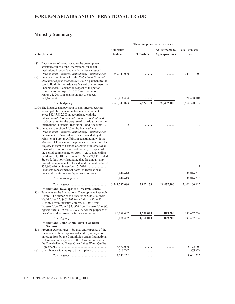### **Ministry Summary**

|            |                                                                                                                                                                                                                                                                                                                                                                                                                                                                                                                                                                                                                                                                                                |                             | These Supplementary Estimates |                                                |                                   |
|------------|------------------------------------------------------------------------------------------------------------------------------------------------------------------------------------------------------------------------------------------------------------------------------------------------------------------------------------------------------------------------------------------------------------------------------------------------------------------------------------------------------------------------------------------------------------------------------------------------------------------------------------------------------------------------------------------------|-----------------------------|-------------------------------|------------------------------------------------|-----------------------------------|
|            | Vote (dollars)                                                                                                                                                                                                                                                                                                                                                                                                                                                                                                                                                                                                                                                                                 | Authorities<br>to date      | <b>Transfers</b>              | <b>Adjustments to</b><br><b>Appropriations</b> | <b>Total Estimates</b><br>to date |
| (S)<br>(S) | Encashment of notes issued to the development<br>assistance funds of the international financial<br>institutions in accordance with the <i>International</i><br>Development (Financial Institutions) Assistance Act<br>Pursuant to section 144 of the Budget and Economic<br>Statement Implementation Act, 2007 a payment to the<br>World Bank for the Advance Market Commitment for<br>Pneumococcal Vaccines in respect of the period<br>commencing on April 1, 2010 and ending on                                                                                                                                                                                                            | 249, 141, 000               |                               |                                                | 249,141,000                       |
|            | March 31, 2011, in an amount not to exceed                                                                                                                                                                                                                                                                                                                                                                                                                                                                                                                                                                                                                                                     |                             |                               |                                                |                                   |
|            |                                                                                                                                                                                                                                                                                                                                                                                                                                                                                                                                                                                                                                                                                                | 20,468,404<br>3,526,941,073 | 7,922,139                     | 29,457,100                                     | 20,468,404<br>3,564,320,312       |
|            | L30b The issuance and payment of non-interest bearing,<br>non-negotiable demand notes in an amount not to<br>exceed \$245,482,000 in accordance with the<br>International Development (Financial Institutions)<br><i>Assistance Act</i> for the purpose of contributions to the                                                                                                                                                                                                                                                                                                                                                                                                                | 2                           |                               |                                                | 2                                 |
|            | International Financial Institution Fund Accounts<br>L32b Pursuant to section 3 (c) of the <i>International</i><br>Development (Financial Institutions) Assistance Act,<br>the amount of financial assistance provided by the<br>Minister of Foreign Affairs, in consultation with the<br>Minister of Finance for the purchase on behalf of Her<br>Majesty in right of Canada of shares of international<br>financial institutions shall not exceed, in respect of<br>the period commencing on April 1, 2010 and ending<br>on March 31, 2011, an amount of \$35,724,849 United<br>States dollars notwithstanding that the amount may<br>exceed the equivalent in Canadian dollars estimated at |                             |                               |                                                |                                   |
| (S)        | Payments (encashment of notes) to International                                                                                                                                                                                                                                                                                                                                                                                                                                                                                                                                                                                                                                                | $\mathbf{1}$                |                               |                                                | 1                                 |
|            | Financial Institutions - Capital subscriptions                                                                                                                                                                                                                                                                                                                                                                                                                                                                                                                                                                                                                                                 | 36,846,610                  |                               |                                                | 36,846,610                        |
|            |                                                                                                                                                                                                                                                                                                                                                                                                                                                                                                                                                                                                                                                                                                | 36,846,613                  | .                             | .                                              | 36,846,613                        |
|            |                                                                                                                                                                                                                                                                                                                                                                                                                                                                                                                                                                                                                                                                                                | 3,563,787,686               | 7,922,139                     | 29,457,100                                     | 3,601,166,925                     |
|            | <b>International Development Research Centre</b><br>35c Payments to the International Development Research<br>Centre – To authorize the transfer of $$700,000$ from<br>Health Vote 25, \$462,963 from Industry Vote 80,<br>\$324,074 from Industry Vote 95, \$37,037 from<br>Industry Vote 75, and \$25,926 from Industry Vote 90,<br>Appropriation Act No. 2, 2010–11 for the purposes of                                                                                                                                                                                                                                                                                                     | 195,088,432                 | 1,550,000                     | 829,200                                        | 197,467,632                       |
|            |                                                                                                                                                                                                                                                                                                                                                                                                                                                                                                                                                                                                                                                                                                | 195,088,432                 | 1,550,000                     | 829,200                                        | 197,467,632                       |
|            | <b>International Joint Commission (Canadian</b><br>Section)<br>40b Program expenditures – Salaries and expenses of the<br>Canadian Section, expenses of studies, surveys and<br>investigations by the Commission under International<br>References and expenses of the Commission under<br>the Canada/United States Great Lakes Water Quality                                                                                                                                                                                                                                                                                                                                                  |                             |                               |                                                |                                   |
|            |                                                                                                                                                                                                                                                                                                                                                                                                                                                                                                                                                                                                                                                                                                | 8,472,000                   |                               |                                                | 8,472,000                         |
| (S)        |                                                                                                                                                                                                                                                                                                                                                                                                                                                                                                                                                                                                                                                                                                | 569,222                     |                               |                                                | 569,222                           |
|            |                                                                                                                                                                                                                                                                                                                                                                                                                                                                                                                                                                                                                                                                                                | 9,041,222                   | .                             | .                                              | 9,041,222                         |

<u> 1989 - Johann Barn, mars and de Brasilian (b. 1989)</u>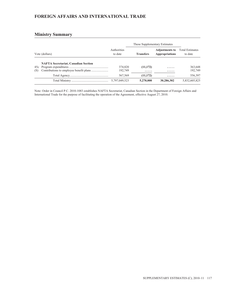### **Ministry Summary**

|     |                                            |               | These Supplementary Estimates |                                                |                                   |
|-----|--------------------------------------------|---------------|-------------------------------|------------------------------------------------|-----------------------------------|
|     | Authorities<br>Vote (dollars)<br>to date   |               | <b>Transfers</b>              | <b>Adjustments to</b><br><b>Appropriations</b> | <b>Total Estimates</b><br>to date |
|     | <b>NAFTA Secretariat, Canadian Section</b> | 374,820       | (11, 172)                     |                                                | 363,648                           |
| (S) |                                            | 192,749       | .                             | .<br>.                                         | 192,749                           |
|     |                                            | 567,569       | (11, 172)                     | .                                              | 556,397                           |
|     |                                            | 5,797,049,523 | 5,270,000                     | 30,286,302                                     | 5,832,605,825                     |

Note: Order in Council P.C. 2010-1083 establishes NAFTA Secretariat, Canadian Section in the Department of Foreign Affairs and International Trade for the purpose of facilitating the operation of the Agreement, effective August 27, 2010.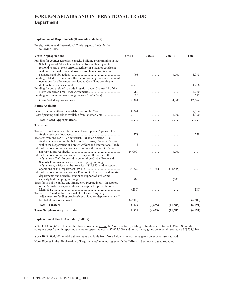# **FOREIGN AFFAIRS AND INTERNATIONAL TRADE Department**

#### **Explanation of Requirements (thousands of dollars)**

Foreign Affairs and International Trade requests funds for the following items:

| <b>Voted Appropriations</b>                                                                                                                                                                                                                                                                                                                      | Vote 1                                          | Vote 5   | Vote 10    | Total          |
|--------------------------------------------------------------------------------------------------------------------------------------------------------------------------------------------------------------------------------------------------------------------------------------------------------------------------------------------------|-------------------------------------------------|----------|------------|----------------|
| Funding for counter-terrorism capacity building programming in the<br>Sahel region of Africa to enable countries in this region to<br>respond to and prevent terrorist activity in a manner consistent<br>with international counter-terrorism and human rights norms,<br>Funding related to expenditure fluctuations arising from international | 993                                             | .        | 4,000      | 4,993          |
| operations for allowances provided to Canadians working at<br>Funding for costs related to trade litigation under Chapter 11 of the                                                                                                                                                                                                              | 4,716                                           | .        | .          | 4,716          |
|                                                                                                                                                                                                                                                                                                                                                  | 1,960<br>695                                    | .<br>.   | .<br>.     | 1,960<br>695   |
| Gross Voted Appropriations                                                                                                                                                                                                                                                                                                                       | 8,364                                           | .        | 4,000      | 12,364         |
| <b>Funds Available</b>                                                                                                                                                                                                                                                                                                                           |                                                 |          |            |                |
| Less: Spending authorities available from another Vote                                                                                                                                                                                                                                                                                           | 8,364<br>$\mathbb{Z}^2$ . In the $\mathbb{Z}^2$ | .        | .<br>4,000 | 8,364<br>4,000 |
| <b>Total Voted Appropriations</b>                                                                                                                                                                                                                                                                                                                | .                                               | .        | .          | .              |
| <b>Transfers</b>                                                                                                                                                                                                                                                                                                                                 |                                                 |          |            |                |
| Transfer from Canadian International Development Agency – For<br>Transfer from the NAFTA Secretariat, Canadian Section - To                                                                                                                                                                                                                      | 278                                             |          |            | 278            |
| finalize integration of the NAFTA Secretariat, Canadian Section<br>within the Department of Foreign Affairs and International Trade<br>Internal reallocation of resources – To reduce the amount of new                                                                                                                                          | 11                                              |          | .          | 11             |
| Internal reallocation of resources – To support the work of the<br>Afghanistan Task Force and to better align Global Peace and<br>Security Fund resources with planned programming in                                                                                                                                                            | (4,000)                                         | .        | 4,000      |                |
| Afghanistan, Africa and the Americas (\$14,885) and to support<br>Internal reallocation of resources – Funding to facilitate the domestic<br>departments and agencies continued support of anti-crime                                                                                                                                            | 24,320                                          | (9, 435) | (14,885)   |                |
| Transfer to Public Safety and Emergency Preparedness - In support<br>of the Minister's responsibilities for regional representation of                                                                                                                                                                                                           | 700                                             |          | (700)      |                |
| Transfer to Canadian International Development Agency -<br>Adjustment to funding previously provided for departmental staff                                                                                                                                                                                                                      | (280)                                           |          |            | (280)          |
|                                                                                                                                                                                                                                                                                                                                                  | (4,200)                                         | .        | .          | (4,200)        |
| <b>Total Transfers</b>                                                                                                                                                                                                                                                                                                                           | 16,829                                          | (9, 435) | (11, 585)  | (4,191)        |
| <b>These Supplementary Estimates</b>                                                                                                                                                                                                                                                                                                             | 16,829                                          | (9, 435) | (11, 585)  | (4,191)        |

#### **Explanation of Funds Available (dollars)**

**Vote 1**: \$8,363,656 in total authorities is available within the Vote due to reprofiling of funds related to the G8/G20 Summits to complete post-Summit reporting and other operating costs (\$7,605,000) and net currency gains on expenditures abroad (\$758,656).

**Vote 10**: \$4,000,000 in total authorities is available from Vote 1 due to net currency gains on expenditures abroad.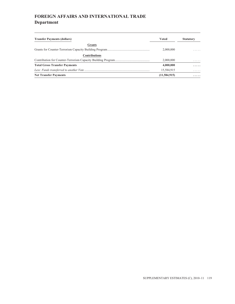# **FOREIGN AFFAIRS AND INTERNATIONAL TRADE Department**

| <b>Transfer Payments (dollars)</b>   | <b>Voted</b> | <b>Statutory</b> |
|--------------------------------------|--------------|------------------|
| <b>Grants</b>                        |              |                  |
|                                      | 2,000,000    | .                |
| <b>Contributions</b>                 |              |                  |
|                                      | 2,000,000    | .                |
| <b>Total Gross Transfer Payments</b> | 4,000,000    | .                |
|                                      | 15,584,915   | .                |
| <b>Net Transfer Payments</b>         | (11,584,915) | .                |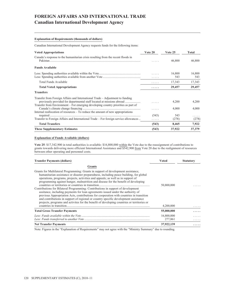# **FOREIGN AFFAIRS AND INTERNATIONAL TRADE Canadian International Development Agency**

#### **Explanation of Requirements (thousands of dollars)**

Canadian International Development Agency requests funds for the following items:

| <b>Voted Appropriations</b>                                                                                                                            | Vote 20 | Vote 25 | Total  |
|--------------------------------------------------------------------------------------------------------------------------------------------------------|---------|---------|--------|
| Canada's response to the humanitarian crisis resulting from the recent floods in                                                                       |         | 46,800  | 46,800 |
| <b>Funds Available</b>                                                                                                                                 |         |         |        |
|                                                                                                                                                        |         | 16,800  | 16,800 |
|                                                                                                                                                        |         | 543     | 543    |
| Total Funds Available                                                                                                                                  | .       | 17,343  | 17,343 |
| <b>Total Voted Appropriations</b>                                                                                                                      | .       | 29,457  | 29,457 |
| <b>Transfers</b>                                                                                                                                       |         |         |        |
| Transfer from Foreign Affairs and International Trade – Adjustment to funding<br>previously provided for departmental staff located at missions abroad | 1.1.1.1 | 4,200   | 4,200  |
| Transfer from Environment – For emerging developing country priorities as part of                                                                      | .       | 4,000   | 4,000  |
| Internal reallocation of resources – To reduce the amount of new appropriations                                                                        | (543)   | 543     |        |
| Transfer to Foreign Affairs and International Trade – For foreign service allowances                                                                   | .       | (278)   | (278)  |
| <b>Total Transfers</b>                                                                                                                                 | (543)   | 8,465   | 7,922  |
| <b>These Supplementary Estimates</b>                                                                                                                   | (543)   | 37,922  | 37,379 |

#### **Explanation of Funds Available (dollars)**

**Vote 25**: \$17,342,900 in total authorities is available: \$16,800,000 within the Vote due to the reassignment of contributions to grants towards delivering more efficient International Assistance and \$542,900 from Vote 20 due to the realignment of resources between other operating and personnel costs.

| <b>Transfer Payments (dollars)</b>                                                                                                                                                                                                                                                                                                                                                                                                                                                                                                                                                                                                                                                                                                                                                                            | Voted                 | <b>Statutory</b> |
|---------------------------------------------------------------------------------------------------------------------------------------------------------------------------------------------------------------------------------------------------------------------------------------------------------------------------------------------------------------------------------------------------------------------------------------------------------------------------------------------------------------------------------------------------------------------------------------------------------------------------------------------------------------------------------------------------------------------------------------------------------------------------------------------------------------|-----------------------|------------------|
| Grants                                                                                                                                                                                                                                                                                                                                                                                                                                                                                                                                                                                                                                                                                                                                                                                                        |                       |                  |
| Grants for Multilateral Programming: Grants in support of development assistance,<br>humanitarian assistance or disaster preparedness, including peace building, for global<br>operations, programs, projects, activities and appeals; as well as in support of<br>programming against hunger, malnutrition and disease for the benefit of developing<br>Contributions for Bilateral Programming: Contributions in support of development<br>assitance, including payments for loan agreements issued under the authority of<br>previous Appropriation Acts, contributions for cooperation with countries in transition<br>and contributions in support of regional or country specific development assistance<br>projects, programs and activities for the benefit of developing countries or territories or | 50,800,000            |                  |
|                                                                                                                                                                                                                                                                                                                                                                                                                                                                                                                                                                                                                                                                                                                                                                                                               | 4,200,000             |                  |
| <b>Total Gross Transfer Payments</b>                                                                                                                                                                                                                                                                                                                                                                                                                                                                                                                                                                                                                                                                                                                                                                          | 55,000,000            |                  |
|                                                                                                                                                                                                                                                                                                                                                                                                                                                                                                                                                                                                                                                                                                                                                                                                               | 16,800,000<br>277,861 |                  |
| <b>Net Transfer Payments</b>                                                                                                                                                                                                                                                                                                                                                                                                                                                                                                                                                                                                                                                                                                                                                                                  | 37,922,139            |                  |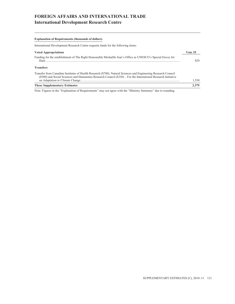# **FOREIGN AFFAIRS AND INTERNATIONAL TRADE International Development Research Centre**

#### **Explanation of Requirements (thousands of dollars)**

International Development Research Centre requests funds for the following items:

| <b>Voted Appropriations</b>                                                                                                                                                                                                            | Vote 35 |
|----------------------------------------------------------------------------------------------------------------------------------------------------------------------------------------------------------------------------------------|---------|
| Funding for the establishment of The Right Honourable Michaëlle Jean's Office as UNESCO's Special Envoy for                                                                                                                            | 829     |
| <b>Transfers</b>                                                                                                                                                                                                                       |         |
| Transfer from Canadian Institutes of Health Research (\$700), Natural Sciences and Engineering Research Council<br>$(\$500)$ and Social Sciences and Humanities Research Council $(\$350)$ – For the International Research Initiative | 1.550   |
| <b>These Supplementary Estimates</b>                                                                                                                                                                                                   | 2.379   |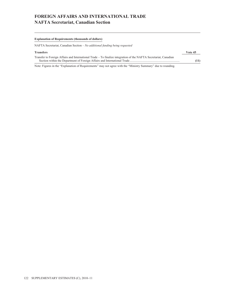# **FOREIGN AFFAIRS AND INTERNATIONAL TRADE NAFTA Secretariat, Canadian Section**

#### **Explanation of Requirements (thousands of dollars)**

NAFTA Secretariat, Canadian Section – *No additional funding being requested*

**Transfers Vote 45** Transfer to Foreign Affairs and International Trade – To finalize integration of the NAFTA Secretariat, Canadian Section within the Department of Foreign Affairs and International Trade................................................................. **(11)**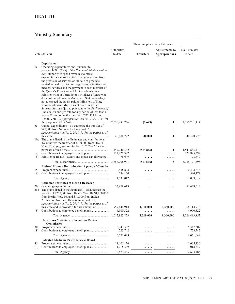|            |                                                                                                                       |                        | These Supplementary Estimates |                                                |                                   |
|------------|-----------------------------------------------------------------------------------------------------------------------|------------------------|-------------------------------|------------------------------------------------|-----------------------------------|
|            | Vote (dollars)                                                                                                        | Authorities<br>to date | <b>Transfers</b>              | <b>Adjustments to</b><br><b>Appropriations</b> | <b>Total Estimates</b><br>to date |
|            |                                                                                                                       |                        |                               |                                                |                                   |
|            | Department                                                                                                            |                        |                               |                                                |                                   |
| 1c         | Operating expenditures and, pursuant to                                                                               |                        |                               |                                                |                                   |
|            | paragraph $29.1(2)(a)$ of the Financial Administration<br>Act, authority to spend revenues to offset                  |                        |                               |                                                |                                   |
|            | expenditures incurred in the fiscal year arising from                                                                 |                        |                               |                                                |                                   |
|            | the provision of services or the sale of products                                                                     |                        |                               |                                                |                                   |
|            | related to health protection, regulatory activities and                                                               |                        |                               |                                                |                                   |
|            | medical services and the payment to each member of                                                                    |                        |                               |                                                |                                   |
|            | the Queen's Privy Council for Canada who is a<br>Minister without Portfolio or a Minister of State who                |                        |                               |                                                |                                   |
|            | does not preside over a Ministry of State of a salary                                                                 |                        |                               |                                                |                                   |
|            | not to exceed the salary paid to Ministers of State                                                                   |                        |                               |                                                |                                   |
|            | who preside over Ministries of State under the                                                                        |                        |                               |                                                |                                   |
|            | <i>Salaries Act</i> , as adjusted pursuant to the <i>Parliament of</i>                                                |                        |                               |                                                |                                   |
|            | Canada Act and pro rata for any period of less than a<br>year $-$ To authorize the transfer of \$22,357 from          |                        |                               |                                                |                                   |
|            | Health Vote 10, Appropriation Act No. 2, 2010-11 for                                                                  |                        |                               |                                                |                                   |
|            |                                                                                                                       | 2,050,283,756          | (2,643)                       | $\mathbf{1}$                                   | 2,050,281,114                     |
| 5c         | Capital expenditures – To authorize the transfer of                                                                   |                        |                               |                                                |                                   |
|            | \$40,000 from National Defence Vote 5,                                                                                |                        |                               |                                                |                                   |
|            | Appropriation Act No. 2, 2010–11 for the purposes of                                                                  | 40,080,772             | 40,000                        | $\mathbf{1}$                                   | 40,120,773                        |
|            | 10c The grants listed in the Estimates and contributions –                                                            |                        |                               |                                                |                                   |
|            | To authorize the transfer of \$100,000 from Health                                                                    |                        |                               |                                                |                                   |
|            | Vote 50, Appropriation Act No. 2, 2010-11 for the                                                                     |                        |                               |                                                |                                   |
|            |                                                                                                                       | 1,542,740,332          | (854, 863)                    | 1                                              | 1,541,885,470                     |
| (S)<br>(S) | Minister of Health – Salary and motor car allowance                                                                   | 122,825,392<br>78,649  | .<br>.                        | .                                              | 122,825,392<br>78,649             |
|            |                                                                                                                       | 3,756,008,901          | (817,506)                     | .<br>3                                         | 3,755,191,398                     |
|            | <b>Assisted Human Reproduction Agency of Canada</b>                                                                   |                        |                               |                                                |                                   |
| 15         |                                                                                                                       | 10,438,838             |                               |                                                | 10,438,838                        |
| (S)        |                                                                                                                       | 594,174                | .                             |                                                | 594,174                           |
|            |                                                                                                                       | 11,033,012             | .                             | .                                              | 11,033,012                        |
|            | <b>Canadian Institutes of Health Research</b>                                                                         |                        |                               |                                                |                                   |
|            |                                                                                                                       | 53,478,613             |                               |                                                | 53,478,613                        |
|            | 25c The grants listed in the Estimates - To authorize the<br>transfer of $$200,000$ from Health Vote 10, $$1,800,000$ |                        |                               |                                                |                                   |
|            | from Health Vote 50, and \$10,000 from Indian                                                                         |                        |                               |                                                |                                   |
|            | Affairs and Northern Development Vote 10,                                                                             |                        |                               |                                                |                                   |
|            | <i>Appropriation Act No. 2, 2010–11</i> for the purposes of                                                           |                        |                               |                                                |                                   |
|            | this Vote and to provide a further amount of                                                                          | 957,444,918            | 1,310,000                     | 9,360,000                                      | 968,114,918                       |
| (S)        |                                                                                                                       | 4,900,322              |                               |                                                | 4,900,322                         |
|            |                                                                                                                       | 1,015,823,853          | 1,310,000                     | 9,360,000                                      | 1,026,493,853                     |
|            | <b>Hazardous Materials Information Review</b><br><b>Commission</b>                                                    |                        |                               |                                                |                                   |
| 30         |                                                                                                                       | 5,347,307              | .                             |                                                | 5,347,307                         |
| (S)        |                                                                                                                       | 723,742                | .                             | .                                              | 723,742                           |
|            |                                                                                                                       | 6,071,049              | .                             | .                                              | 6,071,049                         |
|            | <b>Patented Medicine Prices Review Board</b>                                                                          |                        |                               |                                                |                                   |
| 35         |                                                                                                                       | 11,605,136             | .                             | .                                              | 11,605,136                        |
| (S)        |                                                                                                                       | 1,018,349              |                               |                                                | 1,018,349                         |
|            |                                                                                                                       | 12,623,485             | .                             | .                                              | 12,623,485                        |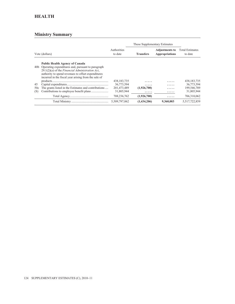# **HEALTH**

|                  |                                                                                                                                                                                                                                                               |                                                          | These Supplementary Estimates |                                         |                                                          |  |
|------------------|---------------------------------------------------------------------------------------------------------------------------------------------------------------------------------------------------------------------------------------------------------------|----------------------------------------------------------|-------------------------------|-----------------------------------------|----------------------------------------------------------|--|
|                  | Vote (dollars)                                                                                                                                                                                                                                                | Authorities<br>to date                                   | <b>Transfers</b>              | <b>Adjustments to</b><br>Appropriations | <b>Total Estimates</b><br>to date                        |  |
| 40b              | <b>Public Health Agency of Canada</b><br>Operating expenditures and, pursuant to paragraph<br>$29.1(2)(a)$ of the Financial Administration Act,<br>authority to spend revenues to offset expenditures<br>incurred in the fiscal year arising from the sale of |                                                          |                               |                                         |                                                          |  |
| 45<br>50c<br>(S) | The grants listed in the Estimates and contributions                                                                                                                                                                                                          | 438, 183, 735<br>36,773,594<br>201,473,489<br>31,805,944 | .<br>(1,926,700)              | .<br>.<br>.                             | 438, 183, 735<br>36,773,594<br>199,546,789<br>31,805,944 |  |
|                  |                                                                                                                                                                                                                                                               | 708,236,762                                              | (1,926,700)                   | .                                       | 706,310,062                                              |  |
|                  |                                                                                                                                                                                                                                                               | 5,509,797,062                                            | (1,434,206)                   | 9,360,003                               | 5,517,722,859                                            |  |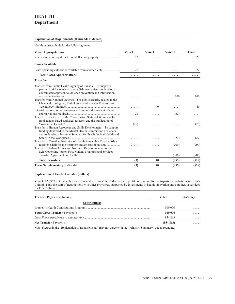# **HEALTH Department**

#### **Explanation of Requirements (thousands of dollars)**

Health requests funds for the following items:

| <b>Voted Appropriations</b>                                                                                                                                                                  | Vote 1 | Vote 5 | Vote 10 | <b>Total</b> |
|----------------------------------------------------------------------------------------------------------------------------------------------------------------------------------------------|--------|--------|---------|--------------|
|                                                                                                                                                                                              | 22     | .      | .       | 22           |
| <b>Funds Available</b>                                                                                                                                                                       |        |        |         |              |
|                                                                                                                                                                                              | 22     |        | .       | 22           |
| <b>Total Voted Appropriations</b>                                                                                                                                                            |        |        |         |              |
| <b>Transfers</b>                                                                                                                                                                             |        |        |         |              |
| Transfer from Public Health Agency of Canada – To support a<br>pan-territorial workshop to establish mechanisms to develop a<br>coordinated approach to violence prevention and intervention |        |        | 100     | 100          |
| Transfer from National Defence - For public security related to the<br>Chemical, Biological, Radiological and Nuclear Research and                                                           |        | 40     | .       | 40           |
| Internal reallocation of resources - To reduce the amount of new<br>Transfer to the Office of the Co-ordinator, Status of Women – To                                                         | 22     |        | (22)    |              |
| fund gender-based statistical research and the publication of<br>Transfer to Human Resources and Skills Development – To support                                                             | (25)   |        |         | (25)         |
| funding delivered to the Mental Health Commission of Canada<br>and to develop a National Standard for Psychological Health and                                                               |        |        | (27)    | (27)         |
| Transfer to Canadian Institutes of Health Research – To establish a<br>Transfer to Indian Affairs and Northern Development – For the                                                         |        |        | (200)   | (200)        |
| Self-Governing Yukon First Nations Programs and Services                                                                                                                                     | .      | .      | (706)   | (706)        |
| <b>Total Transfers</b>                                                                                                                                                                       | (3)    | 40     | (855)   | (818)        |
| <b>These Supplementary Estimates</b>                                                                                                                                                         | (3)    | 40     | (855)   | (818)        |

#### **Explanation of Funds Available (dollars)**

Vote 1: \$22,357 in total authorities is available from Vote 10 due to the reprofile of funding for the tripartite negotiations in British Columbia and the start of negotiations with other provinces, supported by investments in health innovation and core health services for First Nations.

| Voted     | <b>Statutory</b> |  |
|-----------|------------------|--|
|           |                  |  |
| 100,000   | .                |  |
| 100,000   | .                |  |
| 954,863   | .                |  |
| (854.863) | .                |  |
|           |                  |  |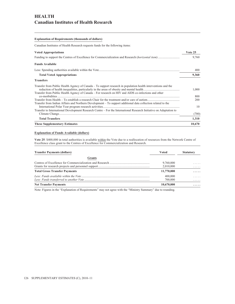#### **Explanation of Requirements (thousands of dollars)**

Canadian Institutes of Health Research requests funds for the following items:

| <b>Voted Appropriations</b>                                                                                                                                                                                          | Vote 25      |
|----------------------------------------------------------------------------------------------------------------------------------------------------------------------------------------------------------------------|--------------|
|                                                                                                                                                                                                                      | 9.760        |
| <b>Funds Available</b>                                                                                                                                                                                               |              |
|                                                                                                                                                                                                                      | 400          |
| <b>Total Voted Appropriations</b>                                                                                                                                                                                    | 9,360        |
| <b>Transfers</b>                                                                                                                                                                                                     |              |
| Transfer from Public Health Agency of Canada – To support research in population health interventions and the<br>Transfer from Public Health Agency of Canada – For research on HIV and AIDS co-infections and other | 1,000<br>800 |
| Transfer from Indian Affairs and Northern Development – To support additional data collection related to the                                                                                                         | 200          |
| Transfer to International Development Research Centre – For the International Research Initiative on Adaptation to                                                                                                   | 10           |
|                                                                                                                                                                                                                      | (700)        |
| <b>Total Transfers</b>                                                                                                                                                                                               | 1,310        |
| <b>These Supplementary Estimates</b>                                                                                                                                                                                 | 10,670       |

#### **Explanation of Funds Available (dollars)**

**Vote 25**: \$400,000 in total authorities is available within the Vote due to a reallocation of resources from the Network Centre of Excellence class grant to the Centres of Excellence for Commercialization and Research.

| <b>Transfer Payments (dollars)</b>   | Voted      | <b>Statutory</b> |
|--------------------------------------|------------|------------------|
| <b>Grants</b>                        |            |                  |
|                                      | 9,760,000  | .                |
|                                      | 2.010.000  | .                |
| <b>Total Gross Transfer Payments</b> | 11,770,000 | .                |
|                                      | 400,000    | .                |
|                                      | 700,000    | .                |
| <b>Net Transfer Payments</b>         | 10,670,000 | .                |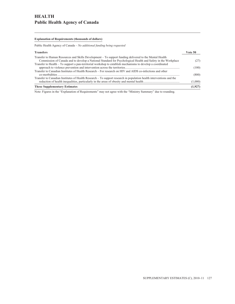#### **Explanation of Requirements (thousands of dollars)**

Public Health Agency of Canada – *No additional funding being requested*

| <b>Transfers</b>                                                                                                                                                                                                       | Vote 50 |
|------------------------------------------------------------------------------------------------------------------------------------------------------------------------------------------------------------------------|---------|
| Transfer to Human Resources and Skills Development – To support funding delivered to the Mental Health<br>Commission of Canada and to develop a National Standard for Psychological Health and Safety in the Workplace | (27)    |
| Transfer to Health – To support a pan-territorial workshop to establish mechanisms to develop a coordinated                                                                                                            | (100)   |
| Transfer to Canadian Institutes of Health Research – For research on HIV and AIDS co-infections and other                                                                                                              | (800)   |
| Transfer to Canadian Institutes of Health Research – To support research in population health interventions and the                                                                                                    | (1,000) |
| <b>These Supplementary Estimates</b>                                                                                                                                                                                   | (1.927) |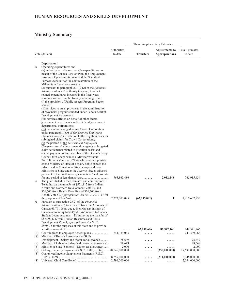### **HUMAN RESOURCES AND SKILLS DEVELOPMENT**

# **Ministry Summary**

|                  |                                                                                                                   |                        | These Supplementary Estimates |                                                |                                   |
|------------------|-------------------------------------------------------------------------------------------------------------------|------------------------|-------------------------------|------------------------------------------------|-----------------------------------|
|                  | Vote (dollars)                                                                                                    | Authorities<br>to date | <b>Transfers</b>              | <b>Adjustments to</b><br><b>Appropriations</b> | <b>Total Estimates</b><br>to date |
|                  |                                                                                                                   |                        |                               |                                                |                                   |
|                  | Department                                                                                                        |                        |                               |                                                |                                   |
| 1c               | Operating expenditures and                                                                                        |                        |                               |                                                |                                   |
|                  | $(a)$ authority to make recoverable expenditures on<br>behalf of the Canada Pension Plan, the Employment          |                        |                               |                                                |                                   |
|                  | Insurance Operating Account and the Specified                                                                     |                        |                               |                                                |                                   |
|                  | Purpose Account for the administration of the                                                                     |                        |                               |                                                |                                   |
|                  | Millennium Excellence Awards;                                                                                     |                        |                               |                                                |                                   |
|                  | (b) pursuant to paragraph $29.1(2)(a)$ of the <i>Financial</i>                                                    |                        |                               |                                                |                                   |
|                  | Administration Act, authority to spend, to offset                                                                 |                        |                               |                                                |                                   |
|                  | related expenditures incurred in the fiscal year,                                                                 |                        |                               |                                                |                                   |
|                  | revenues received in the fiscal year arising from:<br>(i) the provision of Public Access Programs Sector          |                        |                               |                                                |                                   |
|                  | services;                                                                                                         |                        |                               |                                                |                                   |
|                  | (ii) services to assist provinces in the administration                                                           |                        |                               |                                                |                                   |
|                  | of provincial programs funded under Labour Market                                                                 |                        |                               |                                                |                                   |
|                  | Development Agreements;                                                                                           |                        |                               |                                                |                                   |
|                  | (iii) services offered on behalf of other federal                                                                 |                        |                               |                                                |                                   |
|                  | government departments and/or federal government<br>departmental corporations;                                    |                        |                               |                                                |                                   |
|                  | (iv) the amount charged to any Crown Corporation                                                                  |                        |                               |                                                |                                   |
|                  | under paragraph $14(b)$ of Government Employees                                                                   |                        |                               |                                                |                                   |
|                  | <i>Compensation Act</i> in relation to the litigation costs for                                                   |                        |                               |                                                |                                   |
|                  | subrogated claims for Crown Corporations;                                                                         |                        |                               |                                                |                                   |
|                  | $(v)$ the portion of the <i>Government Employees</i>                                                              |                        |                               |                                                |                                   |
|                  | Compensation Act departmental or agency subrogated                                                                |                        |                               |                                                |                                   |
|                  | claim settlements related to litigation costs; and<br>$(c)$ the payment to each member of the Queen's Privy       |                        |                               |                                                |                                   |
|                  | Council for Canada who is a Minister without                                                                      |                        |                               |                                                |                                   |
|                  | Portfolio or a Minister of State who does not preside                                                             |                        |                               |                                                |                                   |
|                  | over a Ministry of State of a salary not to exceed the                                                            |                        |                               |                                                |                                   |
|                  | salary paid to Ministers of State who preside over                                                                |                        |                               |                                                |                                   |
|                  | Ministries of State under the Salaries Act, as adjusted                                                           |                        |                               |                                                |                                   |
|                  | pursuant to the Parliament of Canada Act and pro rata                                                             | 763,863,486            |                               | 2,052,148                                      | 765,915,634                       |
| 5c               | The grants listed in the Estimates and contributions –                                                            |                        | .                             |                                                |                                   |
|                  | To authorize the transfer of \$551,115 from Indian                                                                |                        |                               |                                                |                                   |
|                  | Affairs and Northern Development Vote 10, and                                                                     |                        |                               |                                                |                                   |
|                  | \$26,700 from Health Vote 10, and \$26,700 from                                                                   |                        |                               |                                                |                                   |
|                  | Health Vote 50, Appropriation Act No. 2, 2010-11 for                                                              |                        |                               |                                                |                                   |
|                  | Pursuant to subsection 25(2) of the <i>Financial</i>                                                              | 2,273,003,025          | (62, 395, 091)                | $\mathbf{1}$                                   | 2,210,607,935                     |
| $\underline{7c}$ | Administration Act, to write-off from the Accounts of                                                             |                        |                               |                                                |                                   |
|                  | Canada 61,791 debts due to Her Majesty in right of                                                                |                        |                               |                                                |                                   |
|                  | Canada amounting to \$149,541,766 related to Canada                                                               |                        |                               |                                                |                                   |
|                  | Student Loans accounts – To authorize the transfer of                                                             |                        |                               |                                                |                                   |
|                  | \$62,999,606 from Human Resources and Skills                                                                      |                        |                               |                                                |                                   |
|                  | Development Vote 5, Appropriation Act No.2,<br>2010-11 for the purposes of this Vote and to provide               |                        |                               |                                                |                                   |
|                  |                                                                                                                   | .                      | 62,999,606                    | 86,542,160                                     | 149,541,766                       |
| (S)              |                                                                                                                   | 241,339,063            | .                             | .                                              | 241,339,063                       |
| (S)              | Minister of Human Resources and Skills                                                                            |                        |                               |                                                |                                   |
|                  | Development – Salary and motor car allowance                                                                      | 78,649                 | .                             | .                                              | 78.649                            |
| (S)              | Minister of Labour - Salary and motor car allowance.                                                              | 78,649                 |                               | .                                              | 78,649                            |
| (S)              | Minister of State (Seniors) – Motor car allowance                                                                 | 2,000                  |                               | .                                              | 2,000                             |
| (S)<br>(S)       | Old Age Security Payments (R.S.C., 1985, c. O-9) 28,048,000,000<br>Guaranteed Income Supplement Payments (R.S.C., |                        | .                             | (356,000,000)                                  | 27,692,000,000                    |
|                  |                                                                                                                   | 8,257,000,000          | .                             | (211,000,000)                                  | 8,046,000,000                     |
| (S)              |                                                                                                                   | 2,594,000,000          | .                             | .                                              | 2,594,000,000                     |

<u> 1989 - Johann Stein, marwolaethau a bhann an t-Amhainn an t-Amhainn an t-Amhainn an t-Amhainn an t-Amhainn a</u>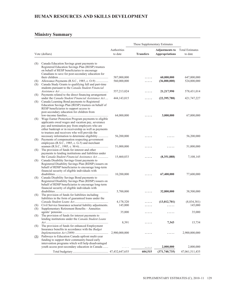### **HUMAN RESOURCES AND SKILLS DEVELOPMENT**

# **Ministry Summary**

|     |                                                                                                        |                        | These Supplementary Estimates |                                                |                                   |  |  |
|-----|--------------------------------------------------------------------------------------------------------|------------------------|-------------------------------|------------------------------------------------|-----------------------------------|--|--|
|     | Vote (dollars)                                                                                         | Authorities<br>to date | <b>Transfers</b>              | <b>Adjustments to</b><br><b>Appropriations</b> | <b>Total Estimates</b><br>to date |  |  |
| (S) | Canada Education Savings grant payments to                                                             |                        |                               |                                                |                                   |  |  |
|     | Registered Education Savings Plan (RESP) trustees<br>on behalf of RESP beneficiaries to encourage      |                        |                               |                                                |                                   |  |  |
|     | Canadians to save for post-secondary education for                                                     |                        |                               |                                                |                                   |  |  |
|     |                                                                                                        | 587,000,000            |                               | 60,000,000                                     | 647,000,000                       |  |  |
| (S) | Allowance Payments (R.S.C., 1985, c. O-9)                                                              | 560,000,000            | .                             | (36,000,000)                                   | 524,000,000                       |  |  |
| (S) | Canada Study Grants to qualifying full and part-time                                                   |                        |                               |                                                |                                   |  |  |
|     | students pursuant to the Canada Student Financial                                                      |                        |                               |                                                |                                   |  |  |
|     | Payments related to the direct financing arrangement                                                   | 557,213,024            |                               | 21,217,990                                     | 578,431,014                       |  |  |
| (S) | under the Canada Student Financial Assistance Act                                                      | 444, 143, 015          |                               | (22, 395, 788)                                 | 421,747,227                       |  |  |
| (S) | Canada Learning Bond payments to Registered                                                            |                        | .                             |                                                |                                   |  |  |
|     | Education Savings Plan (RESP) trustees on behalf of                                                    |                        |                               |                                                |                                   |  |  |
|     | RESP beneficiaries to support access to                                                                |                        |                               |                                                |                                   |  |  |
|     | post-secondary education for children from                                                             |                        |                               |                                                |                                   |  |  |
|     |                                                                                                        | 64,000,000             | .                             | 3,000,000                                      | 67,000,000                        |  |  |
| (S) | Wage Earner Protection Program payments to eligible                                                    |                        |                               |                                                |                                   |  |  |
|     | applicants owed wages and vacation pay, severance                                                      |                        |                               |                                                |                                   |  |  |
|     | pay and termination pay from employers who are                                                         |                        |                               |                                                |                                   |  |  |
|     | either bankrupt or in receivership as well as payments                                                 |                        |                               |                                                |                                   |  |  |
|     | to trustees and receivers who will provide the<br>necessary information to determine eligibility       | 56,200,000             |                               |                                                | 56,200,000                        |  |  |
| (S) | Payments of compensation respecting government                                                         |                        |                               |                                                |                                   |  |  |
|     | employees (R.S.C., 1985, c. G-5) and merchant                                                          |                        |                               |                                                |                                   |  |  |
|     |                                                                                                        | 51,000,000             |                               |                                                | 51,000,000                        |  |  |
| (S) | The provision of funds for interest and other                                                          |                        |                               |                                                |                                   |  |  |
|     | payments to lending institutions and liabilities under                                                 |                        |                               |                                                |                                   |  |  |
|     | the Canada Student Financial Assistance Act                                                            | 15,460,033             | .                             | (8,351,888)                                    | 7,108,145                         |  |  |
| (S) | Canada Disability Savings Grant payments to                                                            |                        |                               |                                                |                                   |  |  |
|     | Registered Disability Savings Plan (RDSP) issuers on                                                   |                        |                               |                                                |                                   |  |  |
|     | behalf of RDSP beneficiaries to encourage long-term                                                    |                        |                               |                                                |                                   |  |  |
|     | financial security of eligible individuals with                                                        |                        |                               |                                                |                                   |  |  |
| (S) | Canada Disability Savings Bond payments to                                                             | 10,200,000             | .                             | 67,400,000                                     | 77,600,000                        |  |  |
|     | Registered Disability Savings Plan (RDSP) issuers on                                                   |                        |                               |                                                |                                   |  |  |
|     | behalf of RDSP beneficiaries to encourage long-term                                                    |                        |                               |                                                |                                   |  |  |
|     | financial security of eligible individuals with                                                        |                        |                               |                                                |                                   |  |  |
|     |                                                                                                        | 5,700,000              |                               | 32,800,000                                     | 38,500,000                        |  |  |
| (S) | The provision of funds for liabilities including                                                       |                        |                               |                                                |                                   |  |  |
|     | liabilities in the form of guaranteed loans under the                                                  |                        |                               |                                                |                                   |  |  |
|     |                                                                                                        | 4,178,320              | $\cdots$                      | (13,012,701)                                   | (8,834,381)                       |  |  |
| (S) | Civil Service Insurance actuarial liability adjustments.                                               | 145,000                |                               |                                                | 145,000                           |  |  |
| (S) | Supplementary Retirement Benefits - Annuities                                                          |                        |                               |                                                |                                   |  |  |
|     |                                                                                                        | 35,000                 |                               |                                                | 35,000                            |  |  |
| (S) | The provision of funds for interest payments to<br>lending institutions under the Canada Student Loans |                        |                               |                                                |                                   |  |  |
|     |                                                                                                        | 8,391                  |                               | 7,343                                          | 15,734                            |  |  |
| (S) | The provision of funds for enhanced Employment                                                         |                        |                               |                                                |                                   |  |  |
|     | Insurance benefits in accordance with the <i>Budget</i>                                                |                        |                               |                                                |                                   |  |  |
|     |                                                                                                        | 2,900,000,000          |                               |                                                | 2,900,000,000                     |  |  |
| (S) | Pathways to Education Canada upfront multi-year                                                        |                        |                               |                                                |                                   |  |  |
|     | funding to support their community-based early                                                         |                        |                               |                                                |                                   |  |  |
|     | intervention programs which will help disadvantaged                                                    |                        |                               |                                                |                                   |  |  |
|     | youth access post-secondary education in Canada                                                        |                        |                               | 2,000,000                                      | 2,000,000                         |  |  |
|     |                                                                                                        |                        | 604,515                       | (371, 740, 735)                                | 47,061,511,435                    |  |  |

<u> 1980 - Johann Barbara, martxa alemaniar arg</u>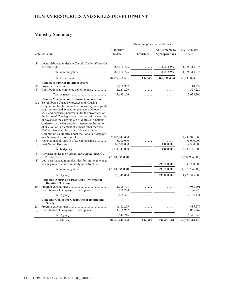### **HUMAN RESOURCES AND SKILLS DEVELOPMENT**

# **Ministry Summary**

|            | These Supplementary Estimates                                                                                                                                                                                                                                                                                                                                                                                                                                                                                                                               |                                           |                  |                                                |                                           |
|------------|-------------------------------------------------------------------------------------------------------------------------------------------------------------------------------------------------------------------------------------------------------------------------------------------------------------------------------------------------------------------------------------------------------------------------------------------------------------------------------------------------------------------------------------------------------------|-------------------------------------------|------------------|------------------------------------------------|-------------------------------------------|
|            | Vote (dollars)                                                                                                                                                                                                                                                                                                                                                                                                                                                                                                                                              | Authorities<br>to date                    | <b>Transfers</b> | <b>Adjustments to</b><br><b>Appropriations</b> | <b>Total Estimates</b><br>to date         |
| (S)        | Loans disbursed under the Canada Student Financial                                                                                                                                                                                                                                                                                                                                                                                                                                                                                                          |                                           |                  |                                                |                                           |
|            |                                                                                                                                                                                                                                                                                                                                                                                                                                                                                                                                                             | 765,110,776                               | .                | 311,202,299                                    | 1,076,313,075                             |
|            |                                                                                                                                                                                                                                                                                                                                                                                                                                                                                                                                                             | 765,110,776                               | .                | 311,202,299                                    | 1,076,313,075                             |
|            |                                                                                                                                                                                                                                                                                                                                                                                                                                                                                                                                                             |                                           | 604,515          | (60, 538, 436)                                 | 48, 137, 824, 510                         |
|            | <b>Canada Industrial Relations Board</b>                                                                                                                                                                                                                                                                                                                                                                                                                                                                                                                    |                                           |                  |                                                |                                           |
| 10         |                                                                                                                                                                                                                                                                                                                                                                                                                                                                                                                                                             | 12,110,977                                | .                |                                                | 12,110,977                                |
| (S)        | Contributions to employee benefit plans                                                                                                                                                                                                                                                                                                                                                                                                                                                                                                                     | 1,527,229                                 |                  |                                                | 1,527,229                                 |
|            |                                                                                                                                                                                                                                                                                                                                                                                                                                                                                                                                                             | 13,638,206                                | .                | .                                              | 13,638,206                                |
| 15c<br>(S) | To reimburse Canada Mortgage and Housing<br>Corporation for the amounts of loans forgiven, grants,<br>contributions and expenditures made, and losses,<br>costs and expenses incurred under the provisions of<br>the National Housing Act or in respect of the exercise<br>of powers or the carrying out of duties or functions<br>conferred on the Corporation pursuant to the authority<br>of any Act of Parliament of Canada other than the<br><i>National Housing Act</i> , in accordance with the<br>Corporation's authority under the Canada Mortgage | 2,993,841,000<br>75,000,000<br>62,500,000 | .                | .<br>.<br>1,800,000                            | 2,993,841,000<br>75,000,000<br>64,300,000 |
| (S)        |                                                                                                                                                                                                                                                                                                                                                                                                                                                                                                                                                             |                                           | .                |                                                |                                           |
|            |                                                                                                                                                                                                                                                                                                                                                                                                                                                                                                                                                             | 3,131,341,000                             | .                | 1,800,000                                      | 3,133,141,000                             |
| (S)<br>(S) | Advances under the <i>National Housing Act</i> (R.S.C.,<br>Low-cost loans to municipalities for improvements to                                                                                                                                                                                                                                                                                                                                                                                                                                             |                                           | .                | .                                              | (2,504,996,000)                           |
|            | housing-related and community infrastructure                                                                                                                                                                                                                                                                                                                                                                                                                                                                                                                |                                           | .                | 793,200,000                                    | 793,200,000                               |
|            |                                                                                                                                                                                                                                                                                                                                                                                                                                                                                                                                                             |                                           | .                | 793,200,000                                    | (1,711,796,000)                           |
|            |                                                                                                                                                                                                                                                                                                                                                                                                                                                                                                                                                             | 626,345,000                               | .                | 795,000,000                                    | 1,421,345,000                             |
|            | <b>Canadian Artists and Producers Professional</b><br><b>Relations Tribunal</b>                                                                                                                                                                                                                                                                                                                                                                                                                                                                             |                                           |                  |                                                |                                           |
| 20         |                                                                                                                                                                                                                                                                                                                                                                                                                                                                                                                                                             | 1,988,701                                 | .                |                                                | 1,988,701                                 |
| (S)        |                                                                                                                                                                                                                                                                                                                                                                                                                                                                                                                                                             | 176,770                                   |                  | .                                              | 176,770                                   |
|            |                                                                                                                                                                                                                                                                                                                                                                                                                                                                                                                                                             | 2,165,471                                 | .                | .                                              | 2,165,471                                 |
|            | <b>Canadian Centre for Occupational Health and</b><br><b>Safety</b>                                                                                                                                                                                                                                                                                                                                                                                                                                                                                         |                                           |                  |                                                |                                           |
| 25         |                                                                                                                                                                                                                                                                                                                                                                                                                                                                                                                                                             | 4,485,279                                 |                  |                                                | 4,485,279                                 |
| (S)        |                                                                                                                                                                                                                                                                                                                                                                                                                                                                                                                                                             | 1,055,967                                 | .                |                                                | 1,055,967                                 |
|            |                                                                                                                                                                                                                                                                                                                                                                                                                                                                                                                                                             | 5,541,246                                 | .                | .                                              | 5,541,246                                 |
|            |                                                                                                                                                                                                                                                                                                                                                                                                                                                                                                                                                             |                                           | 604,515          | 734,461,564                                    | 49,580,514,433                            |

<u> 1989 - Johann Barbara, martxa alemaniar a</u>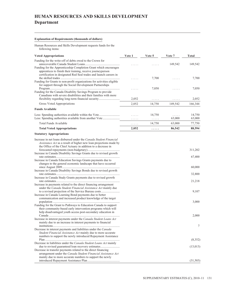# **HUMAN RESOURCES AND SKILLS DEVELOPMENT Department**

#### **Explanation of Requirements (thousands of dollars)**

Human Resources and Skills Development requests funds for the following items:

| <b>Voted Appropriations</b>                                                                                                                                                                 | Vote 1 | Vote 5   | Vote 7  | <b>Total</b> |
|---------------------------------------------------------------------------------------------------------------------------------------------------------------------------------------------|--------|----------|---------|--------------|
| Funding for the write-off of debts owed to the Crown for<br>Funding for the Apprenticeship Completion Grant which encourages<br>apprentices to finish their training, receive journeyperson |        |          | 149,542 | 149,542      |
| certification in designated Red Seal trades and launch careers in<br>Funding for Grants to non-profit organizations for activities eligible                                                 |        | 7,700    |         | 7,700        |
| for support through the Social Development Partnerships<br>Funding for the Canada Disability Savings Program to provide                                                                     |        | 7,050    |         | 7,050        |
| Canadians with severe disabilities and their families with more<br>flexibility regarding long-term financial security                                                                       | 2,052  | .        | .       | 2,052        |
| Gross Voted Appropriations                                                                                                                                                                  | 2,052  | 14,750   | 149,542 | 166,344      |
| <b>Funds Available</b>                                                                                                                                                                      |        |          |         |              |
|                                                                                                                                                                                             |        | 14,750   | .       | 14,750       |
|                                                                                                                                                                                             | .      | $\cdots$ | 63,000  | 63,000       |
| Total Funds Available                                                                                                                                                                       | .      | 14,750   | 63,000  | 77,750       |
| <b>Total Voted Appropriations</b>                                                                                                                                                           | 2,052  | .        | 86,542  | 88,594       |
| <b>Statutory Appropriations</b>                                                                                                                                                             |        |          |         |              |
| Increase in net loans disbursed under the Canada Student Financial                                                                                                                          |        |          |         |              |
| Assistance Act as a result of higher new loan projections made by<br>the Office of the Chief Actuary in addition to a decrease in                                                           |        |          |         |              |
| Increase in Canada Disability Savings Grants due to revised growth                                                                                                                          |        |          |         | 311,202      |
| Increase in Canada Education Savings Grants payments due to<br>changes to the general economic landscape that have occurred                                                                 |        |          |         | 67,400       |
|                                                                                                                                                                                             |        |          |         | 60,000       |
| Increase in Canada Disability Savings Bonds due to revised growth                                                                                                                           |        |          |         | 32,800       |
| Increase in Canada Study Grants payments due to revised growth                                                                                                                              |        |          |         |              |
| Increase in payments related to the direct financing arrangement<br>under the <i>Canada Student Financial Assistance Act</i> mainly due                                                     |        |          |         | 21,218       |
| to a revised projection of the Service Bureau costs<br>Increase in Canada Learning Bond payments due to better                                                                              |        |          |         | 9,107        |
| communication and increased product knowledge of the target<br>Funding for the Grant to Pathways to Education Canada to support                                                             |        |          |         | 3,000        |
| their community-based early intervention programs which will<br>help disadvantaged youth access post-secondary education in                                                                 |        |          |         |              |
|                                                                                                                                                                                             |        |          |         | 2,000        |
| Increase in interest payments under the Canada Student Loans Act<br>mainly due to an increase in interest payments to financial                                                             |        |          |         |              |
|                                                                                                                                                                                             |        |          |         | 7            |
| Decrease in interest payments and liabilities under the Canada<br>Student Financial Assistance Act mainly due to more accurate                                                              |        |          |         |              |
| numbers to support the newly introduced Repayment Assistance                                                                                                                                |        |          |         | (8,352)      |
| Decrease in liabilities under the Canada Student Loans Act mainly                                                                                                                           |        |          |         |              |
| due to revised guaranteed loan recovery estimates                                                                                                                                           |        |          |         | (13,013)     |
| Decrease in transfer payments related to the direct financing<br>arrangement under the Canada Student Financial Assistance Act                                                              |        |          |         |              |
| mainly due to more accurate numbers to support the newly                                                                                                                                    |        |          |         |              |
|                                                                                                                                                                                             |        |          |         | (31,503)     |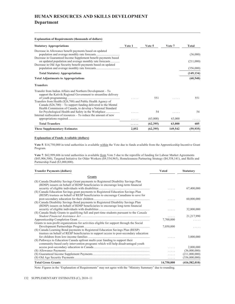# **HUMAN RESOURCES AND SKILLS DEVELOPMENT Department**

**Explanation of Requirements (thousands of dollars)**

| <b>Statutory Appropriations</b>                                                                                                  | Vote 1 | Vote 5    | Vote 7  | Total      |
|----------------------------------------------------------------------------------------------------------------------------------|--------|-----------|---------|------------|
| Decrease in Allowance benefit payments based on updated                                                                          |        |           |         | (36,000)   |
| Decrease in Guaranteed Income Supplement benefit payments based<br>on updated population and average monthly rate forecasts      |        |           |         | (211,000)  |
| Decrease in Old Age Security benefit payments based on updated                                                                   |        |           |         | (356,000)  |
| <b>Total Statutory Appropriations</b>                                                                                            |        |           |         | (149, 134) |
| <b>Total Adjustments to Appropriations</b>                                                                                       |        |           |         | (60, 540)  |
| <b>Transfers</b>                                                                                                                 |        |           |         |            |
| Transfer from Indian Affairs and Northern Development – To<br>support the Kativik Regional Government to streamline delivery     |        | 551       |         | 551        |
| Transfers from Health (\$26,700) and Public Health Agency of<br>Canada $(\$26,700)$ – To support funding delivered to the Mental |        |           |         |            |
| Health Commission of Canada, to develop a National Standard<br>Internal reallocation of resources – To reduce the amount of new  |        | 54        |         | 54         |
|                                                                                                                                  | .      | (63,000)  | 63,000  | .          |
| <b>Total Transfers</b>                                                                                                           | .      | (62, 395) | 63,000  | 605        |
| <b>These Supplementary Estimates</b>                                                                                             | 2,052  | (62, 395) | 149,542 | (59, 935)  |

#### **Explanation of Funds Available (dollars)**

Vote 5: \$14,750,000 in total authorities is available within the Vote due to funds available from the Apprenticeship Incentive Grant Program.

**Vote 7**: \$62,999,606 in total authorities is available from Vote 5 due to the reprofile of funding for Labour Market Agreements (\$45,906,500), Targeted Initiative for Older Workers (\$9,534,965), Homelessness Partnering Strategy (\$4,558,141), and Skills and (\$45,906,500), Targeted Initiative for Older Workers (\$9,534,965), Homelessness Partnering St Partnership Fund (\$3,000,000).

| <b>Transfer Payments (dollars)</b>                                                        | <b>Voted</b> | <b>Statutory</b> |
|-------------------------------------------------------------------------------------------|--------------|------------------|
| <b>Grants</b>                                                                             |              |                  |
| (S) Canada Disability Savings Grant payments to Registered Disability Savings Plan        |              |                  |
| (RDSP) issuers on behalf of RDSP beneficiaries to encourage long-term financial           |              |                  |
|                                                                                           |              | 67,400,000       |
| (S) Canada Education Savings grant payments to Registered Education Savings Plan          |              |                  |
| (RESP) trustees on behalf of RESP beneficiaries to encourage Canadians to save for        |              |                  |
|                                                                                           |              | 60,000,000       |
| (S) Canada Disability Savings Bond payments to Registered Disability Savings Plan         |              |                  |
| (RDSP) issuers on behalf of RDSP beneficiaries to encourage long-term financial           |              |                  |
|                                                                                           |              | 32,800,000       |
| (S) Canada Study Grants to qualifying full and part-time students pursuant to the Canada  |              |                  |
|                                                                                           | .            | 21,217,990       |
|                                                                                           | 7,700,000    |                  |
| Grants to non-profit organizations for activities eligible for support through the Social |              |                  |
| (S) Canada Learning Bond payments to Registered Education Savings Plan (RESP)             | 7,050,000    |                  |
| trustees on behalf of RESP beneficiaries to support access to post-secondary education    |              |                  |
|                                                                                           |              | 3,000,000        |
| (S) Pathways to Education Canada upfront multi-year funding to support their              |              |                  |
| community-based early intervention programs which will help disadvantaged youth           |              |                  |
|                                                                                           |              | 2,000,000        |
|                                                                                           |              | (36,000,000)     |
|                                                                                           | .            | (211,000,000)    |
|                                                                                           | .            | (356,000,000)    |
| <b>Total Gross Grants</b>                                                                 | 14,750,000   | (416,582,010)    |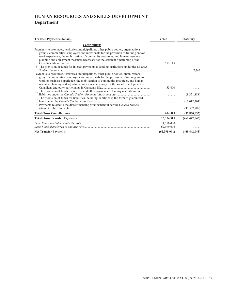# **HUMAN RESOURCES AND SKILLS DEVELOPMENT Department**

| <b>Transfer Payments (dollars)</b>                                                                                                                                                                                                                                                                                                                     | <b>Voted</b>             | <b>Statutory</b> |
|--------------------------------------------------------------------------------------------------------------------------------------------------------------------------------------------------------------------------------------------------------------------------------------------------------------------------------------------------------|--------------------------|------------------|
| <b>Contributions</b>                                                                                                                                                                                                                                                                                                                                   |                          |                  |
| Payments to provinces, territories, municipalities, other public bodies, organizations,<br>groups, communities, employers and individuals for the provision of training and/or<br>work experience, the mobilization of community resources, and human resource<br>planning and adjustment measures necessary for the efficient functioning of the      | 551,115                  |                  |
| (S) The provision of funds for interest payments to lending institutions under the Canada                                                                                                                                                                                                                                                              |                          |                  |
|                                                                                                                                                                                                                                                                                                                                                        |                          | 7.343            |
| Payments to provinces, territories, municipalities, other public bodies, organizations,<br>groups, communities, employers and individuals for the provision of training and/or<br>work or business experience, the mobilization of community resources, and human<br>resource planning and adjustment measures necessary for the social development of |                          |                  |
|                                                                                                                                                                                                                                                                                                                                                        | 53,400                   |                  |
| (S) The provision of funds for interest and other payments to lending institutions and<br>(S) The provision of funds for liabilities including liabilities in the form of guaranteed                                                                                                                                                                   |                          | (8,351,888)      |
|                                                                                                                                                                                                                                                                                                                                                        | .                        | (13,012,701)     |
| (S) Payments related to the direct financing arrangement under the <i>Canada Student</i>                                                                                                                                                                                                                                                               |                          |                  |
|                                                                                                                                                                                                                                                                                                                                                        | .                        | (31,502,789)     |
| <b>Total Gross Contributions</b>                                                                                                                                                                                                                                                                                                                       | 604,515                  | (52,860,035)     |
| <b>Total Gross Transfer Payments</b>                                                                                                                                                                                                                                                                                                                   | 15,354,515               | (469, 442, 045)  |
|                                                                                                                                                                                                                                                                                                                                                        | 14,750,000<br>62,999,606 | .                |
| <b>Net Transfer Payments</b>                                                                                                                                                                                                                                                                                                                           | (62,395,091)             | (469, 442, 045)  |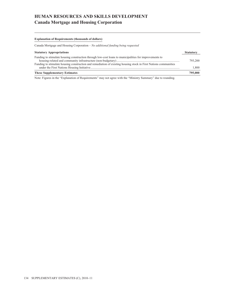# **HUMAN RESOURCES AND SKILLS DEVELOPMENT Canada Mortgage and Housing Corporation**

#### **Explanation of Requirements (thousands of dollars)**

Canada Mortgage and Housing Corporation – *No additional funding being requested*

| <b>Statutory Appropriations</b>                                                                                                                                                                                            | <b>Statutory</b> |
|----------------------------------------------------------------------------------------------------------------------------------------------------------------------------------------------------------------------------|------------------|
| Funding to stimulate housing construction through low-cost loans to municipalities for improvements to<br>Funding to stimulate housing construction and remediation of existing housing stock in First Nations communities | 793,200          |
|                                                                                                                                                                                                                            | 1.800            |
| <b>These Supplementary Estimates</b>                                                                                                                                                                                       | 795,000          |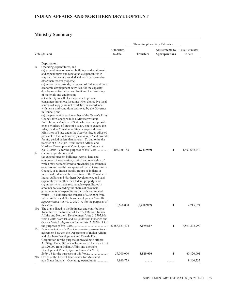### **INDIAN AFFAIRS AND NORTHERN DEVELOPMENT**

### **Ministry Summary**

|    |                                                                                                                                                                                                                                                                                                                                                                                                                                                                                                                                                                                                                                                                                                                                                                                                                                                             |               | These Supplementary Estimates |                       |                        |  |  |  |
|----|-------------------------------------------------------------------------------------------------------------------------------------------------------------------------------------------------------------------------------------------------------------------------------------------------------------------------------------------------------------------------------------------------------------------------------------------------------------------------------------------------------------------------------------------------------------------------------------------------------------------------------------------------------------------------------------------------------------------------------------------------------------------------------------------------------------------------------------------------------------|---------------|-------------------------------|-----------------------|------------------------|--|--|--|
|    |                                                                                                                                                                                                                                                                                                                                                                                                                                                                                                                                                                                                                                                                                                                                                                                                                                                             | Authorities   |                               | <b>Adjustments to</b> | <b>Total Estimates</b> |  |  |  |
|    | Vote (dollars)                                                                                                                                                                                                                                                                                                                                                                                                                                                                                                                                                                                                                                                                                                                                                                                                                                              | to date       | <b>Transfers</b>              | <b>Appropriations</b> | to date                |  |  |  |
| 1c | Department<br>Operating expenditures, and<br>$(a)$ expenditures on works, buildings and equipment;<br>and expenditures and recoverable expenditures in<br>respect of services provided and work performed on<br>other than federal property;<br>$(b)$ authority to provide, in respect of Indian and Inuit<br>economic development activities, for the capacity<br>development for Indian and Inuit and the furnishing<br>of materials and equipment;<br>$(c)$ authority to sell electric power to private                                                                                                                                                                                                                                                                                                                                                  |               |                               |                       |                        |  |  |  |
|    | consumers in remote locations when alternative local<br>sources of supply are not available, in accordance<br>with terms and conditions approved by the Governor<br>in Council; and<br>(d) the payment to each member of the Queen's Privy<br>Council for Canada who is a Minister without<br>Portfolio or a Minister of State who does not preside<br>over a Ministry of State of a salary not to exceed the<br>salary paid to Ministers of State who preside over<br>Ministries of State under the Salaries Act, as adjusted<br>pursuant to the Parliament of Canada Act and pro rata<br>for any period of less than a year $-$ To authorize the<br>transfer of \$1,536,051 from Indian Affairs and<br>Northern Development Vote 5, Appropriation Act                                                                                                     |               |                               |                       |                        |  |  |  |
| 5c | $No. 2, 2010-11$ for the purposes of this Vote<br>Capital expenditures, and<br>(a) expenditures on buildings, works, land and<br>equipment, the operation, control and ownership of<br>which may be transferred to provincial governments<br>on terms and conditions approved by the Governor in<br>Council, or to Indian bands, groups of Indians or<br>individual Indians at the discretion of the Minister of<br>Indian Affairs and Northern Development, and such<br>expenditures on other than federal property; and<br>$(b)$ authority to make recoverable expenditures in<br>amounts not exceeding the shares of provincial<br>governments of expenditures on roads and related<br>works $-$ To authorize the transfer of \$765,000 from<br>Indian Affairs and Northern Development Vote 10,<br>Appropriation Act No. 2, 2010–11 for the purposes of | 1,403,926,188 | (2, 283, 949)                 | 1                     | 1,401,642,240          |  |  |  |
|    | 10c The grants listed in the Estimates and contributions –<br>To authorize the transfer of \$5,679,876 from Indian<br>Affairs and Northern Development Vote 5, \$705,806<br>from Health Vote 10, and \$20,000 from Fisheries and<br>Oceans Vote 1, Appropriation Act No. 2, 2010-11 for                                                                                                                                                                                                                                                                                                                                                                                                                                                                                                                                                                     | 10,666,000    | (6,450,927)                   | 1                     | 4,215,074              |  |  |  |
|    | 15c Payments to Canada Post Corporation pursuant to an<br>agreement between the Department of Indian Affairs<br>and Northern Development and Canada Post<br>Corporation for the purpose of providing Northern<br>Air Stage Parcel Service – To authorize the transfer of<br>\$3,820,000 from Indian Affairs and Northern<br>Development Vote 1, Appropriation Act No. 2,                                                                                                                                                                                                                                                                                                                                                                                                                                                                                    | 6,588,123,424 | 5,079,567                     | $\mathbf{1}$          | 6,593,202,992          |  |  |  |
|    | 20a Office of the Federal Interlocutor for Métis and                                                                                                                                                                                                                                                                                                                                                                                                                                                                                                                                                                                                                                                                                                                                                                                                        | 57,000,000    | 3,820,000                     | $\mathbf{1}$          | 60,820,001             |  |  |  |
|    | non-Status Indians – Operating expenditures                                                                                                                                                                                                                                                                                                                                                                                                                                                                                                                                                                                                                                                                                                                                                                                                                 | 9,860,733     | .                             | .                     | 9,860,733              |  |  |  |

<u> 1989 - Johann Stoff, deutscher Stoff, der Stoff, der Stoff, der Stoff, der Stoff, der Stoff, der Stoff, der S</u>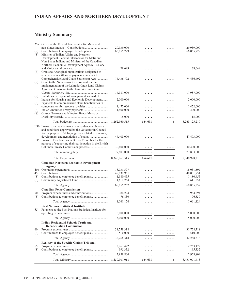### **INDIAN AFFAIRS AND NORTHERN DEVELOPMENT**

### **Ministry Summary**

| (S)<br>(S) | 25a Office of the Federal Interlocutor for Métis and<br>Minister of Indian Affairs and Northern                                                                                                                                   | 29,939,000<br>66,055,729 |         |                         | 29,939,000<br>66,055,729 |
|------------|-----------------------------------------------------------------------------------------------------------------------------------------------------------------------------------------------------------------------------------|--------------------------|---------|-------------------------|--------------------------|
|            | Development, Federal Interlocutor for Métis and<br>Non-Status Indians and Minister of the Canadian<br>Northern Economic Development Agency - Salary                                                                               | 78,649                   |         |                         | 78,649                   |
| (S)        | Grants to Aboriginal organizations designated to<br>receive claim settlement payments pursuant to                                                                                                                                 |                          |         |                         |                          |
| (S)        | Comprehensive Land Claim Settlement Acts<br>Grant to the Nunatsiavut Government for the<br>implementation of the Labrador Inuit Land Claims<br>Agreement pursuant to the Labrador Inuit Land                                      | 74,436,792               |         |                         | 74,436,792               |
| (S)        | Liabilities in respect of loan guarantees made to                                                                                                                                                                                 | 17,987,000               |         |                         | 17,987,000               |
| (S)        | Indians for Housing and Economic Development<br>Payments to comprehensive claim beneficiaries in                                                                                                                                  | 2,000,000                |         |                         | 2,000,000                |
|            |                                                                                                                                                                                                                                   | 1,472,000                |         |                         | 1,472,000                |
| (S)        |                                                                                                                                                                                                                                   | 1,400,000                |         |                         | 1,400,000                |
| (S)        | Grassy Narrows and Islington Bands Mercury                                                                                                                                                                                        |                          |         |                         |                          |
|            |                                                                                                                                                                                                                                   | 15,000                   | .       |                         | 15,000                   |
|            |                                                                                                                                                                                                                                   | 8,262,960,515            | 164,691 | 4                       | 8,263,125,210            |
|            | L30 Loans to native claimants in accordance with terms<br>and conditions approved by the Governor in Council<br>for the purpose of defraying costs related to research,<br>L35 Loans to First Nations in British Columbia for the | 47,403,000               |         |                         | 47,403,000               |
|            | purpose of supporting their participation in the British                                                                                                                                                                          | 30,400,000               | .       | .                       | 30,400,000               |
|            |                                                                                                                                                                                                                                   | 77,803,000               |         |                         | 77,803,000               |
|            |                                                                                                                                                                                                                                   |                          | .       | .                       |                          |
|            |                                                                                                                                                                                                                                   | 8, 340, 763, 515         | 164,691 | $\overline{\mathbf{4}}$ | 8,340,928,210            |
|            | <b>Canadian Northern Economic Development</b>                                                                                                                                                                                     |                          |         |                         |                          |
|            | Agency                                                                                                                                                                                                                            |                          |         |                         |                          |
| 40b        |                                                                                                                                                                                                                                   | 18,031,597               | .       |                         | 18,031,597               |
| 45b        |                                                                                                                                                                                                                                   | 48,031,951               | .       | .                       | 48,031,951               |
| (S)        |                                                                                                                                                                                                                                   | 1,180,455                | .       | .                       | 1,180,455                |
| (S)        |                                                                                                                                                                                                                                   | 1,611,254                | .       | .                       | 1,611,254                |
|            |                                                                                                                                                                                                                                   | 68,855,257               | .       | .                       | 68,855,257               |
|            | <b>Canadian Polar Commission</b>                                                                                                                                                                                                  |                          |         |                         |                          |
| 50         |                                                                                                                                                                                                                                   | 984,294                  | .       |                         | 984,294                  |
| (S)        |                                                                                                                                                                                                                                   | 76,830                   | .       | .                       | 76,830                   |
|            |                                                                                                                                                                                                                                   | 1,061,124                | .       | .                       | 1,061,124                |
|            | <b>First Nations Statistical Institute</b>                                                                                                                                                                                        |                          |         |                         |                          |
| 55         | Payments to the First Nations Statistical Institute for                                                                                                                                                                           |                          |         |                         |                          |
|            |                                                                                                                                                                                                                                   | 5,000,000                | .       | .                       | 5,000,000                |
|            |                                                                                                                                                                                                                                   | 5,000,000                | .       | .                       | 5,000,000                |
|            | <b>Indian Residential Schools Truth and</b><br><b>Reconciliation Commission</b>                                                                                                                                                   |                          |         |                         |                          |
| 60         |                                                                                                                                                                                                                                   | 31,758,318               | .       | .                       | 31,758,318               |
| (S)        |                                                                                                                                                                                                                                   | 510,000                  |         | .                       | 510,000                  |
|            |                                                                                                                                                                                                                                   | 32,268,318               | .       | .                       | 32,268,318               |
|            | <b>Registry of the Specific Claims Tribunal</b>                                                                                                                                                                                   |                          |         |                         |                          |
| 65         |                                                                                                                                                                                                                                   | 2,763,472                | .       | .                       | 2,763,472                |
| (S)        | Contributions to employee benefit plans                                                                                                                                                                                           | 195,332                  | .       | .                       | 195,332                  |
|            |                                                                                                                                                                                                                                   | 2,958,804                | .       | .                       | 2,958,804                |
|            |                                                                                                                                                                                                                                   |                          | 164,691 | 4                       | 8,451,071,713            |
|            |                                                                                                                                                                                                                                   | 8,450,907,018            |         |                         |                          |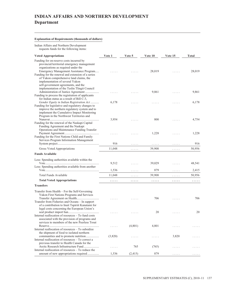# **INDIAN AFFAIRS AND NORTHERN DEVELOPMENT Department**

#### **Explanation of Requirements (thousands of dollars)**

Indian Affairs and Northern Development requests funds for the following items:

| <b>Voted Appropriations</b>                                                                                                                                                                                                                | Vote 1  | Vote 5   | Vote 10 | Vote 15  | <b>Total</b> |
|--------------------------------------------------------------------------------------------------------------------------------------------------------------------------------------------------------------------------------------------|---------|----------|---------|----------|--------------|
| Funding for on-reserve costs incurred by<br>provincial/territorial emergency management<br>organizations as required under the                                                                                                             |         |          |         |          |              |
| Emergency Management Assistance Program<br>Funding for the renewal and extension of a series<br>of Yukon comprehensive land claims, the<br>implementation of several Yukon<br>self-government agreements, and the                          |         |          | 28,019  |          | 28,019       |
| implementation of the Teslin Tlingit Council<br>Administration of Justice Agreement<br>Funding to process the registration of applicants                                                                                                   |         |          | 9,861   | $\cdots$ | 9,861        |
| for Indian status as a result of Bill C-3,<br>Gender Equity in Indian Registration Act<br>Funding for legislative and regulatory changes to<br>improve the northern regulatory system and to<br>implement the Cumulative Impact Monitoring | 6,178   | .        | .       | $\cdots$ | 6,178        |
| Program in the Northwest Territories and<br>Funding for the renewal of the Naskapi Capital<br>Funding Agreement and the Naskapi                                                                                                            | 3,954   | .        | 800     | $\cdots$ | 4,754        |
| Operations and Maintenance Funding Transfer<br>Funding for the First Nations Child and Family<br>Services Program Information Management                                                                                                   |         | .        | 1,228   | .        | 1,228        |
|                                                                                                                                                                                                                                            | 916     | .        | .       | .        | 916          |
| Gross Voted Appropriations                                                                                                                                                                                                                 | 11,048  | .        | 39,908  | .        | 50,956       |
| <b>Funds Available</b>                                                                                                                                                                                                                     |         |          |         |          |              |
| Less: Spending authorities available within the                                                                                                                                                                                            |         |          |         |          |              |
|                                                                                                                                                                                                                                            | 9,512   | .        | 39,029  | .        | 48,541       |
| Less: Spending authorities available from another                                                                                                                                                                                          | 1,536   | .        | 879     | .        | 2,415        |
| Total Funds Available                                                                                                                                                                                                                      | 11,048  | .        | 39,908  | .        | 50,956       |
| <b>Total Voted Appropriations</b>                                                                                                                                                                                                          | .       | .        | .       | .        | .            |
| <b>Transfers</b>                                                                                                                                                                                                                           |         |          |         |          |              |
| Transfer from Health – For the Self-Governing<br>Yukon First Nations Programs and Services<br>Transfer from Fisheries and Oceans - In support<br>of a contribution to Inuit Tapiriit Kanatami for                                          |         |          | 706     | .        | 706          |
| legal costs concerning the European Union's<br>Internal reallocation of resources - To fund costs                                                                                                                                          |         |          | 20      | .        | 20           |
| associated with the provision of programs and<br>services to members of the new Peerless Trout<br>Internal reallocation of resources – To subsidize                                                                                        |         | (4, 801) | 4,801   |          |              |
| the shipment of food to isolated northern<br>communities and to promote nutrition<br>Internal reallocation of resources – To correct a                                                                                                     | (3,820) | .        | .       | 3,820    |              |
| previous transfer to Health Canada for the<br>Arctic Research Infrastructure Fund<br>Internal reallocation of resources – To reduce the                                                                                                    | .       | 765      | (765)   | .        |              |
| amount of new appropriations required                                                                                                                                                                                                      | 1,536   | (2, 415) | 879     |          |              |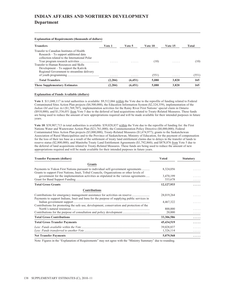# **INDIAN AFFAIRS AND NORTHERN DEVELOPMENT Department**

#### **Explanation of Requirements (thousands of dollars)**

| <b>Transfers</b>                                                                                                                                                                                                                                                      | Vote 1   | Vote 5   | Vote 10       | Vote 15 | Total         |
|-----------------------------------------------------------------------------------------------------------------------------------------------------------------------------------------------------------------------------------------------------------------------|----------|----------|---------------|---------|---------------|
| Transfer to Canadian Institutes of Health<br>Research – To support additional data<br>collection related to the International Polar<br>Transfer to Human Resources and Skills<br>Development $-$ To support the Kativik<br>Regional Government to streamline delivery | .        | .<br>.   | (10)<br>(551) | .<br>.  | (10)<br>(551) |
| <b>Total Transfers</b>                                                                                                                                                                                                                                                | (2, 284) | (6, 451) | 5,080         | 3.820   | 165           |
| <b>These Supplementary Estimates</b>                                                                                                                                                                                                                                  | (2, 284) | (6, 451) | 5.080         | 3.820   | 165           |

#### **Explanation of Funds Available (dollars)**

**Vote 1**: \$11,048,117 in total authorities is available: \$9,512,066 within the Vote due to the reprofile of funding related to Federal Contaminated Sites Action Plan projects (\$4,500,000), the Education Information System (\$2,324,359), implementation of the *Indian Oil and Gas Act* (\$1,769,707), implementation activities for the Rainy River First Nations' special claim in Ontario (\$918,000); and \$1,536,051 from Vote 5 due to the deferral of land acquisitions related to Treaty-Related Measures. These funds are being used to reduce the amount of new appropriations required and will be made available for their intended purposes in future years.

**Vote 10**: \$39,907,713 in total authorities is available: \$39,028,837 within the Vote due to the reprofile of funding for: the First Nations Water and Wastewater Action Plan (\$21,761,000); the Commemoration Policy Directive (\$8,000,000); Federal Contaminated Sites Action Plan projects (\$3,000,000); Treaty-Related Measures (\$1,674,977); grants to the Saskatchewan Association of Rural Municipalities and to the Province of Saskatchewan, Ministry of Education, for the payment of compensation for the loss of their tax base as a result of the settlement of treaty land entitlement claims due to delays in the transfer of lands to reserve status (\$2,800,000); and Manitoba Treaty Land Entitlement Agreements (\$1,792,860); and \$878,876 from Vote 5 due to the deferral of land acquisitions related to Treaty-Related Measures. These funds are being used to reduce the amount of new appropriations required and will be made available for their intended purposes in future years.

| <b>Transfer Payments (dollars)</b>                                                                                                                                             | <b>Voted</b> | <b>Statutory</b> |
|--------------------------------------------------------------------------------------------------------------------------------------------------------------------------------|--------------|------------------|
| <b>Grants</b>                                                                                                                                                                  |              |                  |
| Payments to Yukon First Nations pursuant to individual self-government agreements<br>Grants to support First Nations, Inuit, Tribal Councils, Organizations or other levels of | 8,324,056    |                  |
| government for the implementation activities as stipulated in the various agreements                                                                                           | 3,470,199    |                  |
|                                                                                                                                                                                | 333,678      |                  |
| <b>Total Gross Grants</b>                                                                                                                                                      | 12, 127, 933 | $\cdots$         |
| <b>Contributions</b>                                                                                                                                                           |              |                  |
| Contributions for emergency management assistance for activities on reserve<br>Payments to support Indians, Inuit and Innu for the purpose of supplying public services in     | 28,019,264   |                  |
| Contributions for promoting the safe use, development, conservation and protection of the                                                                                      | 4,467,322    |                  |
|                                                                                                                                                                                | 800,000      |                  |
|                                                                                                                                                                                | 20,000       |                  |
| <b>Total Gross Contributions</b>                                                                                                                                               | 33,306,586   |                  |
| <b>Total Gross Transfer Payments</b>                                                                                                                                           | 45, 434, 519 | .                |
|                                                                                                                                                                                | 39,028,837   |                  |
|                                                                                                                                                                                | 1,326,114    |                  |
| <b>Net Transfer Payments</b>                                                                                                                                                   | 5,079,568    | .                |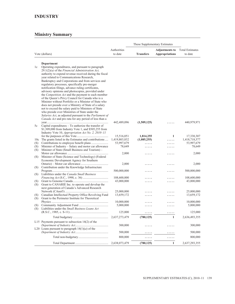|            |                                                                                                                                                                                                                                                                                                                                                                                                                                                                      |               | These Supplementary Estimates |                       |                        |  |  |  |
|------------|----------------------------------------------------------------------------------------------------------------------------------------------------------------------------------------------------------------------------------------------------------------------------------------------------------------------------------------------------------------------------------------------------------------------------------------------------------------------|---------------|-------------------------------|-----------------------|------------------------|--|--|--|
|            |                                                                                                                                                                                                                                                                                                                                                                                                                                                                      | Authorities   |                               | <b>Adjustments to</b> | <b>Total Estimates</b> |  |  |  |
|            | Vote (dollars)                                                                                                                                                                                                                                                                                                                                                                                                                                                       | to date       | <b>Transfers</b>              | <b>Appropriations</b> | to date                |  |  |  |
|            |                                                                                                                                                                                                                                                                                                                                                                                                                                                                      |               |                               |                       |                        |  |  |  |
| 1c         | Department<br>Operating expenditures, and pursuant to paragraph<br>$29.1(2)(a)$ of the Financial Administration Act,<br>authority to expend revenue received during the fiscal<br>year related to Communications Research,<br>Bankruptcy and Corporations and from services and<br>regulatory processes, specifically pre-merger<br>notification filings, advance ruling certificates,<br>advisory opinions and photocopies, provided under                          |               |                               |                       |                        |  |  |  |
|            | the Competition Act and the payment to each member<br>of the Queen's Privy Council for Canada who is a<br>Minister without Portfolio or a Minister of State who<br>does not preside over a Ministry of State of a salary<br>not to exceed the salary paid to Ministers of State<br>who preside over Ministries of State under the<br><i>Salaries Act</i> , as adjusted pursuant to the <i>Parliament of</i><br>Canada Act and pro rata for any period of less than a |               |                               |                       |                        |  |  |  |
| 5c         | Capital expenditures – To authorize the transfer of<br>\$1,309,000 from Industry Vote 1, and \$505,255 from<br>Industry Vote 10, Appropriation Act No. 2, 2010-11                                                                                                                                                                                                                                                                                                    | 442,489,096   | (1,509,125)                   |                       | 440,979,971            |  |  |  |
|            |                                                                                                                                                                                                                                                                                                                                                                                                                                                                      | 15,516,051    | 1,814,255                     | 1                     | 17,330,307             |  |  |  |
|            | 10c The grants listed in the Estimates and contributions                                                                                                                                                                                                                                                                                                                                                                                                             | 1,419,803,832 | (1,085,255)                   | .                     | 1,418,718,577          |  |  |  |
| (S)        |                                                                                                                                                                                                                                                                                                                                                                                                                                                                      | 53,997,679    | .                             |                       | 53,997,679             |  |  |  |
| (S)<br>(S) | Minister of Industry - Salary and motor car allowance<br>Minister of State (Small Business and Tourism) –                                                                                                                                                                                                                                                                                                                                                            | 78,649        | .                             | .                     | 78,649                 |  |  |  |
| (S)        | Minister of State (Science and Technology) (Federal<br>Economic Development Agency for Southern                                                                                                                                                                                                                                                                                                                                                                      | 2,000         | .                             | .                     | 2,000                  |  |  |  |
| (S)        | Contribution under the Knowledge Infrastructure                                                                                                                                                                                                                                                                                                                                                                                                                      | 2,000         | .                             | .                     | 2,000                  |  |  |  |
| (S)        | Liabilities under the Canada Small Business                                                                                                                                                                                                                                                                                                                                                                                                                          | 500,000,000   | .                             | .                     | 500,000,000            |  |  |  |
|            |                                                                                                                                                                                                                                                                                                                                                                                                                                                                      | 108,600,000   |                               |                       | 108,600,000            |  |  |  |
| (S)<br>(S) | Grant to CANARIE Inc. to operate and develop the<br>next generation of Canada's Advanced Research                                                                                                                                                                                                                                                                                                                                                                    | 43,000,000    | .                             | .                     | 43,000,000             |  |  |  |
|            |                                                                                                                                                                                                                                                                                                                                                                                                                                                                      | 25,000,000    |                               |                       | 25,000,000             |  |  |  |
| (S)<br>(S) | Canadian Intellectual Property Office Revolving Fund<br>Grant to the Perimeter Institute for Theoretical                                                                                                                                                                                                                                                                                                                                                             | 13,659,172    | .                             | .                     | 13,659,172             |  |  |  |
|            |                                                                                                                                                                                                                                                                                                                                                                                                                                                                      | 10,000,000    |                               |                       | 10,000,000             |  |  |  |
| (S)<br>(S) | Liabilities under the Small Business Loans Act                                                                                                                                                                                                                                                                                                                                                                                                                       | 5,000,000     |                               |                       | 5,000,000              |  |  |  |
|            |                                                                                                                                                                                                                                                                                                                                                                                                                                                                      | 125,000       | .                             |                       | 125,000                |  |  |  |
|            |                                                                                                                                                                                                                                                                                                                                                                                                                                                                      | 2,637,273,479 | (780, 125)                    | 1                     | 2,636,493,355          |  |  |  |
|            | L15 Payments pursuant to subsection $14(2)$ of the<br>L20 Loans pursuant to paragraph $14(1)(a)$ of the                                                                                                                                                                                                                                                                                                                                                              | 300,000       |                               | .                     | 300,000                |  |  |  |
|            |                                                                                                                                                                                                                                                                                                                                                                                                                                                                      | 500,000       |                               |                       | 500,000                |  |  |  |
|            |                                                                                                                                                                                                                                                                                                                                                                                                                                                                      | 800,000       | .                             | .                     | 800,000                |  |  |  |
|            |                                                                                                                                                                                                                                                                                                                                                                                                                                                                      | 2,638,073,479 | (780, 125)                    | 1                     | 2,637,293,355          |  |  |  |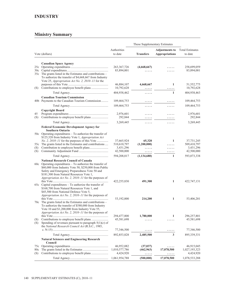### **INDUSTRY**

|     | These Supplementary Estimates                                                                    |                           |                  |                                                |                                   |
|-----|--------------------------------------------------------------------------------------------------|---------------------------|------------------|------------------------------------------------|-----------------------------------|
|     | Vote (dollars)                                                                                   | Authorities<br>to date    | <b>Transfers</b> | <b>Adjustments to</b><br><b>Appropriations</b> | <b>Total Estimates</b><br>to date |
|     |                                                                                                  |                           |                  |                                                |                                   |
|     | <b>Canadian Space Agency</b>                                                                     | 263, 367, 726             | (4,668,667)      |                                                | 258,699,059                       |
|     |                                                                                                  | 83,894,001                | .                |                                                | 83,894,001                        |
|     | 35c The grants listed in the Estimates and contributions –                                       |                           |                  |                                                |                                   |
|     | To authorize the transfer of \$4,668,667 from Industry                                           |                           |                  |                                                |                                   |
|     | Vote 25, <i>Appropriation Act No. 2, 2010–11</i> for the                                         |                           |                  |                                                |                                   |
|     |                                                                                                  | 46,884,107                | 4,668,667        | 1                                              | 51, 552, 775                      |
|     |                                                                                                  | 10,792,628                | .                | .                                              | 10,792,628                        |
|     |                                                                                                  | 404,938,462               | .                | 1                                              | 404,938,463                       |
|     | <b>Canadian Tourism Commission</b>                                                               |                           |                  |                                                |                                   |
|     | 40b Payments to the Canadian Tourism Commission                                                  | 109,464,753               | .                | .                                              | 109,464,753                       |
|     |                                                                                                  | 109,464,753               | .                | .                                              | 109,464,753                       |
|     | <b>Copyright Board</b>                                                                           |                           |                  |                                                |                                   |
| 45  |                                                                                                  | 2,976,601                 | .                | .                                              | 2,976,601                         |
| (S) |                                                                                                  | 292,844                   | .                | .                                              | 292,844                           |
|     |                                                                                                  |                           |                  |                                                |                                   |
|     |                                                                                                  | 3,269,445                 | .                | .                                              | 3,269,445                         |
|     | <b>Federal Economic Development Agency for</b><br><b>Southern Ontario</b>                        |                           |                  |                                                |                                   |
|     | 50c Operating expenditures – To authorize the transfer of                                        |                           |                  |                                                |                                   |
|     | \$125,320 from Industry Vote 1, Appropriation Act                                                |                           |                  |                                                |                                   |
|     | $No. 2, 2010-11$ for the purposes of this Vote                                                   | 37,665,924                | 65,320           | 1                                              | 37,731,245                        |
|     | 55c The grants listed in the Estimates and contributions                                         | 510,610,797               | (1,200,000)      | .                                              | 509,410,797                       |
| (S) |                                                                                                  | 3,431,296                 | .                | .                                              | 3,431,296                         |
| (S) |                                                                                                  | 42,500,000                | .                | .                                              | 42,500,000                        |
|     |                                                                                                  | 594,208,017               | (1, 134, 680)    | 1                                              | 593,073,338                       |
|     | <b>National Research Council of Canada</b>                                                       |                           |                  |                                                |                                   |
|     | $60c$ Operating expenditures – To authorize the transfer of                                      |                           |                  |                                                |                                   |
|     | \$60,000 from Industry Vote 50, \$250,000 from Public                                            |                           |                  |                                                |                                   |
|     | Safety and Emergency Preparedness Vote 50 and                                                    |                           |                  |                                                |                                   |
|     | \$181,300 from Natural Resources Vote 1,<br>Appropriation Act No. 2, 2010–11 for the purposes of |                           |                  |                                                |                                   |
|     |                                                                                                  | 422,255,830               | 491,300          | 1                                              | 422,747,131                       |
|     | 65c Capital expenditures – To authorize the transfer of                                          |                           |                  |                                                |                                   |
|     | \$168,700 from Natural Resources Vote 1, and                                                     |                           |                  |                                                |                                   |
|     | \$45,500 from National Defence Vote 5,                                                           |                           |                  |                                                |                                   |
|     | Appropriation Act No. 2, 2010–11 for the purposes of                                             |                           |                  |                                                |                                   |
|     |                                                                                                  | 53,192,000                | 214,200          | $\mathbf{1}$                                   | 53,406,201                        |
|     | 70c The grants listed in the Estimates and contributions -                                       |                           |                  |                                                |                                   |
|     | To authorize the transfer of \$580,000 from Industry                                             |                           |                  |                                                |                                   |
|     | Vote 10 and \$1,200,000 from Industry Vote 55,                                                   |                           |                  |                                                |                                   |
|     | Appropriation Act No. 2, 2010-11 for the purposes of                                             |                           |                  | 1                                              |                                   |
| (S) |                                                                                                  | 294,477,800<br>45,581,698 | 1,780,000<br>.   |                                                | 296,257,801<br>45,581,698         |
| (S) | Spending of revenues pursuant to paragraph $5(1)(e)$ of                                          |                           |                  |                                                |                                   |
|     | the National Research Council Act (R.S.C., 1985,                                                 |                           |                  |                                                |                                   |
|     |                                                                                                  | 77,346,500                | .                |                                                | 77,346,500                        |
|     |                                                                                                  | 892,853,828               | 2,485,500        | 3                                              | 895,339,331                       |
|     | <b>Natural Sciences and Engineering Research</b>                                                 |                           |                  |                                                |                                   |
|     | Council                                                                                          |                           |                  |                                                |                                   |
|     |                                                                                                  | 46,952,082                | (37, 037)        |                                                | 46,915,045                        |
| 80c |                                                                                                  | 1,010,577,786             | (462, 963)       | 17,078,500                                     | 1,027,193,323                     |
| (S) |                                                                                                  | 4,424,920                 | .                | .                                              | 4,424,920                         |
|     |                                                                                                  | 1,061,954,788             | (500,000)        | 17,078,500                                     | 1,078,533,288                     |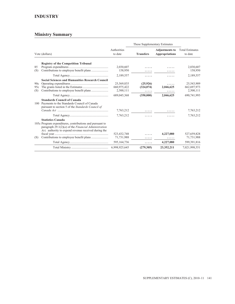# **INDUSTRY**

|                   |                                                                                                                                                                                                        |                                        | These Supplementary Estimates |                                                |                                        |
|-------------------|--------------------------------------------------------------------------------------------------------------------------------------------------------------------------------------------------------|----------------------------------------|-------------------------------|------------------------------------------------|----------------------------------------|
|                   | Vote (dollars)                                                                                                                                                                                         | Authorities<br>to date                 | <b>Transfers</b>              | <b>Adjustments to</b><br><b>Appropriations</b> | <b>Total Estimates</b><br>to date      |
| 85                | <b>Registry of the Competition Tribunal</b>                                                                                                                                                            | 2,030,607                              |                               |                                                | 2,030,607                              |
| (S)               | Contributions to employee benefit plans                                                                                                                                                                | 158,950                                |                               |                                                | 158,950                                |
|                   |                                                                                                                                                                                                        | 2,189,557                              |                               |                                                | 2,189,557                              |
| 90c<br>95c<br>(S) | <b>Social Sciences and Humanities Research Council</b>                                                                                                                                                 | 25,569,835<br>660,975,422<br>2,500,111 | (25,926)<br>(324, 074)<br>.   | 2,046,625                                      | 25,543,909<br>662,697,973<br>2,500,111 |
|                   |                                                                                                                                                                                                        | 689,045,368                            | (350,000)                     | 2,046,625                                      | 690,741,993                            |
| 100               | <b>Standards Council of Canada</b><br>Payments to the Standards Council of Canada<br>pursuant to section 5 of the Standards Council of                                                                 | 7,763,212                              |                               |                                                | 7,763,212                              |
|                   |                                                                                                                                                                                                        | 7,763,212                              |                               |                                                | 7,763,212                              |
|                   | <b>Statistics Canada</b><br>105c Program expenditures, contributions and pursuant to<br>paragraph $29.1(2)(a)$ of the Financial Administration<br>Act, authority to expend revenue received during the |                                        |                               |                                                |                                        |
|                   |                                                                                                                                                                                                        | 523,432,748                            |                               | 4,227,080                                      | 527,659,828                            |
| (S)               | Contributions to employee benefit plans                                                                                                                                                                | 71,731,988                             |                               |                                                | 71,731,988                             |
|                   |                                                                                                                                                                                                        | 595, 164, 736                          | .                             | 4,227,080                                      | 599,391,816                            |
|                   |                                                                                                                                                                                                        | 6,998,925,645                          | (279.305)                     | 23,352,211                                     | 7.021.998.551                          |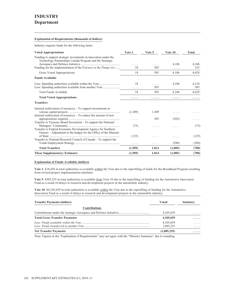# **INDUSTRY Department**

#### **Explanation of Requirements (thousands of dollars)**

Industry requests funds for the following items:

| <b>Voted Appropriations</b>                                                                                                  | Vote 1  | Vote 5 | Vote 10 | Total |
|------------------------------------------------------------------------------------------------------------------------------|---------|--------|---------|-------|
| Funding to support strategic investments in innovation under the<br>Technology Partnerships Canada Program and the Strategic |         |        |         |       |
|                                                                                                                              |         | .      | 4.106   | 4.106 |
| Funding for the implementation of the Fairness at the Pumps Act                                                              | 18      | 505    | .       | 523   |
| Gross Voted Appropriations                                                                                                   | 18      | 505    | 4,106   | 4,629 |
| <b>Funds Available</b>                                                                                                       |         |        |         |       |
|                                                                                                                              | 18      | .      | 4,106   | 4,124 |
|                                                                                                                              | .       | 505    | .       | 505   |
| Total Funds Available                                                                                                        | 18      | 505    | 4,106   | 4,629 |
| <b>Total Voted Appropriations</b>                                                                                            | .       | .      | .       | .     |
| <b>Transfers</b>                                                                                                             |         |        |         |       |
| Internal reallocation of resources – To support investments in                                                               |         |        |         |       |
|                                                                                                                              | (1,309) | 1,309  | .       |       |
| Internal reallocation of resources – To reduce the amount of new                                                             |         |        |         |       |
|                                                                                                                              |         | 505    | (505)   |       |
| Transfer to Treasury Board Secretariat - To support the National                                                             | (75)    |        |         | (75)  |
| Transfer to Federal Economic Development Agency for Southern                                                                 |         | .      | .       |       |
| Ontario – Adjustment to the budget for the Office of the Minister                                                            |         |        |         |       |
|                                                                                                                              | (125)   |        |         | (125) |
| Transfer to National Research Council of Canada – To support the                                                             |         |        |         |       |
|                                                                                                                              | .       | .      | (580)   | (580) |
| <b>Total Transfers</b>                                                                                                       | (1,509) | 1,814  | (1,085) | (780) |
| <b>These Supplementary Estimates</b>                                                                                         | (1,509) | 1,814  | (1,085) | (780) |

#### **Explanation of Funds Available (dollars)**

**Vote 1**: \$18,458 in total authorities is available within the Vote due to the reprofiling of funds for the Broadband Program resulting from revised project implementation timelines.

**Vote 5**: \$505,255 in total authorities is available from Vote 10 due to the reprofiling of funding for the Automotive Innovation Fund as a result of delays to research and development projects in the automobile industry.

Vote 10: \$4,105,659 in total authorities is available within the Vote due to the reprofiling of funding for the Automotive Innovation Fund as a result of delays to research and development projects in the automobile industry.

| <b>Transfer Payments (dollars)</b>   | Voted                  | <b>Statutory</b> |  |
|--------------------------------------|------------------------|------------------|--|
| <b>Contributions</b>                 |                        |                  |  |
|                                      | 4.105.659              | .                |  |
| <b>Total Gross Transfer Payments</b> | 4,105,659              | .                |  |
|                                      | 4,105,659<br>1.085.255 | .<br>.           |  |
| <b>Net Transfer Payments</b>         | (1,085,255)            | .                |  |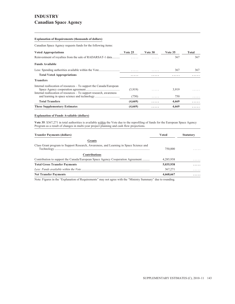# **INDUSTRY Canadian Space Agency**

#### **Explanation of Requirements (thousands of dollars)**

Canadian Space Agency requests funds for the following items:

| <b>Voted Appropriations</b>                                                                                                                | Vote 25 | Vote 30 | Vote 35 | Total |
|--------------------------------------------------------------------------------------------------------------------------------------------|---------|---------|---------|-------|
| Reinvestment of royalties from the sale of RADARSAT-1 data                                                                                 |         |         | 367     | 367   |
| <b>Funds Available</b>                                                                                                                     |         |         |         |       |
|                                                                                                                                            |         | .       | 367     | 367   |
| <b>Total Voted Appropriations</b>                                                                                                          | .       | .       | .       | .     |
| <b>Transfers</b>                                                                                                                           |         |         |         |       |
| Internal reallocation of resources – To support the Canada/European<br>Internal reallocation of resources – To support research, awareness | (3,919) | .       | 3,919   | .     |
|                                                                                                                                            | (750)   | .       | 750     | .     |
| <b>Total Transfers</b>                                                                                                                     | (4,669) | .       | 4,669   | .     |
| <b>These Supplementary Estimates</b>                                                                                                       | (4,669) | .       | 4.669   | .     |

#### **Explanation of Funds Available (dollars)**

**Vote 35**: \$367,271 in total authorities is available within the Vote due to the reprofiling of funds for the European Space Agency Program as a result of changes in multi-year project planning and cash flow projections.

| <b>Transfer Payments (dollars)</b>                                                    | Voted     | <b>Statutory</b> |
|---------------------------------------------------------------------------------------|-----------|------------------|
| <b>Grants</b>                                                                         |           |                  |
| Class Grant program to Support Research, Awareness, and Learning in Space Science and | 750,000   | .                |
| <b>Contributions</b>                                                                  |           |                  |
| Contribution to support the Canada/European Space Agency Cooperation Agreement        | 4,285,938 | .                |
| <b>Total Gross Transfer Payments</b>                                                  | 5,035,938 | .                |
|                                                                                       | 367,271   | .                |
| <b>Net Transfer Payments</b>                                                          | 4,668,667 | .                |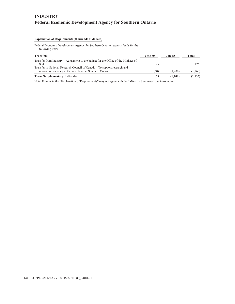# **INDUSTRY Federal Economic Development Agency for Southern Ontario**

#### **Explanation of Requirements (thousands of dollars)**

Federal Economic Development Agency for Southern Ontario requests funds for the following items:

| <b>Transfers</b>                                                                    | Vote 50 | Vote 55 | Total    |
|-------------------------------------------------------------------------------------|---------|---------|----------|
| Transfer from Industry – Adjustment to the budget for the Office of the Minister of | 125     | .       | 125.     |
| Transfer to National Research Council of Canada – To support research and           | (60)    | (1.200) | (1,260)  |
| <b>These Supplementary Estimates</b>                                                | 65      | (1,200) | (1, 135) |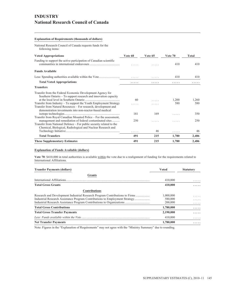# **INDUSTRY National Research Council of Canada**

#### **Explanation of Requirements (thousands of dollars)**

National Research Council of Canada requests funds for the following items:

| <b>Voted Appropriations</b>                                                                                                                                                                      | Vote 60 | Vote 65 | Vote 70 | Total |
|--------------------------------------------------------------------------------------------------------------------------------------------------------------------------------------------------|---------|---------|---------|-------|
| Funding to support the active participation of Canadian scientific                                                                                                                               |         |         | 410     | 410   |
| <b>Funds Available</b>                                                                                                                                                                           |         |         |         |       |
|                                                                                                                                                                                                  |         |         | 410     | 410   |
| <b>Total Voted Appropriations</b>                                                                                                                                                                |         |         |         |       |
| <b>Transfers</b>                                                                                                                                                                                 |         |         |         |       |
| Transfer from the Federal Economic Development Agency for<br>Southern Ontario – To support research and innovation capacity                                                                      |         |         |         |       |
|                                                                                                                                                                                                  | 60      |         | 1,200   | 1,260 |
| Transfer from Industry - To support the Youth Employment Strategy<br>Transfer from Natural Resources – For research, development and<br>demonstration investments into non-reactor-based medical |         |         | 580     | 580   |
| Transfer from Royal Canadian Mounted Police – For the assessment,                                                                                                                                | 181     | 169     |         | 350   |
| management and remediation of federal contaminated sites<br>Transfer from National Defence – For public security related to the<br>Chemical, Biological, Radiological and Nuclear Research and   | 250     |         |         | 250   |
|                                                                                                                                                                                                  |         | 46      | .       | 46    |
| <b>Total Transfers</b>                                                                                                                                                                           | 491     | 215     | 1,780   | 2,486 |
| <b>These Supplementary Estimates</b>                                                                                                                                                             | 491     | 215     | 1,780   | 2,486 |

#### **Explanation of Funds Available (dollars)**

**Vote 70**: \$410,000 in total authorities is available within the vote due to a realignment of funding for the requirements related to International Affiliations.

| <b>Transfer Payments (dollars)</b>                                                                                                                         | Voted                           | <b>Statutory</b> |
|------------------------------------------------------------------------------------------------------------------------------------------------------------|---------------------------------|------------------|
| Grants                                                                                                                                                     |                                 |                  |
| International Affiliations.                                                                                                                                | 410,000                         | .                |
| <b>Total Gross Grants</b>                                                                                                                                  | 410,000                         |                  |
| <b>Contributions</b>                                                                                                                                       |                                 |                  |
| Research and Development Industrial Research Program Contributions to Firms<br>Industrial Research Assistance Program Contributions to Employment Strategy | 1,000,000<br>580,000<br>200,000 | .<br>.<br>.      |
| <b>Total Gross Contributions</b>                                                                                                                           | 1,780,000                       | .                |
| <b>Total Gross Transfer Payments</b>                                                                                                                       | 2,190,000                       |                  |
|                                                                                                                                                            | 410,000                         | .                |
| <b>Net Transfer Payments</b>                                                                                                                               | 1,780,000                       | .                |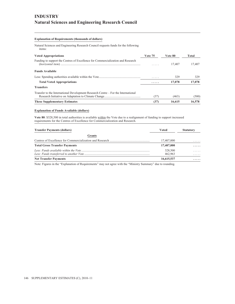# **INDUSTRY Natural Sciences and Engineering Research Council**

#### **Explanation of Requirements (thousands of dollars)**

Natural Sciences and Engineering Research Council requests funds for the following items:

| <b>Voted Appropriations</b>                                                       | <b>Vote 75</b> | Vote 80 | Total  |
|-----------------------------------------------------------------------------------|----------------|---------|--------|
| Funding to support the Centres of Excellence for Commercialization and Research   | .              | 17.407  | 17.407 |
| <b>Funds Available</b>                                                            |                |         |        |
|                                                                                   | .              | 329     | 329    |
| <b>Total Voted Appropriations</b>                                                 | .              | 17,078  | 17,078 |
| <b>Transfers</b>                                                                  |                |         |        |
| Transfer to the International Development Research Centre – For the International | (37)           | (463)   | (500)  |
| <b>These Supplementary Estimates</b>                                              | (37)           | 16,615  | 16,578 |

#### **Explanation of Funds Available (dollars)**

**Vote 80**: \$328,500 in total authorities is available within the Vote due to a realignment of funding to support increased requirements for the Centres of Excellence for Commercialization and Research.

| <b>Transfer Payments (dollars)</b>   | Voted              | <b>Statutory</b> |  |
|--------------------------------------|--------------------|------------------|--|
| Grants                               |                    |                  |  |
|                                      | 17,407,000         | .                |  |
| <b>Total Gross Transfer Payments</b> | 17,407,000         | .                |  |
|                                      | 328,500<br>462,963 | .<br>.           |  |
| <b>Net Transfer Payments</b>         | 16,615,537         | .                |  |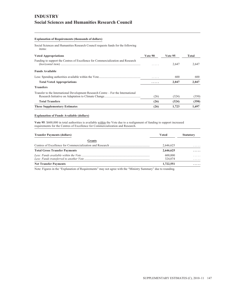## **INDUSTRY Social Sciences and Humanities Research Council**

#### **Explanation of Requirements (thousands of dollars)**

Social Sciences and Humanities Research Council requests funds for the following items:

| <b>Voted Appropriations</b>                                                       | Vote 90 | Vote 95 | Total |
|-----------------------------------------------------------------------------------|---------|---------|-------|
| Funding to support the Centres of Excellence for Commercialization and Research   | .       | 2.647   | 2.647 |
| <b>Funds Available</b>                                                            |         |         |       |
|                                                                                   |         | 600     | 600   |
| <b>Total Voted Appropriations</b>                                                 | .       | 2.047   | 2.047 |
| <b>Transfers</b>                                                                  |         |         |       |
| Transfer to the International Development Research Centre – For the International | (26)    | (324)   | (350) |
| <b>Total Transfers</b>                                                            | (26)    | (324)   | (350) |
| <b>These Supplementary Estimates</b>                                              | (26)    | 1.723   | 1.697 |

#### **Explanation of Funds Available (dollars)**

**Vote 95**: \$600,000 in total authorities is available within the Vote due to a realignment of funding to support increased requirements for the Centres of Excellence for Commercialization and Research.

| <b>Transfer Payments (dollars)</b>   | Voted              | <b>Statutory</b> |  |
|--------------------------------------|--------------------|------------------|--|
| Grants                               |                    |                  |  |
|                                      | 2.646.625          | .                |  |
| <b>Total Gross Transfer Payments</b> | 2,646,625          | .                |  |
|                                      | 600,000<br>324,074 | .<br>.           |  |
| <b>Net Transfer Payments</b>         | 1,722,551          | .                |  |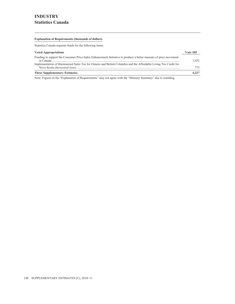#### **Explanation of Requirements (thousands of dollars)**

Statistics Canada requests funds for the following items:

| <b>Voted Appropriations</b>                                                                                      | <b>Vote 105</b> |
|------------------------------------------------------------------------------------------------------------------|-----------------|
| Funding to support the Consumer Price Index Enhancement Initiative to produce a better measure of price movement | 3.452           |
| Implementation of Harmonized Sales Tax for Ontario and British Columbia and the Affordable Living Tax Credit for |                 |
| <b>These Supplementary Estimates</b>                                                                             | 4.227           |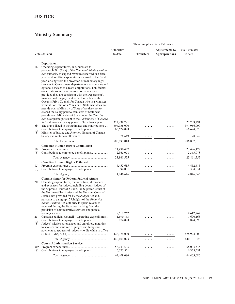|                |                                                                                                                   |                         | These Supplementary Estimates |                       |                         |  |
|----------------|-------------------------------------------------------------------------------------------------------------------|-------------------------|-------------------------------|-----------------------|-------------------------|--|
|                |                                                                                                                   | Authorities             | <b>Adjustments to</b>         |                       | <b>Total Estimates</b>  |  |
|                | Vote (dollars)                                                                                                    | to date                 | <b>Transfers</b>              | <b>Appropriations</b> | to date                 |  |
| 1 <sub>b</sub> | Department<br>Operating expenditures, and, pursuant to                                                            |                         |                               |                       |                         |  |
|                | paragraph $29.1(2)(a)$ of the Financial Administration                                                            |                         |                               |                       |                         |  |
|                | Act, authority to expend revenues received in a fiscal<br>year, and to offset expenditures incurred in the fiscal |                         |                               |                       |                         |  |
|                | year, arising from the provision of mandatory legal<br>services to Government departments and agencies and        |                         |                               |                       |                         |  |
|                | optional services to Crown corporations, non-federal                                                              |                         |                               |                       |                         |  |
|                | organizations and international organizations<br>provided they are consistent with the Department's               |                         |                               |                       |                         |  |
|                | mandate and the payment to each member of the                                                                     |                         |                               |                       |                         |  |
|                | Queen's Privy Council for Canada who is a Minister<br>without Portfolio or a Minister of State who does not       |                         |                               |                       |                         |  |
|                | preside over a Ministry of State of a salary not to                                                               |                         |                               |                       |                         |  |
|                | exceed the salary paid to Ministers of State who                                                                  |                         |                               |                       |                         |  |
|                | preside over Ministries of State under the Salaries<br>Act, as adjusted pursuant to the Parliament of Canada      |                         |                               |                       |                         |  |
|                | <i>Act</i> and pro rata for any period of less than a year                                                        | 322,238,291             |                               |                       | 322,238,291             |  |
| 5b             | The grants listed in the Estimates and contributions                                                              | 397,956,000             |                               |                       | 397,956,000             |  |
| (S)<br>(S)     | Minister of Justice and Attorney General of Canada -                                                              | 66,624,078              | .                             |                       | 66,624,078              |  |
|                |                                                                                                                   | 78,649                  | .                             |                       | 78,649                  |  |
|                |                                                                                                                   | 786,897,018             | .                             | .                     | 786,897,018             |  |
|                | <b>Canadian Human Rights Commission</b>                                                                           |                         |                               |                       |                         |  |
| 10<br>(S)      | Contributions to employee benefit plans                                                                           | 21,496,477<br>2,365,078 | .<br>.                        | .<br>.                | 21,496,477<br>2,365,078 |  |
|                |                                                                                                                   | 23,861,555              |                               |                       | 23,861,555              |  |
|                | Canadian Human Rights Tribunal                                                                                    |                         | .                             | .                     |                         |  |
| 15             |                                                                                                                   | 4,452,615               | .                             | .                     | 4,452,615               |  |
| (S)            |                                                                                                                   | 394,031                 | .                             | .                     | 394,031                 |  |
|                |                                                                                                                   | 4,846,646               | .                             | .                     | 4,846,646               |  |
|                | <b>Commissioner for Federal Judicial Affairs</b>                                                                  |                         |                               |                       |                         |  |
| 20             | Operating expenditures, remuneration, allowances<br>and expenses for judges, including deputy judges of           |                         |                               |                       |                         |  |
|                | the Supreme Court of Yukon, the Supreme Court of                                                                  |                         |                               |                       |                         |  |
|                | the Northwest Territories and the Nunavut Court of<br>Justice, not provided for by the Judges Act and,            |                         |                               |                       |                         |  |
|                | pursuant to paragraph $29.1(2)(a)$ of the <i>Financial</i>                                                        |                         |                               |                       |                         |  |
|                | Administration Act, authority to spend revenues                                                                   |                         |                               |                       |                         |  |
|                | received during the fiscal year arising from the<br>provision of administrative services and judicial             |                         |                               |                       |                         |  |
|                |                                                                                                                   | 8,612,762               |                               |                       | 8,612,762               |  |
| 25             | Canadian Judicial Council – Operating expenditures                                                                | 1,690,163               |                               |                       | 1,690,163               |  |
| (S)<br>(S)     | Judges' salaries, allowances and annuities, annuities                                                             | 874,098                 |                               |                       | 874,098                 |  |
|                | to spouses and children of judges and lump sum                                                                    |                         |                               |                       |                         |  |
|                | payments to spouses of judges who die while in office                                                             | 428,924,000             |                               |                       | 428,924,000             |  |
|                |                                                                                                                   |                         |                               |                       |                         |  |
|                | <b>Courts Administration Service</b>                                                                              | 440, 101, 023           | .                             | .                     | 440, 101, 023           |  |
|                |                                                                                                                   | 58,033,535              | .                             | .                     | 58,033,535              |  |
| (S)            |                                                                                                                   | 6,375,551               |                               |                       | 6,375,551               |  |
|                |                                                                                                                   | 64,409,086              | .                             | .                     | 64,409,086              |  |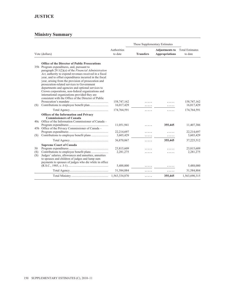#### **JUSTICE**

|                  |                                                                                                                                                                                                                                                                                                                                                                                                                                                                                                                                                                                                              |                         | These Supplementary Estimates |                                                |                                   |
|------------------|--------------------------------------------------------------------------------------------------------------------------------------------------------------------------------------------------------------------------------------------------------------------------------------------------------------------------------------------------------------------------------------------------------------------------------------------------------------------------------------------------------------------------------------------------------------------------------------------------------------|-------------------------|-------------------------------|------------------------------------------------|-----------------------------------|
|                  | Vote (dollars)                                                                                                                                                                                                                                                                                                                                                                                                                                                                                                                                                                                               | Authorities<br>to date  | <b>Transfers</b>              | <b>Adjustments to</b><br><b>Appropriations</b> | <b>Total Estimates</b><br>to date |
| 35b              | <b>Office of the Director of Public Prosecutions</b><br>Program expenditures, and, pursuant to<br>paragraph $29.1(2)(a)$ of the <i>Financial Administration</i><br>Act, authority to expend revenues received in a fiscal<br>year, and to offset expenditures incurred in the fiscal<br>year, arising from the provision of prosecution and<br>prosecution-related services to Government<br>departments and agencies and optional services to<br>Crown corporations, non-federal organizations and<br>international organizations provided they are<br>consistent with the Office of the Director of Public | 158,747,162             |                               |                                                | 158,747,162                       |
| (S)              |                                                                                                                                                                                                                                                                                                                                                                                                                                                                                                                                                                                                              | 16,017,429              |                               |                                                | 16,017,429                        |
|                  | Offices of the Information and Privacy<br><b>Commissioners of Canada</b>                                                                                                                                                                                                                                                                                                                                                                                                                                                                                                                                     | 174,764,591             |                               |                                                | 174,764,591                       |
| 40c<br>45b       | Office of the Information Commissioner of Canada –<br>Office of the Privacy Commissioner of Canada –                                                                                                                                                                                                                                                                                                                                                                                                                                                                                                         | 11,051,941              |                               | 355,445                                        | 11,407,386                        |
|                  |                                                                                                                                                                                                                                                                                                                                                                                                                                                                                                                                                                                                              | 22,214,697              |                               |                                                | 22,214,697                        |
| (S)              |                                                                                                                                                                                                                                                                                                                                                                                                                                                                                                                                                                                                              | 3,603,429               |                               | .                                              | 3,603,429                         |
|                  |                                                                                                                                                                                                                                                                                                                                                                                                                                                                                                                                                                                                              | 36,870,067              | .                             | 355,445                                        | 37,225,512                        |
| 50<br>(S)<br>(S) | <b>Supreme Court of Canada</b><br>Judges' salaries, allowances and annuities, annuities<br>to spouses and children of judges and lump sum<br>payments to spouses of judges who die while in office                                                                                                                                                                                                                                                                                                                                                                                                           | 23,815,609<br>2,281,275 |                               |                                                | 23,815,609<br>2,281,275           |
|                  |                                                                                                                                                                                                                                                                                                                                                                                                                                                                                                                                                                                                              | 5,488,000               | .                             |                                                | 5,488,000                         |
|                  |                                                                                                                                                                                                                                                                                                                                                                                                                                                                                                                                                                                                              | 31,584,884              | .                             | .                                              | 31,584,884                        |
|                  |                                                                                                                                                                                                                                                                                                                                                                                                                                                                                                                                                                                                              | 1,563,334,870           | .                             | 355,445                                        | 1,563,690,315                     |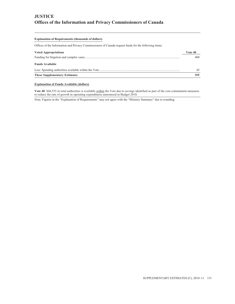## **JUSTICE Offices of the Information and Privacy Commissioners of Canada**

#### **Explanation of Requirements (thousands of dollars)**

Offices of the Information and Privacy Commissioners of Canada request funds for the following items:

| <b>Voted Appropriations</b>          | Vote 40 |
|--------------------------------------|---------|
|                                      | 400     |
| <b>Funds Available</b>               |         |
|                                      | 45      |
| <b>These Supplementary Estimates</b> | 355     |

#### **Explanation of Funds Available (dollars)**

**Vote 40**: \$44,555 in total authorities is available within the Vote due to savings identified as part of the cost containment measures to reduce the rate of growth in operating expenditures announced in Budget 2010.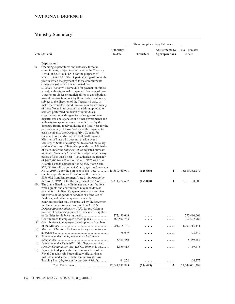## **NATIONAL DEFENCE**

| These Supplementary Estimates |                                                                                                               |                        |                  |                                                |                                   |
|-------------------------------|---------------------------------------------------------------------------------------------------------------|------------------------|------------------|------------------------------------------------|-----------------------------------|
|                               | Vote (dollars)                                                                                                | Authorities<br>to date | <b>Transfers</b> | <b>Adjustments to</b><br><b>Appropriations</b> | <b>Total Estimates</b><br>to date |
|                               | Department                                                                                                    |                        |                  |                                                |                                   |
| 1c                            | Operating expenditures and authority for total                                                                |                        |                  |                                                |                                   |
|                               | commitments, subject to allotment by the Treasury<br>Board, of \$29,408,434,518 for the purposes of           |                        |                  |                                                |                                   |
|                               | Votes 1, 5 and 10 of the Department regardless of the                                                         |                        |                  |                                                |                                   |
|                               | year in which the payment of those commitments                                                                |                        |                  |                                                |                                   |
|                               | comes due (of which it is estimated that                                                                      |                        |                  |                                                |                                   |
|                               | \$9,238,213,000 will come due for payment in future                                                           |                        |                  |                                                |                                   |
|                               | years), authority to make payments from any of those                                                          |                        |                  |                                                |                                   |
|                               | Votes to provinces or municipalities as contributions<br>toward construction done by those bodies, authority, |                        |                  |                                                |                                   |
|                               | subject to the direction of the Treasury Board, to                                                            |                        |                  |                                                |                                   |
|                               | make recoverable expenditures or advances from any                                                            |                        |                  |                                                |                                   |
|                               | of those Votes in respect of materials supplied to or                                                         |                        |                  |                                                |                                   |
|                               | services performed on behalf of individuals,                                                                  |                        |                  |                                                |                                   |
|                               | corporations, outside agencies, other government                                                              |                        |                  |                                                |                                   |
|                               | departments and agencies and other governments and<br>authority to expend revenue, as authorized by the       |                        |                  |                                                |                                   |
|                               | Treasury Board, received during the fiscal year for the                                                       |                        |                  |                                                |                                   |
|                               | purposes of any of those Votes and the payment to                                                             |                        |                  |                                                |                                   |
|                               | each member of the Queen's Privy Council for                                                                  |                        |                  |                                                |                                   |
|                               | Canada who is a Minister without Portfolio or a                                                               |                        |                  |                                                |                                   |
|                               | Minister of State who does not preside over a<br>Ministry of State of a salary not to exceed the salary       |                        |                  |                                                |                                   |
|                               | paid to Ministers of State who preside over Ministries                                                        |                        |                  |                                                |                                   |
|                               | of State under the <i>Salaries Act</i> , as adjusted pursuant                                                 |                        |                  |                                                |                                   |
|                               | to the <i>Parliament of Canada Act</i> and pro rata for any                                                   |                        |                  |                                                |                                   |
|                               | period of less than a year – To authorize the transfer                                                        |                        |                  |                                                |                                   |
|                               | of \$482,800 from Transport Vote 1, \$327,685 from<br>Atlantic Canada Opportunities Agency Vote 5 and         |                        |                  |                                                |                                   |
|                               | \$60,830 from Environment Vote 1, Appropriation Act                                                           |                        |                  |                                                |                                   |
|                               | <i>No. 2, 2010–11</i> for the purposes of this Vote  15,689,460,901                                           |                        | (128, 685)       | 1                                              | 15,689,332,217                    |
| 5c                            | Capital expenditures – To authorize the transfer of                                                           |                        |                  |                                                |                                   |
|                               | \$136,692 from Environment Vote 5, Appropriation                                                              |                        |                  |                                                |                                   |
|                               | Act No. 2, 2010–11 for the purposes of this Vote<br>10b The grants listed in the Estimates and contributions, | 5, 311, 274, 607       | (165, 808)       | 1                                              | 5,311,108,800                     |
|                               | which grants and contributions may include cash                                                               |                        |                  |                                                |                                   |
|                               | payments or, in lieu of payment made to a recipient,                                                          |                        |                  |                                                |                                   |
|                               | the provision of goods or services or of the use of                                                           |                        |                  |                                                |                                   |
|                               | facilities, and which may also include the                                                                    |                        |                  |                                                |                                   |
|                               | contributions that may be approved by the Governor<br>in Council in accordance with section 3 of <i>The</i>   |                        |                  |                                                |                                   |
|                               | Defence Appropriation Act, 1950, for provision or                                                             |                        |                  |                                                |                                   |
|                               | transfer of defence equipment or services or supplies                                                         |                        |                  |                                                |                                   |
|                               |                                                                                                               | 272,490,669            |                  |                                                | 272,490,669                       |
| (S)                           |                                                                                                               | 362,592,783            |                  |                                                | 362, 592, 783                     |
| (S)                           | Contributions to employee benefit plans - Members                                                             |                        |                  |                                                |                                   |
| (S)                           | Minister of National Defence – Salary and motor car                                                           | 1,001,715,141          | .                | .                                              | 1,001,715,141                     |
|                               |                                                                                                               | 78,649                 | .                | .                                              | 78,649                            |
| (S)                           | Payments under the Supplementary Retirement                                                                   |                        |                  |                                                |                                   |
|                               |                                                                                                               | 5,459,452              |                  | .                                              | 5,459,452                         |
| (S)                           | Payments under Parts I-IV of the Defence Services<br>Pension Continuation Act (R.S.C., 1970, c. D-3)          |                        |                  |                                                |                                   |
| (S)                           | Payments to dependants of certain members of the                                                              | 1,159,415              |                  |                                                | 1,159,415                         |
|                               | Royal Canadian Air Force killed while serving as                                                              |                        |                  |                                                |                                   |
|                               | instructors under the British Commonwealth Air                                                                |                        |                  |                                                |                                   |
|                               | Training Plan ( <i>Appropriation Act No. 4,1968</i> )                                                         | 64,272                 |                  | .                                              | 64,272                            |
|                               |                                                                                                               |                        | (294, 493)       | $\overline{2}$                                 | 22,644,001,398                    |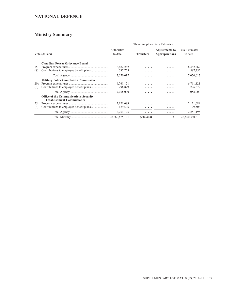## **NATIONAL DEFENCE**

|                        |                                                                                   |                        | These Supplementary Estimates |                                                |                                   |
|------------------------|-----------------------------------------------------------------------------------|------------------------|-------------------------------|------------------------------------------------|-----------------------------------|
| Vote (dollars)         |                                                                                   | Authorities<br>to date | <b>Transfers</b>              | <b>Adjustments to</b><br><b>Appropriations</b> | <b>Total Estimates</b><br>to date |
| 15                     | <b>Canadian Forces Grievance Board</b>                                            | 6,482,262              |                               |                                                | 6,482,262                         |
| (S)                    |                                                                                   | 587,755                |                               |                                                | 587,755                           |
|                        |                                                                                   | 7,070,017              | .                             | .                                              | 7,070,017                         |
| 20 <sub>b</sub><br>(S) | <b>Military Police Complaints Commission</b>                                      | 6,761,121<br>296,879   | .                             | .                                              | 6,761,121<br>296,879              |
|                        |                                                                                   | 7,058,000              |                               |                                                | 7,058,000                         |
|                        | <b>Office of the Communications Security</b><br><b>Establishment Commissioner</b> |                        |                               |                                                |                                   |
| 25<br>(S)              |                                                                                   | 2,121,689<br>129,506   | .                             |                                                | 2,121,689<br>129,506              |
|                        |                                                                                   | 2,251,195              | .                             | .                                              | 2,251,195                         |
|                        |                                                                                   |                        | (294, 493)                    | $\overline{2}$                                 | 22,660,380,610                    |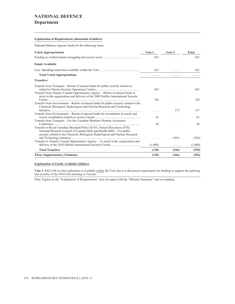# **NATIONAL DEFENCE**

#### **Department**

#### **Explanation of Requirements (thousands of dollars)**

National Defence requests funds for the following items:

| <b>Voted Appropriations</b>                                                                                                                                                                                                                                                                                                             | Vote 1  | Vote 5 | Total   |
|-----------------------------------------------------------------------------------------------------------------------------------------------------------------------------------------------------------------------------------------------------------------------------------------------------------------------------------------|---------|--------|---------|
|                                                                                                                                                                                                                                                                                                                                         | 422     |        | 422     |
| <b>Funds Available</b>                                                                                                                                                                                                                                                                                                                  |         |        |         |
|                                                                                                                                                                                                                                                                                                                                         | 422     | .      | 422     |
| <b>Total Voted Appropriations</b>                                                                                                                                                                                                                                                                                                       | .       | .      | .       |
| <b>Transfers</b>                                                                                                                                                                                                                                                                                                                        |         |        |         |
| Transfer from Transport – Return of unused funds for public security initiatives                                                                                                                                                                                                                                                        | 443     |        | 443     |
| Transfer from Atlantic Canada Opportunities Agency – Return of unused funds to<br>assist in the organization and delivery of the 2009 Halifax International Security<br>Transfer from Environment – Return of unused funds for public security related to the<br>Chemical, Biological, Radiological and Nuclear Research and Technology | 328     |        | 328     |
|                                                                                                                                                                                                                                                                                                                                         |         | 137    | 137     |
| Transfer from Environment – Return of unused funds for investments in search and<br>Transfer from Transport – For the Canadian Maritime Domain Awareness                                                                                                                                                                                | 61      | .      | 61      |
|                                                                                                                                                                                                                                                                                                                                         | 40      |        | 40      |
| Transfer to Royal Canadian Mounted Police (\$147), Natural Resources (\$70),<br>National Research Council of Canada $(\$46)$ and Health $(\$40)$ – For public<br>security related to the Chemical, Biological, Radiological and Nuclear Research                                                                                        |         |        |         |
|                                                                                                                                                                                                                                                                                                                                         |         | (303)  | (303)   |
| Transfer to Atlantic Canada Opportunities $A$ gency $-$ To assist in the organization and                                                                                                                                                                                                                                               | (1,000) | .      | (1,000) |
| <b>Total Transfers</b>                                                                                                                                                                                                                                                                                                                  | (128)   | (166)  | (294)   |
| <b>These Supplementary Estimates</b>                                                                                                                                                                                                                                                                                                    | (128)   | (166)  | (294)   |

#### **Explanation of Funds Available (dollars)**

**Vote 1**: \$422,160 in total authorities is available within the Vote due to a decreased requirement for funding to support the policing and security of the 2010 G20 meeting in Toronto.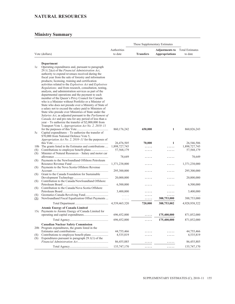#### **NATURAL RESOURCES**

| Authorities<br><b>Total Estimates</b><br><b>Adjustments to</b><br>to date<br><b>Transfers</b><br><b>Appropriations</b><br>to date<br>Vote (dollars)<br>Department<br>Operating expenditures and, pursuant to paragraph<br>1c<br>29.1( $2)(a)$ of the <i>Financial Administration Act</i> ,<br>authority to expend revenues received during the<br>fiscal year from the sale of forestry and information<br>products; licensing, training and certification<br>activities related to the Explosives Act and Explosives<br>Regulations; and from research, consultation, testing,<br>analysis, and administration services as part of the<br>departmental operations and the payment to each<br>member of the Queen's Privy Council for Canada<br>who is a Minister without Portfolio or a Minister of<br>State who does not preside over a Ministry of State of<br>a salary not to exceed the salary paid to Ministers of<br>State who preside over Ministries of State under the<br>Salaries Act, as adjusted pursuant to the Parliament of<br>Canada Act and pro rata for any period of less than a<br>year $-$ To authorize the transfer of \$2,000,000 from<br>Transport Vote 1, Appropriation Act No. 2, 2010-11<br>$\mathbf{1}$<br>860, 826, 243<br>860, 176, 242<br>650,000<br>Capital expenditures – To authorize the transfer of<br>5c<br>\$70,000 from National Defence Vote 5,<br>Appropriation Act No. 2, 2010–11 for the purposes of<br>1<br>26,476,505<br>70,000<br>10b The grants listed in the Estimates and contributions<br>1,898,727,745<br>1,898,727,745<br>.<br>57,568,179<br>(S)<br>Minister of Natural Resources - Salary and motor car<br>(S)<br>78,649<br>78,649<br>.<br>.<br>Payments to the Newfoundland Offshore Petroleum<br>(S)<br>1,371,238,000<br>1,371,238,000<br>Payments to the Nova Scotia Offshore Revenue<br>(S)<br>295,300,000<br>295,300,000<br>.<br>.<br>Grant to the Canada Foundation for Sustainable<br>(S)<br>20,000,000<br>20,000,000<br>.<br>Contribution to the Canada/Newfoundland Offshore<br>(S)<br>6,500,000<br>6,500,000<br>.<br>.<br>Contribution to the Canada/Nova Scotia Offshore<br>(S)<br>3,400,000<br>.<br>(S)<br>.<br>.<br>388,753,000<br>Newfoundland Fiscal Equalization Offset Payments<br>388,753,000<br><u>(S)</u><br>.<br>.<br>4,539,465,320<br>720,000<br>388,753,002<br>4,928,938,322<br><b>Atomic Energy of Canada Limited</b><br>15c Payments to Atomic Energy of Canada Limited for<br>696,452,000<br>175,400,000<br>871,852,000<br>.<br>696,452,000<br>175,400,000<br>871,852,000<br>.<br><b>Canadian Nuclear Safety Commission</b><br>20b Program expenditures, the grants listed in the<br>44,755,466<br>4,535,819<br>4,535,819<br>(S)<br>Expenditures pursuant to paragraph 29.1(1) of the<br>(S)<br>86,455,885<br>86,455,885<br>.<br>.<br>135,747,170<br>. |  | These Supplementary Estimates |  |
|----------------------------------------------------------------------------------------------------------------------------------------------------------------------------------------------------------------------------------------------------------------------------------------------------------------------------------------------------------------------------------------------------------------------------------------------------------------------------------------------------------------------------------------------------------------------------------------------------------------------------------------------------------------------------------------------------------------------------------------------------------------------------------------------------------------------------------------------------------------------------------------------------------------------------------------------------------------------------------------------------------------------------------------------------------------------------------------------------------------------------------------------------------------------------------------------------------------------------------------------------------------------------------------------------------------------------------------------------------------------------------------------------------------------------------------------------------------------------------------------------------------------------------------------------------------------------------------------------------------------------------------------------------------------------------------------------------------------------------------------------------------------------------------------------------------------------------------------------------------------------------------------------------------------------------------------------------------------------------------------------------------------------------------------------------------------------------------------------------------------------------------------------------------------------------------------------------------------------------------------------------------------------------------------------------------------------------------------------------------------------------------------------------------------------------------------------------------------------------------------------------------------------------------------------------------------------------------------------------------------------------------------------------------------------------------------------------------------------------------------------------------------------------------------------------------------------------------|--|-------------------------------|--|
| 26,546,506<br>57,568,179<br>3,400,000<br>44,755,466                                                                                                                                                                                                                                                                                                                                                                                                                                                                                                                                                                                                                                                                                                                                                                                                                                                                                                                                                                                                                                                                                                                                                                                                                                                                                                                                                                                                                                                                                                                                                                                                                                                                                                                                                                                                                                                                                                                                                                                                                                                                                                                                                                                                                                                                                                                                                                                                                                                                                                                                                                                                                                                                                                                                                                                    |  |                               |  |
|                                                                                                                                                                                                                                                                                                                                                                                                                                                                                                                                                                                                                                                                                                                                                                                                                                                                                                                                                                                                                                                                                                                                                                                                                                                                                                                                                                                                                                                                                                                                                                                                                                                                                                                                                                                                                                                                                                                                                                                                                                                                                                                                                                                                                                                                                                                                                                                                                                                                                                                                                                                                                                                                                                                                                                                                                                        |  |                               |  |
|                                                                                                                                                                                                                                                                                                                                                                                                                                                                                                                                                                                                                                                                                                                                                                                                                                                                                                                                                                                                                                                                                                                                                                                                                                                                                                                                                                                                                                                                                                                                                                                                                                                                                                                                                                                                                                                                                                                                                                                                                                                                                                                                                                                                                                                                                                                                                                                                                                                                                                                                                                                                                                                                                                                                                                                                                                        |  |                               |  |
|                                                                                                                                                                                                                                                                                                                                                                                                                                                                                                                                                                                                                                                                                                                                                                                                                                                                                                                                                                                                                                                                                                                                                                                                                                                                                                                                                                                                                                                                                                                                                                                                                                                                                                                                                                                                                                                                                                                                                                                                                                                                                                                                                                                                                                                                                                                                                                                                                                                                                                                                                                                                                                                                                                                                                                                                                                        |  |                               |  |
|                                                                                                                                                                                                                                                                                                                                                                                                                                                                                                                                                                                                                                                                                                                                                                                                                                                                                                                                                                                                                                                                                                                                                                                                                                                                                                                                                                                                                                                                                                                                                                                                                                                                                                                                                                                                                                                                                                                                                                                                                                                                                                                                                                                                                                                                                                                                                                                                                                                                                                                                                                                                                                                                                                                                                                                                                                        |  |                               |  |
| 135,747,170                                                                                                                                                                                                                                                                                                                                                                                                                                                                                                                                                                                                                                                                                                                                                                                                                                                                                                                                                                                                                                                                                                                                                                                                                                                                                                                                                                                                                                                                                                                                                                                                                                                                                                                                                                                                                                                                                                                                                                                                                                                                                                                                                                                                                                                                                                                                                                                                                                                                                                                                                                                                                                                                                                                                                                                                                            |  |                               |  |
|                                                                                                                                                                                                                                                                                                                                                                                                                                                                                                                                                                                                                                                                                                                                                                                                                                                                                                                                                                                                                                                                                                                                                                                                                                                                                                                                                                                                                                                                                                                                                                                                                                                                                                                                                                                                                                                                                                                                                                                                                                                                                                                                                                                                                                                                                                                                                                                                                                                                                                                                                                                                                                                                                                                                                                                                                                        |  |                               |  |
|                                                                                                                                                                                                                                                                                                                                                                                                                                                                                                                                                                                                                                                                                                                                                                                                                                                                                                                                                                                                                                                                                                                                                                                                                                                                                                                                                                                                                                                                                                                                                                                                                                                                                                                                                                                                                                                                                                                                                                                                                                                                                                                                                                                                                                                                                                                                                                                                                                                                                                                                                                                                                                                                                                                                                                                                                                        |  |                               |  |
|                                                                                                                                                                                                                                                                                                                                                                                                                                                                                                                                                                                                                                                                                                                                                                                                                                                                                                                                                                                                                                                                                                                                                                                                                                                                                                                                                                                                                                                                                                                                                                                                                                                                                                                                                                                                                                                                                                                                                                                                                                                                                                                                                                                                                                                                                                                                                                                                                                                                                                                                                                                                                                                                                                                                                                                                                                        |  |                               |  |
|                                                                                                                                                                                                                                                                                                                                                                                                                                                                                                                                                                                                                                                                                                                                                                                                                                                                                                                                                                                                                                                                                                                                                                                                                                                                                                                                                                                                                                                                                                                                                                                                                                                                                                                                                                                                                                                                                                                                                                                                                                                                                                                                                                                                                                                                                                                                                                                                                                                                                                                                                                                                                                                                                                                                                                                                                                        |  |                               |  |
|                                                                                                                                                                                                                                                                                                                                                                                                                                                                                                                                                                                                                                                                                                                                                                                                                                                                                                                                                                                                                                                                                                                                                                                                                                                                                                                                                                                                                                                                                                                                                                                                                                                                                                                                                                                                                                                                                                                                                                                                                                                                                                                                                                                                                                                                                                                                                                                                                                                                                                                                                                                                                                                                                                                                                                                                                                        |  |                               |  |
|                                                                                                                                                                                                                                                                                                                                                                                                                                                                                                                                                                                                                                                                                                                                                                                                                                                                                                                                                                                                                                                                                                                                                                                                                                                                                                                                                                                                                                                                                                                                                                                                                                                                                                                                                                                                                                                                                                                                                                                                                                                                                                                                                                                                                                                                                                                                                                                                                                                                                                                                                                                                                                                                                                                                                                                                                                        |  |                               |  |
|                                                                                                                                                                                                                                                                                                                                                                                                                                                                                                                                                                                                                                                                                                                                                                                                                                                                                                                                                                                                                                                                                                                                                                                                                                                                                                                                                                                                                                                                                                                                                                                                                                                                                                                                                                                                                                                                                                                                                                                                                                                                                                                                                                                                                                                                                                                                                                                                                                                                                                                                                                                                                                                                                                                                                                                                                                        |  |                               |  |
|                                                                                                                                                                                                                                                                                                                                                                                                                                                                                                                                                                                                                                                                                                                                                                                                                                                                                                                                                                                                                                                                                                                                                                                                                                                                                                                                                                                                                                                                                                                                                                                                                                                                                                                                                                                                                                                                                                                                                                                                                                                                                                                                                                                                                                                                                                                                                                                                                                                                                                                                                                                                                                                                                                                                                                                                                                        |  |                               |  |
|                                                                                                                                                                                                                                                                                                                                                                                                                                                                                                                                                                                                                                                                                                                                                                                                                                                                                                                                                                                                                                                                                                                                                                                                                                                                                                                                                                                                                                                                                                                                                                                                                                                                                                                                                                                                                                                                                                                                                                                                                                                                                                                                                                                                                                                                                                                                                                                                                                                                                                                                                                                                                                                                                                                                                                                                                                        |  |                               |  |
|                                                                                                                                                                                                                                                                                                                                                                                                                                                                                                                                                                                                                                                                                                                                                                                                                                                                                                                                                                                                                                                                                                                                                                                                                                                                                                                                                                                                                                                                                                                                                                                                                                                                                                                                                                                                                                                                                                                                                                                                                                                                                                                                                                                                                                                                                                                                                                                                                                                                                                                                                                                                                                                                                                                                                                                                                                        |  |                               |  |
|                                                                                                                                                                                                                                                                                                                                                                                                                                                                                                                                                                                                                                                                                                                                                                                                                                                                                                                                                                                                                                                                                                                                                                                                                                                                                                                                                                                                                                                                                                                                                                                                                                                                                                                                                                                                                                                                                                                                                                                                                                                                                                                                                                                                                                                                                                                                                                                                                                                                                                                                                                                                                                                                                                                                                                                                                                        |  |                               |  |
|                                                                                                                                                                                                                                                                                                                                                                                                                                                                                                                                                                                                                                                                                                                                                                                                                                                                                                                                                                                                                                                                                                                                                                                                                                                                                                                                                                                                                                                                                                                                                                                                                                                                                                                                                                                                                                                                                                                                                                                                                                                                                                                                                                                                                                                                                                                                                                                                                                                                                                                                                                                                                                                                                                                                                                                                                                        |  |                               |  |
|                                                                                                                                                                                                                                                                                                                                                                                                                                                                                                                                                                                                                                                                                                                                                                                                                                                                                                                                                                                                                                                                                                                                                                                                                                                                                                                                                                                                                                                                                                                                                                                                                                                                                                                                                                                                                                                                                                                                                                                                                                                                                                                                                                                                                                                                                                                                                                                                                                                                                                                                                                                                                                                                                                                                                                                                                                        |  |                               |  |
|                                                                                                                                                                                                                                                                                                                                                                                                                                                                                                                                                                                                                                                                                                                                                                                                                                                                                                                                                                                                                                                                                                                                                                                                                                                                                                                                                                                                                                                                                                                                                                                                                                                                                                                                                                                                                                                                                                                                                                                                                                                                                                                                                                                                                                                                                                                                                                                                                                                                                                                                                                                                                                                                                                                                                                                                                                        |  |                               |  |
|                                                                                                                                                                                                                                                                                                                                                                                                                                                                                                                                                                                                                                                                                                                                                                                                                                                                                                                                                                                                                                                                                                                                                                                                                                                                                                                                                                                                                                                                                                                                                                                                                                                                                                                                                                                                                                                                                                                                                                                                                                                                                                                                                                                                                                                                                                                                                                                                                                                                                                                                                                                                                                                                                                                                                                                                                                        |  |                               |  |
|                                                                                                                                                                                                                                                                                                                                                                                                                                                                                                                                                                                                                                                                                                                                                                                                                                                                                                                                                                                                                                                                                                                                                                                                                                                                                                                                                                                                                                                                                                                                                                                                                                                                                                                                                                                                                                                                                                                                                                                                                                                                                                                                                                                                                                                                                                                                                                                                                                                                                                                                                                                                                                                                                                                                                                                                                                        |  |                               |  |
|                                                                                                                                                                                                                                                                                                                                                                                                                                                                                                                                                                                                                                                                                                                                                                                                                                                                                                                                                                                                                                                                                                                                                                                                                                                                                                                                                                                                                                                                                                                                                                                                                                                                                                                                                                                                                                                                                                                                                                                                                                                                                                                                                                                                                                                                                                                                                                                                                                                                                                                                                                                                                                                                                                                                                                                                                                        |  |                               |  |
|                                                                                                                                                                                                                                                                                                                                                                                                                                                                                                                                                                                                                                                                                                                                                                                                                                                                                                                                                                                                                                                                                                                                                                                                                                                                                                                                                                                                                                                                                                                                                                                                                                                                                                                                                                                                                                                                                                                                                                                                                                                                                                                                                                                                                                                                                                                                                                                                                                                                                                                                                                                                                                                                                                                                                                                                                                        |  |                               |  |
|                                                                                                                                                                                                                                                                                                                                                                                                                                                                                                                                                                                                                                                                                                                                                                                                                                                                                                                                                                                                                                                                                                                                                                                                                                                                                                                                                                                                                                                                                                                                                                                                                                                                                                                                                                                                                                                                                                                                                                                                                                                                                                                                                                                                                                                                                                                                                                                                                                                                                                                                                                                                                                                                                                                                                                                                                                        |  |                               |  |
|                                                                                                                                                                                                                                                                                                                                                                                                                                                                                                                                                                                                                                                                                                                                                                                                                                                                                                                                                                                                                                                                                                                                                                                                                                                                                                                                                                                                                                                                                                                                                                                                                                                                                                                                                                                                                                                                                                                                                                                                                                                                                                                                                                                                                                                                                                                                                                                                                                                                                                                                                                                                                                                                                                                                                                                                                                        |  |                               |  |
|                                                                                                                                                                                                                                                                                                                                                                                                                                                                                                                                                                                                                                                                                                                                                                                                                                                                                                                                                                                                                                                                                                                                                                                                                                                                                                                                                                                                                                                                                                                                                                                                                                                                                                                                                                                                                                                                                                                                                                                                                                                                                                                                                                                                                                                                                                                                                                                                                                                                                                                                                                                                                                                                                                                                                                                                                                        |  |                               |  |
|                                                                                                                                                                                                                                                                                                                                                                                                                                                                                                                                                                                                                                                                                                                                                                                                                                                                                                                                                                                                                                                                                                                                                                                                                                                                                                                                                                                                                                                                                                                                                                                                                                                                                                                                                                                                                                                                                                                                                                                                                                                                                                                                                                                                                                                                                                                                                                                                                                                                                                                                                                                                                                                                                                                                                                                                                                        |  |                               |  |
|                                                                                                                                                                                                                                                                                                                                                                                                                                                                                                                                                                                                                                                                                                                                                                                                                                                                                                                                                                                                                                                                                                                                                                                                                                                                                                                                                                                                                                                                                                                                                                                                                                                                                                                                                                                                                                                                                                                                                                                                                                                                                                                                                                                                                                                                                                                                                                                                                                                                                                                                                                                                                                                                                                                                                                                                                                        |  |                               |  |
|                                                                                                                                                                                                                                                                                                                                                                                                                                                                                                                                                                                                                                                                                                                                                                                                                                                                                                                                                                                                                                                                                                                                                                                                                                                                                                                                                                                                                                                                                                                                                                                                                                                                                                                                                                                                                                                                                                                                                                                                                                                                                                                                                                                                                                                                                                                                                                                                                                                                                                                                                                                                                                                                                                                                                                                                                                        |  |                               |  |
|                                                                                                                                                                                                                                                                                                                                                                                                                                                                                                                                                                                                                                                                                                                                                                                                                                                                                                                                                                                                                                                                                                                                                                                                                                                                                                                                                                                                                                                                                                                                                                                                                                                                                                                                                                                                                                                                                                                                                                                                                                                                                                                                                                                                                                                                                                                                                                                                                                                                                                                                                                                                                                                                                                                                                                                                                                        |  |                               |  |
|                                                                                                                                                                                                                                                                                                                                                                                                                                                                                                                                                                                                                                                                                                                                                                                                                                                                                                                                                                                                                                                                                                                                                                                                                                                                                                                                                                                                                                                                                                                                                                                                                                                                                                                                                                                                                                                                                                                                                                                                                                                                                                                                                                                                                                                                                                                                                                                                                                                                                                                                                                                                                                                                                                                                                                                                                                        |  |                               |  |
|                                                                                                                                                                                                                                                                                                                                                                                                                                                                                                                                                                                                                                                                                                                                                                                                                                                                                                                                                                                                                                                                                                                                                                                                                                                                                                                                                                                                                                                                                                                                                                                                                                                                                                                                                                                                                                                                                                                                                                                                                                                                                                                                                                                                                                                                                                                                                                                                                                                                                                                                                                                                                                                                                                                                                                                                                                        |  |                               |  |
|                                                                                                                                                                                                                                                                                                                                                                                                                                                                                                                                                                                                                                                                                                                                                                                                                                                                                                                                                                                                                                                                                                                                                                                                                                                                                                                                                                                                                                                                                                                                                                                                                                                                                                                                                                                                                                                                                                                                                                                                                                                                                                                                                                                                                                                                                                                                                                                                                                                                                                                                                                                                                                                                                                                                                                                                                                        |  |                               |  |
|                                                                                                                                                                                                                                                                                                                                                                                                                                                                                                                                                                                                                                                                                                                                                                                                                                                                                                                                                                                                                                                                                                                                                                                                                                                                                                                                                                                                                                                                                                                                                                                                                                                                                                                                                                                                                                                                                                                                                                                                                                                                                                                                                                                                                                                                                                                                                                                                                                                                                                                                                                                                                                                                                                                                                                                                                                        |  |                               |  |
|                                                                                                                                                                                                                                                                                                                                                                                                                                                                                                                                                                                                                                                                                                                                                                                                                                                                                                                                                                                                                                                                                                                                                                                                                                                                                                                                                                                                                                                                                                                                                                                                                                                                                                                                                                                                                                                                                                                                                                                                                                                                                                                                                                                                                                                                                                                                                                                                                                                                                                                                                                                                                                                                                                                                                                                                                                        |  |                               |  |
|                                                                                                                                                                                                                                                                                                                                                                                                                                                                                                                                                                                                                                                                                                                                                                                                                                                                                                                                                                                                                                                                                                                                                                                                                                                                                                                                                                                                                                                                                                                                                                                                                                                                                                                                                                                                                                                                                                                                                                                                                                                                                                                                                                                                                                                                                                                                                                                                                                                                                                                                                                                                                                                                                                                                                                                                                                        |  |                               |  |
|                                                                                                                                                                                                                                                                                                                                                                                                                                                                                                                                                                                                                                                                                                                                                                                                                                                                                                                                                                                                                                                                                                                                                                                                                                                                                                                                                                                                                                                                                                                                                                                                                                                                                                                                                                                                                                                                                                                                                                                                                                                                                                                                                                                                                                                                                                                                                                                                                                                                                                                                                                                                                                                                                                                                                                                                                                        |  |                               |  |
|                                                                                                                                                                                                                                                                                                                                                                                                                                                                                                                                                                                                                                                                                                                                                                                                                                                                                                                                                                                                                                                                                                                                                                                                                                                                                                                                                                                                                                                                                                                                                                                                                                                                                                                                                                                                                                                                                                                                                                                                                                                                                                                                                                                                                                                                                                                                                                                                                                                                                                                                                                                                                                                                                                                                                                                                                                        |  |                               |  |
|                                                                                                                                                                                                                                                                                                                                                                                                                                                                                                                                                                                                                                                                                                                                                                                                                                                                                                                                                                                                                                                                                                                                                                                                                                                                                                                                                                                                                                                                                                                                                                                                                                                                                                                                                                                                                                                                                                                                                                                                                                                                                                                                                                                                                                                                                                                                                                                                                                                                                                                                                                                                                                                                                                                                                                                                                                        |  |                               |  |
|                                                                                                                                                                                                                                                                                                                                                                                                                                                                                                                                                                                                                                                                                                                                                                                                                                                                                                                                                                                                                                                                                                                                                                                                                                                                                                                                                                                                                                                                                                                                                                                                                                                                                                                                                                                                                                                                                                                                                                                                                                                                                                                                                                                                                                                                                                                                                                                                                                                                                                                                                                                                                                                                                                                                                                                                                                        |  |                               |  |
|                                                                                                                                                                                                                                                                                                                                                                                                                                                                                                                                                                                                                                                                                                                                                                                                                                                                                                                                                                                                                                                                                                                                                                                                                                                                                                                                                                                                                                                                                                                                                                                                                                                                                                                                                                                                                                                                                                                                                                                                                                                                                                                                                                                                                                                                                                                                                                                                                                                                                                                                                                                                                                                                                                                                                                                                                                        |  |                               |  |
|                                                                                                                                                                                                                                                                                                                                                                                                                                                                                                                                                                                                                                                                                                                                                                                                                                                                                                                                                                                                                                                                                                                                                                                                                                                                                                                                                                                                                                                                                                                                                                                                                                                                                                                                                                                                                                                                                                                                                                                                                                                                                                                                                                                                                                                                                                                                                                                                                                                                                                                                                                                                                                                                                                                                                                                                                                        |  |                               |  |
|                                                                                                                                                                                                                                                                                                                                                                                                                                                                                                                                                                                                                                                                                                                                                                                                                                                                                                                                                                                                                                                                                                                                                                                                                                                                                                                                                                                                                                                                                                                                                                                                                                                                                                                                                                                                                                                                                                                                                                                                                                                                                                                                                                                                                                                                                                                                                                                                                                                                                                                                                                                                                                                                                                                                                                                                                                        |  |                               |  |
|                                                                                                                                                                                                                                                                                                                                                                                                                                                                                                                                                                                                                                                                                                                                                                                                                                                                                                                                                                                                                                                                                                                                                                                                                                                                                                                                                                                                                                                                                                                                                                                                                                                                                                                                                                                                                                                                                                                                                                                                                                                                                                                                                                                                                                                                                                                                                                                                                                                                                                                                                                                                                                                                                                                                                                                                                                        |  |                               |  |
|                                                                                                                                                                                                                                                                                                                                                                                                                                                                                                                                                                                                                                                                                                                                                                                                                                                                                                                                                                                                                                                                                                                                                                                                                                                                                                                                                                                                                                                                                                                                                                                                                                                                                                                                                                                                                                                                                                                                                                                                                                                                                                                                                                                                                                                                                                                                                                                                                                                                                                                                                                                                                                                                                                                                                                                                                                        |  |                               |  |
|                                                                                                                                                                                                                                                                                                                                                                                                                                                                                                                                                                                                                                                                                                                                                                                                                                                                                                                                                                                                                                                                                                                                                                                                                                                                                                                                                                                                                                                                                                                                                                                                                                                                                                                                                                                                                                                                                                                                                                                                                                                                                                                                                                                                                                                                                                                                                                                                                                                                                                                                                                                                                                                                                                                                                                                                                                        |  |                               |  |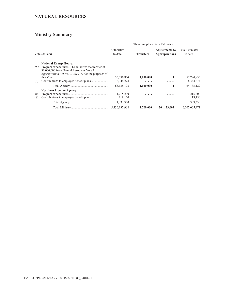#### **NATURAL RESOURCES**

|                |                                                                                                                                                                                                  |                        | These Supplementary Estimates |                                         |                                   |
|----------------|--------------------------------------------------------------------------------------------------------------------------------------------------------------------------------------------------|------------------------|-------------------------------|-----------------------------------------|-----------------------------------|
| Vote (dollars) |                                                                                                                                                                                                  | Authorities<br>to date | <b>Transfers</b>              | <b>Adjustments to</b><br>Appropriations | <b>Total Estimates</b><br>to date |
|                | <b>National Energy Board</b><br>25 $c$ Program expenditures – To authorize the transfer of<br>\$1,000,000 from Natural Resources Vote 1.<br>Appropriation Act No. 2, 2010–11 for the purposes of | 56,790,854             | 1.000.000                     | 1                                       | 57,790,855                        |
| (S)            |                                                                                                                                                                                                  | 6,344,274              | .                             | .                                       | 6,344,274                         |
|                |                                                                                                                                                                                                  | 63, 135, 128           | 1,000,000                     | 1                                       | 64, 135, 129                      |
|                | <b>Northern Pipeline Agency</b>                                                                                                                                                                  |                        |                               |                                         |                                   |
| 30             |                                                                                                                                                                                                  | 1.215.200              |                               |                                         | 1,215,200                         |
| (S)            |                                                                                                                                                                                                  | 118,150                | .                             | .                                       | 118,150                           |
|                |                                                                                                                                                                                                  | 1,333,350              | .                             | .                                       | 1,333,350                         |
|                |                                                                                                                                                                                                  | 5,436,132,968          | 1,720,000                     | 564,153,003                             | 6,002,005,971                     |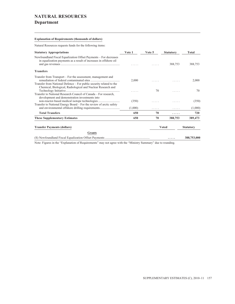## **NATURAL RESOURCES Department**

#### **Explanation of Requirements (thousands of dollars)**

Natural Resources requests funds for the following items:

| <b>Statutory Appropriations</b>                                                                                                                                         | Vote 1  | Vote 5 | <b>Statutory</b> | Total            |
|-------------------------------------------------------------------------------------------------------------------------------------------------------------------------|---------|--------|------------------|------------------|
| Newfoundland Fiscal Equalization Offset Payments – For decreases<br>in equalization payments as a result of increases in offshore oil                                   |         |        | 388,753          | 388,753          |
| <b>Transfers</b>                                                                                                                                                        |         |        |                  |                  |
| Transfer from Transport – For the assessment, management and<br>Transfer from National Defence – For public security related to the                                     | 2,000   |        |                  | 2,000            |
| Chemical, Biological, Radiological and Nuclear Research and<br>Transfer to National Research Council of Canada – For research,                                          |         | 70     |                  | 70               |
| development and demonstration investments into<br>non-reactor-based medical isotope technologies<br>Transfer to National Energy Board – For the review of arctic safety | (350)   |        |                  | (350)            |
|                                                                                                                                                                         | (1,000) | .      | .                | (1,000)          |
| <b>Total Transfers</b>                                                                                                                                                  | 650     | 70     | .                | 720              |
| <b>These Supplementary Estimates</b>                                                                                                                                    | 650     | 70     | 388,753          | 389,473          |
| <b>Transfer Payments (dollars)</b>                                                                                                                                      |         |        | <b>Voted</b>     | <b>Statutory</b> |
| <b>Grants</b>                                                                                                                                                           |         |        |                  |                  |
|                                                                                                                                                                         |         |        |                  | 388,753,000      |
| March Plasses in the GPaulinearies of Deputation and Windows and Concernition of the factories (Concerning March 2014) and the                                          |         |        |                  |                  |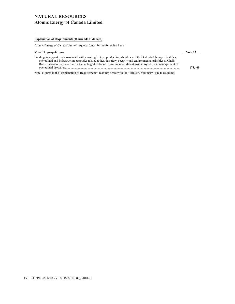## **NATURAL RESOURCES Atomic Energy of Canada Limited**

#### **Explanation of Requirements (thousands of dollars)**

Atomic Energy of Canada Limited requests funds for the following items:

| <b>Voted Appropriations</b>                                                                                                                                                                                                                                                                                                                              | Vote 15 |
|----------------------------------------------------------------------------------------------------------------------------------------------------------------------------------------------------------------------------------------------------------------------------------------------------------------------------------------------------------|---------|
| Funding to support costs associated with ensuring isotope production; shutdown of the Dedicated Isotope Facilities;<br>operational and infrastructure upgrades related to health, safety, security and environmental priorities at Chalk<br>River Laboratories; new reactor technology development commercial life extension projects; and management of |         |
|                                                                                                                                                                                                                                                                                                                                                          | 175,400 |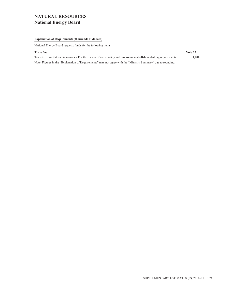## **NATURAL RESOURCES National Energy Board**

#### **Explanation of Requirements (thousands of dollars)**

National Energy Board requests funds for the following items:

**Transfers Vote 25** Transfer from Natural Resources – For the review of arctic safety and environmental offshore drilling requirements.... **1,000**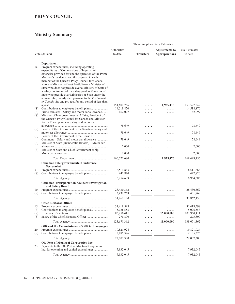#### **PRIVY COUNCIL**

|            |                                                                                                                |                           | These Supplementary Estimates |                       |                           |
|------------|----------------------------------------------------------------------------------------------------------------|---------------------------|-------------------------------|-----------------------|---------------------------|
|            |                                                                                                                | Authorities               |                               | <b>Adjustments to</b> | <b>Total Estimates</b>    |
|            | Vote (dollars)                                                                                                 | to date                   | <b>Transfers</b>              | <b>Appropriations</b> | to date                   |
|            |                                                                                                                |                           |                               |                       |                           |
| 1c         | Department<br>Program expenditures, including operating                                                        |                           |                               |                       |                           |
|            | expenditures of Commissions of Inquiry not                                                                     |                           |                               |                       |                           |
|            | otherwise provided for and the operation of the Prime                                                          |                           |                               |                       |                           |
|            | Minister's residence; and the payment to each                                                                  |                           |                               |                       |                           |
|            | member of the Queen's Privy Council for Canada                                                                 |                           |                               |                       |                           |
|            | who is a Minister without Portfolio or a Minister of<br>State who does not preside over a Ministry of State of |                           |                               |                       |                           |
|            | a salary not to exceed the salary paid to Ministers of                                                         |                           |                               |                       |                           |
|            | State who preside over Ministries of State under the                                                           |                           |                               |                       |                           |
|            | Salaries Act, as adjusted pursuant to the Parliament                                                           |                           |                               |                       |                           |
|            | of Canada Act and pro rata for any period of less than                                                         |                           |                               |                       |                           |
|            |                                                                                                                | 151,601,766<br>14,518,870 |                               | 1,925,476             | 153,527,242<br>14,518,870 |
| (S)<br>(S) | Prime Minister – Salary and motor car allowance                                                                | 162,097                   |                               | .                     | 162,097                   |
| (S)        | Minister of Intergovernmental Affairs, President of                                                            |                           |                               |                       |                           |
|            | the Queen's Privy Council for Canada and Minister                                                              |                           |                               |                       |                           |
|            | for La Francophonie - Salary and motor car                                                                     |                           |                               |                       |                           |
|            |                                                                                                                | 78,649                    |                               | .                     | 78,649                    |
|            | (S) Leader of the Government in the Senate – Salary and                                                        | 78,649                    | .                             | .                     | 78,649                    |
| (S)        | Leader of the Government in the House of                                                                       |                           |                               |                       |                           |
|            | Commons - Salary and motor car allowance                                                                       | 78,649                    | .                             | .                     | 78,649                    |
| (S)        | Minister of State (Democratic Reform) – Motor car                                                              |                           |                               |                       |                           |
|            |                                                                                                                | 2,000                     | .                             | .                     | 2,000                     |
| (S)        | Minister of State and Chief Government Whip -                                                                  | 2,000                     |                               | .                     | 2,000                     |
|            |                                                                                                                | 166,522,680               | .                             | 1,925,476             | 168,448,156               |
|            | Canadian Intergovernmental Conference                                                                          |                           |                               |                       |                           |
|            | Secretariat                                                                                                    |                           |                               |                       |                           |
| 5          |                                                                                                                | 6,511,863                 |                               |                       | 6,511,863                 |
| (S)        |                                                                                                                | 442,820                   | .                             | .                     | 442,820                   |
|            |                                                                                                                | 6,954,683                 | .                             | .                     | 6,954,683                 |
|            | <b>Canadian Transportation Accident Investigation</b>                                                          |                           |                               |                       |                           |
|            | and Safety Board                                                                                               |                           |                               |                       |                           |
| 10<br>(S)  |                                                                                                                | 28,430,362<br>3,431,768   | .                             | .                     | 28,430,362<br>3,431,768   |
|            |                                                                                                                |                           |                               |                       |                           |
|            |                                                                                                                | 31,862,130                | .                             | .                     | 31,862,130                |
| 15         | <b>Chief Electoral Officer</b>                                                                                 | 31,418,598                |                               |                       | 31,418,598                |
| (S)        |                                                                                                                | 5,026,553                 | .                             | .                     | 5,026,553                 |
| (S)        |                                                                                                                | 86,950,411                | .                             | 15,000,000            | 101,950,411               |
| (S)        |                                                                                                                | 275,800                   | .                             | .                     | 275,800                   |
|            |                                                                                                                | 123,671,362               | .                             | 15,000,000            | 138,671,362               |
|            | Office of the Commissioner of Official Languages                                                               |                           |                               |                       |                           |
| 20         |                                                                                                                | 19,821,924                |                               |                       | 19,821,924                |
| (S)        |                                                                                                                | 2,185,376                 | .                             |                       | 2,185,376                 |
|            |                                                                                                                | 22,007,300                | .                             | .                     | 22,007,300                |
|            | <b>Old Port of Montreal Corporation Inc.</b>                                                                   |                           |                               |                       |                           |
|            | 23b Payments to the Old Port of Montreal Corporation                                                           |                           |                               |                       |                           |
|            |                                                                                                                | 7,932,045                 | .                             | .                     | 7,932,045                 |
|            |                                                                                                                | 7,932,045                 | .                             | .                     | 7,932,045                 |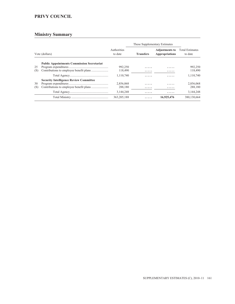## **PRIVY COUNCIL**

|     |                                                   |                        | These Supplementary Estimates |                                         |                                   |
|-----|---------------------------------------------------|------------------------|-------------------------------|-----------------------------------------|-----------------------------------|
|     | Vote (dollars)                                    | Authorities<br>to date | <b>Transfers</b>              | <b>Adjustments to</b><br>Appropriations | <b>Total Estimates</b><br>to date |
|     | <b>Public Appointments Commission Secretariat</b> |                        |                               |                                         |                                   |
| 25  |                                                   | 992,250                | .                             | .                                       | 992,250                           |
| (S) |                                                   | 118,490                | .                             |                                         | 118,490                           |
|     |                                                   | 1,110,740              | .                             | .                                       | 1.110.740                         |
|     | <b>Security Intelligence Review Committee</b>     |                        |                               |                                         |                                   |
| 30  |                                                   | 2,856,068              |                               | .                                       | 2,856,068                         |
| (S) |                                                   | 288,180                | .                             | .                                       | 288,180                           |
|     |                                                   | 3,144,248              | .                             | .                                       | 3,144,248                         |
|     |                                                   | 363, 205, 188          | .                             | 16,925,476                              | 380.130.664                       |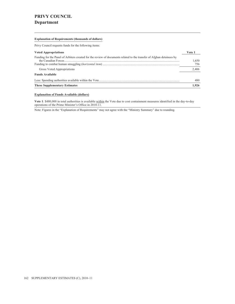## **PRIVY COUNCIL Department**

#### **Explanation of Requirements (thousands of dollars)**

Privy Council requests funds for the following items:

| <b>Voted Appropriations</b>                                                                                          | Vote 1       |
|----------------------------------------------------------------------------------------------------------------------|--------------|
| Funding for the Panel of Arbiters created for the review of documents related to the transfer of Afghan detainees by | 1.650<br>756 |
| Gross Voted Appropriations                                                                                           | 2.406        |
| <b>Funds Available</b>                                                                                               |              |
|                                                                                                                      | 480          |
| <b>These Supplementary Estimates</b>                                                                                 | 1.926        |

#### **Explanation of Funds Available (dollars)**

**Vote 1**: \$480,000 in total authorities is available within the Vote due to cost containment measures identified in the day-to-day operations of the Prime Minister's Office in 2010-11.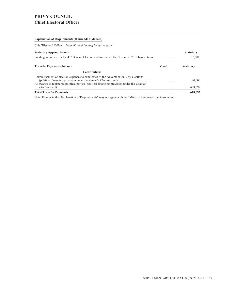## **PRIVY COUNCIL Chief Electoral Officer**

#### **Explanation of Requirements (thousands of dollars)**

Chief Electoral Officer – *No additional funding being requested*

| <b>Statutory Appropriations</b>                                                                                                                                                        |              | <b>Statutory</b> |  |
|----------------------------------------------------------------------------------------------------------------------------------------------------------------------------------------|--------------|------------------|--|
|                                                                                                                                                                                        |              |                  |  |
| <b>Transfer Payments (dollars)</b>                                                                                                                                                     | <b>Voted</b> | <b>Statutory</b> |  |
| <b>Contributions</b>                                                                                                                                                                   |              |                  |  |
| Reimbursement of election expenses to candidates of the November 2010 by-elections<br>Allowance to registered political parties (political financing provision under the <i>Canada</i> |              | 180,000          |  |
|                                                                                                                                                                                        | .            | 438,697          |  |
| <b>Total Transfer Payments</b>                                                                                                                                                         | .            | 618,697          |  |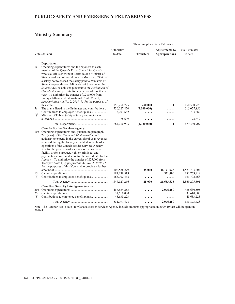#### **Ministry Summary**

|                  | Vote (dollars)                                                                                                                                                                                                                                                                                                                                                                                                                                                                                                                                                                                                                                                                                | Authorities<br>to date                    | <b>Transfers</b>       | <b>Adjustments to</b><br><b>Appropriations</b> | <b>Total Estimates</b><br>to date         |
|------------------|-----------------------------------------------------------------------------------------------------------------------------------------------------------------------------------------------------------------------------------------------------------------------------------------------------------------------------------------------------------------------------------------------------------------------------------------------------------------------------------------------------------------------------------------------------------------------------------------------------------------------------------------------------------------------------------------------|-------------------------------------------|------------------------|------------------------------------------------|-------------------------------------------|
| 1c<br>5c         | Department<br>Operating expenditures and the payment to each<br>member of the Queen's Privy Council for Canada<br>who is a Minister without Portfolio or a Minister of<br>State who does not preside over a Ministry of State of<br>a salary not to exceed the salary paid to Ministers of<br>State who preside over Ministries of State under the<br>Salaries Act, as adjusted pursuant to the Parliament of<br>Canada Act and pro rata for any period of less than a<br>year-To authorize the transfer of \$280,000 from<br>Foreign Affairs and International Trade Vote 1,<br>Appropriation Act No. 2, 2010–11 for the purposes of<br>The grants listed in the Estimates and contributions | 150,250,725<br>520,027,850                | 280,000<br>(5,000,000) | 1<br>.                                         | 150,530,726<br>515,027,850                |
| (S)<br>(S)       | Minister of Public Safety - Salary and motor car                                                                                                                                                                                                                                                                                                                                                                                                                                                                                                                                                                                                                                              | 13,703,682                                | .                      | .                                              | 13,703,682                                |
|                  |                                                                                                                                                                                                                                                                                                                                                                                                                                                                                                                                                                                                                                                                                               | 78,649                                    | .                      | .                                              | 78,649                                    |
|                  |                                                                                                                                                                                                                                                                                                                                                                                                                                                                                                                                                                                                                                                                                               | 684,060,906                               | (4,720,000)            | $\mathbf{1}$                                   | 679,340,907                               |
|                  | <b>Canada Border Services Agency</b><br>10c Operating expenditures and, pursuant to paragraph<br>$29.1(2)(a)$ of the <i>Financial Administration Act</i> ,<br>authority to expend in the current fiscal year revenues<br>received during the fiscal year related to the border<br>operations of the Canada Border Services Agency:<br>fees for the provision of a service or the use of a<br>facility or for a product, right or privilege; and<br>payments received under contracts entered into by the<br>Agency – To authorize the transfer of $$25,000$ from<br>Transport Vote 1, Appropriation Act No. 2, 2010-11<br>for the purposes of this Vote and to provide a further              | 1,502,586,279                             | 25,000                 | 21,121,925                                     | 1,523,733,204                             |
| 15c              |                                                                                                                                                                                                                                                                                                                                                                                                                                                                                                                                                                                                                                                                                               | 181,238,519                               | .                      | 531,400                                        | 181,769,919                               |
| (S)              |                                                                                                                                                                                                                                                                                                                                                                                                                                                                                                                                                                                                                                                                                               | 163,702,468                               | .                      | .                                              | 163,702,468                               |
|                  |                                                                                                                                                                                                                                                                                                                                                                                                                                                                                                                                                                                                                                                                                               | 1,847,527,266                             | 25,000                 | 21,653,325                                     | 1,869,205,591                             |
| 20c<br>25<br>(S) | <b>Canadian Security Intelligence Service</b>                                                                                                                                                                                                                                                                                                                                                                                                                                                                                                                                                                                                                                                 | 456, 554, 255<br>31,610,000<br>43,633,223 | .                      | 2,076,250<br>.                                 | 458,630,505<br>31,610,000<br>43, 633, 223 |
|                  |                                                                                                                                                                                                                                                                                                                                                                                                                                                                                                                                                                                                                                                                                               | 531,797,478                               | .                      | 2,076,250                                      | 533,873,728                               |

Note: The "Authorities to date" for Canada Border Services Agency include amounts appropriated in 2009-10 that will be spent in 2010-11.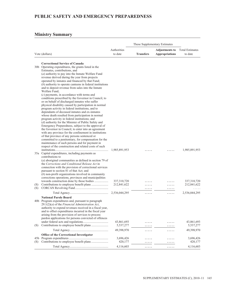#### **Ministry Summary**

|     |                                                                                                                                                                                                                                                                                                                                                                                                                                                                                                                                                                                                                                                                                                                                                                                                                                                                                                                                                       |                                | These Supplementary Estimates |                       |                              |
|-----|-------------------------------------------------------------------------------------------------------------------------------------------------------------------------------------------------------------------------------------------------------------------------------------------------------------------------------------------------------------------------------------------------------------------------------------------------------------------------------------------------------------------------------------------------------------------------------------------------------------------------------------------------------------------------------------------------------------------------------------------------------------------------------------------------------------------------------------------------------------------------------------------------------------------------------------------------------|--------------------------------|-------------------------------|-----------------------|------------------------------|
|     |                                                                                                                                                                                                                                                                                                                                                                                                                                                                                                                                                                                                                                                                                                                                                                                                                                                                                                                                                       | Authorities                    |                               | <b>Adjustments to</b> | <b>Total Estimates</b>       |
|     | Vote (dollars)                                                                                                                                                                                                                                                                                                                                                                                                                                                                                                                                                                                                                                                                                                                                                                                                                                                                                                                                        | to date                        | <b>Transfers</b>              | <b>Appropriations</b> | to date                      |
|     | <b>Correctional Service of Canada</b><br>30b Operating expenditures, the grants listed in the<br>Estimates, contributions, and<br>(a) authority to pay into the Inmate Welfare Fund<br>revenue derived during the year from projects<br>operated by inmates and financed by that Fund;<br>$(b)$ authority to operate canteens in federal institutions<br>and to deposit revenue from sales into the Inmate<br>Welfare Fund:<br>$(c)$ payments, in accordance with terms and<br>conditions prescribed by the Governor in Council, to<br>or on behalf of discharged inmates who suffer<br>physical disability caused by participation in normal<br>program activity in federal institutions, and to<br>dependants of deceased inmates and ex-inmates<br>whose death resulted from participation in normal                                                                                                                                               |                                |                               |                       |                              |
|     | program activity in federal institutions; and<br>(d) authority for the Minister of Public Safety and<br>Emergency Preparedness, subject to the approval of<br>the Governor in Council, to enter into an agreement<br>with any province for the confinement in institutions<br>of that province of any persons sentenced or<br>committed to a penitentiary, for compensation for the<br>maintenance of such persons and for payment in<br>respect of the construction and related costs of such<br>35a Capital expenditures, including payments as<br>contributions to<br>$(a)$ aboriginal communities as defined in section 79 of<br>the Corrections and Conditional Release Act in<br>connection with the provision of correctional services<br>pursuant to section 81 of that Act; and<br>$(b)$ non-profit organizations involved in community<br>corrections operations, provinces and municipalities<br>towards construction done by those bodies | 1,985,891,953<br>337, 310, 720 |                               |                       | 1,985,891,953<br>337,310,720 |
| (S) |                                                                                                                                                                                                                                                                                                                                                                                                                                                                                                                                                                                                                                                                                                                                                                                                                                                                                                                                                       | 212,841,622                    |                               |                       | 212,841,622                  |
| (S) |                                                                                                                                                                                                                                                                                                                                                                                                                                                                                                                                                                                                                                                                                                                                                                                                                                                                                                                                                       | $\ldots$                       | .                             | .                     |                              |
|     | <b>National Parole Board</b><br>40b Program expenditures and, pursuant to paragraph<br>$29.1(2)(a)$ of the Financial Administration Act,<br>authority to expend revenues received in a fiscal year,<br>and to offset expenditures incurred in the fiscal year<br>arising from the provision of services to process<br>pardon applications for persons convicted of offences                                                                                                                                                                                                                                                                                                                                                                                                                                                                                                                                                                           | 2,536,044,295                  | .                             | .                     | 2,536,044,295                |
|     |                                                                                                                                                                                                                                                                                                                                                                                                                                                                                                                                                                                                                                                                                                                                                                                                                                                                                                                                                       | 43,861,693                     | .                             | .                     | 43,861,693                   |
| (S) |                                                                                                                                                                                                                                                                                                                                                                                                                                                                                                                                                                                                                                                                                                                                                                                                                                                                                                                                                       | 5,537,277                      | .                             | .                     | 5,537,277                    |
|     | Office of the Correctional Investigator                                                                                                                                                                                                                                                                                                                                                                                                                                                                                                                                                                                                                                                                                                                                                                                                                                                                                                               | 49,398,970                     | .                             | .                     | 49,398,970                   |
|     |                                                                                                                                                                                                                                                                                                                                                                                                                                                                                                                                                                                                                                                                                                                                                                                                                                                                                                                                                       | 3,696,426                      | .                             | .                     | 3,696,426                    |
| (S) |                                                                                                                                                                                                                                                                                                                                                                                                                                                                                                                                                                                                                                                                                                                                                                                                                                                                                                                                                       | 420,177                        |                               |                       | 420,177                      |
|     |                                                                                                                                                                                                                                                                                                                                                                                                                                                                                                                                                                                                                                                                                                                                                                                                                                                                                                                                                       | 4,116,603                      | .                             | .                     | 4,116,603                    |

<u> 1989 - Johann Stein, marwolaethau a bhann an t-Amhainn an t-Amhainn an t-Amhainn an t-Amhainn an t-Amhainn a</u>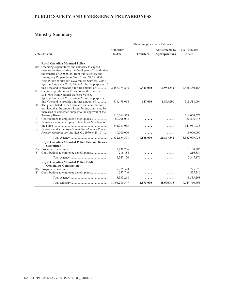#### **Ministry Summary**

|            |                                                                                                                                                                                                                                                                                                                                   |                        | These Supplementary Estimates |                                                |                                   |
|------------|-----------------------------------------------------------------------------------------------------------------------------------------------------------------------------------------------------------------------------------------------------------------------------------------------------------------------------------|------------------------|-------------------------------|------------------------------------------------|-----------------------------------|
|            | Vote (dollars)                                                                                                                                                                                                                                                                                                                    | Authorities<br>to date | <b>Transfers</b>              | <b>Adjustments to</b><br><b>Appropriations</b> | <b>Total Estimates</b><br>to date |
|            | <b>Royal Canadian Mounted Police</b>                                                                                                                                                                                                                                                                                              |                        |                               |                                                |                                   |
|            | 50c Operating expenditures and authority to expend<br>revenue received during the fiscal year – To authorize<br>the transfer of \$5,000,000 from Public Safety and<br>Emergency Preparedness Vote 5, and \$2,671,000<br>from Public Works and Government Services Vote 1,<br>Appropriation Act No. 2, 2010–11 for the purposes of |                        |                               |                                                |                                   |
|            | 55c Capital expenditures – To authorize the transfer of<br>\$147,000 from National Defence Vote 5,<br>Appropriation Act No. 2, 2010–11 for the purposes of                                                                                                                                                                        | 2,458,974,846          | 7,421,000                     | 19,984,342                                     | 2,486,380,188                     |
|            | this Vote and to provide a further amount of<br>60b The grants listed in the Estimates and contributions,<br>provided that the amount listed for any grant may be<br>increased or decreased subject to the approval of the                                                                                                        | 316,478,094            | 147,000                       | 1,893,000                                      | 318,518,094                       |
|            |                                                                                                                                                                                                                                                                                                                                   | 116,064,573            |                               |                                                | 116,064,573                       |
| (S)<br>(S) | Pensions and other employee benefits - Members of                                                                                                                                                                                                                                                                                 | 80,206,045             |                               |                                                | 80,206,045                        |
|            |                                                                                                                                                                                                                                                                                                                                   | 341,931,033            |                               |                                                | 341,931,033                       |
| (S)        | Pensions under the Royal Canadian Mounted Police<br>Pension Continuation Act (R.S.C, 1970, c. R-10)                                                                                                                                                                                                                               | 19,000,000             |                               |                                                | 19,000,000                        |
|            |                                                                                                                                                                                                                                                                                                                                   | 3,332,654,591          | 7,568,000                     | 21,877,342                                     | 3,362,099,933                     |
|            | <b>Royal Canadian Mounted Police External Review</b><br>Committee                                                                                                                                                                                                                                                                 |                        |                               |                                                |                                   |
|            |                                                                                                                                                                                                                                                                                                                                   | 2,130,286              |                               |                                                | 2,130,286                         |
| (S)        |                                                                                                                                                                                                                                                                                                                                   | 216,884                |                               |                                                | 216,884                           |
|            |                                                                                                                                                                                                                                                                                                                                   | 2,347,170              | .                             |                                                | 2,347,170                         |
|            | <b>Royal Canadian Mounted Police Public</b><br><b>Complaints Commission</b>                                                                                                                                                                                                                                                       |                        |                               |                                                |                                   |
| 70a        |                                                                                                                                                                                                                                                                                                                                   | 7,775,528              |                               |                                                | 7,775,528                         |
| (S)        |                                                                                                                                                                                                                                                                                                                                   | 557,740                |                               |                                                | 557,740                           |
|            |                                                                                                                                                                                                                                                                                                                                   | 8,333,268              | .                             | .                                              | 8,333,268                         |
|            |                                                                                                                                                                                                                                                                                                                                   | 8,996,280,547          | 2,873,000                     | 45,606,918                                     | 9,044,760,465                     |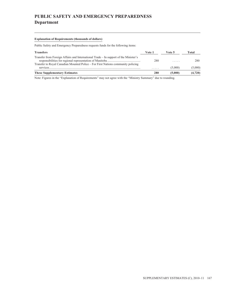## **PUBLIC SAFETY AND EMERGENCY PREPAREDNESS Department**

#### **Explanation of Requirements (thousands of dollars)**

Public Safety and Emergency Preparedness requests funds for the following items:

| <b>Transfers</b>                                                                                                                                                         | Vote 1 | Vote 5  | Total   |
|--------------------------------------------------------------------------------------------------------------------------------------------------------------------------|--------|---------|---------|
| Transfer from Foreign Affairs and International Trade – In support of the Minister's<br>Transfer to Royal Canadian Mounted Police – For First Nations community policing | 280    | .       | 280.    |
| services.                                                                                                                                                                | .      | (5.000) | (5,000) |
| <b>These Supplementary Estimates</b>                                                                                                                                     | 280    | (5,000) | (4.720) |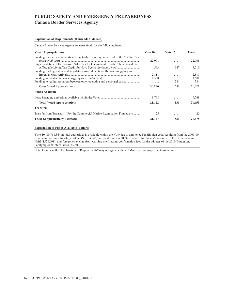## **Canada Border Services Agency**

#### **Explanation of Requirements (thousands of dollars)**

Canada Border Services Agency requests funds for the following items:

| <b>Voted Appropriations</b>                                                                                                                                 | Vote 10 | Vote 15 | Total  |
|-------------------------------------------------------------------------------------------------------------------------------------------------------------|---------|---------|--------|
| Funding for incremental costs relating to the mass migrant arrival of the MV Sun Sea                                                                        | 22,008  | .       | 22,008 |
| Implementation of Harmonized Sales Tax for Ontario and British Columbia and the<br>Funding for Legislative and Regulatory Amendments on Human Smuggling and | 4,563   | 147     | 4,710  |
|                                                                                                                                                             | 2,811   | .       | 2,811  |
|                                                                                                                                                             | 1,508   | .       | 1,508  |
| Funding to realign resources between other operating and personnel costs                                                                                    | .       | 384     | 384    |
| Gross Voted Appropriations                                                                                                                                  | 30,890  | 531     | 31,421 |
| <b>Funds Available</b>                                                                                                                                      |         |         |        |
|                                                                                                                                                             | 9,768   | .       | 9,768  |
| <b>Total Voted Appropriations</b>                                                                                                                           | 21,122  | 531     | 21,653 |
| <b>Transfers</b>                                                                                                                                            |         |         |        |
| Transfer from Transport – For the Commercial Marine Examination Framework                                                                                   | 25      | .       | 25     |
| <b>These Supplementary Estimates</b>                                                                                                                        | 21,147  | 531     | 21,678 |

#### **Explanation of Funds Available (dollars)**

**Vote 10**: \$9,768,344 in total authorities is available within the Vote due to employee benefit plan costs resulting from the 2009-10 conversion of funds to salary dollars (\$9,183,646); unspent funds in 2009-10 related to Canada's response to the earthquake in Haiti (\$578,098); and foregone revenue from waiving the firearms confirmation fees for the athletes of the 2010 Winter and Paralympics Winter Games (\$6,600).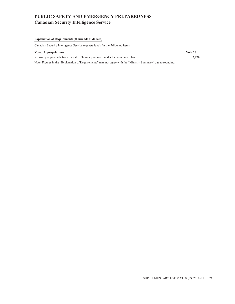## **PUBLIC SAFETY AND EMERGENCY PREPAREDNESS Canadian Security Intelligence Service**

#### **Explanation of Requirements (thousands of dollars)**

Canadian Security Intelligence Service requests funds for the following items:

| <b>Voted Appropriations</b>                                                                                   | Vote 20 |
|---------------------------------------------------------------------------------------------------------------|---------|
|                                                                                                               | 2.076   |
| Note: Figures in the "Explanation of Requirements" may not agree with the "Ministry Summary" due to rounding. |         |

SUPPLEMENTARY ESTIMATES (C), 2010–11 169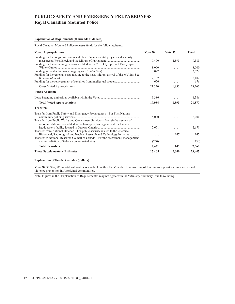## **PUBLIC SAFETY AND EMERGENCY PREPAREDNESS Royal Canadian Mounted Police**

#### **Explanation of Requirements (thousands of dollars)**

Royal Canadian Mounted Police requests funds for the following items:

| <b>Voted Appropriations</b>                                                                                                                                       | Vote 50 | Vote 55 | <b>Total</b> |
|-------------------------------------------------------------------------------------------------------------------------------------------------------------------|---------|---------|--------------|
| Funding for the long-term vision and plan of major capital projects and security<br>Funding for the remaining expenses related to the 2010 Olympic and Paralympic | 7,490   | 1,893   | 9,383        |
|                                                                                                                                                                   | 8,000   | .       | 8,000        |
| Funding for incremental costs relating to the mass migrant arrival of the MV Sun Sea                                                                              | 3,022   | .       | 3,022        |
|                                                                                                                                                                   | 2,182   | .       | 2,182        |
| Funding for the reinvestment of royalties from intellectual property                                                                                              | 676     | .       | 676          |
| Gross Voted Appropriations                                                                                                                                        | 21,370  | 1.893   | 23,263       |
| <b>Funds Available</b>                                                                                                                                            |         |         |              |
|                                                                                                                                                                   | 1,386   | .       | 1,386        |
| <b>Total Voted Appropriations</b>                                                                                                                                 | 19,984  | 1.893   | 21,877       |
| <b>Transfers</b>                                                                                                                                                  |         |         |              |
| Transfer from Public Safety and Emergency Preparedness - For First Nations                                                                                        | 5,000   |         | 5,000        |
| Transfer from Public Works and Government Services – For reimbursement of<br>accommodation costs related to the lease-purchase agreement for the new              |         |         |              |
|                                                                                                                                                                   | 2,671   | .       | 2,671        |
| Transfer from National Defence - For public security related to the Chemical,<br>Biological, Radiological and Nuclear Research and Technology Initiative          |         | 147     | 147          |
| Transfer to National Research Council of Canada – For the assessment, management                                                                                  | (250)   | .       | (250)        |
| <b>Total Transfers</b>                                                                                                                                            | 7,421   | 147     | 7,568        |
| <b>These Supplementary Estimates</b>                                                                                                                              | 27,405  | 2,040   | 29,445       |

#### **Explanation of Funds Available (dollars)**

**Vote 50**: \$1,386,000 in total authorities is available within the Vote due to reprofiling of funding to support victim services and violence prevention in Aboriginal communities.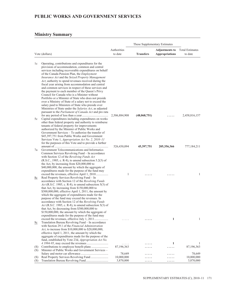## **Ministry Summary**

|            |                                                                                                                                                                                                                                                                                                                                                                                                                                                                                                                                                                                                                                                                                                                                                                                                                                                                                                                                                                                                                                                          |                        | These Supplementary Estimates |                                                |                                   |
|------------|----------------------------------------------------------------------------------------------------------------------------------------------------------------------------------------------------------------------------------------------------------------------------------------------------------------------------------------------------------------------------------------------------------------------------------------------------------------------------------------------------------------------------------------------------------------------------------------------------------------------------------------------------------------------------------------------------------------------------------------------------------------------------------------------------------------------------------------------------------------------------------------------------------------------------------------------------------------------------------------------------------------------------------------------------------|------------------------|-------------------------------|------------------------------------------------|-----------------------------------|
|            | Vote (dollars)                                                                                                                                                                                                                                                                                                                                                                                                                                                                                                                                                                                                                                                                                                                                                                                                                                                                                                                                                                                                                                           | Authorities<br>to date | <b>Transfers</b>              | <b>Adjustments to</b><br><b>Appropriations</b> | <b>Total Estimates</b><br>to date |
| 1c<br>5c   | Operating, contributions and expenditures for the<br>provision of accommodation, common and central<br>services including recoverable expenditures on behalf<br>of the Canada Pension Plan, the Employment<br>Insurance Act and the Seized Property Management<br>Act; authority to spend revenues received during the<br>fiscal year arising from accommodation and central<br>and common services in respect of these services and<br>the payment to each member of the Queen's Privy<br>Council for Canada who is a Minister without<br>Portfolio or a Minister of State who does not preside<br>over a Ministry of State of a salary not to exceed the<br>salary paid to Ministers of State who preside over<br>Ministries of State under the Salaries Act, as adjusted<br>pursuant to the Parliament of Canada Act and pro rata<br>Capital expenditures including expenditures on works<br>other than federal property and authority to reimburse<br>tenants of federal property for improvements<br>authorized by the Minister of Public Works and | 2,506,884,908          | (48,068,751)                  |                                                | 2,458,816,157                     |
|            | Government Services – To authorize the transfer of<br>\$45,397,751 from Public Works and Government<br>Services Vote 1, Appropriation Act No. 2, 2010-11<br>for the purposes of this Vote and to provide a further                                                                                                                                                                                                                                                                                                                                                                                                                                                                                                                                                                                                                                                                                                                                                                                                                                       | 526,430,094            | 45,397,751                    | 205,356,366                                    | 777,184,211                       |
| 7a         | Government Telecommunications and Informatics<br>Common Services Revolving Fund - In accordance<br>with Section 12 of the Revolving Funds Act<br>(R.S.C., 1985, c. R-8), to amend subsection 5.2(3) of<br>the Act, by increasing from \$20,000,000 to<br>\$40,000,000, the amount by which the aggregate of<br>expenditures made for the purpose of the fund may                                                                                                                                                                                                                                                                                                                                                                                                                                                                                                                                                                                                                                                                                         |                        |                               |                                                |                                   |
| 8c         | exceed the revenues, effective April 1, 2010<br>Real Property Services Revolving Fund - In<br>accordance with Section 12 of the Revolving Funds<br>Act (R.S.C. 1985, c. R-8), to amend subsection $5(3)$ of<br>that Act, by increasing from \$150,000,000 to<br>\$300,000,000, effective April 1, 2011, the amount by<br>which the aggregate of expenditures made for the<br>purpose of the fund may exceed the revenues. In<br>accordance with Section 12 of the Revolving Funds<br>Act (R.S.C. 1985, c. R-8), to amend subsection $5(3)$ of<br>that Act, by decreasing from \$300,000,000 to<br>\$150,000,000, the amount by which the aggregate of<br>expenditures made for the purpose of the fund may                                                                                                                                                                                                                                                                                                                                               | 1                      |                               |                                                | 1                                 |
| 9c         | exceed the revenues, effective July 1, 2011<br>Translation Bureau Revolving Fund - In accordance<br>with Section 29.1 of the Financial Administration<br>Act, to increase from \$10,000,000 to \$20,000,000,<br>effective April 1, 2011, the amount by which the<br>aggregate of expenditures made for the purpose of the<br>fund, established by Vote 23d, Appropriation Act No.                                                                                                                                                                                                                                                                                                                                                                                                                                                                                                                                                                                                                                                                        | .                      |                               | $\mathbf{1}$                                   | 1                                 |
| (S)        |                                                                                                                                                                                                                                                                                                                                                                                                                                                                                                                                                                                                                                                                                                                                                                                                                                                                                                                                                                                                                                                          | .<br>87,196,363        |                               | $\mathbf{1}$<br>.                              | 1<br>87,196,363                   |
| (S)<br>(S) | Minister of Public Works and Government Services -                                                                                                                                                                                                                                                                                                                                                                                                                                                                                                                                                                                                                                                                                                                                                                                                                                                                                                                                                                                                       | 78,649<br>10,000,000   |                               |                                                | 78,649<br>10,000,000              |
| (S)        |                                                                                                                                                                                                                                                                                                                                                                                                                                                                                                                                                                                                                                                                                                                                                                                                                                                                                                                                                                                                                                                          | 3,870,000              |                               |                                                | 3,870,000                         |

<u> 1980 - Johann Barbara, martxa alemaniar amerikan basar da a</u>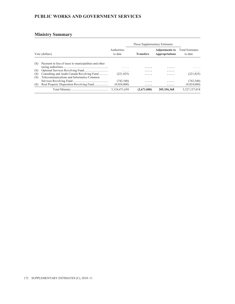## **Ministry Summary**

|                |                                                      |                        | These Supplementary Estimates                               |               |                                   |
|----------------|------------------------------------------------------|------------------------|-------------------------------------------------------------|---------------|-----------------------------------|
| Vote (dollars) |                                                      | Authorities<br>to date | <b>Adjustments to</b><br>Appropriations<br><b>Transfers</b> |               | <b>Total Estimates</b><br>to date |
| (S)            | Payment in lieu of taxes to municipalities and other |                        |                                                             |               |                                   |
|                |                                                      | 1.1.1.1                | .                                                           | .             | .                                 |
| (S)            |                                                      | .                      | .                                                           | .             | .                                 |
| (S)            | Consulting and Audit Canada Revolving Fund           | (221, 825)             | .                                                           | .             | (221, 825)                        |
| (S)            | Telecommunications and Informatics Common            |                        |                                                             |               |                                   |
|                |                                                      | (742, 540)             | .                                                           | .             | (742, 540)                        |
| (S)            |                                                      | (9,024,000)            | .                                                           | .             | (9,024,000)                       |
|                |                                                      | 3,124,471,650          | (2,671,000)                                                 | 205, 356, 368 | 3,327,157,018                     |

<u> 1989 - Johann Barn, mars eta bainar eta baina eta baina eta baina eta baina eta baina eta baina eta baina e</u>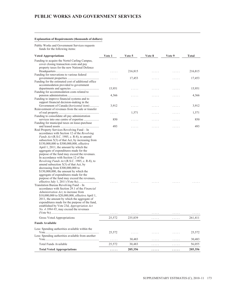#### **Explanation of Requirements (thousands of dollars)**

Public Works and Government Services requests funds for the following items:

| <b>Voted Appropriations</b>                                                          | Vote 1                             | Vote 5  | Vote 8                 | Vote 9               | <b>Total</b> |
|--------------------------------------------------------------------------------------|------------------------------------|---------|------------------------|----------------------|--------------|
| Funding to acquire the Nortel Carling Campus,                                        |                                    |         |                        |                      |              |
| cover closing transaction costs and pay                                              |                                    |         |                        |                      |              |
| property taxes for the new National Defence                                          |                                    |         |                        |                      |              |
|                                                                                      |                                    | 216,815 |                        |                      | 216,815      |
| Funding for renovations to various federal                                           |                                    |         |                        |                      |              |
|                                                                                      |                                    | 17,453  | .                      | $\cdots$             | 17,453       |
| Funding for the estimated cost of additional office                                  |                                    |         |                        |                      |              |
| accommodation provided to government                                                 |                                    |         |                        |                      |              |
|                                                                                      | 15,951                             |         |                        |                      | 15,951       |
| Funding for accommodation costs related to                                           | 4,366                              |         |                        |                      | 4,366        |
| Funding to improve financial systems and to                                          |                                    | .       | .                      | $\sim$ $\sim$ $\sim$ |              |
| support financial decision-making in the                                             |                                    |         |                        |                      |              |
| Government of Canada (horizontal item)                                               | 3,912                              | .       | .                      | $\ldots$             | 3,912        |
| Reinvestment of revenues from the sale or transfer                                   |                                    |         |                        |                      |              |
|                                                                                      | .                                  | 1,571   | .                      | .                    | 1,571        |
| Funding to consolidate all pay administration                                        |                                    |         |                        |                      |              |
|                                                                                      | 850                                | .       | .                      | $\cdots$             | 850          |
| Funding for municipal taxes on lease-purchase                                        |                                    |         |                        |                      |              |
|                                                                                      | 493                                | .       | .                      | $\cdots$             | 493          |
| Real Property Services Revolving Fund - In                                           |                                    |         |                        |                      |              |
| accordance with Section 12 of the Revolving                                          |                                    |         |                        |                      |              |
| <i>Funds Act</i> (R.S.C. 1985, c. R-8), to amend                                     |                                    |         |                        |                      |              |
| subsection $5(3)$ of that Act, by increasing from                                    |                                    |         |                        |                      |              |
| \$150,000,000 to \$300,000,000, effective                                            |                                    |         |                        |                      |              |
| April 1, 2011, the amount by which the                                               |                                    |         |                        |                      |              |
| aggregate of expenditures made for the                                               |                                    |         |                        |                      |              |
| purpose of the fund may exceed the revenues.<br>In accordance with Section 12 of the |                                    |         |                        |                      |              |
| <i>Revolving Funds Act</i> (R.S.C. 1985, c. R-8), to                                 |                                    |         |                        |                      |              |
| amend subsection $5(3)$ of that Act, by                                              |                                    |         |                        |                      |              |
| decreasing from \$300,000,000 to                                                     |                                    |         |                        |                      |              |
| $$150,000,000$ , the amount by which the                                             |                                    |         |                        |                      |              |
| aggregate of expenditures made for the                                               |                                    |         |                        |                      |              |
| purpose of the fund may exceed the revenues,                                         |                                    |         |                        |                      |              |
|                                                                                      |                                    |         |                        |                      |              |
| Translation Bureau Revolving Fund - In                                               |                                    |         |                        |                      |              |
| accordance with Section 29.1 of the Financial                                        |                                    |         |                        |                      |              |
| Administration Act, to increase from                                                 |                                    |         |                        |                      |              |
| \$10,000,000 to \$20,000,000, effective April 1,                                     |                                    |         |                        |                      |              |
| 2011, the amount by which the aggregate of                                           |                                    |         |                        |                      |              |
| expenditures made for the purpose of the fund,                                       |                                    |         |                        |                      |              |
| established by Vote 23d, Appropriation Act                                           |                                    |         |                        |                      |              |
| No. 4 1994-95, may exceed the revenues                                               |                                    |         |                        |                      |              |
|                                                                                      | $\sim$ $\sim$ $\sim$ $\sim$ $\sim$ | .       | $\cdots$               | .                    |              |
| Gross Voted Appropriations                                                           | 25,572                             | 235,839 | .                      | $\ldots$             | 261,411      |
| <b>Funds Available</b>                                                               |                                    |         |                        |                      |              |
| Less: Spending authorities available within the                                      |                                    |         |                        |                      |              |
|                                                                                      | 25,572                             | .       |                        | $\cdots$             | 25,572       |
| Less: Spending authorities available from another                                    |                                    |         |                        |                      |              |
|                                                                                      | $\alpha$ , $\alpha$ , $\alpha$     | 30,483  | .                      | .                    | 30,483       |
| Total Funds Available                                                                | 25,572                             | 30,483  | $\epsilon$ is a set of | .                    | 56,055       |
| <b>Total Voted Appropriations</b>                                                    | .                                  | 205,356 | .                      | .                    | 205,356      |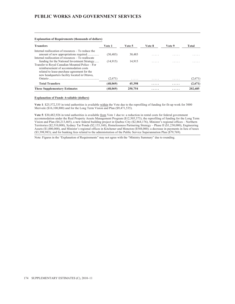| <b>Explaination of Kequilements (thousands of donars)</b>                                                                                                                                                                              |                      |             |        |        |              |
|----------------------------------------------------------------------------------------------------------------------------------------------------------------------------------------------------------------------------------------|----------------------|-------------|--------|--------|--------------|
| <b>Transfers</b>                                                                                                                                                                                                                       | Vote 1               | Vote 5      | Vote 8 | Vote 9 | <b>Total</b> |
| Internal reallocation of resources – To reduce the<br>Internal reallocation of resources – To reallocate                                                                                                                               | (30, 483)            | 30,483      | .      |        | .            |
| funding for the National Investment Strategy<br>Transfer to Royal Canadian Mounted Police – For<br>reimbursement of accommodation costs<br>related to lease-purchase agreement for the<br>new headquarters facility located in Ottawa, | (14, 915)<br>(2,671) | 14.915<br>. | .<br>. | .      | .<br>(2,671) |
| <b>Total Transfers</b>                                                                                                                                                                                                                 | (48,069)             | 45,398      | .      | .      | (2,671)      |
| <b>These Supplementary Estimates</b>                                                                                                                                                                                                   | (48,069)             | 250,754     | .      | .      | 202,685      |

#### **Explanation of Requirements (thousands of dollars)**

#### **Explanation of Funds Available (dollars)**

**Vote 1**: \$25,572,335 in total authorities is available within the Vote due to the reprofiling of funding for fit-up work for 3000 Merivale (\$16,100,800) and for the Long Term Vision and Plan (\$9,471,535).

Vote 5: \$30,482,926 in total authorities is available from Vote 1 due to: a reduction in rental costs for federal government accommodation under the Real Property Assets Management Program (\$12,505,373); the reprofiling of funding for the Long Term Vision and Plan (\$4,213,465), a new federal building project in Quebec City (\$2,864,176), Minister's regional offices – Northern Territories (\$2,510,000), Sydney Tar Ponds (\$2,133,160), Homelessness Partnering Strategy – Phase II (\$1,230,000), Engineering Assets (\$1,000,000), and Minister's regional offices in Kitchener and Moncton (\$548,000); a decrease in payments in lieu of taxes (\$3,398,983); and for banking fees related to the administration of the Public Service Superannution Plan (\$79,769).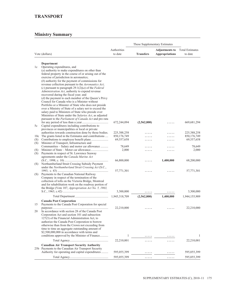## **Ministry Summary**

| These Supplementary Estimates |                                                                                                               |               |                  |                       |                        |
|-------------------------------|---------------------------------------------------------------------------------------------------------------|---------------|------------------|-----------------------|------------------------|
|                               |                                                                                                               | Authorities   |                  | <b>Adjustments to</b> | <b>Total Estimates</b> |
|                               | Vote (dollars)                                                                                                | to date       | <b>Transfers</b> | <b>Appropriations</b> | to date                |
|                               |                                                                                                               |               |                  |                       |                        |
| 1c                            | Department<br>Operating expenditures, and                                                                     |               |                  |                       |                        |
|                               | $(a)$ authority to make expenditures on other than                                                            |               |                  |                       |                        |
|                               | federal property in the course of or arising out of the                                                       |               |                  |                       |                        |
|                               | exercise of jurisdiction in aeronautics;                                                                      |               |                  |                       |                        |
|                               | $(b)$ authority for the payment of commissions for                                                            |               |                  |                       |                        |
|                               | revenue collection pursuant to the Aeronautics Act;                                                           |               |                  |                       |                        |
|                               | (c) pursuant to paragraph $29.1(2)(a)$ of the Federal                                                         |               |                  |                       |                        |
|                               | Administration Act, authority to expend revenue                                                               |               |                  |                       |                        |
|                               | recovered during the fiscal year; and<br>$(d)$ the payment to each member of the Queen's Privy                |               |                  |                       |                        |
|                               | Council for Canada who is a Minister without                                                                  |               |                  |                       |                        |
|                               | Portfolio or a Minister of State who does not preside                                                         |               |                  |                       |                        |
|                               | over a Ministry of State of a salary not to exceed the                                                        |               |                  |                       |                        |
|                               | salary paid to Ministers of State who preside over                                                            |               |                  |                       |                        |
|                               | Ministries of State under the Salaries Act, as adjusted                                                       |               |                  |                       |                        |
|                               | pursuant to the Parliament of Canada Act and pro rata                                                         |               |                  |                       |                        |
|                               |                                                                                                               | 672,244,094   | (2,562,800)      |                       | 669,681,294            |
| 5c                            | Capital expenditures including contributions to<br>provinces or municipalities or local or private            |               |                  |                       |                        |
|                               | authorities towards construction done by those bodies.                                                        | 225,388,258   |                  |                       | 225,388,258            |
| 10c                           | The grants listed in the Estimates and contributions                                                          | 850,176,749   |                  |                       | 850,176,749            |
| (S)                           |                                                                                                               | 69,557,658    |                  | .                     | 69,557,658             |
| (S)                           | Minister of Transport, Infrastructure and                                                                     |               |                  |                       |                        |
|                               | Communities – Salary and motor car allowance                                                                  | 78,649        |                  |                       | 78,649                 |
| (S)                           |                                                                                                               | 2,000         |                  |                       | 2,000                  |
| (S)                           | Payments in respect of St. Lawrence Seaway<br>agreements under the Canada Marine Act                          |               |                  |                       |                        |
|                               |                                                                                                               | 66,800,000    | .                | 1,400,000             | 68,200,000             |
| (S)                           | Northumberland Strait Crossing Subsidy Payment                                                                |               |                  |                       |                        |
|                               | under the Northumberland Strait Crossing Act (S.C.,                                                           |               |                  |                       |                        |
|                               |                                                                                                               | 57,771,301    |                  |                       | 57,771,301             |
| (S)                           | Payments to the Canadian National Railway                                                                     |               |                  |                       |                        |
|                               | Company in respect of the termination of the                                                                  |               |                  |                       |                        |
|                               | collection of tolls on the Victoria Bridge, Montreal<br>and for rehabilitation work on the roadway portion of |               |                  |                       |                        |
|                               | the Bridge (Vote 107, Appropriation Act No. 5, 1963,                                                          |               |                  |                       |                        |
|                               |                                                                                                               | 3,300,000     |                  |                       | 3,300,000              |
|                               |                                                                                                               | 1,945,318,709 | (2,562,800)      | 1,400,000             | 1,944,155,909          |
|                               | <b>Canada Post Corporation</b>                                                                                |               |                  |                       |                        |
| 15                            | Payments to the Canada Post Corporation for special                                                           |               |                  |                       |                        |
|                               |                                                                                                               | 22,210,000    | .                |                       | 22,210,000             |
| 20                            | In accordance with section 28 of the Canada Post                                                              |               |                  |                       |                        |
|                               | Corporation Act and section 101 and subsection                                                                |               |                  |                       |                        |
|                               | 127(3) of the Financial Administration Act, to                                                                |               |                  |                       |                        |
|                               | authorize the Canada Post Corporation to borrow                                                               |               |                  |                       |                        |
|                               | otherwise than from the Crown not exceeding from<br>time to time an aggregate outstanding amount of           |               |                  |                       |                        |
|                               | \$2,500,000,000 in accordance with terms and                                                                  |               |                  |                       |                        |
|                               | conditions approved by the Minister of Finance                                                                | 1             |                  |                       | 1                      |
|                               |                                                                                                               | 22,210,001    | .                | .                     | 22,210,001             |
|                               | <b>Canadian Air Transport Security Authority</b>                                                              |               |                  |                       |                        |
|                               | 25b Payments to the Canadian Air Transport Security                                                           |               |                  |                       |                        |
|                               | Authority for operating and capital expenditures                                                              | 595,055,399   | .                |                       | 595,055,399            |
|                               |                                                                                                               | 595,055,399   | .                | .                     | 595,055,399            |
|                               |                                                                                                               |               |                  |                       |                        |

<u> 1980 - Johann Barbara, martxa alemaniar arg</u>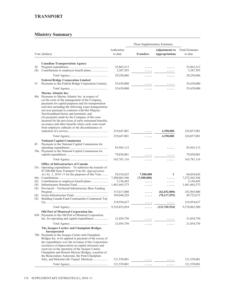#### **TRANSPORT**

|            |                                                                                                                                                                                                                                                                                                                                                                                                                                                                |                            | These Supplementary Estimates |                                                |                                   |
|------------|----------------------------------------------------------------------------------------------------------------------------------------------------------------------------------------------------------------------------------------------------------------------------------------------------------------------------------------------------------------------------------------------------------------------------------------------------------------|----------------------------|-------------------------------|------------------------------------------------|-----------------------------------|
|            | Vote (dollars)                                                                                                                                                                                                                                                                                                                                                                                                                                                 | Authorities<br>to date     | <b>Transfers</b>              | <b>Adjustments to</b><br><b>Appropriations</b> | <b>Total Estimates</b><br>to date |
|            | <b>Canadian Transportation Agency</b>                                                                                                                                                                                                                                                                                                                                                                                                                          |                            |                               |                                                |                                   |
| 30         |                                                                                                                                                                                                                                                                                                                                                                                                                                                                | 25,863,213                 |                               |                                                | 25,863,213                        |
| (S)        |                                                                                                                                                                                                                                                                                                                                                                                                                                                                | 3,387,393                  | .                             | .                                              | 3,387,393                         |
|            |                                                                                                                                                                                                                                                                                                                                                                                                                                                                | 29,250,606                 | .                             | .                                              | 29,250,606                        |
|            | <b>Federal Bridge Corporation Limited</b>                                                                                                                                                                                                                                                                                                                                                                                                                      |                            |                               |                                                |                                   |
| 35         | Payments to the Federal Bridge Corporation Limited                                                                                                                                                                                                                                                                                                                                                                                                             | 55,639,000                 | .                             | .                                              | 55,639,000                        |
|            |                                                                                                                                                                                                                                                                                                                                                                                                                                                                |                            |                               |                                                | 55,639,000                        |
|            |                                                                                                                                                                                                                                                                                                                                                                                                                                                                | 55,639,000                 | .                             | .                                              |                                   |
|            | Marine Atlantic Inc.<br>40c Payments to Marine Atlantic Inc. in respect of<br>$(a)$ the costs of the management of the Company,<br>payments for capital purposes and for transportation<br>activities including the following water transportation<br>services pursuant to contracts with Her Majesty:<br>Newfoundland ferries and terminals; and<br>(b) payments made by the Company of the costs<br>incurred for the provision of early retirement benefits, |                            |                               |                                                |                                   |
|            | severance and other benefits where such costs result<br>from employee cutbacks or the discontinuance or                                                                                                                                                                                                                                                                                                                                                        |                            |                               |                                                |                                   |
|            |                                                                                                                                                                                                                                                                                                                                                                                                                                                                | 219,647,001                |                               | 4,390,000                                      | 224,037,001                       |
|            |                                                                                                                                                                                                                                                                                                                                                                                                                                                                | 219,647,001                | .                             | 4,390,000                                      | 224,037,001                       |
|            | <b>National Capital Commission</b>                                                                                                                                                                                                                                                                                                                                                                                                                             |                            |                               |                                                |                                   |
| 45         | Payments to the National Capital Commission for                                                                                                                                                                                                                                                                                                                                                                                                                |                            |                               |                                                |                                   |
|            |                                                                                                                                                                                                                                                                                                                                                                                                                                                                | 83,943,115                 | .                             |                                                | 83,943,115                        |
|            | 50a Payments to the National Capital Commission for                                                                                                                                                                                                                                                                                                                                                                                                            |                            |                               |                                                |                                   |
|            |                                                                                                                                                                                                                                                                                                                                                                                                                                                                | 79,838,001                 |                               |                                                | 79,838,001                        |
|            |                                                                                                                                                                                                                                                                                                                                                                                                                                                                | 163,781,116                | .                             | .                                              | 163,781,116                       |
|            | <b>Office of Infrastructure of Canada</b><br>55c Operating expenditures – To authorize the transfer of<br>\$7,500,000 from Transport Vote 60, Appropriation                                                                                                                                                                                                                                                                                                    |                            |                               |                                                |                                   |
|            | Act No. 2, 2010–11 for the purposes of this Vote                                                                                                                                                                                                                                                                                                                                                                                                               | 58,534,625                 | 7,500,000                     | 1                                              | 66,034,626                        |
|            |                                                                                                                                                                                                                                                                                                                                                                                                                                                                | 7,280,063,546              | (7,500,000)                   |                                                | 7,272,563,546                     |
| (S)<br>(S) | Contributions to employee benefit plans                                                                                                                                                                                                                                                                                                                                                                                                                        | 5,156,445<br>1,461,665,573 | .<br>.                        | .<br>.                                         | 5,156,445<br>1,461,665,573        |
| (S)        | Provincial – Territorial Infrastructure Base Funding                                                                                                                                                                                                                                                                                                                                                                                                           |                            |                               |                                                |                                   |
|            |                                                                                                                                                                                                                                                                                                                                                                                                                                                                | 315,617,000                | .                             | (62, 652, 000)                                 | 252,965,000                       |
| (S)        |                                                                                                                                                                                                                                                                                                                                                                                                                                                                | 169,840,228                | .                             | (70, 117, 555)                                 | 99,722,673                        |
| (S)        | Building Canada Fund Communities Component Top                                                                                                                                                                                                                                                                                                                                                                                                                 |                            |                               |                                                |                                   |
|            |                                                                                                                                                                                                                                                                                                                                                                                                                                                                | 219,954,637                | .                             |                                                | 219,954,637                       |
|            |                                                                                                                                                                                                                                                                                                                                                                                                                                                                | 9,510,832,054              | .                             | (132,769,554)                                  | 9,378,062,500                     |
|            | Old Port of Montreal Corporation Inc.                                                                                                                                                                                                                                                                                                                                                                                                                          |                            |                               |                                                |                                   |
|            | 65b Payments to the Old Port of Montreal Corporation                                                                                                                                                                                                                                                                                                                                                                                                           |                            |                               |                                                | 21,054,750                        |
|            |                                                                                                                                                                                                                                                                                                                                                                                                                                                                | 21,054,750                 |                               |                                                |                                   |
|            |                                                                                                                                                                                                                                                                                                                                                                                                                                                                | 21,054,750                 | .                             | .                                              | 21,054,750                        |
|            | The Jacques Cartier and Champlain Bridges                                                                                                                                                                                                                                                                                                                                                                                                                      |                            |                               |                                                |                                   |
|            | Incorporated<br>70b Payments to the Jacques Cartier and Champlain<br>Bridges Inc. to be applied in payment of the excess of<br>the expenditures over the revenues of the Corporation<br>(exclusive of depreciation on capital structures and<br>reserves) in the operation of the Jacques Cartier,<br>Champlain and Honoré Mercier Bridges, a portion of<br>the Bonaventure Autoroute, the Pont-Champlain                                                      |                            |                               |                                                |                                   |
|            | Jetty, and Melocheville Tunnel, Montreal                                                                                                                                                                                                                                                                                                                                                                                                                       | 121,539,001                |                               |                                                | 121,539,001                       |
|            |                                                                                                                                                                                                                                                                                                                                                                                                                                                                | 121,539,001                | .                             |                                                | 121,539,001                       |
|            |                                                                                                                                                                                                                                                                                                                                                                                                                                                                |                            |                               |                                                |                                   |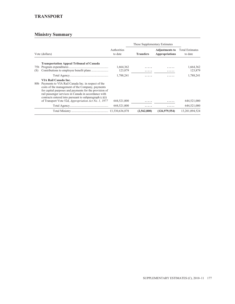#### **TRANSPORT**

|                |                                                                                                                                                                                                                                                                                                                                                                      | These Supplementary Estimates |                  |                                                |                                   |
|----------------|----------------------------------------------------------------------------------------------------------------------------------------------------------------------------------------------------------------------------------------------------------------------------------------------------------------------------------------------------------------------|-------------------------------|------------------|------------------------------------------------|-----------------------------------|
| Vote (dollars) |                                                                                                                                                                                                                                                                                                                                                                      | Authorities<br>to date        | <b>Transfers</b> | <b>Adjustments to</b><br><b>Appropriations</b> | <b>Total Estimates</b><br>to date |
| 75b<br>(S)     | <b>Transportation Appeal Tribunal of Canada</b>                                                                                                                                                                                                                                                                                                                      | 1,664,362<br>123,879          | .                |                                                | 1,664,362<br>123,879              |
|                |                                                                                                                                                                                                                                                                                                                                                                      | 1,788,241                     | .                | .                                              | 1,788,241                         |
| 80b            | VIA Rail Canada Inc.<br>Payments to VIA Rail Canada Inc. in respect of the<br>costs of the management of the Company, payments<br>for capital purposes and payments for the provision of<br>rail passenger services in Canada in accordance with<br>contracts entered into pursuant to subparagraph $(c)(i)$<br>of Transport Vote 52d, Appropriation Act No. 1, 1977 | 644,521,000                   |                  |                                                | 644,521,000                       |
|                |                                                                                                                                                                                                                                                                                                                                                                      | 644,521,000                   | .                | .                                              | 644,521,000                       |
|                |                                                                                                                                                                                                                                                                                                                                                                      | 13,330,636,878                | (2,562,800)      | (126, 979, 554)                                | 13.201.094.524                    |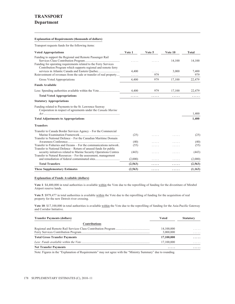#### **Explanation of Requirements (thousands of dollars)**

Transport requests funds for the following items:

| <b>Voted Appropriations</b>                                                                                                                                                            | Vote 1     | Vote 5 | Vote 10    | <b>Total</b> |
|----------------------------------------------------------------------------------------------------------------------------------------------------------------------------------------|------------|--------|------------|--------------|
| Funding to support the Regional and Remote Passenger Rail<br>Funding for operating requirements related to the Ferry Services                                                          |            |        | 14,100     | 14,100       |
| Contribution Program which supports regional and remote ferry<br>services in Atlantic Canada and Eastern Quebec<br>Reinvestment of revenues from the sale or transfer of real property | 4,400<br>. | 979    | 3,000<br>. | 7.400<br>979 |
| Gross Voted Appropriations                                                                                                                                                             | 4,400      | 979    | 17,100     | 22,479       |
| <b>Funds Available</b>                                                                                                                                                                 |            |        |            |              |
|                                                                                                                                                                                        | 4.400      | 979    | 17,100     | 22,479       |
| <b>Total Voted Appropriations</b>                                                                                                                                                      | .          | .      | .          | .            |
| <b>Statutory Appropriations</b>                                                                                                                                                        |            |        |            |              |
| Funding related to Payments to the St. Lawrence Seaway<br>Corporation in respect of agreements under the Canada Marine                                                                 |            |        |            | 1,400        |
| <b>Total Adjustments to Appropriations</b>                                                                                                                                             |            |        |            | 1,400        |
| <b>Transfers</b>                                                                                                                                                                       |            |        |            |              |
| Transfer to Canada Border Services Agency – For the Commercial                                                                                                                         | (25)       |        |            | (25)         |
| Transfer to National Defence – For the Canadian Maritime Domain                                                                                                                        | (40)       |        |            | (40)         |
| Transfer to Fisheries and Oceans – For the communications network.                                                                                                                     | (55)       |        |            | (55)         |
| Transfer to National Defence – Return of unused funds for public<br>security initiatives related to Marine Security Operations Centres                                                 | (443)      | .      | .          | (443)        |
| Transfer to Natural Resources – For the assessment, management                                                                                                                         | (2,000)    | .      | .          | (2,000)      |
| <b>Total Transfers</b>                                                                                                                                                                 | (2,563)    | .      |            | (2,563)      |
| <b>These Supplementary Estimates</b>                                                                                                                                                   | (2, 563)   | .      | .          | (1,163)      |

#### **Explanation of Funds Available (dollars)**

**Vote 1**: \$4,400,000 in total authorities is available within the Vote due to the reprofiling of funding for the divestiture of Mirabel Airport reserve lands.

**Vote 5**: \$979,477 in total authorities is available within the Vote due to the reprofiling of funding for the acquisition of real property for the new Detroit river crossing.

**Vote 10**: \$17,100,000 in total authorities is available within the Vote due to the reprofiling of funding for the Asia-Pacific Gateway and Corridor Initiative.

| <b>Transfer Payments (dollars)</b>   | Voted                   | <b>Statutory</b> |
|--------------------------------------|-------------------------|------------------|
| <b>Contributions</b>                 |                         |                  |
|                                      | 14,100,000<br>3,000,000 | .<br>.           |
| <b>Total Gross Transfer Payments</b> | 17,100,000              | .                |
|                                      | 17,100,000              | .                |
| <b>Net Transfer Payments</b>         | .                       | .                |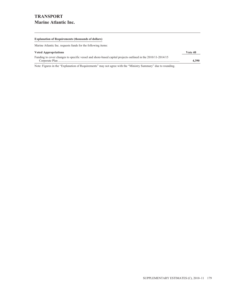#### **Explanation of Requirements (thousands of dollars)**

Marine Atlantic Inc. requests funds for the following items:

#### **Voted Appropriations Vote 40**

| Funding to cover changes to specific vessel and shore-based capital projects outlined in the 2010/11-2014/15 |       |
|--------------------------------------------------------------------------------------------------------------|-------|
|                                                                                                              | 4.390 |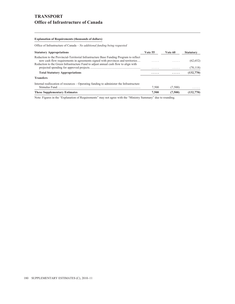## **TRANSPORT Office of Infrastructure of Canada**

#### **Explanation of Requirements (thousands of dollars)**

Office of Infrastructure of Canada – *No additional funding being requested*

| <b>Statutory Appropriations</b>                                                                                                                                          | Vote 55 | Vote 60 | <b>Statutory</b> |
|--------------------------------------------------------------------------------------------------------------------------------------------------------------------------|---------|---------|------------------|
| Reduction to the Provincial-Territorial Infrastructure Base Funding Program to reflect<br>new cash flow requirements in agreements signed with provinces and territories |         |         | (62, 652)        |
| Reduction to the Green Infrastructure Fund to adjust annual cash flow to align with                                                                                      |         | .       | (70, 118)        |
| <b>Total Statutory Appropriations</b>                                                                                                                                    | .       | .       | (132,770)        |
| <b>Transfers</b>                                                                                                                                                         |         |         |                  |
| Internal reallocation of resources – Operating funding to administer the Infrastructure<br>Stimulus Fund                                                                 | 7.500   | (7,500) | .                |
| <b>These Supplementary Estimates</b>                                                                                                                                     | 7.500   | (7,500) | (132,770)        |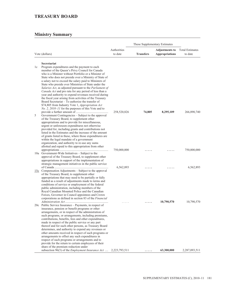#### **TREASURY BOARD**

|    |                                                                                                                                                                                                                                                                                                                                                                                                                                                                                                                                                                                                                                                                                                                                                          |                        | These Supplementary Estimates |                                                |                                   |  |  |  |
|----|----------------------------------------------------------------------------------------------------------------------------------------------------------------------------------------------------------------------------------------------------------------------------------------------------------------------------------------------------------------------------------------------------------------------------------------------------------------------------------------------------------------------------------------------------------------------------------------------------------------------------------------------------------------------------------------------------------------------------------------------------------|------------------------|-------------------------------|------------------------------------------------|-----------------------------------|--|--|--|
|    | Vote (dollars)                                                                                                                                                                                                                                                                                                                                                                                                                                                                                                                                                                                                                                                                                                                                           | Authorities<br>to date | <b>Transfers</b>              | <b>Adjustments to</b><br><b>Appropriations</b> | <b>Total Estimates</b><br>to date |  |  |  |
| 1c | Secretariat<br>Program expenditures and the payment to each<br>member of the Queen's Privy Council for Canada<br>who is a Minister without Portfolio or a Minister of<br>State who does not preside over a Ministry of State of<br>a salary not to exceed the salary paid to Ministers of<br>State who preside over Ministries of State under the<br>Salaries Act, as adjusted pursuant to the Parliament of<br>Canada Act and pro rata for any period of less than a<br>year and authority to expend revenues received during<br>the fiscal year arising from activities of the Treasury<br>Board Secretariat – To authorize the transfer of<br>\$74,805 from Industry Vote 1, Appropriation Act<br>No. 2, 2010-11 for the purposes of this Vote and to |                        |                               |                                                |                                   |  |  |  |
| 5  | Government Contingencies – Subject to the approval<br>of the Treasury Board, to supplement other<br>appropriations and to provide for miscellaneous,<br>urgent or unforeseen expenditures not otherwise<br>provided for, including grants and contributions not<br>listed in the Estimates and the increase of the amount<br>of grants listed in these, where those expenditures are<br>within the legal mandate of a government<br>organization, and authority to re-use any sums<br>allotted and repaid to this appropriation from other                                                                                                                                                                                                               | 258,520,826            | 74,805                        | 8,295,109                                      | 266,890,740                       |  |  |  |
|    | 10a Government-Wide Initiatives – Subject to the<br>approval of the Treasury Board, to supplement other<br>appropriations in support of the implementation of<br>strategic management initiatives in the public service                                                                                                                                                                                                                                                                                                                                                                                                                                                                                                                                  | 750,000,000            |                               |                                                | 750,000,000                       |  |  |  |
|    | 15c Compensation Adjustments – Subject to the approval<br>of the Treasury Board, to supplement other<br>appropriations that may need to be partially or fully<br>funded as a result of adjustments made to terms and<br>conditions of service or employment of the federal<br>public administration, including members of the<br>Royal Canadian Mounted Police and the Canadian<br>Forces, Governor in Council appointees and Crown<br>corporations as defined in section 83 of the <i>Financial</i>                                                                                                                                                                                                                                                     | 6,562,893              |                               |                                                | 6,562,893                         |  |  |  |
|    | 20c Public Service Insurance – Payments, in respect of<br>insurance, pension or benefit programs or other<br>arrangements, or in respect of the administration of<br>such programs, or arrangements, including premiums,<br>contributions, benefits, fees and other expenditures,<br>made in respect of the public service or any part<br>thereof and for such other persons, as Treasury Board<br>determines, and authority to expend any revenues or<br>other amounts received in respect of such programs or<br>arrangements to offset any such expenditures in<br>respect of such programs or arrangements and to<br>provide for the return to certain employees of their<br>share of the premium reduction under                                    |                        |                               | 10,790,570                                     | 10,790,570                        |  |  |  |
|    | subsection $96(3)$ of the <i>Employment Insurance Act</i> 2,223,793,511                                                                                                                                                                                                                                                                                                                                                                                                                                                                                                                                                                                                                                                                                  |                        |                               | 63,300,000                                     | 2,287,093,511                     |  |  |  |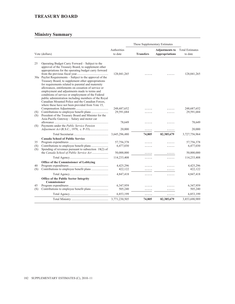#### **TREASURY BOARD**

|                |                                                                                                                                                                                                                                                                                                                                                                                                                                                                                                    |                           | These Supplementary Estimates |                                                |                                   |
|----------------|----------------------------------------------------------------------------------------------------------------------------------------------------------------------------------------------------------------------------------------------------------------------------------------------------------------------------------------------------------------------------------------------------------------------------------------------------------------------------------------------------|---------------------------|-------------------------------|------------------------------------------------|-----------------------------------|
| Vote (dollars) |                                                                                                                                                                                                                                                                                                                                                                                                                                                                                                    | Authorities<br>to date    | <b>Transfers</b>              | <b>Adjustments to</b><br><b>Appropriations</b> | <b>Total Estimates</b><br>to date |
| 25             | Operating Budget Carry Forward – Subject to the<br>approval of the Treasury Board, to supplement other<br>appropriations for the operating budget carry forward                                                                                                                                                                                                                                                                                                                                    | 128,041,265               |                               |                                                | 128,041,265                       |
|                | 30a Paylist Requirements - Subject to the approval of the<br>Treasury Board, to supplement other appropriations<br>for requirements related to parental and maternity<br>allowances, entitlements on cessation of service or<br>employment and adjustments made to terms and<br>conditions of service or employment of the Federal<br>public administration including members of the Royal<br>Canadian Mounted Police and the Canadian Forces,<br>where these have not been provided from Vote 15, |                           |                               |                                                |                                   |
| (S)<br>(S)     | President of the Treasury Board and Minister for the                                                                                                                                                                                                                                                                                                                                                                                                                                               | 248,687,652<br>29,591,684 |                               |                                                | 248,687,652<br>29,591,684         |
| (S)            | Asia-Pacific Gateway – Salary and motor car<br>Payments under the Public Service Pension                                                                                                                                                                                                                                                                                                                                                                                                           | 78,649                    |                               |                                                | 78,649                            |
|                |                                                                                                                                                                                                                                                                                                                                                                                                                                                                                                    | 20,000                    | .                             |                                                | 20,000                            |
|                |                                                                                                                                                                                                                                                                                                                                                                                                                                                                                                    | 3,645,296,480             | 74,805                        | 82,385,679                                     | 3,727,756,964                     |
|                | <b>Canada School of Public Service</b>                                                                                                                                                                                                                                                                                                                                                                                                                                                             |                           |                               |                                                |                                   |
| 35             |                                                                                                                                                                                                                                                                                                                                                                                                                                                                                                    | 57,756,378<br>6,477,030   |                               |                                                | 57,756,378<br>6,477,030           |
| (S)<br>(S)     | Spending of revenues pursuant to subsection $18(2)$ of                                                                                                                                                                                                                                                                                                                                                                                                                                             |                           |                               |                                                |                                   |
|                |                                                                                                                                                                                                                                                                                                                                                                                                                                                                                                    | 50,000,000                |                               |                                                | 50,000,000                        |
|                |                                                                                                                                                                                                                                                                                                                                                                                                                                                                                                    | 114,233,408               | .                             | .                                              | 114,233,408                       |
|                | Office of the Commissioner of Lobbying                                                                                                                                                                                                                                                                                                                                                                                                                                                             |                           |                               |                                                |                                   |
| 40             |                                                                                                                                                                                                                                                                                                                                                                                                                                                                                                    | 4,425,296                 |                               |                                                | 4,425,296                         |
| (S)            |                                                                                                                                                                                                                                                                                                                                                                                                                                                                                                    | 422,122                   | .                             | .                                              | 422,122                           |
|                |                                                                                                                                                                                                                                                                                                                                                                                                                                                                                                    | 4,847,418                 | .                             | .                                              | 4,847,418                         |
|                | Office of the Public Sector Integrity<br>Commissioner                                                                                                                                                                                                                                                                                                                                                                                                                                              |                           |                               |                                                |                                   |
| 45             |                                                                                                                                                                                                                                                                                                                                                                                                                                                                                                    | 6,347,959                 |                               |                                                | 6,347,959                         |
| (S)            |                                                                                                                                                                                                                                                                                                                                                                                                                                                                                                    | 505,240                   | .                             |                                                | 505,240                           |
|                |                                                                                                                                                                                                                                                                                                                                                                                                                                                                                                    | 6,853,199                 | .                             | .                                              | 6,853,199                         |
|                |                                                                                                                                                                                                                                                                                                                                                                                                                                                                                                    | 3,771,230,505             | 74,805                        | 82,385,679                                     | 3,853,690,989                     |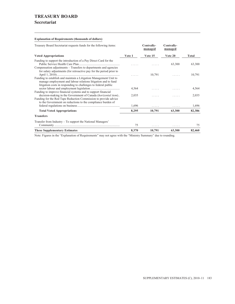#### **TREASURY BOARD Secretariat**

# **Explanation of Requirements (thousands of dollars)**

| Treasury Board Secretariat requests funds for the following items:                                                                                                                                   |        | Centrally-<br>managed | Centrally-<br>managed |              |
|------------------------------------------------------------------------------------------------------------------------------------------------------------------------------------------------------|--------|-----------------------|-----------------------|--------------|
| <b>Voted Appropriations</b>                                                                                                                                                                          | Vote 1 | Vote 15               | Vote 20               | <b>Total</b> |
| Funding to support the introduction of a Pay Direct Card for the                                                                                                                                     |        |                       | 63,300                | 63,300       |
| Compensation adjustments – Transfers to departments and agencies<br>for salary adjustments (for retroactive pay for the period prior to                                                              |        | 10,791                |                       | 10,791       |
| Funding to establish and maintain a Litigation Management Unit to<br>manage employment and labour relations litigation and to fund<br>litigation costs in responding to challenges to federal public |        |                       |                       |              |
| Funding to improve financial systems and to support financial                                                                                                                                        | 4,564  | .                     | .                     | 4,564        |
| decision-making in the Government of Canada (horizontal item)<br>Funding for the Red Tape Reduction Commission to provide advice<br>to the Government on reductions to the compliance burden of      | 2,035  | .                     |                       | 2,035        |
|                                                                                                                                                                                                      | 1,696  | .                     | .                     | 1,696        |
| <b>Total Voted Appropriations</b>                                                                                                                                                                    | 8,295  | 10,791                | 63,300                | 82,386       |
| <b>Transfers</b>                                                                                                                                                                                     |        |                       |                       |              |
| Transfer from Industry – To support the National Managers'                                                                                                                                           | 75     | .                     | .                     | 75           |
| <b>These Supplementary Estimates</b>                                                                                                                                                                 | 8,370  | 10,791                | 63,300                | 82,460       |

Note: Figures in the "Explanation of Requirements" may not agree with the "Ministry Summary" due to rounding.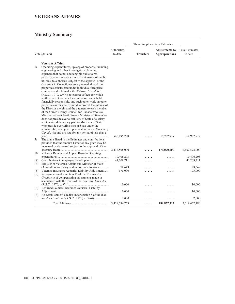## **VETERANS AFFAIRS**

## **Ministry Summary**

|                |                                                                                                                  |                        | These Supplementary Estimates |                                                |                                   |  |
|----------------|------------------------------------------------------------------------------------------------------------------|------------------------|-------------------------------|------------------------------------------------|-----------------------------------|--|
| Vote (dollars) |                                                                                                                  | Authorities<br>to date | <b>Transfers</b>              | <b>Adjustments to</b><br><b>Appropriations</b> | <b>Total Estimates</b><br>to date |  |
|                | <b>Veterans Affairs</b>                                                                                          |                        |                               |                                                |                                   |  |
| 1c             | Operating expenditures, upkeep of property, including<br>engineering and other investigatory planning            |                        |                               |                                                |                                   |  |
|                | expenses that do not add tangible value to real                                                                  |                        |                               |                                                |                                   |  |
|                | property, taxes, insurance and maintenance of public<br>utilities; to authorize, subject to the approval of the  |                        |                               |                                                |                                   |  |
|                | Governor in Council, necessary remedial work on                                                                  |                        |                               |                                                |                                   |  |
|                | properties constructed under individual firm price                                                               |                        |                               |                                                |                                   |  |
|                | contracts and sold under the Veterans' Land Act                                                                  |                        |                               |                                                |                                   |  |
|                | (R.S.C., 1970, c.V-4), to correct defects for which<br>neither the veteran nor the contractor can be held        |                        |                               |                                                |                                   |  |
|                | financially responsible, and such other work on other                                                            |                        |                               |                                                |                                   |  |
|                | properties as may be required to protect the interest of                                                         |                        |                               |                                                |                                   |  |
|                | the Director therein and the payment to each member                                                              |                        |                               |                                                |                                   |  |
|                | of the Queen's Privy Council for Canada who is a<br>Minister without Portfolio or a Minister of State who        |                        |                               |                                                |                                   |  |
|                | does not preside over a Ministry of State of a salary                                                            |                        |                               |                                                |                                   |  |
|                | not to exceed the salary paid to Ministers of State                                                              |                        |                               |                                                |                                   |  |
|                | who preside over Ministries of State under the                                                                   |                        |                               |                                                |                                   |  |
|                | Salaries Act, as adjusted pursuant to the Parliament of<br>Canada Act and pro rata for any period of less than a |                        |                               |                                                |                                   |  |
|                |                                                                                                                  | 945,195,200            |                               | 19,787,717                                     | 964,982,917                       |  |
| 5c             | The grants listed in the Estimates and contributions,                                                            |                        |                               |                                                |                                   |  |
|                | provided that the amount listed for any grant may be                                                             |                        |                               |                                                |                                   |  |
|                | increased or decreased subject to the approval of the                                                            | 2,432,508,000          |                               | 170,070,000                                    | 2,602,578,000                     |  |
| 10             | Veterans Review and Appeal Board - Operating                                                                     |                        |                               |                                                |                                   |  |
|                |                                                                                                                  | 10,406,203             |                               |                                                | 10,406,203                        |  |
| (S)            |                                                                                                                  | 41,209,711             |                               |                                                | 41,209,711                        |  |
| (S)            | Minister of Veterans Affairs and Minister of State<br>(Agriculture) – Salary and motor car allowance             | 78,649                 |                               |                                                | 78.649                            |  |
| (S)            | Veterans Insurance Actuarial Liability Adjustment                                                                | 175,000                | .                             | .                                              | 175,000                           |  |
| (S)            | Repayments under section 15 of the War Service                                                                   |                        |                               |                                                |                                   |  |
|                | Grants Act of compensating adjustments made in                                                                   |                        |                               |                                                |                                   |  |
|                | accordance with the terms of the Veterans' Land Act                                                              |                        |                               |                                                |                                   |  |
| (S)            | Returned Soldiers Insurance Actuarial Liability                                                                  | 10,000                 |                               |                                                | 10,000                            |  |
|                |                                                                                                                  | 10,000                 |                               |                                                | 10,000                            |  |
| (S)            | Re-Establishment Credits under section 8 of the War                                                              |                        |                               |                                                |                                   |  |
|                | Service Grants Act (R.S.C., 1970, c. W-4)                                                                        | 2,000                  |                               |                                                | 2,000                             |  |
|                |                                                                                                                  | 3,429,594,763          | .                             | 189, 857, 717                                  | 3,619,452,480                     |  |